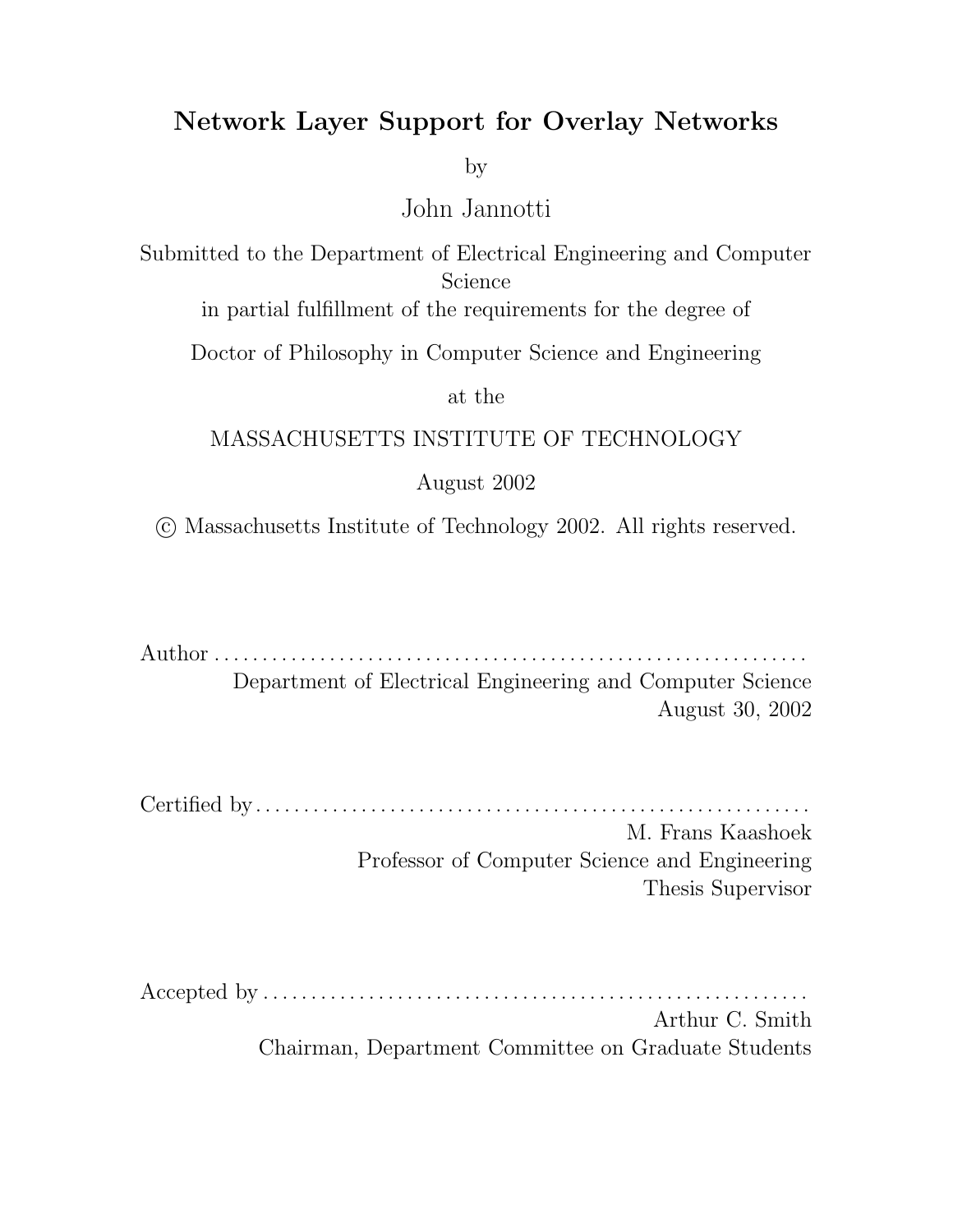## Network Layer Support for Overlay Networks

by

John Jannotti

Submitted to the Department of Electrical Engineering and Computer Science

in partial fulfillment of the requirements for the degree of

Doctor of Philosophy in Computer Science and Engineering

at the

### MASSACHUSETTS INSTITUTE OF TECHNOLOGY

### August 2002

c Massachusetts Institute of Technology 2002. All rights reserved.

Author . . . . . . . . . . . . . . . . . . . . . . . . . . . . . . . . . . . . . . . . . . . . . . . . . . . . . . . . . . . . . .

Department of Electrical Engineering and Computer Science August 30, 2002

Certified by. . . . . . . . . . . . . . . . . . . . . . . . . . . . . . . . . . . . . . . . . . . . . . . . . . . . . . . . . . M. Frans Kaashoek Professor of Computer Science and Engineering Thesis Supervisor

Accepted by . . . . . . . . . . . . . . . . . . . . . . . . . . . . . . . . . . . . . . . . . . . . . . . . . . . . . . . . . Arthur C. Smith Chairman, Department Committee on Graduate Students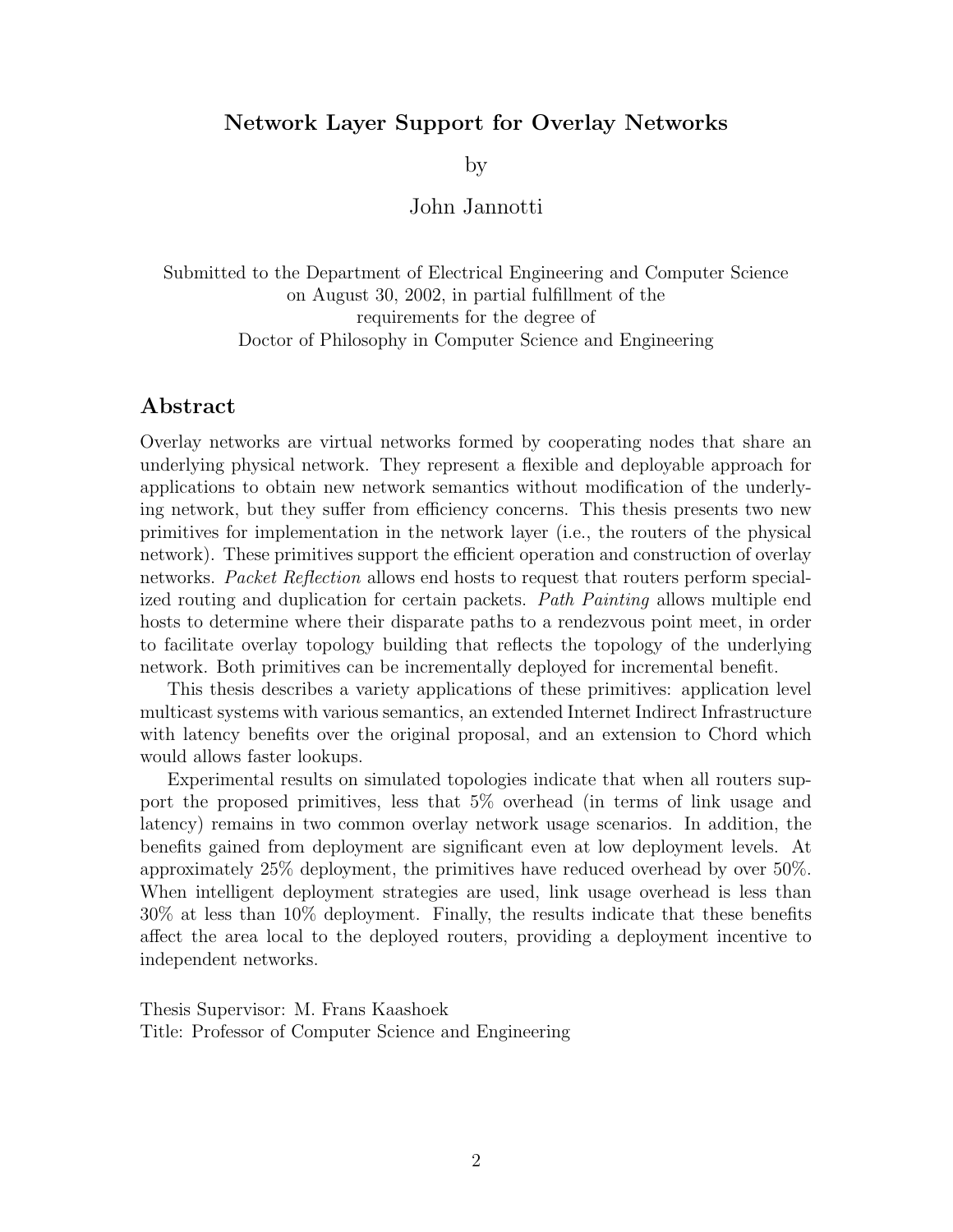#### Network Layer Support for Overlay Networks

by

#### John Jannotti

Submitted to the Department of Electrical Engineering and Computer Science on August 30, 2002, in partial fulfillment of the requirements for the degree of Doctor of Philosophy in Computer Science and Engineering

#### Abstract

Overlay networks are virtual networks formed by cooperating nodes that share an underlying physical network. They represent a flexible and deployable approach for applications to obtain new network semantics without modification of the underlying network, but they suffer from efficiency concerns. This thesis presents two new primitives for implementation in the network layer (i.e., the routers of the physical network). These primitives support the efficient operation and construction of overlay networks. Packet Reflection allows end hosts to request that routers perform specialized routing and duplication for certain packets. Path Painting allows multiple end hosts to determine where their disparate paths to a rendezvous point meet, in order to facilitate overlay topology building that reflects the topology of the underlying network. Both primitives can be incrementally deployed for incremental benefit.

This thesis describes a variety applications of these primitives: application level multicast systems with various semantics, an extended Internet Indirect Infrastructure with latency benefits over the original proposal, and an extension to Chord which would allows faster lookups.

Experimental results on simulated topologies indicate that when all routers support the proposed primitives, less that 5% overhead (in terms of link usage and latency) remains in two common overlay network usage scenarios. In addition, the benefits gained from deployment are significant even at low deployment levels. At approximately 25% deployment, the primitives have reduced overhead by over 50%. When intelligent deployment strategies are used, link usage overhead is less than 30% at less than 10% deployment. Finally, the results indicate that these benefits affect the area local to the deployed routers, providing a deployment incentive to independent networks.

Thesis Supervisor: M. Frans Kaashoek Title: Professor of Computer Science and Engineering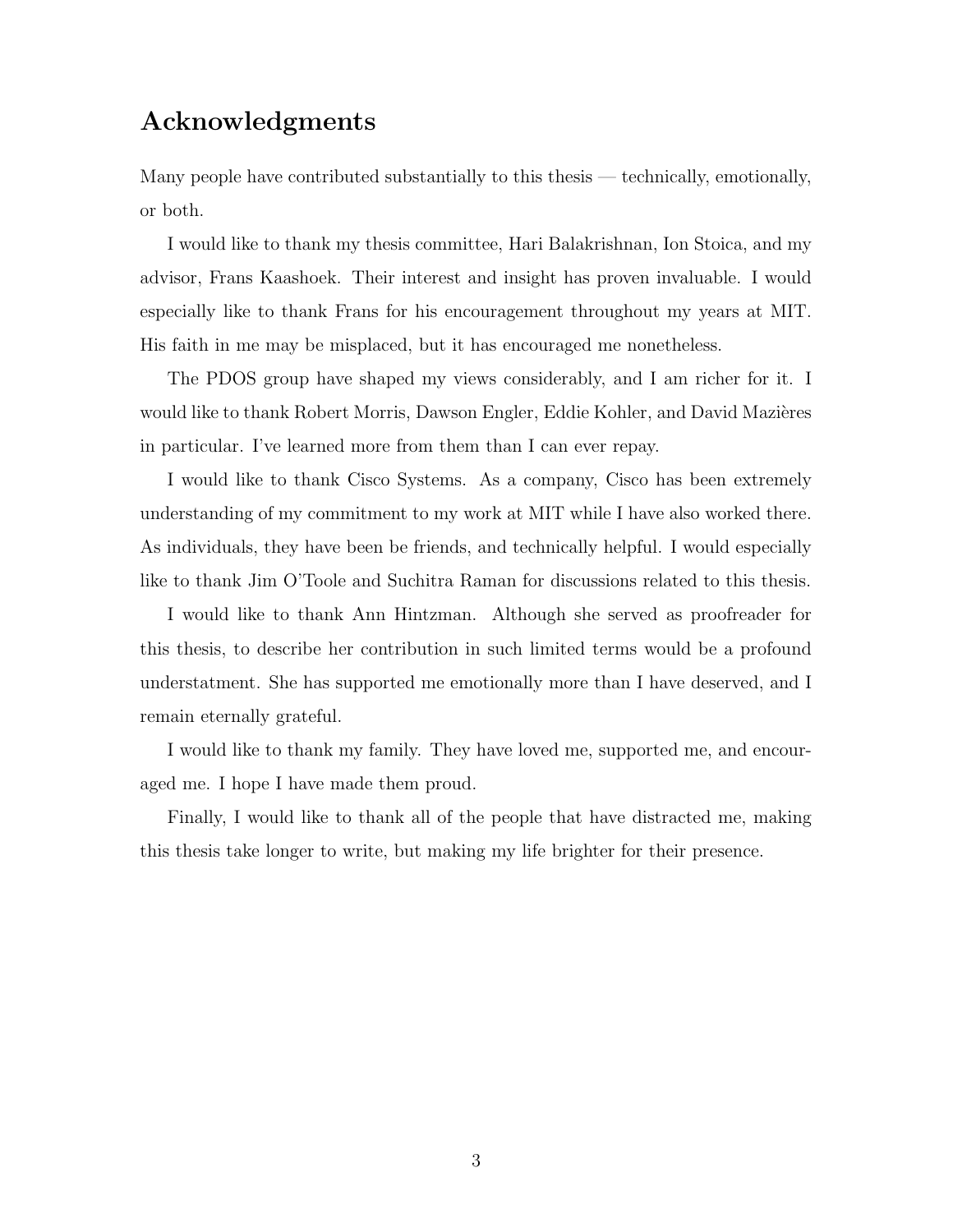## Acknowledgments

Many people have contributed substantially to this thesis — technically, emotionally, or both.

I would like to thank my thesis committee, Hari Balakrishnan, Ion Stoica, and my advisor, Frans Kaashoek. Their interest and insight has proven invaluable. I would especially like to thank Frans for his encouragement throughout my years at MIT. His faith in me may be misplaced, but it has encouraged me nonetheless.

The PDOS group have shaped my views considerably, and I am richer for it. I would like to thank Robert Morris, Dawson Engler, Eddie Kohler, and David Mazières in particular. I've learned more from them than I can ever repay.

I would like to thank Cisco Systems. As a company, Cisco has been extremely understanding of my commitment to my work at MIT while I have also worked there. As individuals, they have been be friends, and technically helpful. I would especially like to thank Jim O'Toole and Suchitra Raman for discussions related to this thesis.

I would like to thank Ann Hintzman. Although she served as proofreader for this thesis, to describe her contribution in such limited terms would be a profound understatment. She has supported me emotionally more than I have deserved, and I remain eternally grateful.

I would like to thank my family. They have loved me, supported me, and encouraged me. I hope I have made them proud.

Finally, I would like to thank all of the people that have distracted me, making this thesis take longer to write, but making my life brighter for their presence.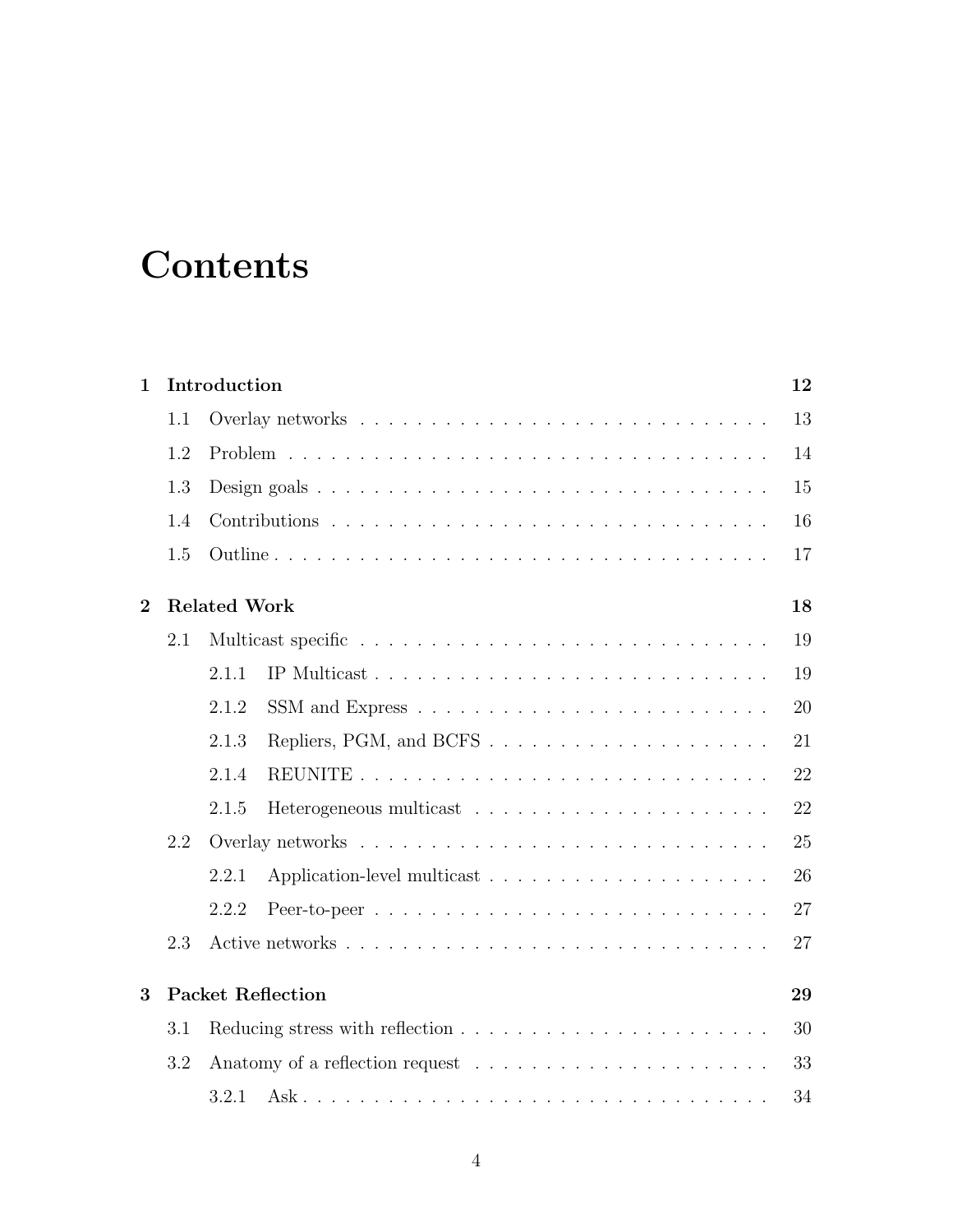## **Contents**

| $\mathbf{1}$ |     | Introduction             | 12 |
|--------------|-----|--------------------------|----|
|              | 1.1 |                          | 13 |
|              | 1.2 |                          | 14 |
|              | 1.3 |                          | 15 |
|              | 1.4 |                          | 16 |
|              | 1.5 |                          | 17 |
| $\bf{2}$     |     | <b>Related Work</b>      | 18 |
|              | 2.1 |                          | 19 |
|              |     | 2.1.1                    | 19 |
|              |     | 2.1.2                    | 20 |
|              |     | 2.1.3                    | 21 |
|              |     | 2.1.4                    | 22 |
|              |     | 2.1.5                    | 22 |
|              | 2.2 |                          | 25 |
|              |     | 2.2.1                    | 26 |
|              |     | 2.2.2                    | 27 |
|              | 2.3 |                          | 27 |
| 3            |     | <b>Packet Reflection</b> | 29 |
|              | 3.1 |                          | 30 |
|              | 3.2 |                          | 33 |
|              |     | 3.2.1                    | 34 |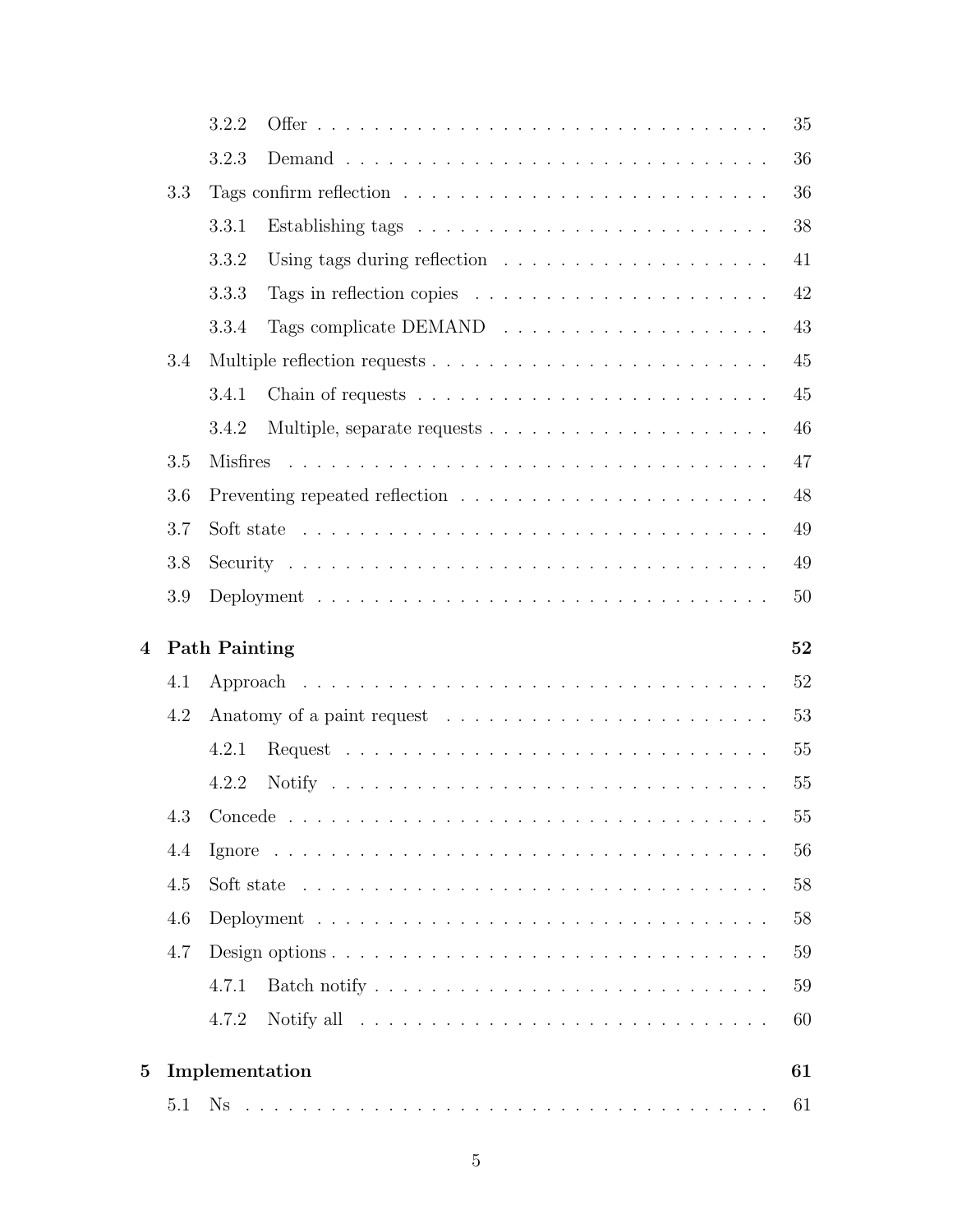|                |     | 3.2.2                |                                                                                           | 35     |
|----------------|-----|----------------------|-------------------------------------------------------------------------------------------|--------|
|                |     | 3.2.3                |                                                                                           | 36     |
|                | 3.3 |                      |                                                                                           | 36     |
|                |     | 3.3.1                |                                                                                           | 38     |
|                |     | 3.3.2                | Using tags during reflection $\ldots \ldots \ldots \ldots \ldots \ldots$                  | 41     |
|                |     | 3.3.3                | Tags in reflection copies $\ldots \ldots \ldots \ldots \ldots \ldots \ldots$              | 42     |
|                |     | 3.3.4                |                                                                                           | 43     |
|                | 3.4 |                      |                                                                                           | 45     |
|                |     | 3.4.1                | Chain of requests $\ldots \ldots \ldots \ldots \ldots \ldots \ldots \ldots$               | 45     |
|                |     | 3.4.2                |                                                                                           | 46     |
|                | 3.5 | <b>Misfires</b>      |                                                                                           | 47     |
|                | 3.6 |                      |                                                                                           | 48     |
|                | 3.7 |                      | Soft state $\ldots \ldots \ldots \ldots \ldots \ldots \ldots \ldots \ldots \ldots \ldots$ | 49     |
|                | 3.8 |                      |                                                                                           | 49     |
|                | 3.9 |                      |                                                                                           | 50     |
|                |     |                      |                                                                                           |        |
|                |     |                      |                                                                                           |        |
| $\overline{4}$ |     | <b>Path Painting</b> |                                                                                           | 52     |
|                | 4.1 |                      |                                                                                           | 52     |
|                | 4.2 |                      |                                                                                           | 53     |
|                |     | 4.2.1                |                                                                                           | 55     |
|                |     | 4.2.2                |                                                                                           | 55     |
|                | 4.3 |                      |                                                                                           | $55\,$ |
|                | 4.4 |                      |                                                                                           | 56     |
|                | 4.5 |                      | Soft state $\ldots \ldots \ldots \ldots \ldots \ldots \ldots \ldots \ldots \ldots \ldots$ | 58     |
|                | 4.6 |                      |                                                                                           | 58     |
|                | 4.7 |                      |                                                                                           | 59     |
|                |     | 4.7.1                |                                                                                           | 59     |
|                |     | 4.7.2                |                                                                                           | 60     |
| $\overline{5}$ |     | Implementation       |                                                                                           | 61     |
|                | 5.1 |                      |                                                                                           | 61     |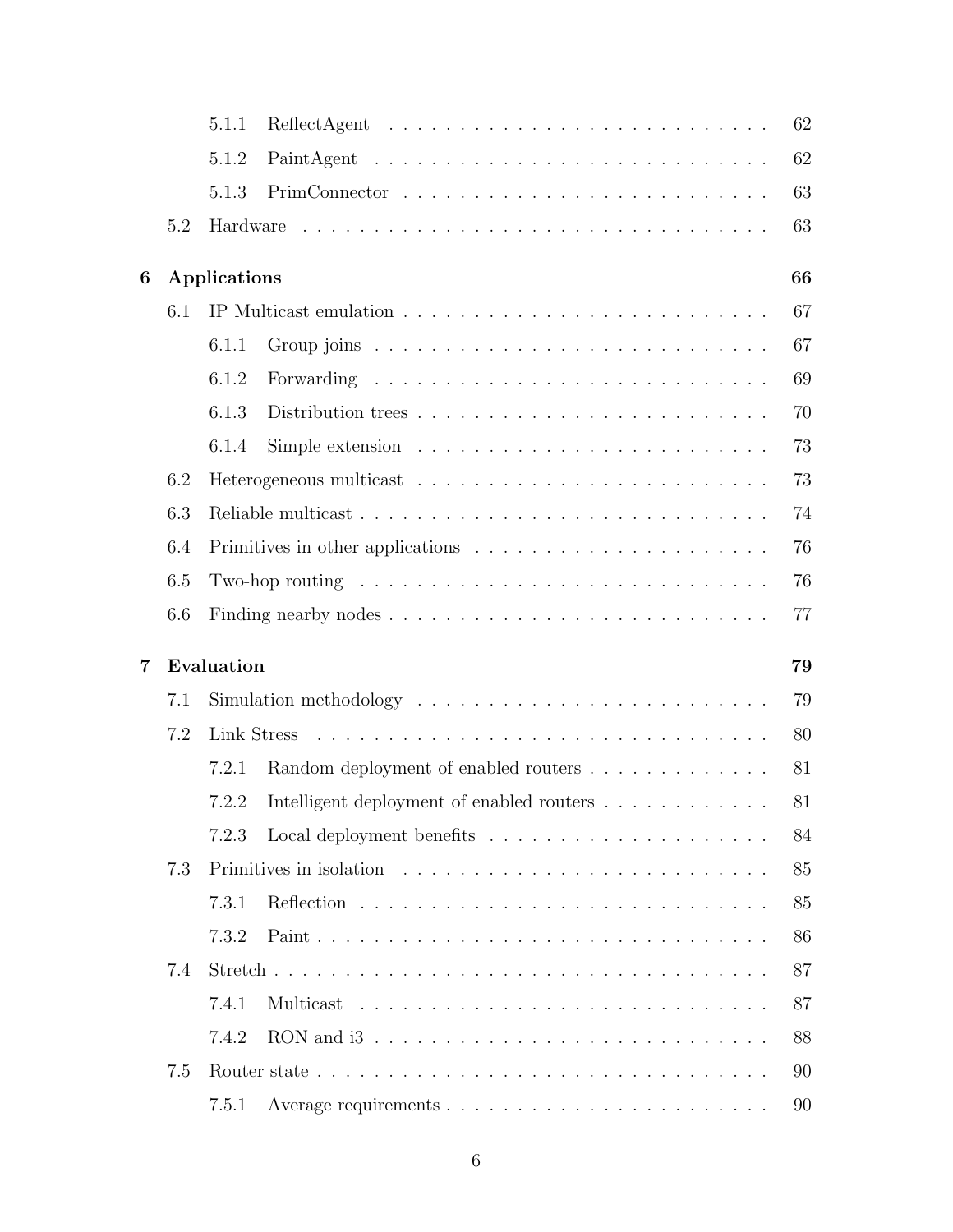|   |     | 5.1.1                                                                               | 62 |
|---|-----|-------------------------------------------------------------------------------------|----|
|   |     | 5.1.2                                                                               | 62 |
|   |     | 5.1.3                                                                               | 63 |
|   | 5.2 | Hardware                                                                            | 63 |
| 6 |     | Applications                                                                        | 66 |
|   | 6.1 |                                                                                     | 67 |
|   |     | 6.1.1                                                                               | 67 |
|   |     | 6.1.2<br>Forwarding                                                                 | 69 |
|   |     | 6.1.3<br>Distribution trees                                                         | 70 |
|   |     | Simple extension $\ldots \ldots \ldots \ldots \ldots \ldots \ldots \ldots$<br>6.1.4 | 73 |
|   | 6.2 |                                                                                     | 73 |
|   | 6.3 |                                                                                     | 74 |
|   | 6.4 |                                                                                     | 76 |
|   | 6.5 | Two-hop routing $\dots \dots \dots \dots \dots \dots \dots \dots \dots \dots \dots$ | 76 |
|   | 6.6 |                                                                                     | 77 |
| 7 |     | Evaluation                                                                          | 79 |
|   | 7.1 |                                                                                     | 79 |
|   | 7.2 | Link Stress                                                                         | 80 |
|   |     | Random deployment of enabled routers<br>7.2.1                                       | 81 |
|   |     | Intelligent deployment of enabled routers $\dots \dots \dots \dots$<br>7.2.2        | 81 |
|   |     | 7.2.3                                                                               | 84 |
|   | 7.3 |                                                                                     | 85 |
|   |     | 7.3.1                                                                               | 85 |
|   |     | 7.3.2                                                                               | 86 |
|   | 7.4 |                                                                                     | 87 |
|   |     | 7.4.1<br>Multicast                                                                  | 87 |
|   |     | 7.4.2                                                                               | 88 |
|   | 7.5 |                                                                                     | 90 |
|   |     | 7.5.1                                                                               | 90 |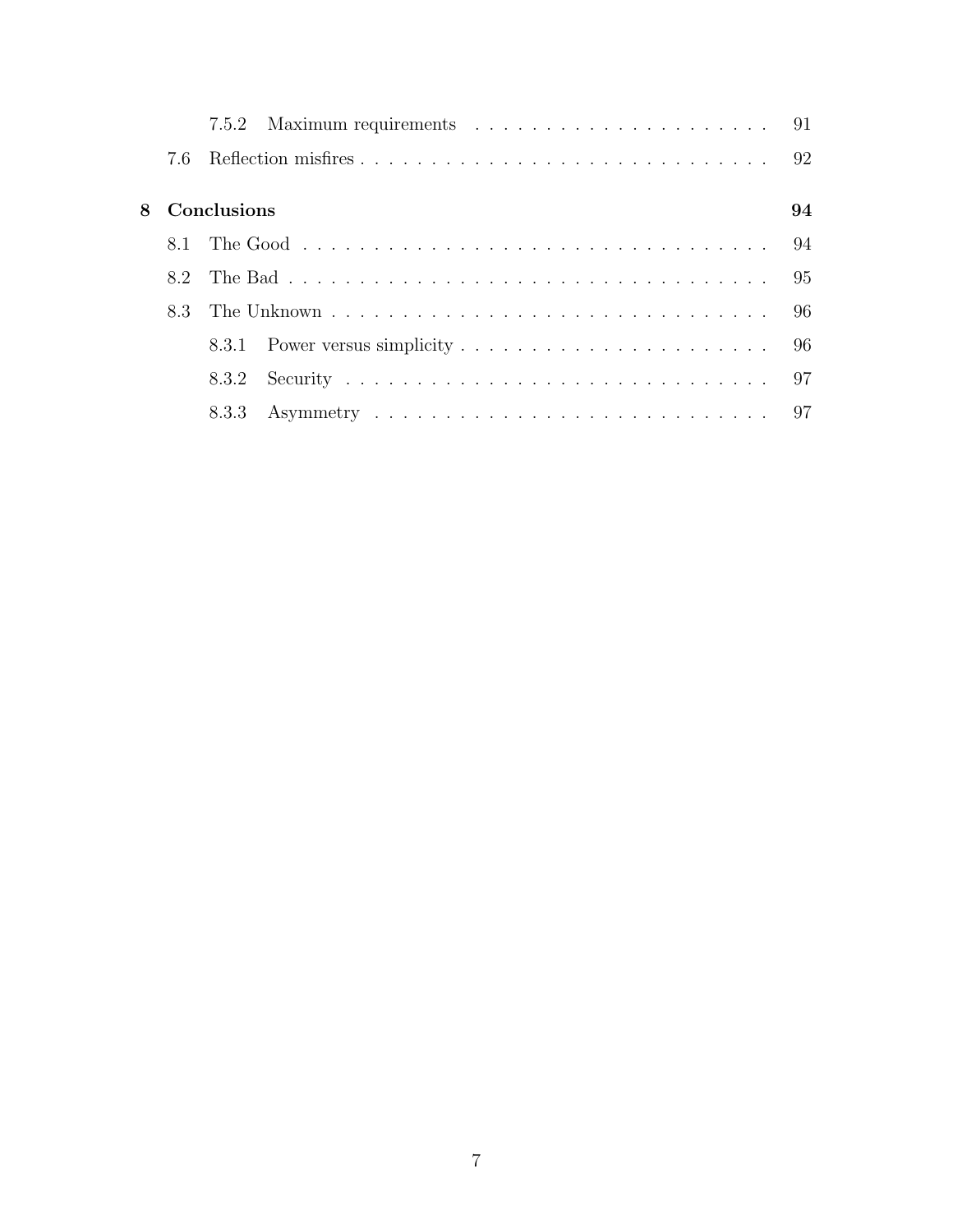|  | 8 Conclusions | 94 |
|--|---------------|----|
|  |               |    |
|  |               |    |
|  |               |    |
|  |               |    |
|  | 8.3.2         |    |
|  |               |    |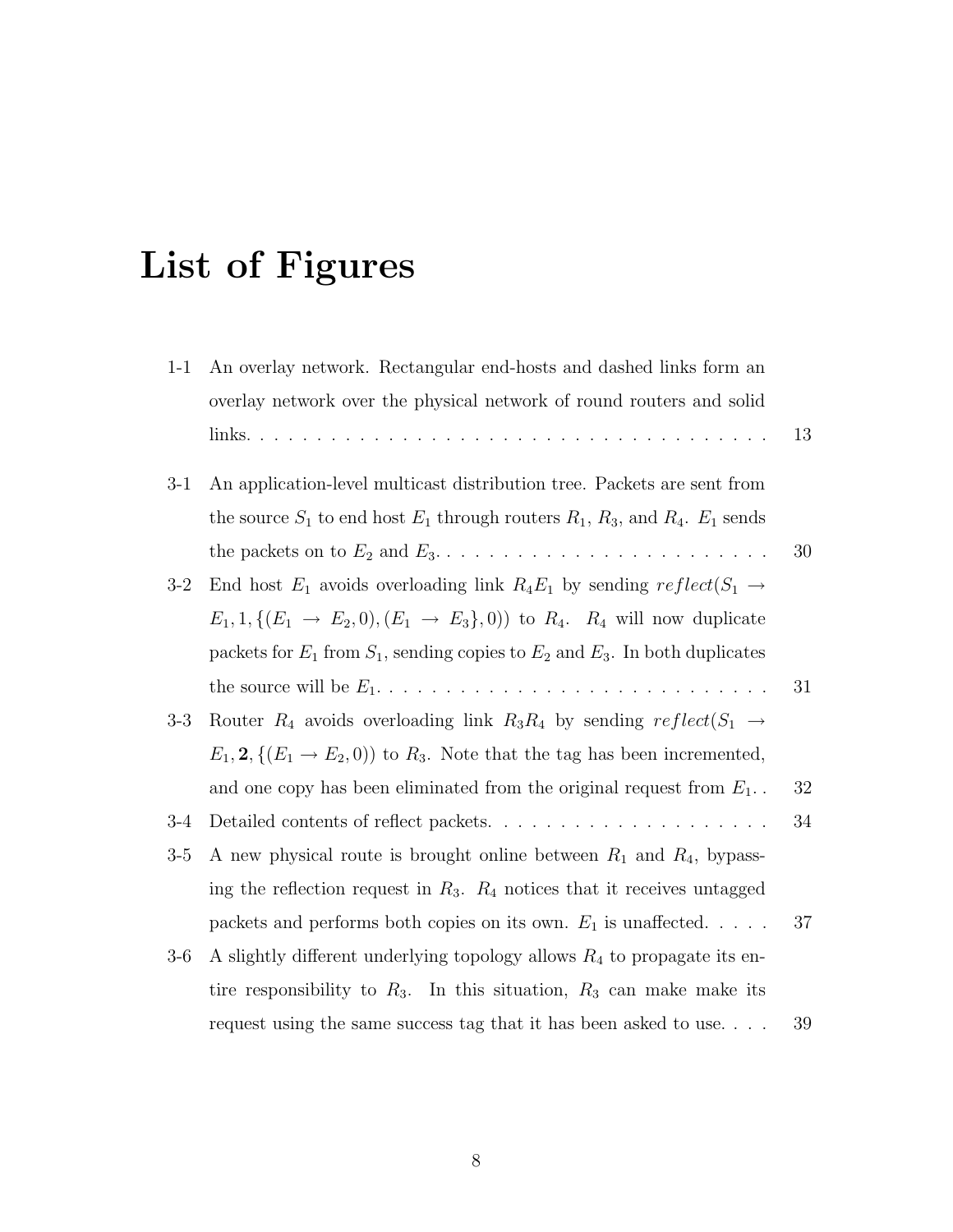# List of Figures

| $1 - 1$ | An overlay network. Rectangular end-hosts and dashed links form an                                      |    |
|---------|---------------------------------------------------------------------------------------------------------|----|
|         | overlay network over the physical network of round routers and solid                                    |    |
|         |                                                                                                         | 13 |
| $3-1$   | An application-level multicast distribution tree. Packets are sent from                                 |    |
|         | the source $S_1$ to end host $E_1$ through routers $R_1$ , $R_3$ , and $R_4$ . $E_1$ sends              |    |
|         |                                                                                                         | 30 |
| $3-2$   | End host $E_1$ avoids overloading link $R_4E_1$ by sending $reflect(S_1 \rightarrow$                    |    |
|         | $E_1, 1, \{(E_1 \rightarrow E_2, 0), (E_1 \rightarrow E_3\}, 0)\}\$ to $R_4$ . $R_4$ will now duplicate |    |
|         | packets for $E_1$ from $S_1$ , sending copies to $E_2$ and $E_3$ . In both duplicates                   |    |
|         |                                                                                                         | 31 |
| $3-3$   | Router $R_4$ avoids overloading link $R_3R_4$ by sending $reflect(S_1 \rightarrow$                      |    |
|         | $E_1$ , 2, $\{(E_1 \rightarrow E_2, 0)\}\)$ to $R_3$ . Note that the tag has been incremented,          |    |
|         | and one copy has been eliminated from the original request from $E_1$ .                                 | 32 |
| $3-4$   | Detailed contents of reflect packets                                                                    | 34 |
| $3-5$   | A new physical route is brought online between $R_1$ and $R_4$ , bypass-                                |    |
|         | ing the reflection request in $R_3$ . $R_4$ notices that it receives untagged                           |    |
|         | packets and performs both copies on its own. $E_1$ is unaffected.                                       | 37 |
| $3-6$   | A slightly different underlying topology allows $R_4$ to propagate its en-                              |    |
|         | tire responsibility to $R_3$ . In this situation, $R_3$ can make make its                               |    |
|         | request using the same success tag that it has been asked to use                                        | 39 |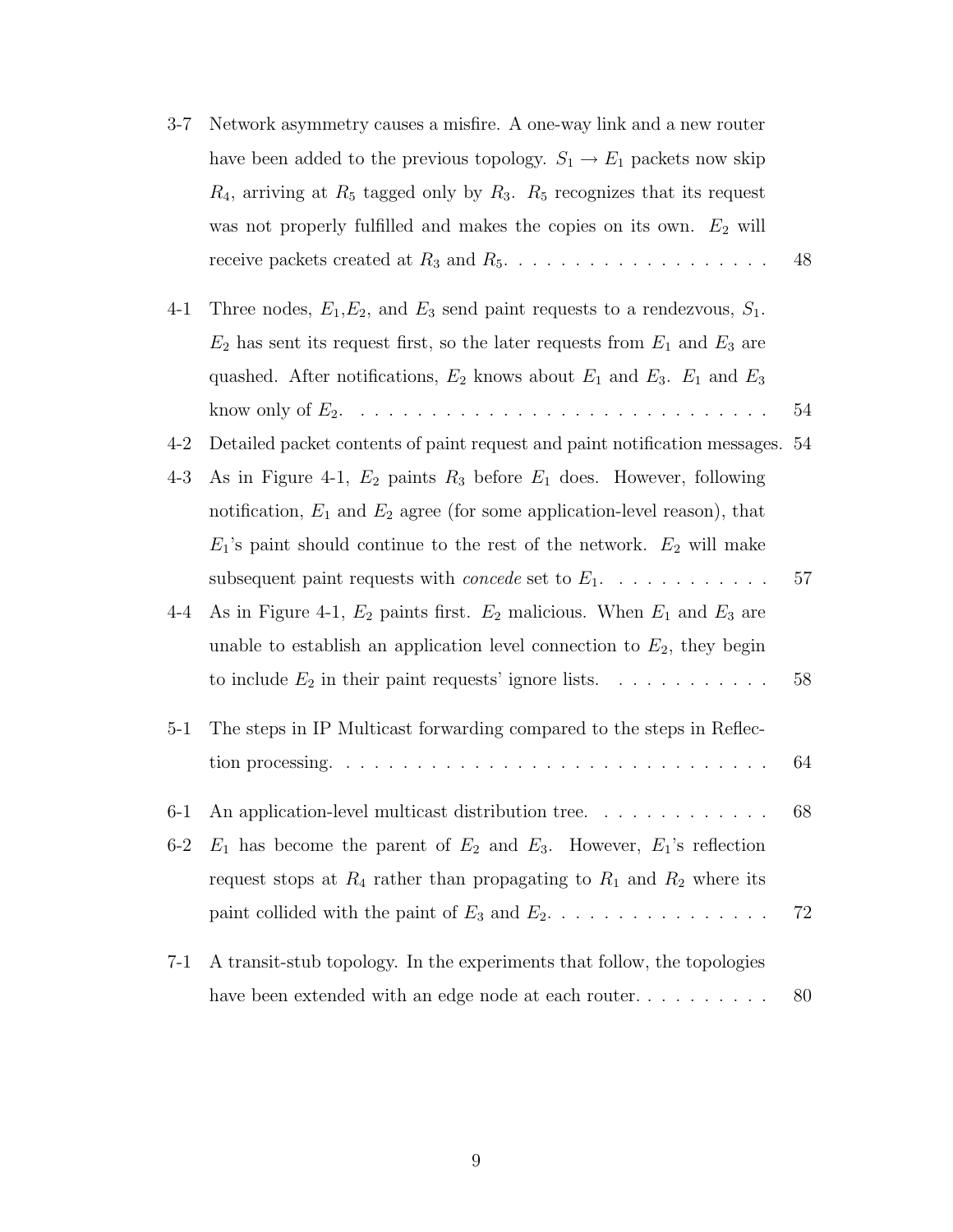| $3 - 7$ | Network asymmetry causes a misfire. A one-way link and a new router                      |    |
|---------|------------------------------------------------------------------------------------------|----|
|         | have been added to the previous topology. $S_1 \rightarrow E_1$ packets now skip         |    |
|         | $R_4$ , arriving at $R_5$ tagged only by $R_3$ . $R_5$ recognizes that its request       |    |
|         | was not properly fulfilled and makes the copies on its own. $E_2$ will                   |    |
|         |                                                                                          | 48 |
| $4 - 1$ | Three nodes, $E_1, E_2$ , and $E_3$ send paint requests to a rendezvous, $S_1$ .         |    |
|         | $E_2$ has sent its request first, so the later requests from $E_1$ and $E_3$ are         |    |
|         | quashed. After notifications, $E_2$ knows about $E_1$ and $E_3$ . $E_1$ and $E_3$        |    |
|         |                                                                                          | 54 |
| $4 - 2$ | Detailed packet contents of paint request and paint notification messages. 54            |    |
| $4 - 3$ | As in Figure 4-1, $E_2$ paints $R_3$ before $E_1$ does. However, following               |    |
|         | notification, $E_1$ and $E_2$ agree (for some application-level reason), that            |    |
|         | $E_1$ 's paint should continue to the rest of the network. $E_2$ will make               |    |
|         | subsequent paint requests with <i>concede</i> set to $E_1$ .                             | 57 |
| $4 - 4$ | As in Figure 4-1, $E_2$ paints first. $E_2$ malicious. When $E_1$ and $E_3$ are          |    |
|         | unable to establish an application level connection to $E_2$ , they begin                |    |
|         | to include $E_2$ in their paint requests' ignore lists.                                  | 58 |
| $5 - 1$ | The steps in IP Multicast forwarding compared to the steps in Reflec-                    |    |
|         | tion processing. $\ldots \ldots \ldots \ldots \ldots \ldots \ldots \ldots \ldots \ldots$ | 64 |
| $6-1$   | An application-level multicast distribution tree.                                        | 68 |
| $6-2$   | $E_1$ has become the parent of $E_2$ and $E_3$ . However, $E_1$ 's reflection            |    |
|         | request stops at $R_4$ rather than propagating to $R_1$ and $R_2$ where its              |    |
|         | paint collided with the paint of $E_3$ and $E_2$                                         | 72 |
| $7-1$   | A transit-stub topology. In the experiments that follow, the topologies                  |    |
|         |                                                                                          | 80 |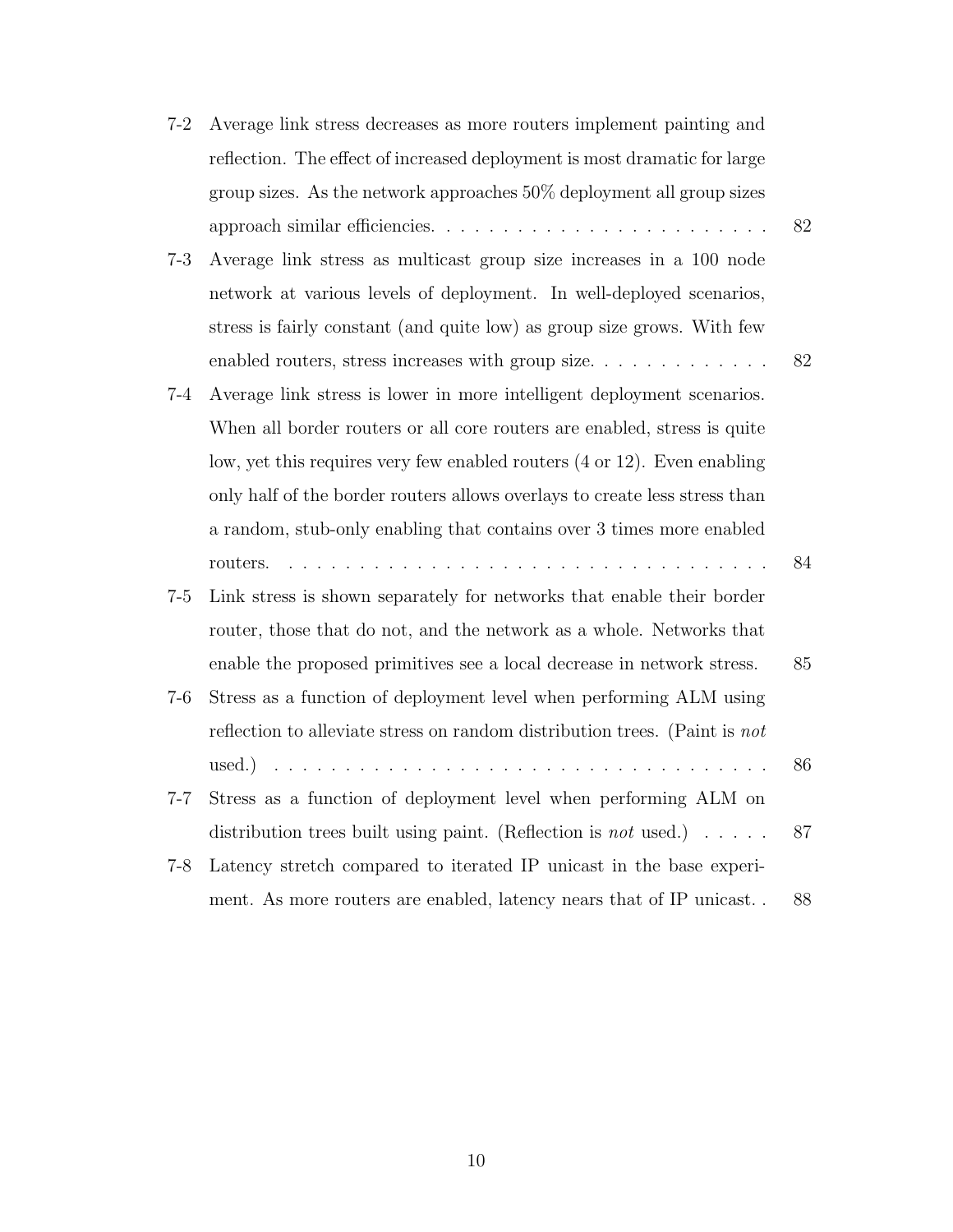| $7-2$   | Average link stress decreases as more routers implement painting and              |    |
|---------|-----------------------------------------------------------------------------------|----|
|         | reflection. The effect of increased deployment is most dramatic for large         |    |
|         | group sizes. As the network approaches $50\%$ deployment all group sizes          |    |
|         |                                                                                   | 82 |
| $7 - 3$ | Average link stress as multicast group size increases in a 100 node               |    |
|         | network at various levels of deployment. In well-deployed scenarios,              |    |
|         | stress is fairly constant (and quite low) as group size grows. With few           |    |
|         | enabled routers, stress increases with group size                                 | 82 |
| $7 - 4$ | Average link stress is lower in more intelligent deployment scenarios.            |    |
|         | When all border routers or all core routers are enabled, stress is quite          |    |
|         | low, yet this requires very few enabled routers (4 or 12). Even enabling          |    |
|         | only half of the border routers allows overlays to create less stress than        |    |
|         | a random, stub-only enabling that contains over 3 times more enabled              |    |
|         | routers.                                                                          | 84 |
| $7 - 5$ | Link stress is shown separately for networks that enable their border             |    |
|         | router, those that do not, and the network as a whole. Networks that              |    |
|         | enable the proposed primitives see a local decrease in network stress.            | 85 |
| $7 - 6$ | Stress as a function of deployment level when performing ALM using                |    |
|         | reflection to alleviate stress on random distribution trees. (Paint is not        |    |
|         |                                                                                   | 86 |
| $7 - 7$ | Stress as a function of deployment level when performing ALM on                   |    |
|         | distribution trees built using paint. (Reflection is <i>not</i> used.) $\ldots$ . | 87 |
| $7 - 8$ | Latency stretch compared to iterated IP unicast in the base experi-               |    |
|         | ment. As more routers are enabled, latency nears that of IP unicast               | 88 |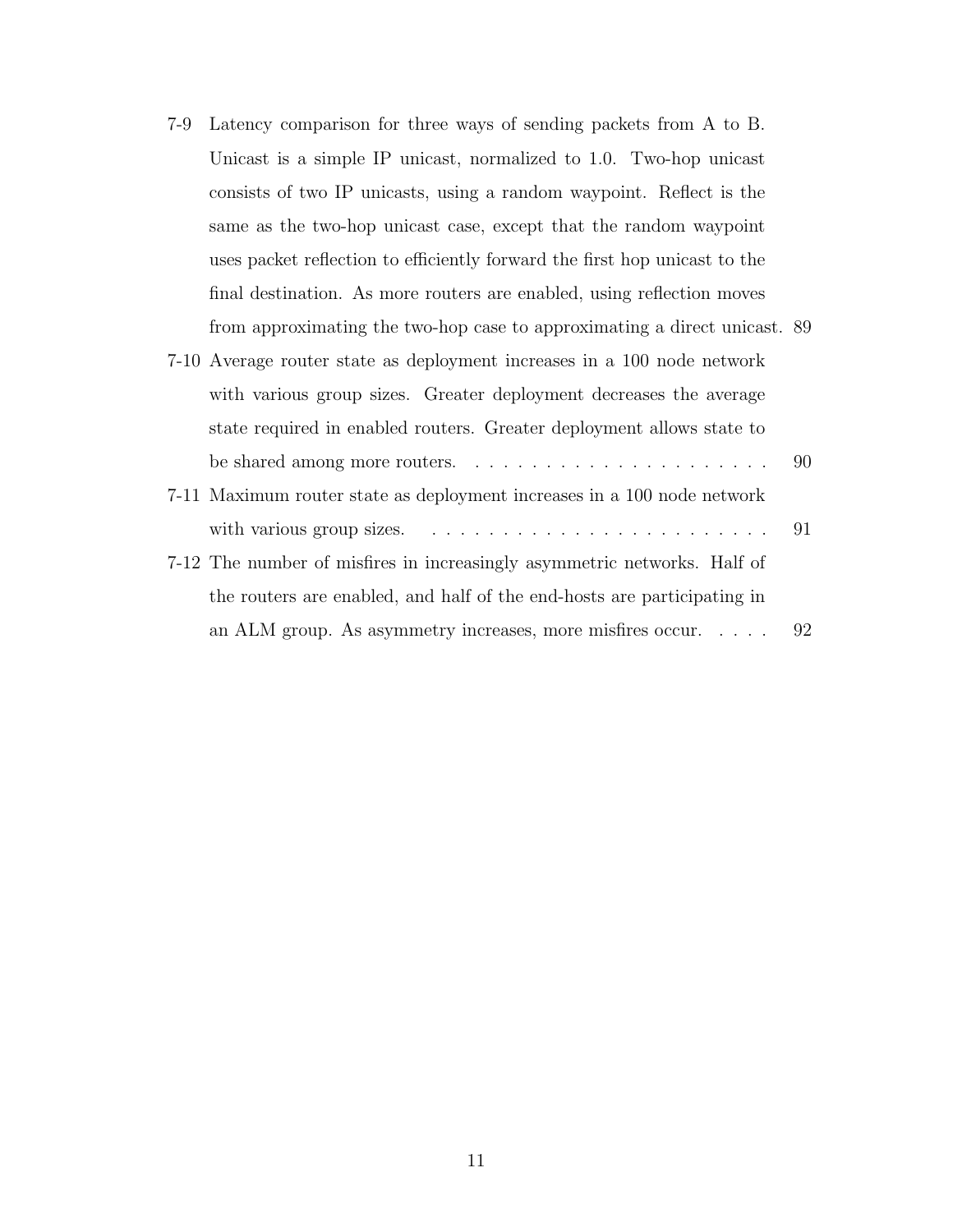7-9 Latency comparison for three ways of sending packets from A to B. Unicast is a simple IP unicast, normalized to 1.0. Two-hop unicast consists of two IP unicasts, using a random waypoint. Reflect is the same as the two-hop unicast case, except that the random waypoint uses packet reflection to efficiently forward the first hop unicast to the final destination. As more routers are enabled, using reflection moves from approximating the two-hop case to approximating a direct unicast. 89

| 7-10 Average router state as deployment increases in a 100 node network                    |  |
|--------------------------------------------------------------------------------------------|--|
| with various group sizes. Greater deployment decreases the average                         |  |
| state required in enabled routers. Greater deployment allows state to                      |  |
| be shared among more routers. $\dots \dots \dots \dots \dots \dots \dots \dots \dots$      |  |
| 7-11 Maximum router state as deployment increases in a 100 node network                    |  |
| with various group sizes. $\dots \dots \dots \dots \dots \dots \dots \dots \dots \dots$ 91 |  |
| 7-12 The number of misfires in increasingly asymmetric networks. Half of                   |  |

the routers are enabled, and half of the end-hosts are participating in an ALM group. As asymmetry increases, more misfires occur. . . . . 92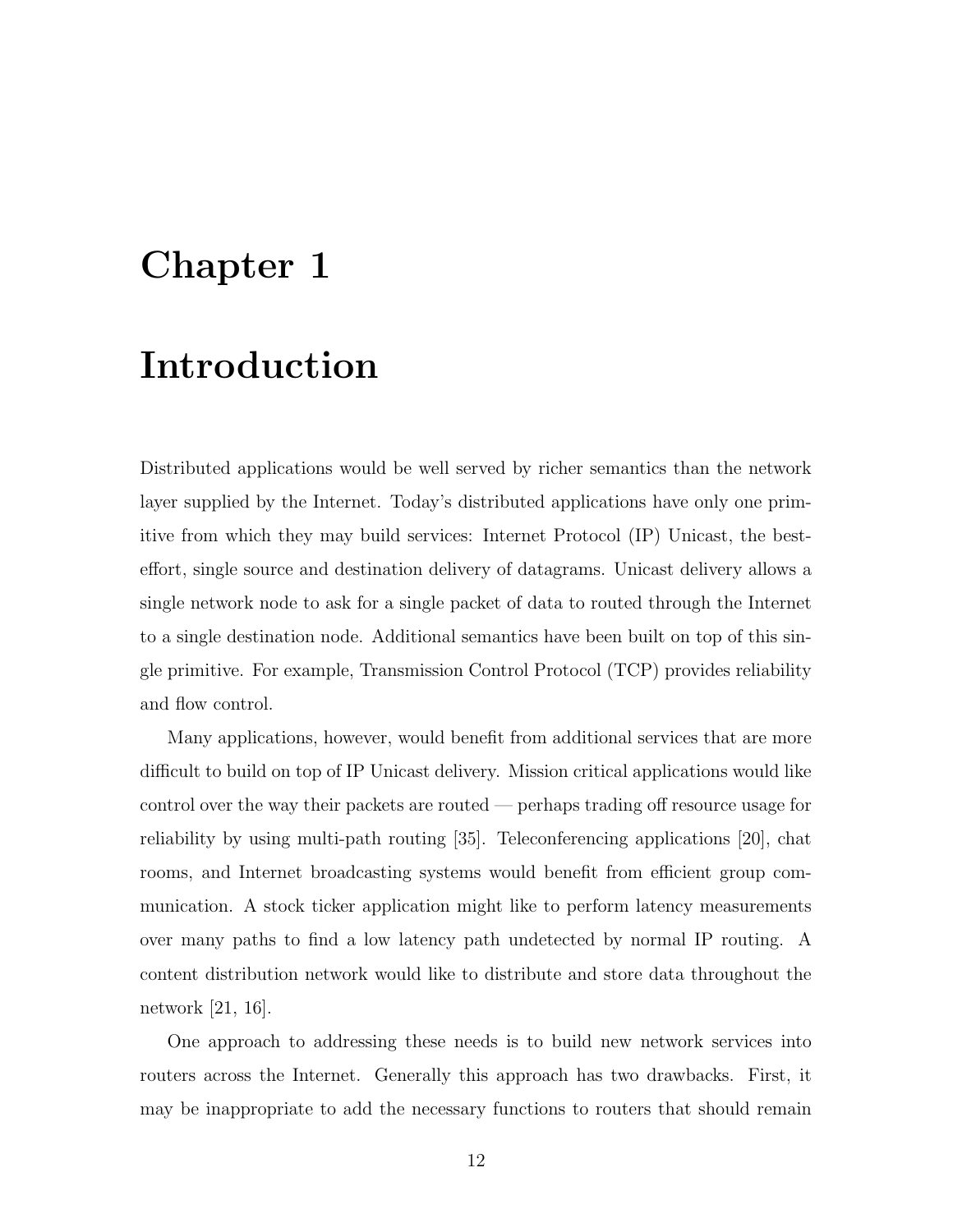## Chapter 1

## Introduction

Distributed applications would be well served by richer semantics than the network layer supplied by the Internet. Today's distributed applications have only one primitive from which they may build services: Internet Protocol (IP) Unicast, the besteffort, single source and destination delivery of datagrams. Unicast delivery allows a single network node to ask for a single packet of data to routed through the Internet to a single destination node. Additional semantics have been built on top of this single primitive. For example, Transmission Control Protocol (TCP) provides reliability and flow control.

Many applications, however, would benefit from additional services that are more difficult to build on top of IP Unicast delivery. Mission critical applications would like control over the way their packets are routed — perhaps trading off resource usage for reliability by using multi-path routing [35]. Teleconferencing applications [20], chat rooms, and Internet broadcasting systems would benefit from efficient group communication. A stock ticker application might like to perform latency measurements over many paths to find a low latency path undetected by normal IP routing. A content distribution network would like to distribute and store data throughout the network [21, 16].

One approach to addressing these needs is to build new network services into routers across the Internet. Generally this approach has two drawbacks. First, it may be inappropriate to add the necessary functions to routers that should remain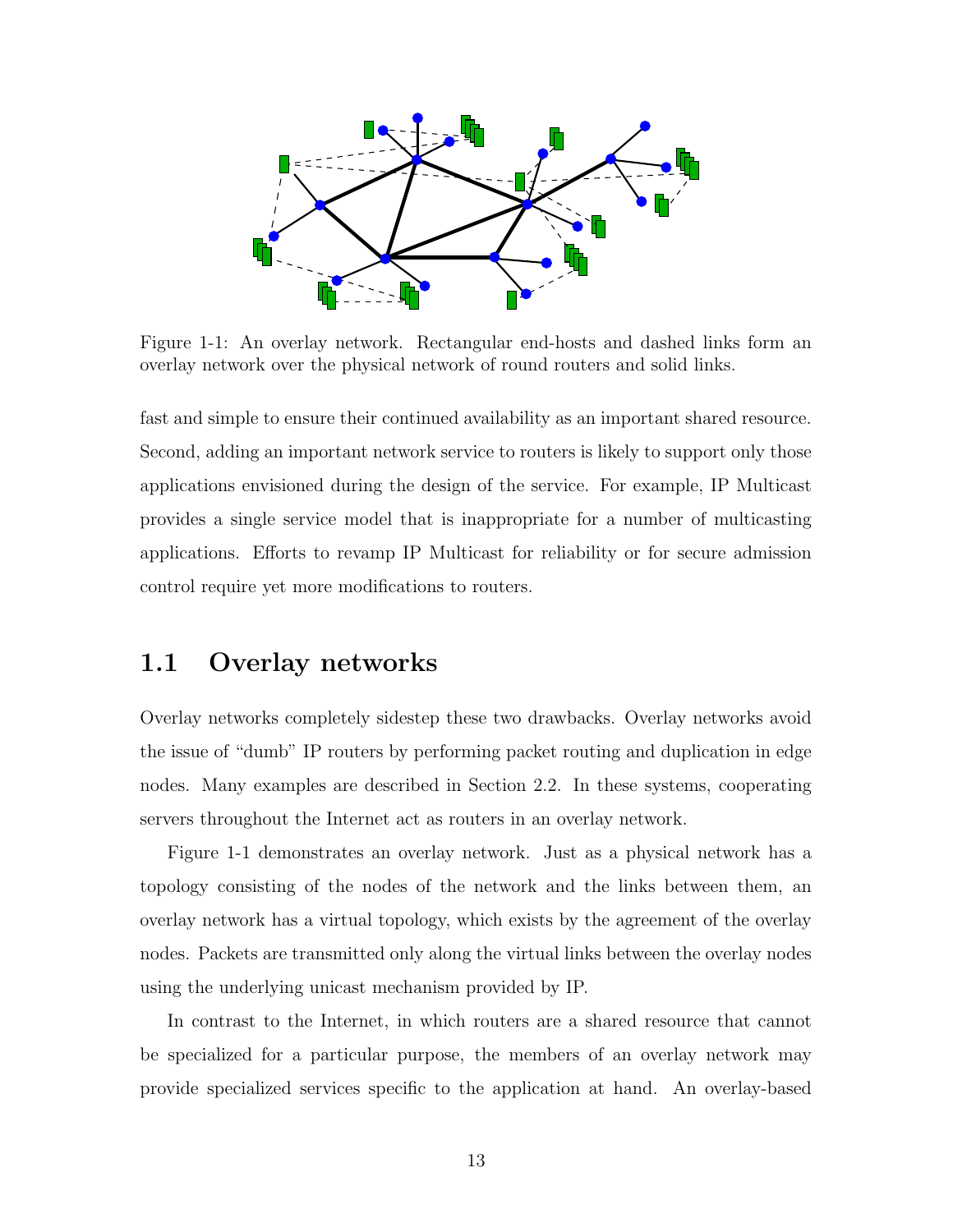

Figure 1-1: An overlay network. Rectangular end-hosts and dashed links form an overlay network over the physical network of round routers and solid links.

fast and simple to ensure their continued availability as an important shared resource. Second, adding an important network service to routers is likely to support only those applications envisioned during the design of the service. For example, IP Multicast provides a single service model that is inappropriate for a number of multicasting applications. Efforts to revamp IP Multicast for reliability or for secure admission control require yet more modifications to routers.

### 1.1 Overlay networks

Overlay networks completely sidestep these two drawbacks. Overlay networks avoid the issue of "dumb" IP routers by performing packet routing and duplication in edge nodes. Many examples are described in Section 2.2. In these systems, cooperating servers throughout the Internet act as routers in an overlay network.

Figure 1-1 demonstrates an overlay network. Just as a physical network has a topology consisting of the nodes of the network and the links between them, an overlay network has a virtual topology, which exists by the agreement of the overlay nodes. Packets are transmitted only along the virtual links between the overlay nodes using the underlying unicast mechanism provided by IP.

In contrast to the Internet, in which routers are a shared resource that cannot be specialized for a particular purpose, the members of an overlay network may provide specialized services specific to the application at hand. An overlay-based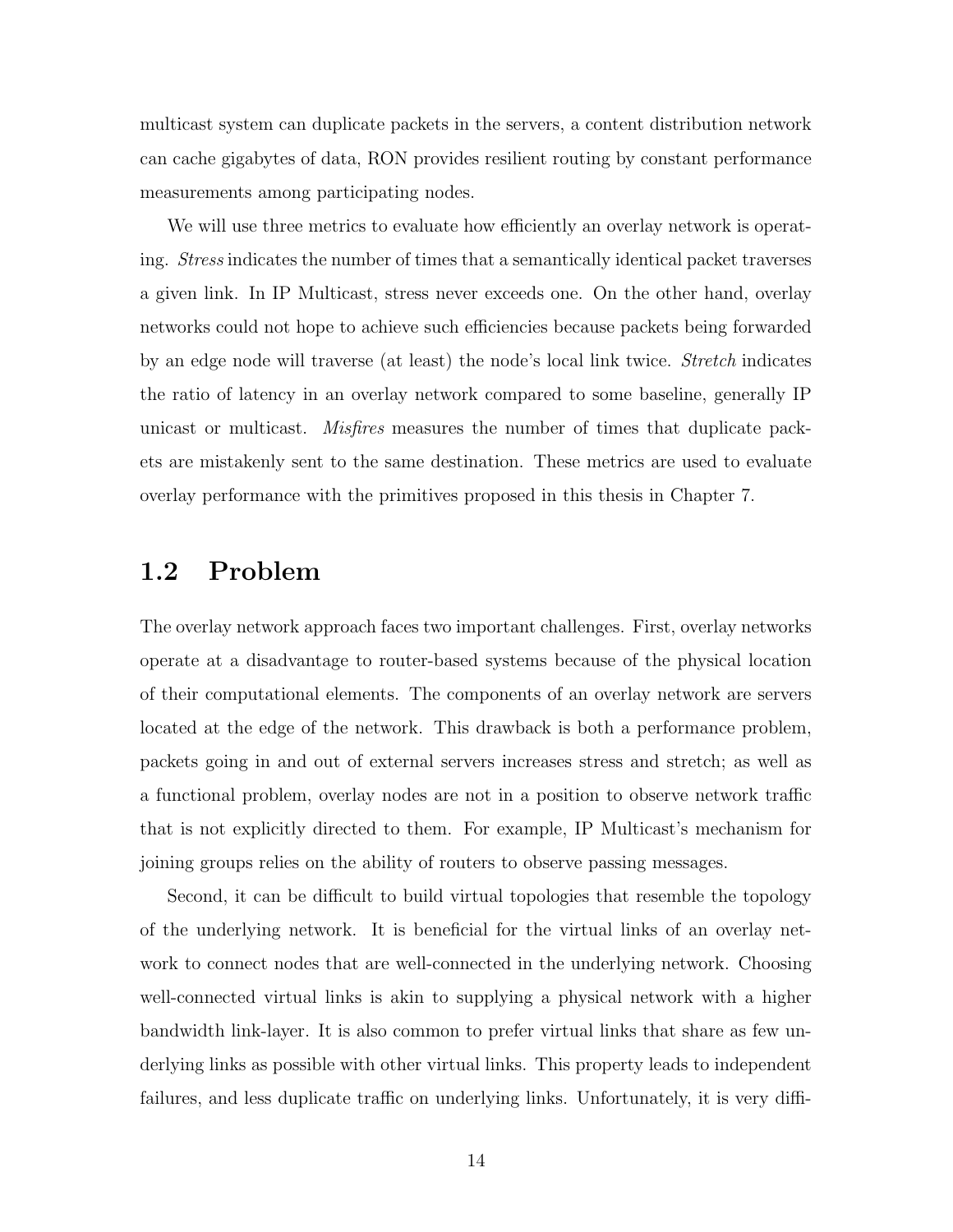multicast system can duplicate packets in the servers, a content distribution network can cache gigabytes of data, RON provides resilient routing by constant performance measurements among participating nodes.

We will use three metrics to evaluate how efficiently an overlay network is operating. Stress indicates the number of times that a semantically identical packet traverses a given link. In IP Multicast, stress never exceeds one. On the other hand, overlay networks could not hope to achieve such efficiencies because packets being forwarded by an edge node will traverse (at least) the node's local link twice. *Stretch* indicates the ratio of latency in an overlay network compared to some baseline, generally IP unicast or multicast. Misfires measures the number of times that duplicate packets are mistakenly sent to the same destination. These metrics are used to evaluate overlay performance with the primitives proposed in this thesis in Chapter 7.

## 1.2 Problem

The overlay network approach faces two important challenges. First, overlay networks operate at a disadvantage to router-based systems because of the physical location of their computational elements. The components of an overlay network are servers located at the edge of the network. This drawback is both a performance problem, packets going in and out of external servers increases stress and stretch; as well as a functional problem, overlay nodes are not in a position to observe network traffic that is not explicitly directed to them. For example, IP Multicast's mechanism for joining groups relies on the ability of routers to observe passing messages.

Second, it can be difficult to build virtual topologies that resemble the topology of the underlying network. It is beneficial for the virtual links of an overlay network to connect nodes that are well-connected in the underlying network. Choosing well-connected virtual links is akin to supplying a physical network with a higher bandwidth link-layer. It is also common to prefer virtual links that share as few underlying links as possible with other virtual links. This property leads to independent failures, and less duplicate traffic on underlying links. Unfortunately, it is very diffi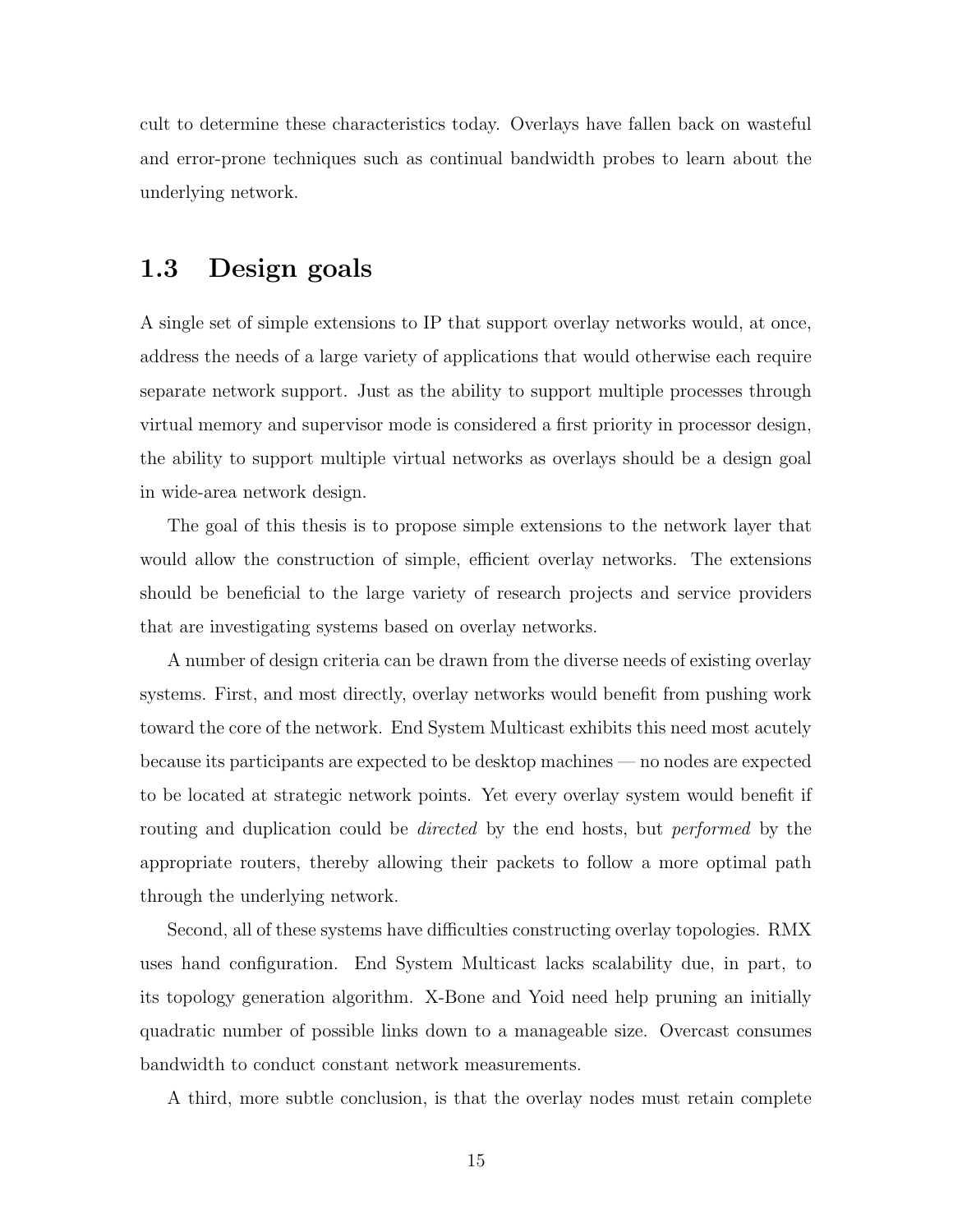cult to determine these characteristics today. Overlays have fallen back on wasteful and error-prone techniques such as continual bandwidth probes to learn about the underlying network.

## 1.3 Design goals

A single set of simple extensions to IP that support overlay networks would, at once, address the needs of a large variety of applications that would otherwise each require separate network support. Just as the ability to support multiple processes through virtual memory and supervisor mode is considered a first priority in processor design, the ability to support multiple virtual networks as overlays should be a design goal in wide-area network design.

The goal of this thesis is to propose simple extensions to the network layer that would allow the construction of simple, efficient overlay networks. The extensions should be beneficial to the large variety of research projects and service providers that are investigating systems based on overlay networks.

A number of design criteria can be drawn from the diverse needs of existing overlay systems. First, and most directly, overlay networks would benefit from pushing work toward the core of the network. End System Multicast exhibits this need most acutely because its participants are expected to be desktop machines — no nodes are expected to be located at strategic network points. Yet every overlay system would benefit if routing and duplication could be *directed* by the end hosts, but *performed* by the appropriate routers, thereby allowing their packets to follow a more optimal path through the underlying network.

Second, all of these systems have difficulties constructing overlay topologies. RMX uses hand configuration. End System Multicast lacks scalability due, in part, to its topology generation algorithm. X-Bone and Yoid need help pruning an initially quadratic number of possible links down to a manageable size. Overcast consumes bandwidth to conduct constant network measurements.

A third, more subtle conclusion, is that the overlay nodes must retain complete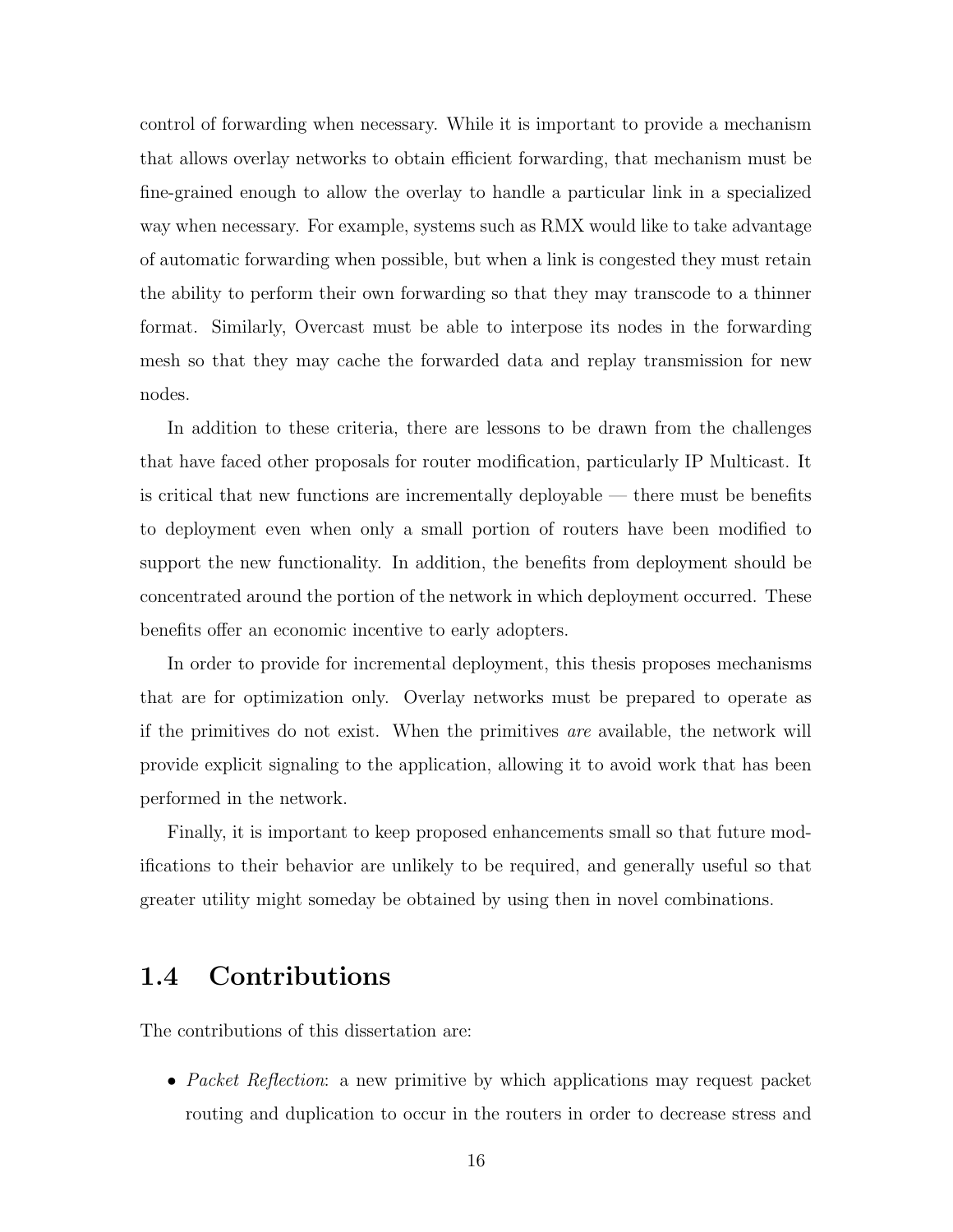control of forwarding when necessary. While it is important to provide a mechanism that allows overlay networks to obtain efficient forwarding, that mechanism must be fine-grained enough to allow the overlay to handle a particular link in a specialized way when necessary. For example, systems such as RMX would like to take advantage of automatic forwarding when possible, but when a link is congested they must retain the ability to perform their own forwarding so that they may transcode to a thinner format. Similarly, Overcast must be able to interpose its nodes in the forwarding mesh so that they may cache the forwarded data and replay transmission for new nodes.

In addition to these criteria, there are lessons to be drawn from the challenges that have faced other proposals for router modification, particularly IP Multicast. It is critical that new functions are incrementally deployable — there must be benefits to deployment even when only a small portion of routers have been modified to support the new functionality. In addition, the benefits from deployment should be concentrated around the portion of the network in which deployment occurred. These benefits offer an economic incentive to early adopters.

In order to provide for incremental deployment, this thesis proposes mechanisms that are for optimization only. Overlay networks must be prepared to operate as if the primitives do not exist. When the primitives are available, the network will provide explicit signaling to the application, allowing it to avoid work that has been performed in the network.

Finally, it is important to keep proposed enhancements small so that future modifications to their behavior are unlikely to be required, and generally useful so that greater utility might someday be obtained by using then in novel combinations.

## 1.4 Contributions

The contributions of this dissertation are:

• Packet Reflection: a new primitive by which applications may request packet routing and duplication to occur in the routers in order to decrease stress and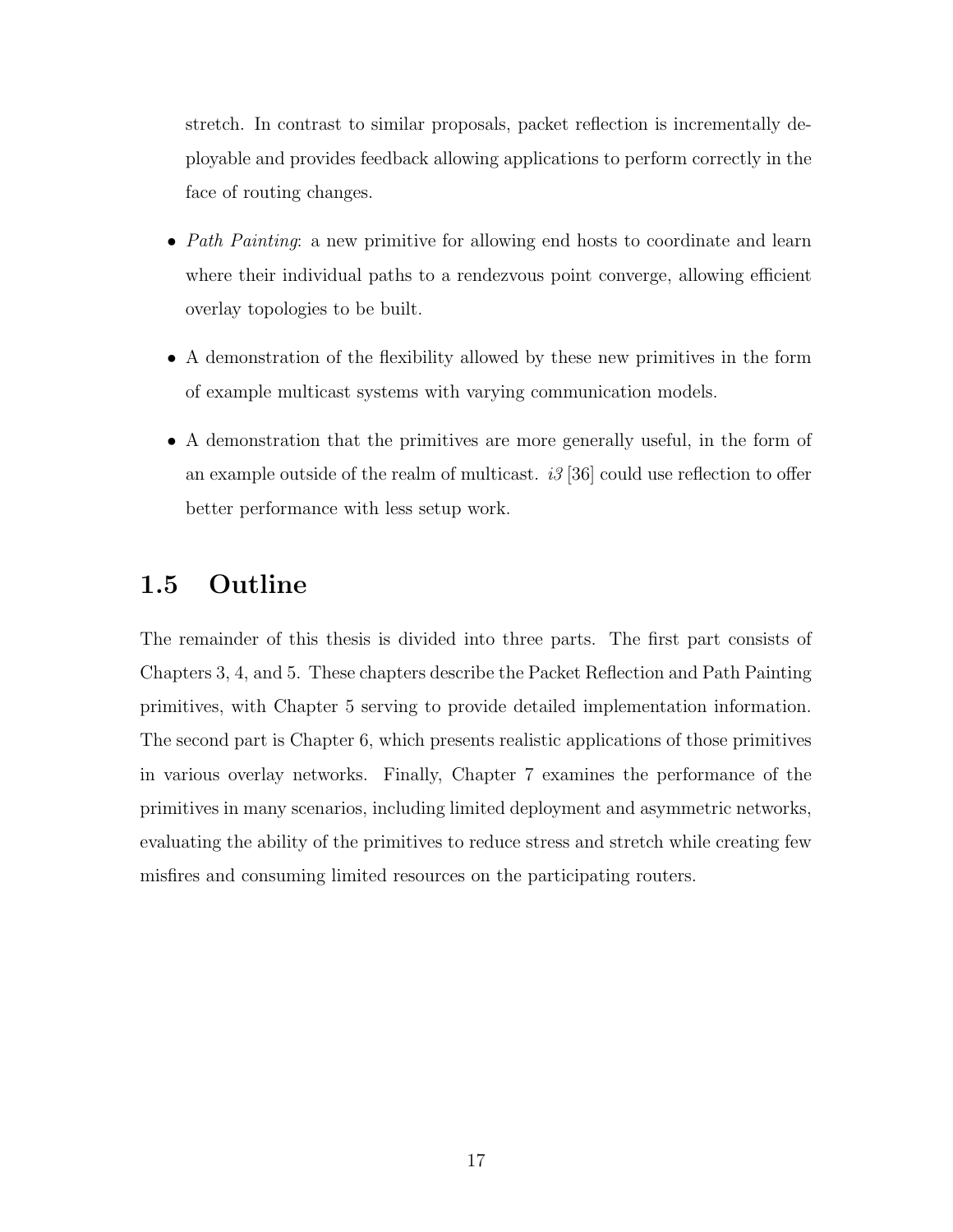stretch. In contrast to similar proposals, packet reflection is incrementally deployable and provides feedback allowing applications to perform correctly in the face of routing changes.

- Path Painting: a new primitive for allowing end hosts to coordinate and learn where their individual paths to a rendezvous point converge, allowing efficient overlay topologies to be built.
- A demonstration of the flexibility allowed by these new primitives in the form of example multicast systems with varying communication models.
- A demonstration that the primitives are more generally useful, in the form of an example outside of the realm of multicast.  $i3$  [36] could use reflection to offer better performance with less setup work.

## 1.5 Outline

The remainder of this thesis is divided into three parts. The first part consists of Chapters 3, 4, and 5. These chapters describe the Packet Reflection and Path Painting primitives, with Chapter 5 serving to provide detailed implementation information. The second part is Chapter 6, which presents realistic applications of those primitives in various overlay networks. Finally, Chapter 7 examines the performance of the primitives in many scenarios, including limited deployment and asymmetric networks, evaluating the ability of the primitives to reduce stress and stretch while creating few misfires and consuming limited resources on the participating routers.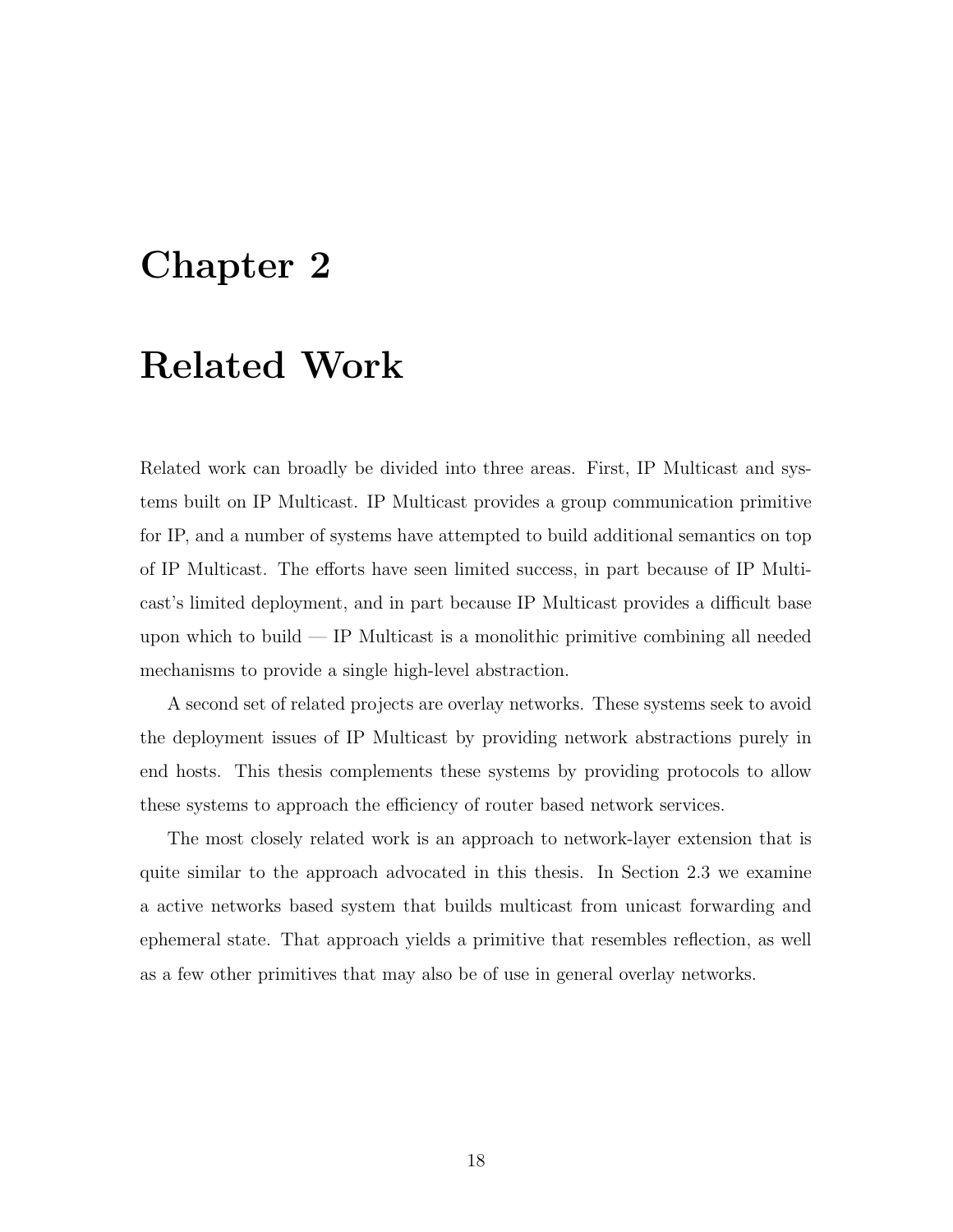## Chapter 2

## Related Work

Related work can broadly be divided into three areas. First, IP Multicast and systems built on IP Multicast. IP Multicast provides a group communication primitive for IP, and a number of systems have attempted to build additional semantics on top of IP Multicast. The efforts have seen limited success, in part because of IP Multicast's limited deployment, and in part because IP Multicast provides a difficult base upon which to build — IP Multicast is a monolithic primitive combining all needed mechanisms to provide a single high-level abstraction.

A second set of related projects are overlay networks. These systems seek to avoid the deployment issues of IP Multicast by providing network abstractions purely in end hosts. This thesis complements these systems by providing protocols to allow these systems to approach the efficiency of router based network services.

The most closely related work is an approach to network-layer extension that is quite similar to the approach advocated in this thesis. In Section 2.3 we examine a active networks based system that builds multicast from unicast forwarding and ephemeral state. That approach yields a primitive that resembles reflection, as well as a few other primitives that may also be of use in general overlay networks.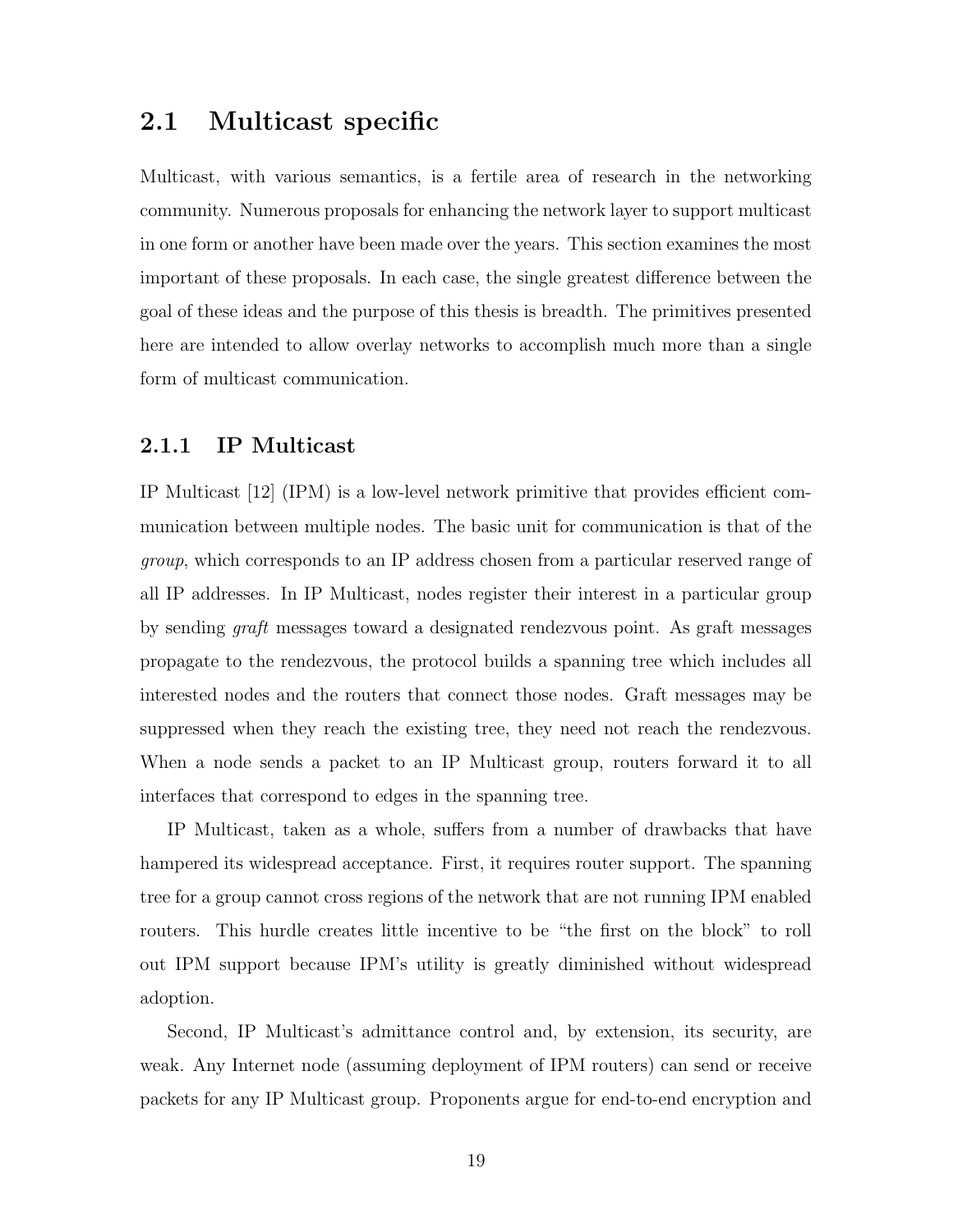## 2.1 Multicast specific

Multicast, with various semantics, is a fertile area of research in the networking community. Numerous proposals for enhancing the network layer to support multicast in one form or another have been made over the years. This section examines the most important of these proposals. In each case, the single greatest difference between the goal of these ideas and the purpose of this thesis is breadth. The primitives presented here are intended to allow overlay networks to accomplish much more than a single form of multicast communication.

#### 2.1.1 IP Multicast

IP Multicast [12] (IPM) is a low-level network primitive that provides efficient communication between multiple nodes. The basic unit for communication is that of the group, which corresponds to an IP address chosen from a particular reserved range of all IP addresses. In IP Multicast, nodes register their interest in a particular group by sending graft messages toward a designated rendezvous point. As graft messages propagate to the rendezvous, the protocol builds a spanning tree which includes all interested nodes and the routers that connect those nodes. Graft messages may be suppressed when they reach the existing tree, they need not reach the rendezvous. When a node sends a packet to an IP Multicast group, routers forward it to all interfaces that correspond to edges in the spanning tree.

IP Multicast, taken as a whole, suffers from a number of drawbacks that have hampered its widespread acceptance. First, it requires router support. The spanning tree for a group cannot cross regions of the network that are not running IPM enabled routers. This hurdle creates little incentive to be "the first on the block" to roll out IPM support because IPM's utility is greatly diminished without widespread adoption.

Second, IP Multicast's admittance control and, by extension, its security, are weak. Any Internet node (assuming deployment of IPM routers) can send or receive packets for any IP Multicast group. Proponents argue for end-to-end encryption and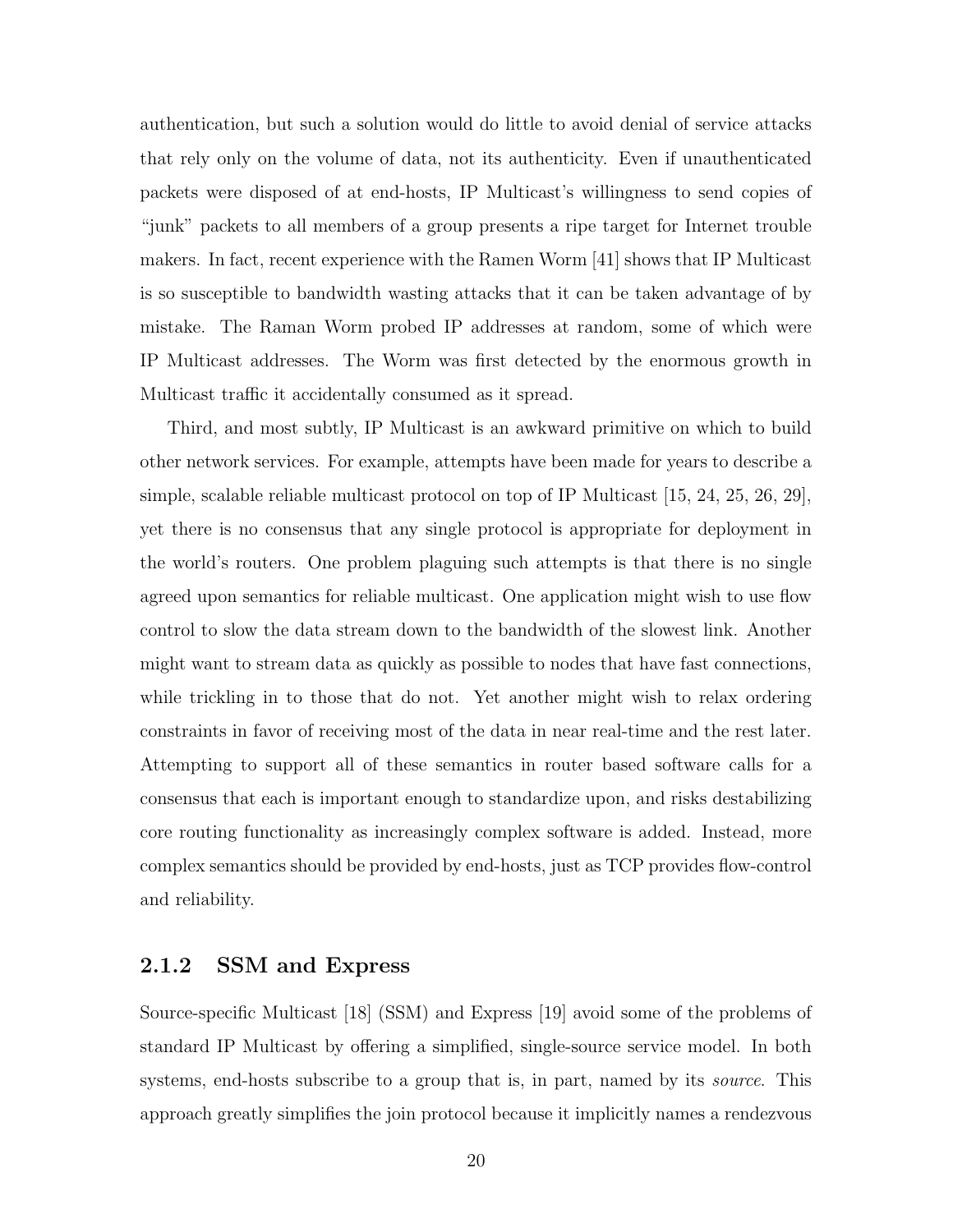authentication, but such a solution would do little to avoid denial of service attacks that rely only on the volume of data, not its authenticity. Even if unauthenticated packets were disposed of at end-hosts, IP Multicast's willingness to send copies of "junk" packets to all members of a group presents a ripe target for Internet trouble makers. In fact, recent experience with the Ramen Worm [41] shows that IP Multicast is so susceptible to bandwidth wasting attacks that it can be taken advantage of by mistake. The Raman Worm probed IP addresses at random, some of which were IP Multicast addresses. The Worm was first detected by the enormous growth in Multicast traffic it accidentally consumed as it spread.

Third, and most subtly, IP Multicast is an awkward primitive on which to build other network services. For example, attempts have been made for years to describe a simple, scalable reliable multicast protocol on top of IP Multicast [15, 24, 25, 26, 29], yet there is no consensus that any single protocol is appropriate for deployment in the world's routers. One problem plaguing such attempts is that there is no single agreed upon semantics for reliable multicast. One application might wish to use flow control to slow the data stream down to the bandwidth of the slowest link. Another might want to stream data as quickly as possible to nodes that have fast connections, while trickling in to those that do not. Yet another might wish to relax ordering constraints in favor of receiving most of the data in near real-time and the rest later. Attempting to support all of these semantics in router based software calls for a consensus that each is important enough to standardize upon, and risks destabilizing core routing functionality as increasingly complex software is added. Instead, more complex semantics should be provided by end-hosts, just as TCP provides flow-control and reliability.

#### 2.1.2 SSM and Express

Source-specific Multicast [18] (SSM) and Express [19] avoid some of the problems of standard IP Multicast by offering a simplified, single-source service model. In both systems, end-hosts subscribe to a group that is, in part, named by its *source*. This approach greatly simplifies the join protocol because it implicitly names a rendezvous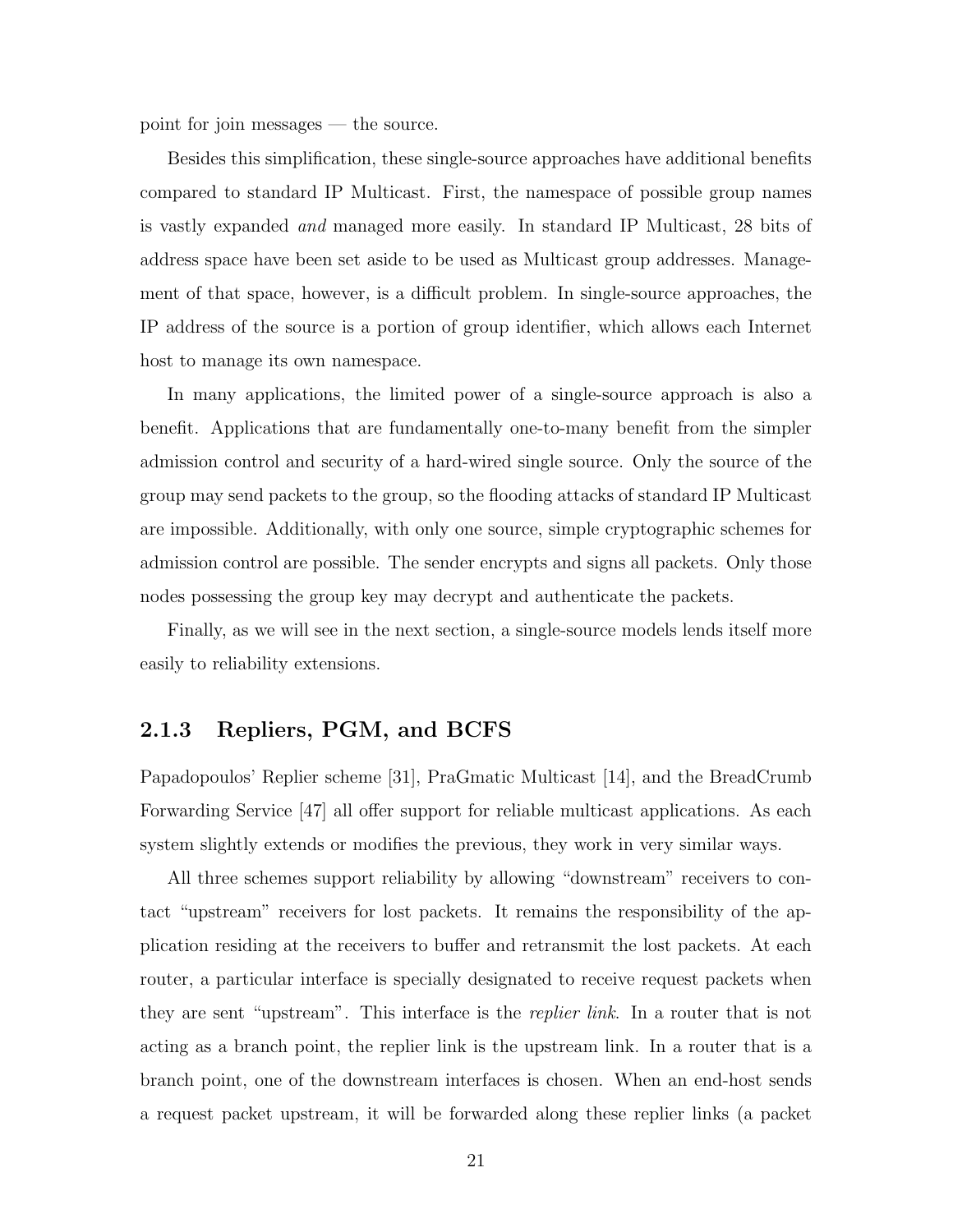point for join messages — the source.

Besides this simplification, these single-source approaches have additional benefits compared to standard IP Multicast. First, the namespace of possible group names is vastly expanded and managed more easily. In standard IP Multicast, 28 bits of address space have been set aside to be used as Multicast group addresses. Management of that space, however, is a difficult problem. In single-source approaches, the IP address of the source is a portion of group identifier, which allows each Internet host to manage its own namespace.

In many applications, the limited power of a single-source approach is also a benefit. Applications that are fundamentally one-to-many benefit from the simpler admission control and security of a hard-wired single source. Only the source of the group may send packets to the group, so the flooding attacks of standard IP Multicast are impossible. Additionally, with only one source, simple cryptographic schemes for admission control are possible. The sender encrypts and signs all packets. Only those nodes possessing the group key may decrypt and authenticate the packets.

Finally, as we will see in the next section, a single-source models lends itself more easily to reliability extensions.

#### 2.1.3 Repliers, PGM, and BCFS

Papadopoulos' Replier scheme [31], PraGmatic Multicast [14], and the BreadCrumb Forwarding Service [47] all offer support for reliable multicast applications. As each system slightly extends or modifies the previous, they work in very similar ways.

All three schemes support reliability by allowing "downstream" receivers to contact "upstream" receivers for lost packets. It remains the responsibility of the application residing at the receivers to buffer and retransmit the lost packets. At each router, a particular interface is specially designated to receive request packets when they are sent "upstream". This interface is the *replier link*. In a router that is not acting as a branch point, the replier link is the upstream link. In a router that is a branch point, one of the downstream interfaces is chosen. When an end-host sends a request packet upstream, it will be forwarded along these replier links (a packet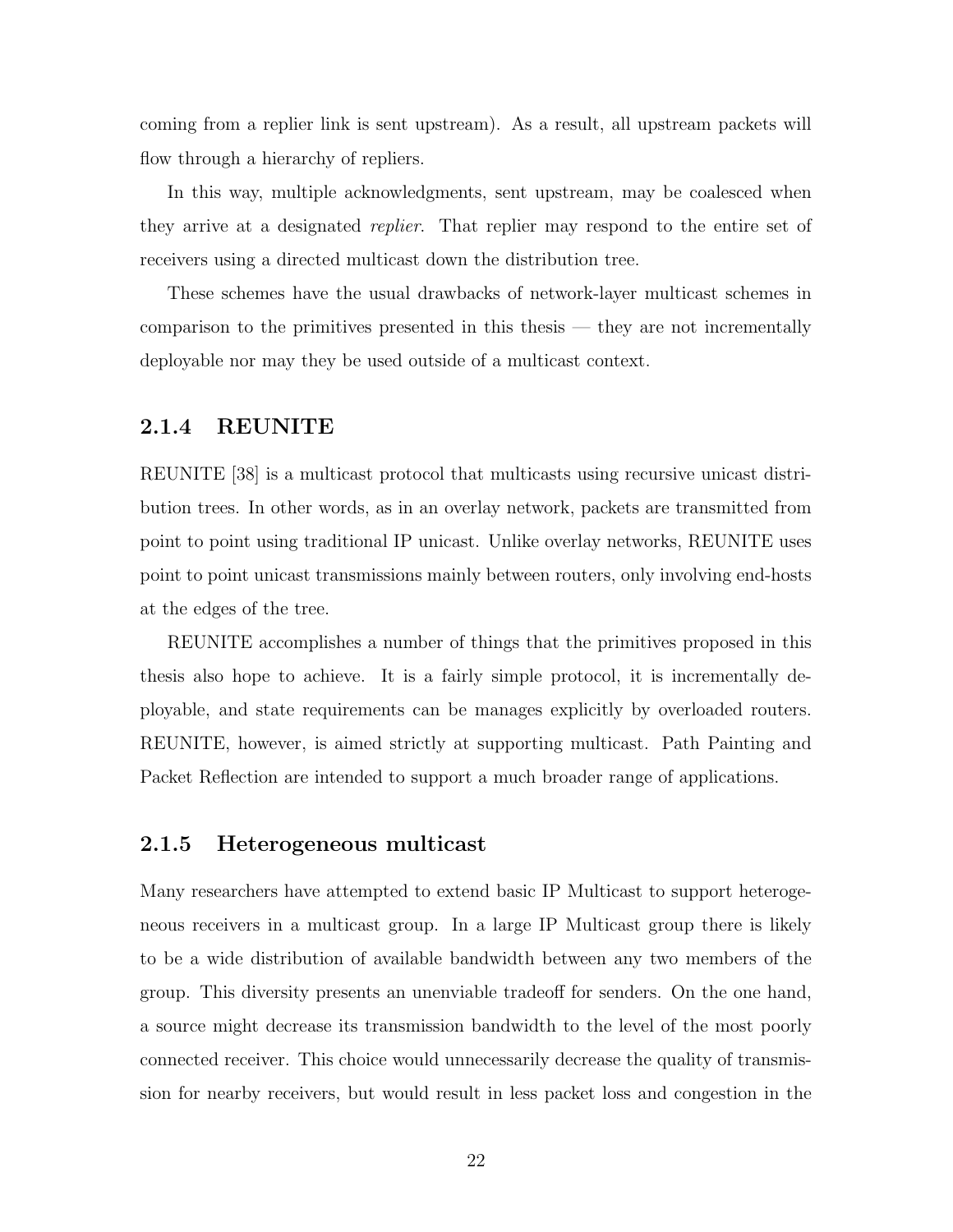coming from a replier link is sent upstream). As a result, all upstream packets will flow through a hierarchy of repliers.

In this way, multiple acknowledgments, sent upstream, may be coalesced when they arrive at a designated *replier*. That replier may respond to the entire set of receivers using a directed multicast down the distribution tree.

These schemes have the usual drawbacks of network-layer multicast schemes in comparison to the primitives presented in this thesis — they are not incrementally deployable nor may they be used outside of a multicast context.

#### 2.1.4 REUNITE

REUNITE [38] is a multicast protocol that multicasts using recursive unicast distribution trees. In other words, as in an overlay network, packets are transmitted from point to point using traditional IP unicast. Unlike overlay networks, REUNITE uses point to point unicast transmissions mainly between routers, only involving end-hosts at the edges of the tree.

REUNITE accomplishes a number of things that the primitives proposed in this thesis also hope to achieve. It is a fairly simple protocol, it is incrementally deployable, and state requirements can be manages explicitly by overloaded routers. REUNITE, however, is aimed strictly at supporting multicast. Path Painting and Packet Reflection are intended to support a much broader range of applications.

#### 2.1.5 Heterogeneous multicast

Many researchers have attempted to extend basic IP Multicast to support heterogeneous receivers in a multicast group. In a large IP Multicast group there is likely to be a wide distribution of available bandwidth between any two members of the group. This diversity presents an unenviable tradeoff for senders. On the one hand, a source might decrease its transmission bandwidth to the level of the most poorly connected receiver. This choice would unnecessarily decrease the quality of transmission for nearby receivers, but would result in less packet loss and congestion in the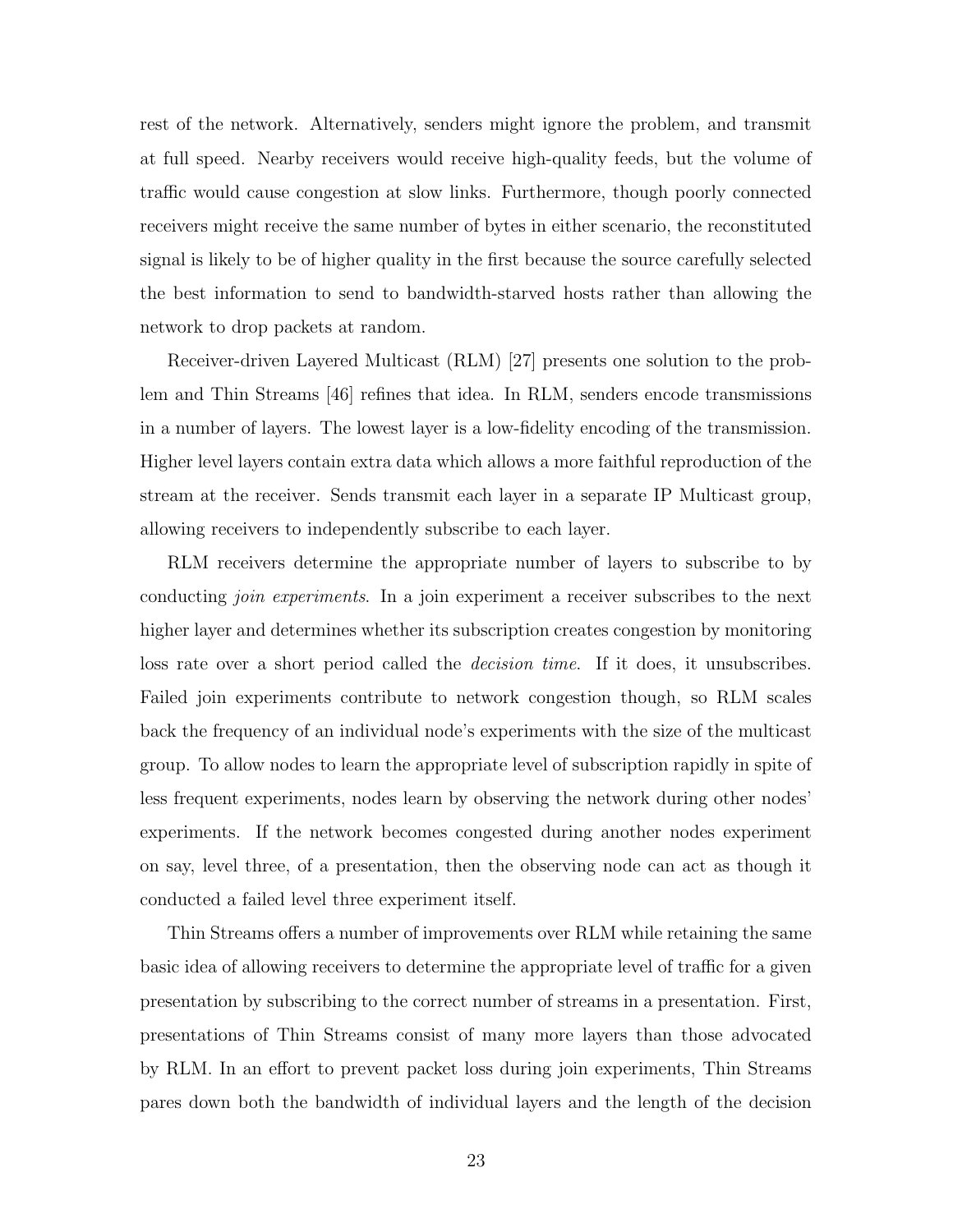rest of the network. Alternatively, senders might ignore the problem, and transmit at full speed. Nearby receivers would receive high-quality feeds, but the volume of traffic would cause congestion at slow links. Furthermore, though poorly connected receivers might receive the same number of bytes in either scenario, the reconstituted signal is likely to be of higher quality in the first because the source carefully selected the best information to send to bandwidth-starved hosts rather than allowing the network to drop packets at random.

Receiver-driven Layered Multicast (RLM) [27] presents one solution to the problem and Thin Streams [46] refines that idea. In RLM, senders encode transmissions in a number of layers. The lowest layer is a low-fidelity encoding of the transmission. Higher level layers contain extra data which allows a more faithful reproduction of the stream at the receiver. Sends transmit each layer in a separate IP Multicast group, allowing receivers to independently subscribe to each layer.

RLM receivers determine the appropriate number of layers to subscribe to by conducting *join experiments*. In a join experiment a receiver subscribes to the next higher layer and determines whether its subscription creates congestion by monitoring loss rate over a short period called the *decision time*. If it does, it unsubscribes. Failed join experiments contribute to network congestion though, so RLM scales back the frequency of an individual node's experiments with the size of the multicast group. To allow nodes to learn the appropriate level of subscription rapidly in spite of less frequent experiments, nodes learn by observing the network during other nodes' experiments. If the network becomes congested during another nodes experiment on say, level three, of a presentation, then the observing node can act as though it conducted a failed level three experiment itself.

Thin Streams offers a number of improvements over RLM while retaining the same basic idea of allowing receivers to determine the appropriate level of traffic for a given presentation by subscribing to the correct number of streams in a presentation. First, presentations of Thin Streams consist of many more layers than those advocated by RLM. In an effort to prevent packet loss during join experiments, Thin Streams pares down both the bandwidth of individual layers and the length of the decision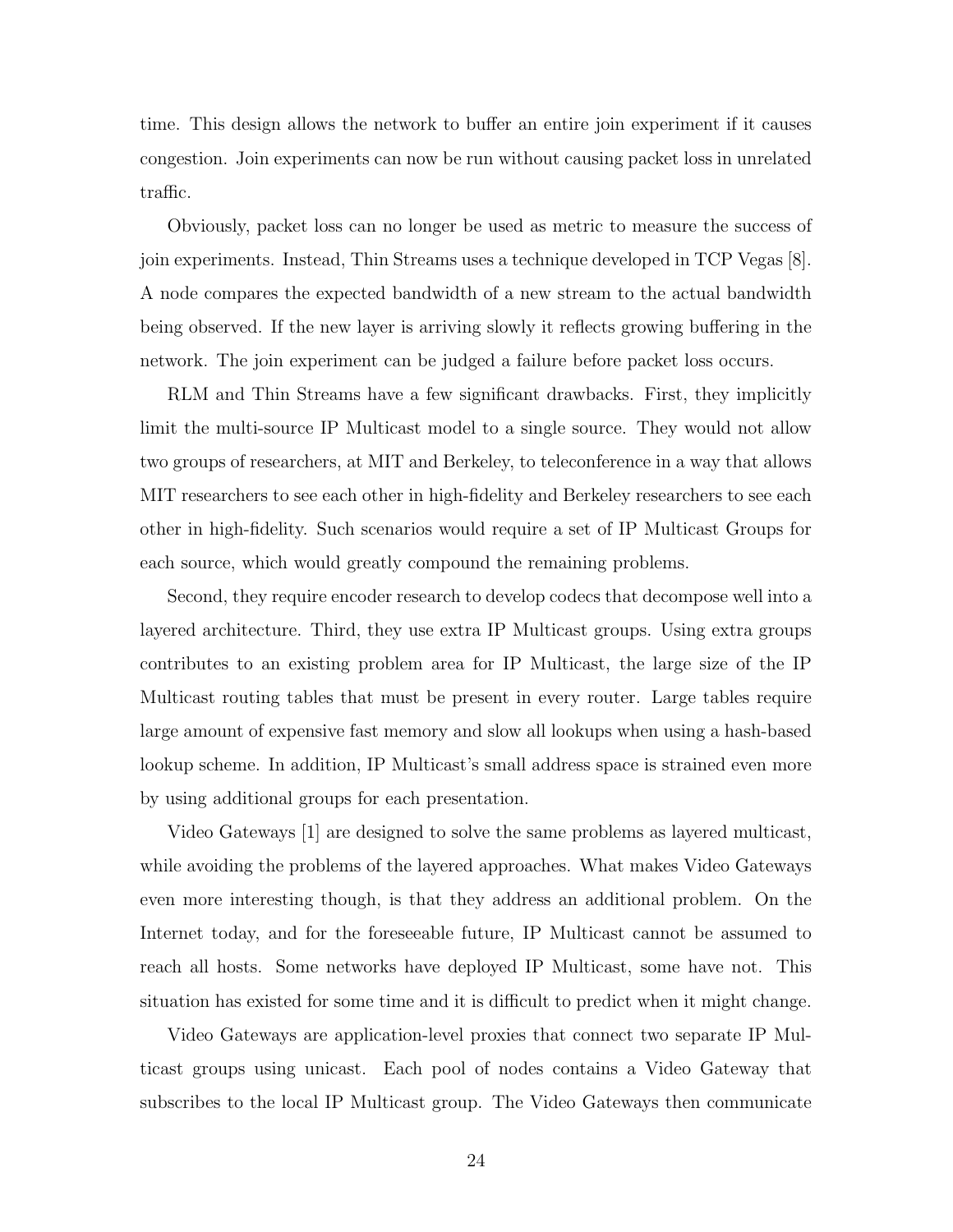time. This design allows the network to buffer an entire join experiment if it causes congestion. Join experiments can now be run without causing packet loss in unrelated traffic.

Obviously, packet loss can no longer be used as metric to measure the success of join experiments. Instead, Thin Streams uses a technique developed in TCP Vegas [8]. A node compares the expected bandwidth of a new stream to the actual bandwidth being observed. If the new layer is arriving slowly it reflects growing buffering in the network. The join experiment can be judged a failure before packet loss occurs.

RLM and Thin Streams have a few significant drawbacks. First, they implicitly limit the multi-source IP Multicast model to a single source. They would not allow two groups of researchers, at MIT and Berkeley, to teleconference in a way that allows MIT researchers to see each other in high-fidelity and Berkeley researchers to see each other in high-fidelity. Such scenarios would require a set of IP Multicast Groups for each source, which would greatly compound the remaining problems.

Second, they require encoder research to develop codecs that decompose well into a layered architecture. Third, they use extra IP Multicast groups. Using extra groups contributes to an existing problem area for IP Multicast, the large size of the IP Multicast routing tables that must be present in every router. Large tables require large amount of expensive fast memory and slow all lookups when using a hash-based lookup scheme. In addition, IP Multicast's small address space is strained even more by using additional groups for each presentation.

Video Gateways [1] are designed to solve the same problems as layered multicast, while avoiding the problems of the layered approaches. What makes Video Gateways even more interesting though, is that they address an additional problem. On the Internet today, and for the foreseeable future, IP Multicast cannot be assumed to reach all hosts. Some networks have deployed IP Multicast, some have not. This situation has existed for some time and it is difficult to predict when it might change.

Video Gateways are application-level proxies that connect two separate IP Multicast groups using unicast. Each pool of nodes contains a Video Gateway that subscribes to the local IP Multicast group. The Video Gateways then communicate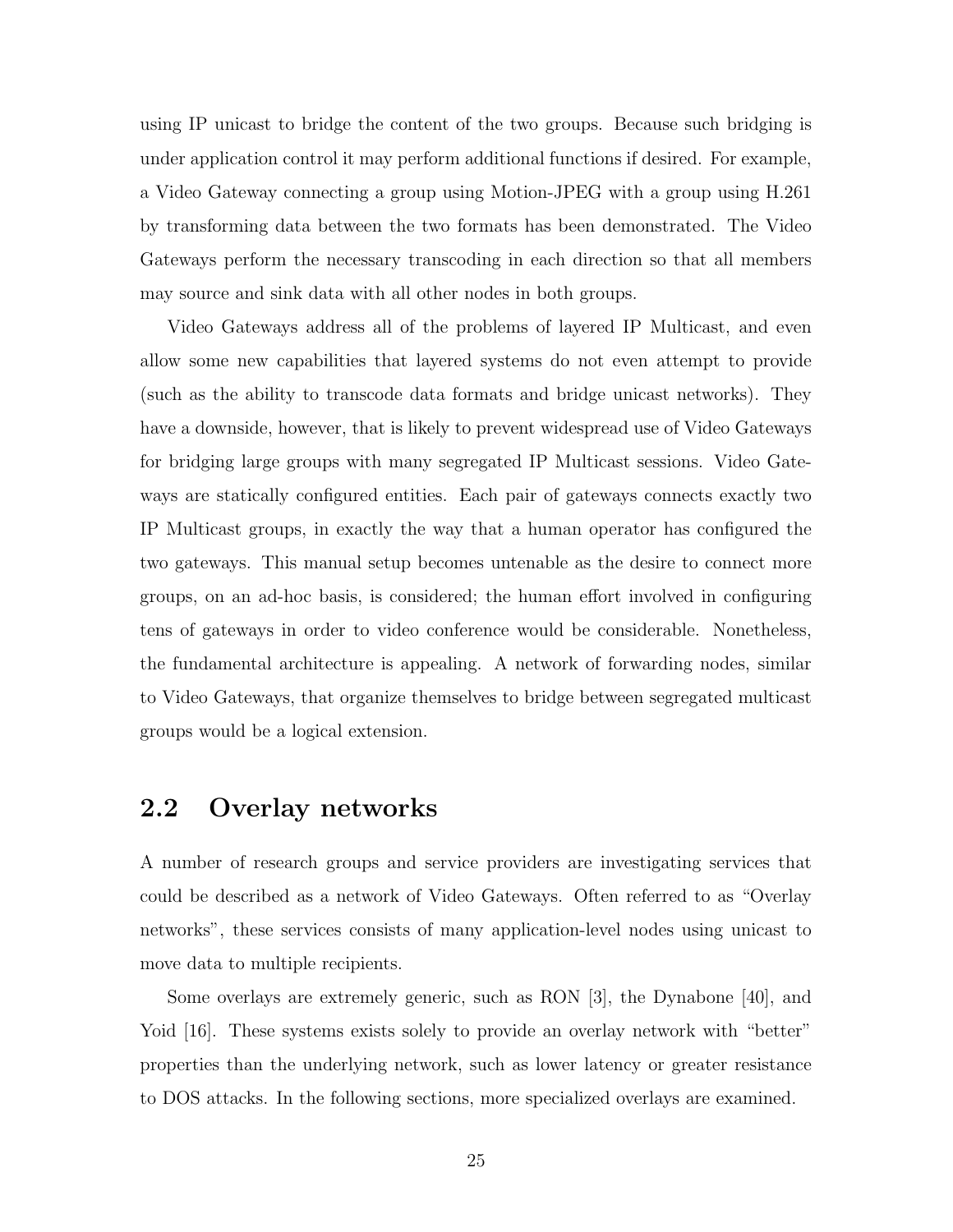using IP unicast to bridge the content of the two groups. Because such bridging is under application control it may perform additional functions if desired. For example, a Video Gateway connecting a group using Motion-JPEG with a group using H.261 by transforming data between the two formats has been demonstrated. The Video Gateways perform the necessary transcoding in each direction so that all members may source and sink data with all other nodes in both groups.

Video Gateways address all of the problems of layered IP Multicast, and even allow some new capabilities that layered systems do not even attempt to provide (such as the ability to transcode data formats and bridge unicast networks). They have a downside, however, that is likely to prevent widespread use of Video Gateways for bridging large groups with many segregated IP Multicast sessions. Video Gateways are statically configured entities. Each pair of gateways connects exactly two IP Multicast groups, in exactly the way that a human operator has configured the two gateways. This manual setup becomes untenable as the desire to connect more groups, on an ad-hoc basis, is considered; the human effort involved in configuring tens of gateways in order to video conference would be considerable. Nonetheless, the fundamental architecture is appealing. A network of forwarding nodes, similar to Video Gateways, that organize themselves to bridge between segregated multicast groups would be a logical extension.

## 2.2 Overlay networks

A number of research groups and service providers are investigating services that could be described as a network of Video Gateways. Often referred to as "Overlay networks", these services consists of many application-level nodes using unicast to move data to multiple recipients.

Some overlays are extremely generic, such as RON [3], the Dynabone [40], and Yoid [16]. These systems exists solely to provide an overlay network with "better" properties than the underlying network, such as lower latency or greater resistance to DOS attacks. In the following sections, more specialized overlays are examined.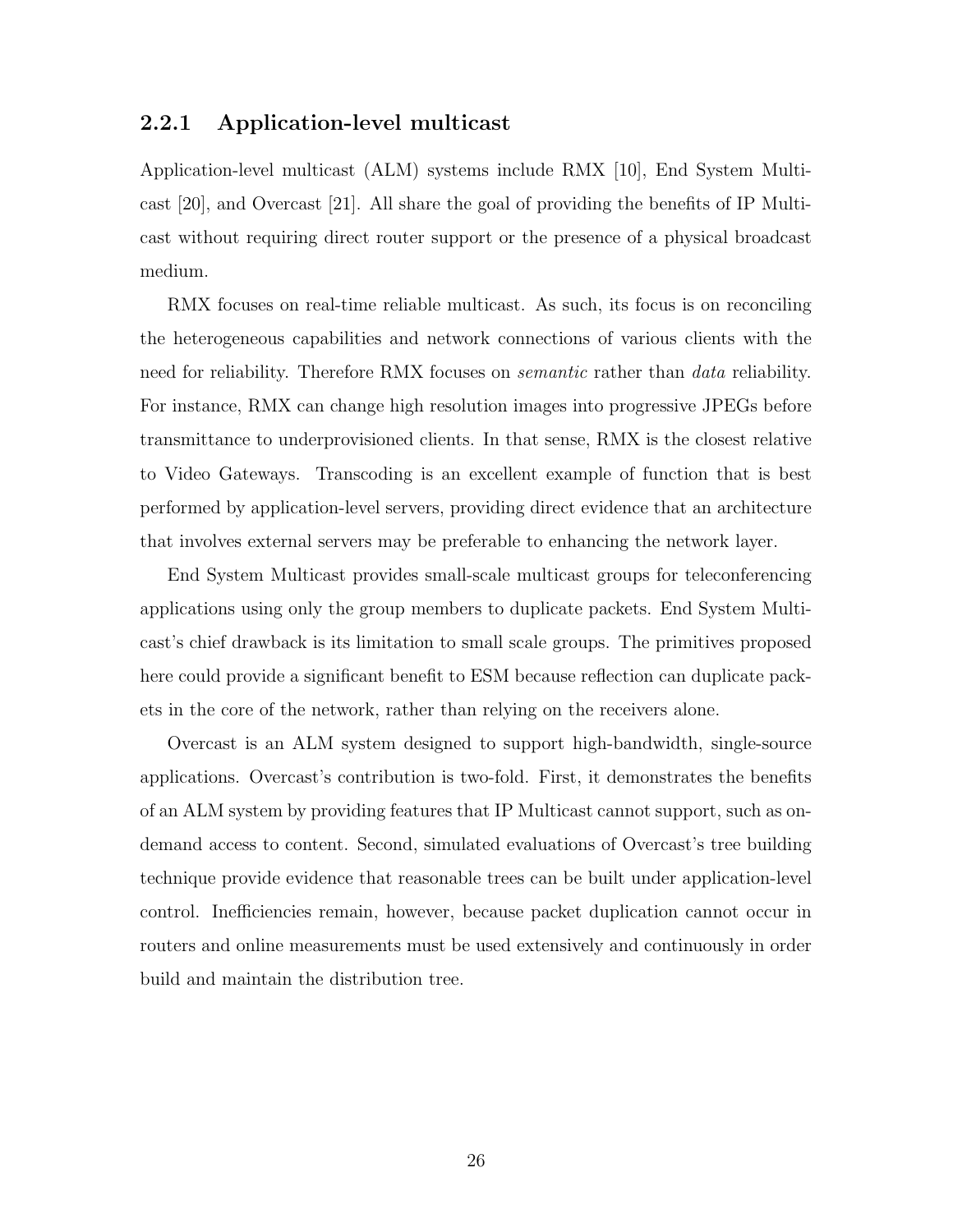#### 2.2.1 Application-level multicast

Application-level multicast (ALM) systems include RMX [10], End System Multicast [20], and Overcast [21]. All share the goal of providing the benefits of IP Multicast without requiring direct router support or the presence of a physical broadcast medium.

RMX focuses on real-time reliable multicast. As such, its focus is on reconciling the heterogeneous capabilities and network connections of various clients with the need for reliability. Therefore RMX focuses on *semantic* rather than *data* reliability. For instance, RMX can change high resolution images into progressive JPEGs before transmittance to underprovisioned clients. In that sense, RMX is the closest relative to Video Gateways. Transcoding is an excellent example of function that is best performed by application-level servers, providing direct evidence that an architecture that involves external servers may be preferable to enhancing the network layer.

End System Multicast provides small-scale multicast groups for teleconferencing applications using only the group members to duplicate packets. End System Multicast's chief drawback is its limitation to small scale groups. The primitives proposed here could provide a significant benefit to ESM because reflection can duplicate packets in the core of the network, rather than relying on the receivers alone.

Overcast is an ALM system designed to support high-bandwidth, single-source applications. Overcast's contribution is two-fold. First, it demonstrates the benefits of an ALM system by providing features that IP Multicast cannot support, such as ondemand access to content. Second, simulated evaluations of Overcast's tree building technique provide evidence that reasonable trees can be built under application-level control. Inefficiencies remain, however, because packet duplication cannot occur in routers and online measurements must be used extensively and continuously in order build and maintain the distribution tree.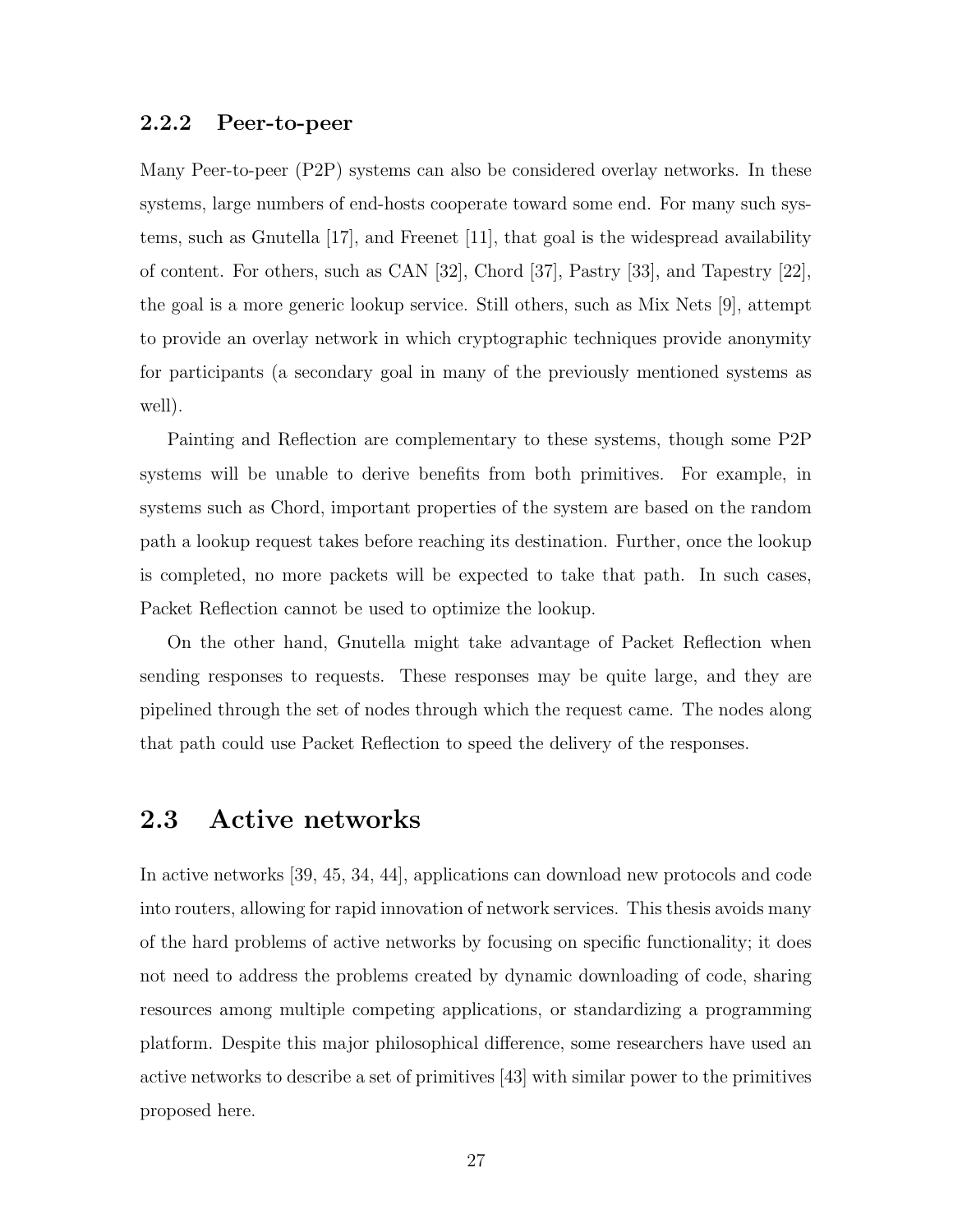#### 2.2.2 Peer-to-peer

Many Peer-to-peer (P2P) systems can also be considered overlay networks. In these systems, large numbers of end-hosts cooperate toward some end. For many such systems, such as Gnutella [17], and Freenet [11], that goal is the widespread availability of content. For others, such as CAN [32], Chord [37], Pastry [33], and Tapestry [22], the goal is a more generic lookup service. Still others, such as Mix Nets [9], attempt to provide an overlay network in which cryptographic techniques provide anonymity for participants (a secondary goal in many of the previously mentioned systems as well).

Painting and Reflection are complementary to these systems, though some P2P systems will be unable to derive benefits from both primitives. For example, in systems such as Chord, important properties of the system are based on the random path a lookup request takes before reaching its destination. Further, once the lookup is completed, no more packets will be expected to take that path. In such cases, Packet Reflection cannot be used to optimize the lookup.

On the other hand, Gnutella might take advantage of Packet Reflection when sending responses to requests. These responses may be quite large, and they are pipelined through the set of nodes through which the request came. The nodes along that path could use Packet Reflection to speed the delivery of the responses.

### 2.3 Active networks

In active networks [39, 45, 34, 44], applications can download new protocols and code into routers, allowing for rapid innovation of network services. This thesis avoids many of the hard problems of active networks by focusing on specific functionality; it does not need to address the problems created by dynamic downloading of code, sharing resources among multiple competing applications, or standardizing a programming platform. Despite this major philosophical difference, some researchers have used an active networks to describe a set of primitives [43] with similar power to the primitives proposed here.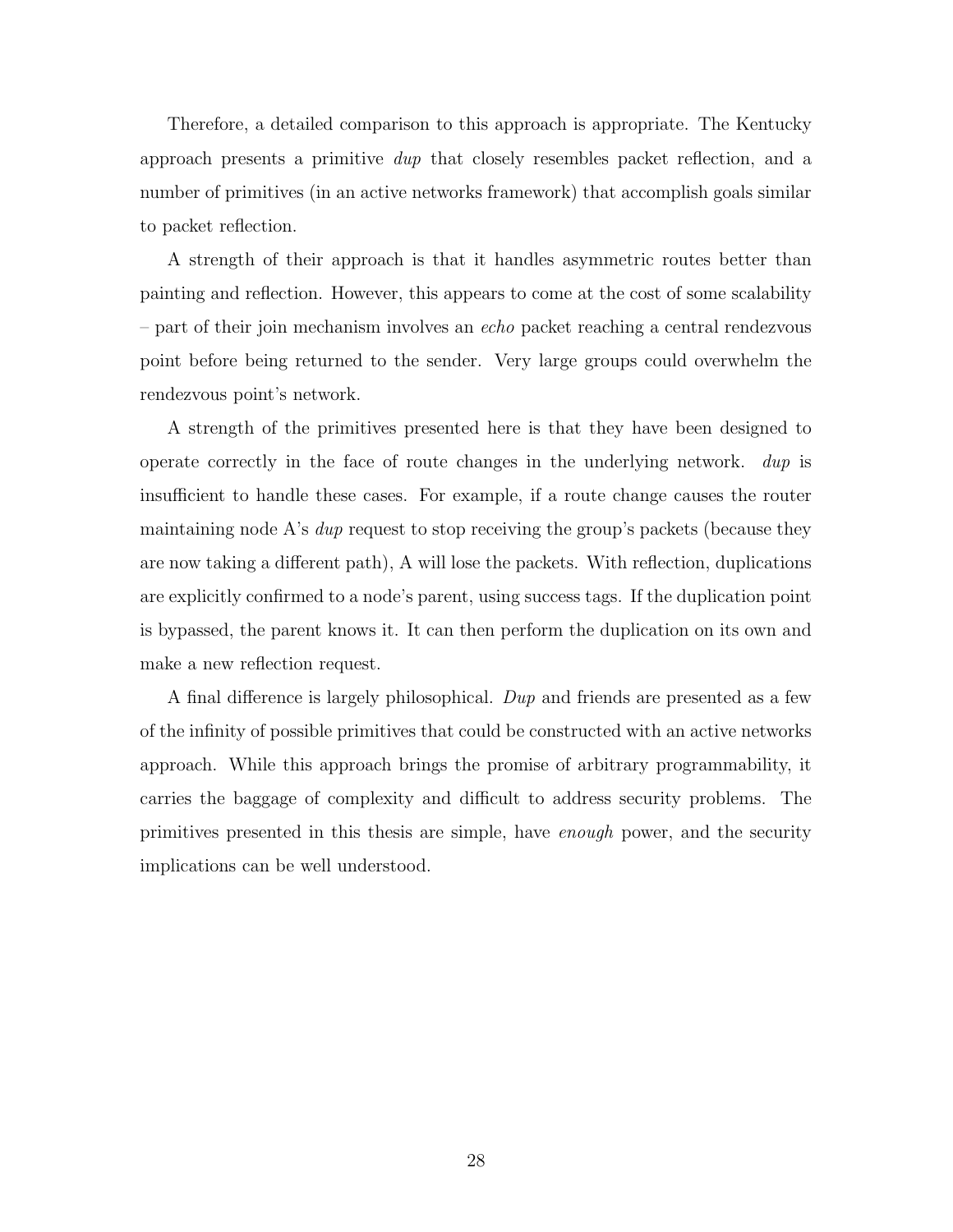Therefore, a detailed comparison to this approach is appropriate. The Kentucky approach presents a primitive dup that closely resembles packet reflection, and a number of primitives (in an active networks framework) that accomplish goals similar to packet reflection.

A strength of their approach is that it handles asymmetric routes better than painting and reflection. However, this appears to come at the cost of some scalability – part of their join mechanism involves an echo packet reaching a central rendezvous point before being returned to the sender. Very large groups could overwhelm the rendezvous point's network.

A strength of the primitives presented here is that they have been designed to operate correctly in the face of route changes in the underlying network. dup is insufficient to handle these cases. For example, if a route change causes the router maintaining node A's *dup* request to stop receiving the group's packets (because they are now taking a different path), A will lose the packets. With reflection, duplications are explicitly confirmed to a node's parent, using success tags. If the duplication point is bypassed, the parent knows it. It can then perform the duplication on its own and make a new reflection request.

A final difference is largely philosophical. Dup and friends are presented as a few of the infinity of possible primitives that could be constructed with an active networks approach. While this approach brings the promise of arbitrary programmability, it carries the baggage of complexity and difficult to address security problems. The primitives presented in this thesis are simple, have enough power, and the security implications can be well understood.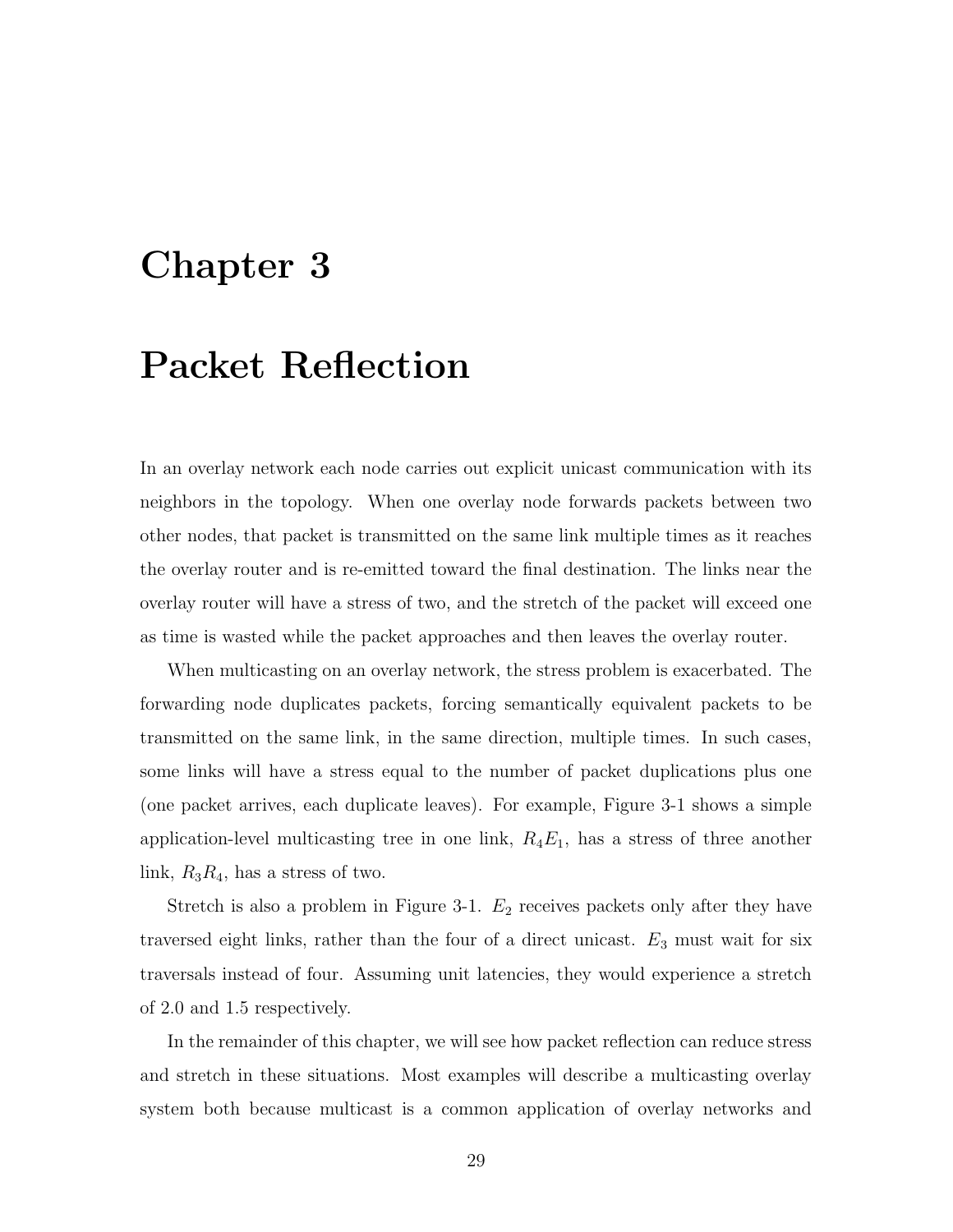## Chapter 3

## Packet Reflection

In an overlay network each node carries out explicit unicast communication with its neighbors in the topology. When one overlay node forwards packets between two other nodes, that packet is transmitted on the same link multiple times as it reaches the overlay router and is re-emitted toward the final destination. The links near the overlay router will have a stress of two, and the stretch of the packet will exceed one as time is wasted while the packet approaches and then leaves the overlay router.

When multicasting on an overlay network, the stress problem is exacerbated. The forwarding node duplicates packets, forcing semantically equivalent packets to be transmitted on the same link, in the same direction, multiple times. In such cases, some links will have a stress equal to the number of packet duplications plus one (one packet arrives, each duplicate leaves). For example, Figure 3-1 shows a simple application-level multicasting tree in one link,  $R_4E_1$ , has a stress of three another link,  $R_3R_4$ , has a stress of two.

Stretch is also a problem in Figure 3-1.  $E_2$  receives packets only after they have traversed eight links, rather than the four of a direct unicast.  $E_3$  must wait for six traversals instead of four. Assuming unit latencies, they would experience a stretch of 2.0 and 1.5 respectively.

In the remainder of this chapter, we will see how packet reflection can reduce stress and stretch in these situations. Most examples will describe a multicasting overlay system both because multicast is a common application of overlay networks and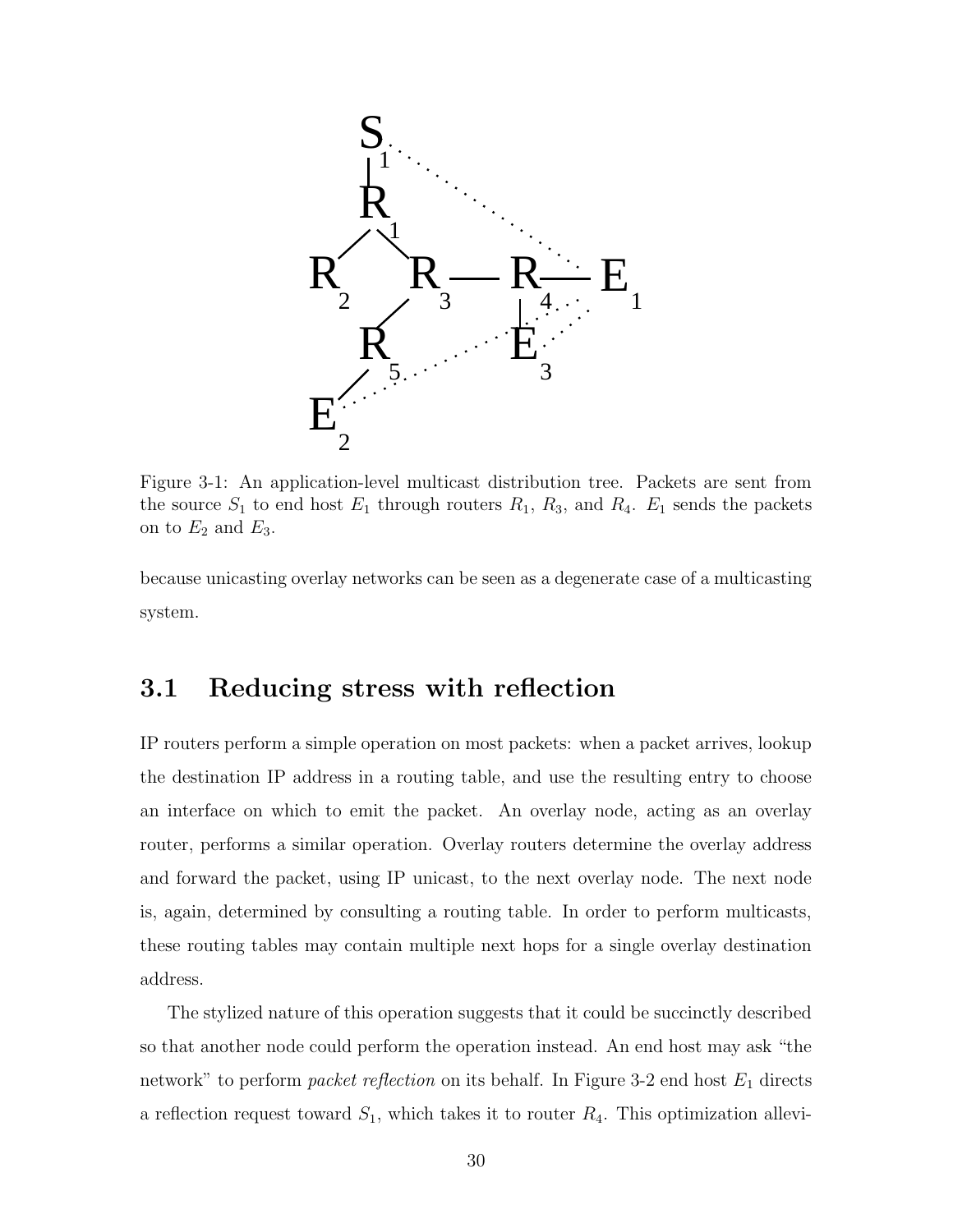

Figure 3-1: An application-level multicast distribution tree. Packets are sent from the source  $S_1$  to end host  $E_1$  through routers  $R_1$ ,  $R_3$ , and  $R_4$ .  $E_1$  sends the packets on to  $E_2$  and  $E_3$ .

because unicasting overlay networks can be seen as a degenerate case of a multicasting system.

## 3.1 Reducing stress with reflection

IP routers perform a simple operation on most packets: when a packet arrives, lookup the destination IP address in a routing table, and use the resulting entry to choose an interface on which to emit the packet. An overlay node, acting as an overlay router, performs a similar operation. Overlay routers determine the overlay address and forward the packet, using IP unicast, to the next overlay node. The next node is, again, determined by consulting a routing table. In order to perform multicasts, these routing tables may contain multiple next hops for a single overlay destination address.

The stylized nature of this operation suggests that it could be succinctly described so that another node could perform the operation instead. An end host may ask "the network" to perform *packet reflection* on its behalf. In Figure 3-2 end host  $E_1$  directs a reflection request toward  $S_1$ , which takes it to router  $R_4$ . This optimization allevi-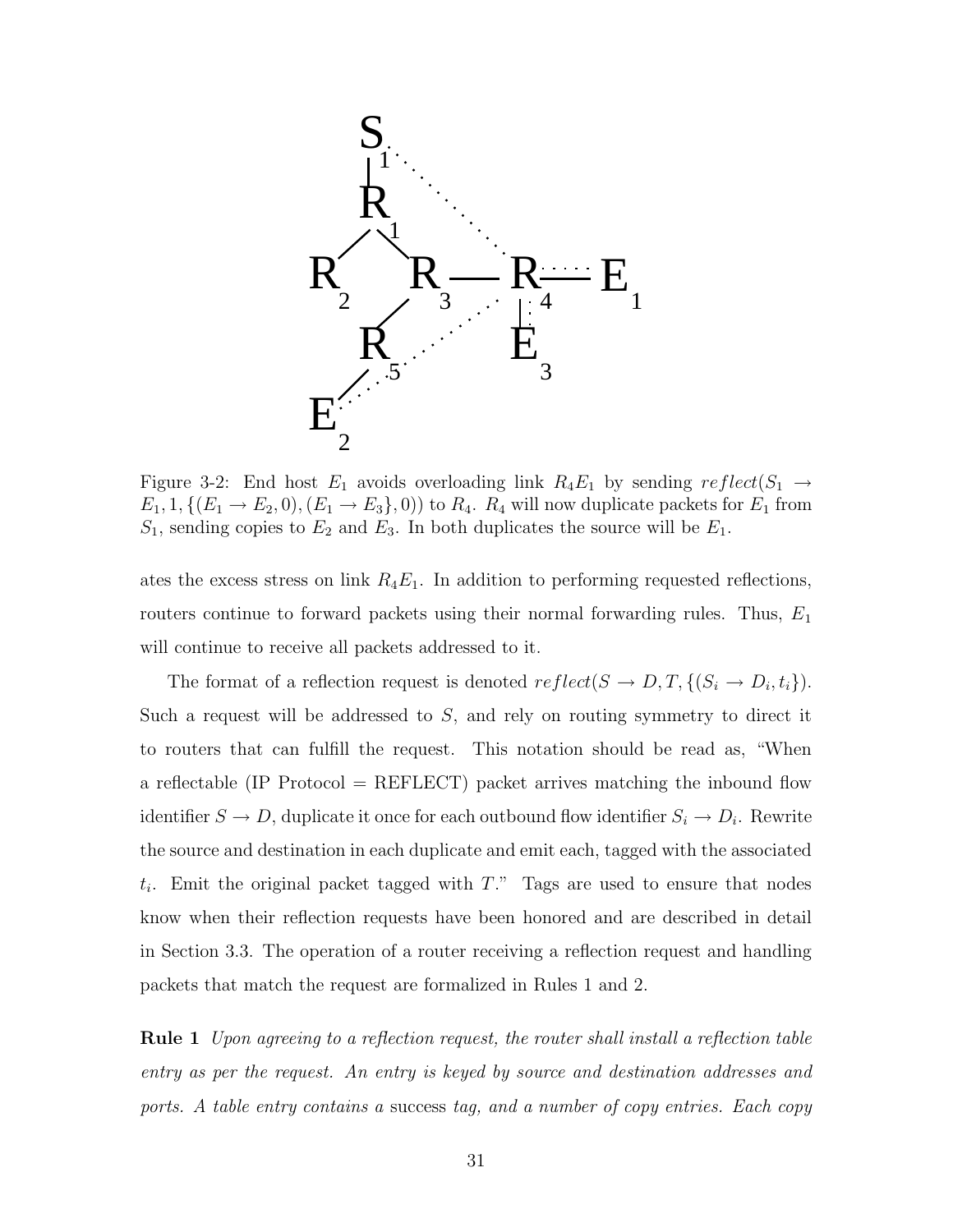

Figure 3-2: End host  $E_1$  avoids overloading link  $R_4E_1$  by sending  $reflect(S_1 \rightarrow$  $E_1, 1, \{(E_1 \rightarrow E_2, 0), (E_1 \rightarrow E_3\}, 0)\}\$  to  $R_4$ .  $R_4$  will now duplicate packets for  $E_1$  from  $S_1$ , sending copies to  $E_2$  and  $E_3$ . In both duplicates the source will be  $E_1$ .

ates the excess stress on link  $R_4E_1$ . In addition to performing requested reflections, routers continue to forward packets using their normal forwarding rules. Thus,  $E_1$ will continue to receive all packets addressed to it.

The format of a reflection request is denoted  $reflect(S \rightarrow D, T, \{(S_i \rightarrow D_i, t_i\}).$ Such a request will be addressed to  $S$ , and rely on routing symmetry to direct it to routers that can fulfill the request. This notation should be read as, "When a reflectable (IP Protocol  $=$  REFLECT) packet arrives matching the inbound flow identifier  $S \to D$ , duplicate it once for each outbound flow identifier  $S_i \to D_i$ . Rewrite the source and destination in each duplicate and emit each, tagged with the associated  $t_i$ . Emit the original packet tagged with T." Tags are used to ensure that nodes know when their reflection requests have been honored and are described in detail in Section 3.3. The operation of a router receiving a reflection request and handling packets that match the request are formalized in Rules 1 and 2.

**Rule 1** Upon agreeing to a reflection request, the router shall install a reflection table entry as per the request. An entry is keyed by source and destination addresses and ports. A table entry contains a success tag, and a number of copy entries. Each copy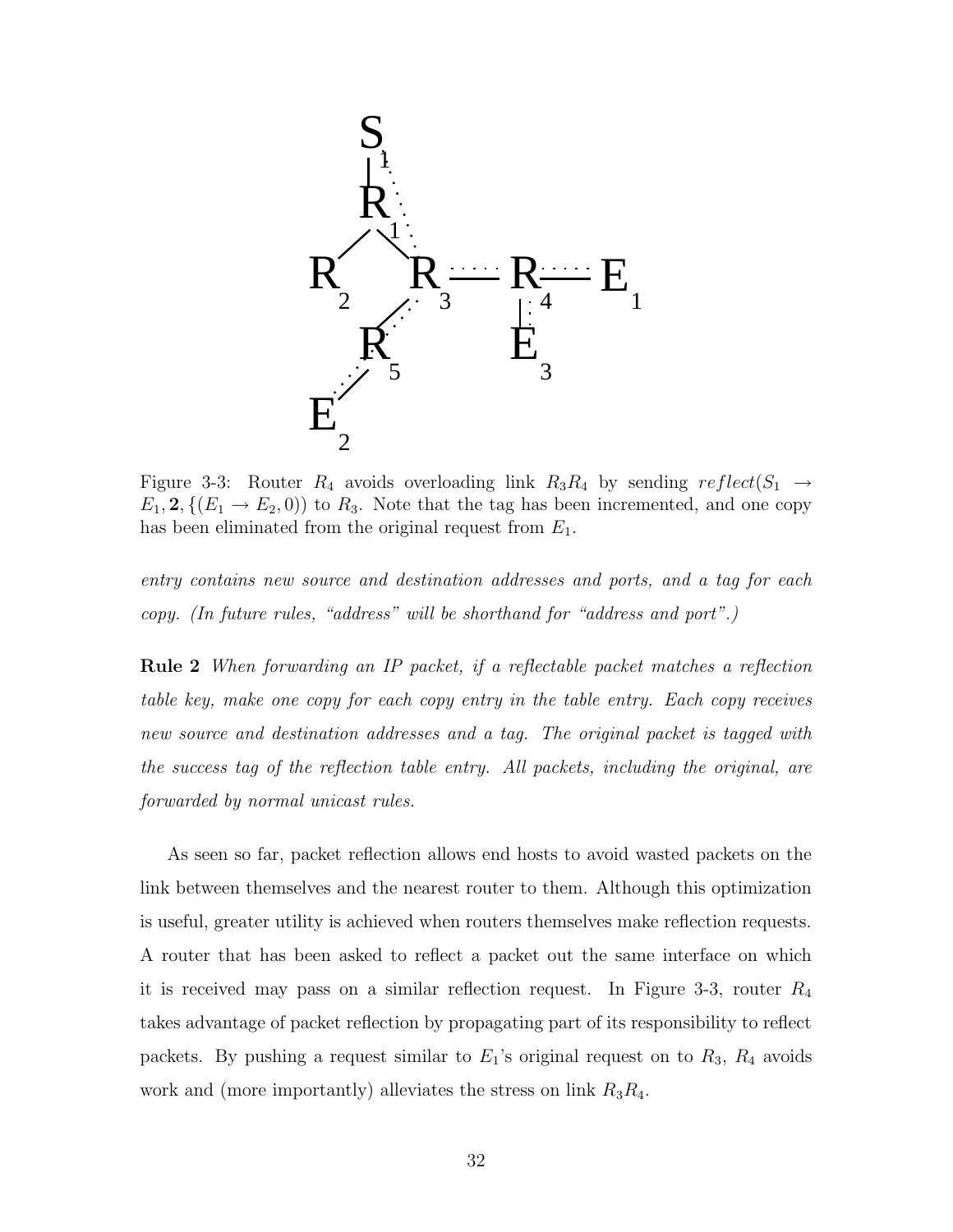

Figure 3-3: Router  $R_4$  avoids overloading link  $R_3R_4$  by sending  $reflect(S_1 \rightarrow$  $E_1, 2, \{(E_1 \rightarrow E_2, 0)\}\)$  to  $R_3$ . Note that the tag has been incremented, and one copy has been eliminated from the original request from  $E_1$ .

entry contains new source and destination addresses and ports, and a tag for each copy. (In future rules, "address" will be shorthand for "address and port".)

Rule 2 When forwarding an IP packet, if a reflectable packet matches a reflection table key, make one copy for each copy entry in the table entry. Each copy receives new source and destination addresses and a tag. The original packet is tagged with the success tag of the reflection table entry. All packets, including the original, are forwarded by normal unicast rules.

As seen so far, packet reflection allows end hosts to avoid wasted packets on the link between themselves and the nearest router to them. Although this optimization is useful, greater utility is achieved when routers themselves make reflection requests. A router that has been asked to reflect a packet out the same interface on which it is received may pass on a similar reflection request. In Figure 3-3, router  $R_4$ takes advantage of packet reflection by propagating part of its responsibility to reflect packets. By pushing a request similar to  $E_1$ 's original request on to  $R_3$ ,  $R_4$  avoids work and (more importantly) alleviates the stress on link  $R_3R_4$ .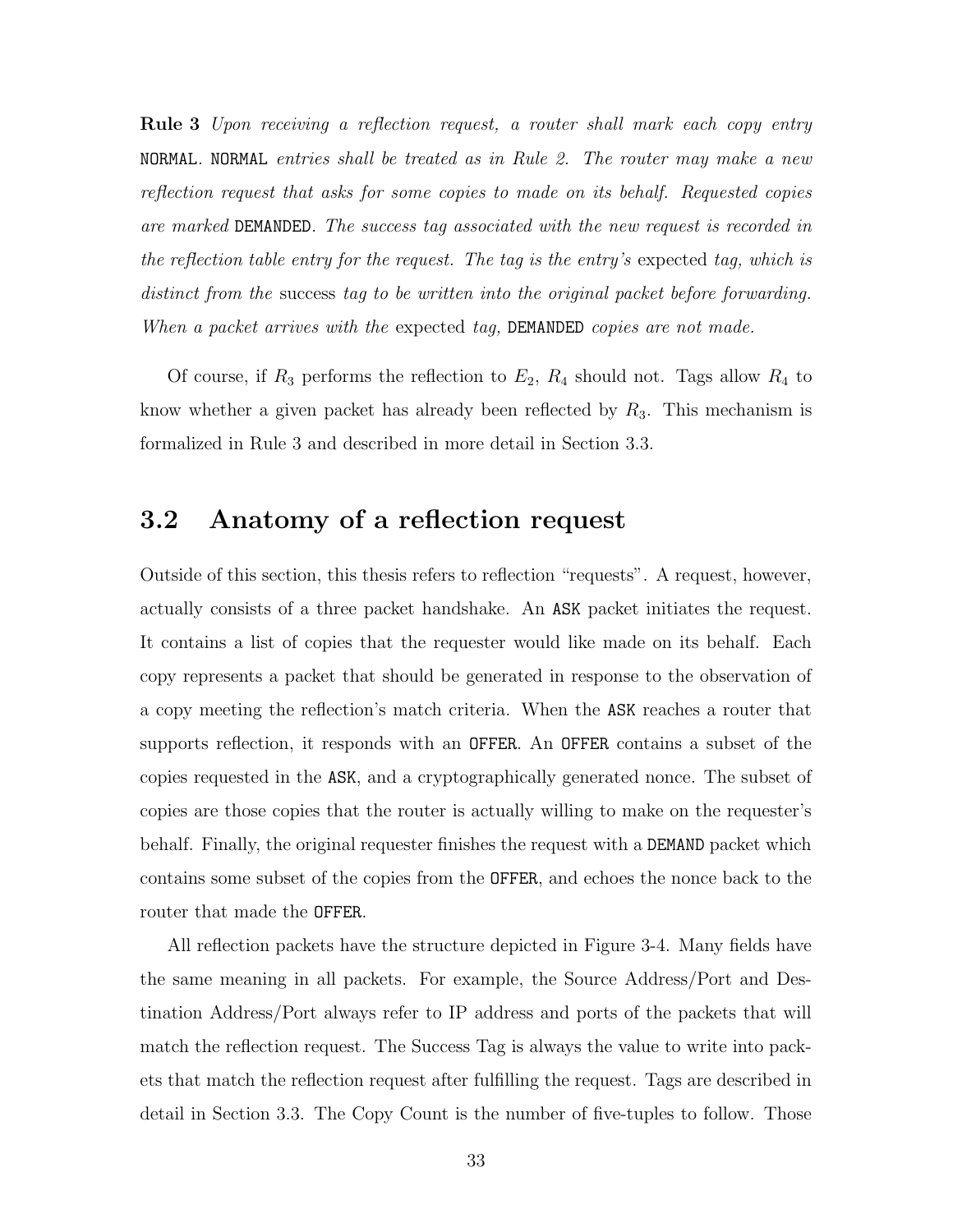Rule 3 Upon receiving a reflection request, a router shall mark each copy entry NORMAL. NORMAL entries shall be treated as in Rule 2. The router may make a new reflection request that asks for some copies to made on its behalf. Requested copies are marked DEMANDED. The success tag associated with the new request is recorded in the reflection table entry for the request. The tag is the entry's expected tag, which is distinct from the success tag to be written into the original packet before forwarding. When a packet arrives with the expected tag, DEMANDED copies are not made.

Of course, if  $R_3$  performs the reflection to  $E_2$ ,  $R_4$  should not. Tags allow  $R_4$  to know whether a given packet has already been reflected by  $R_3$ . This mechanism is formalized in Rule 3 and described in more detail in Section 3.3.

### 3.2 Anatomy of a reflection request

Outside of this section, this thesis refers to reflection "requests". A request, however, actually consists of a three packet handshake. An ASK packet initiates the request. It contains a list of copies that the requester would like made on its behalf. Each copy represents a packet that should be generated in response to the observation of a copy meeting the reflection's match criteria. When the ASK reaches a router that supports reflection, it responds with an OFFER. An OFFER contains a subset of the copies requested in the ASK, and a cryptographically generated nonce. The subset of copies are those copies that the router is actually willing to make on the requester's behalf. Finally, the original requester finishes the request with a DEMAND packet which contains some subset of the copies from the OFFER, and echoes the nonce back to the router that made the OFFER.

All reflection packets have the structure depicted in Figure 3-4. Many fields have the same meaning in all packets. For example, the Source Address/Port and Destination Address/Port always refer to IP address and ports of the packets that will match the reflection request. The Success Tag is always the value to write into packets that match the reflection request after fulfilling the request. Tags are described in detail in Section 3.3. The Copy Count is the number of five-tuples to follow. Those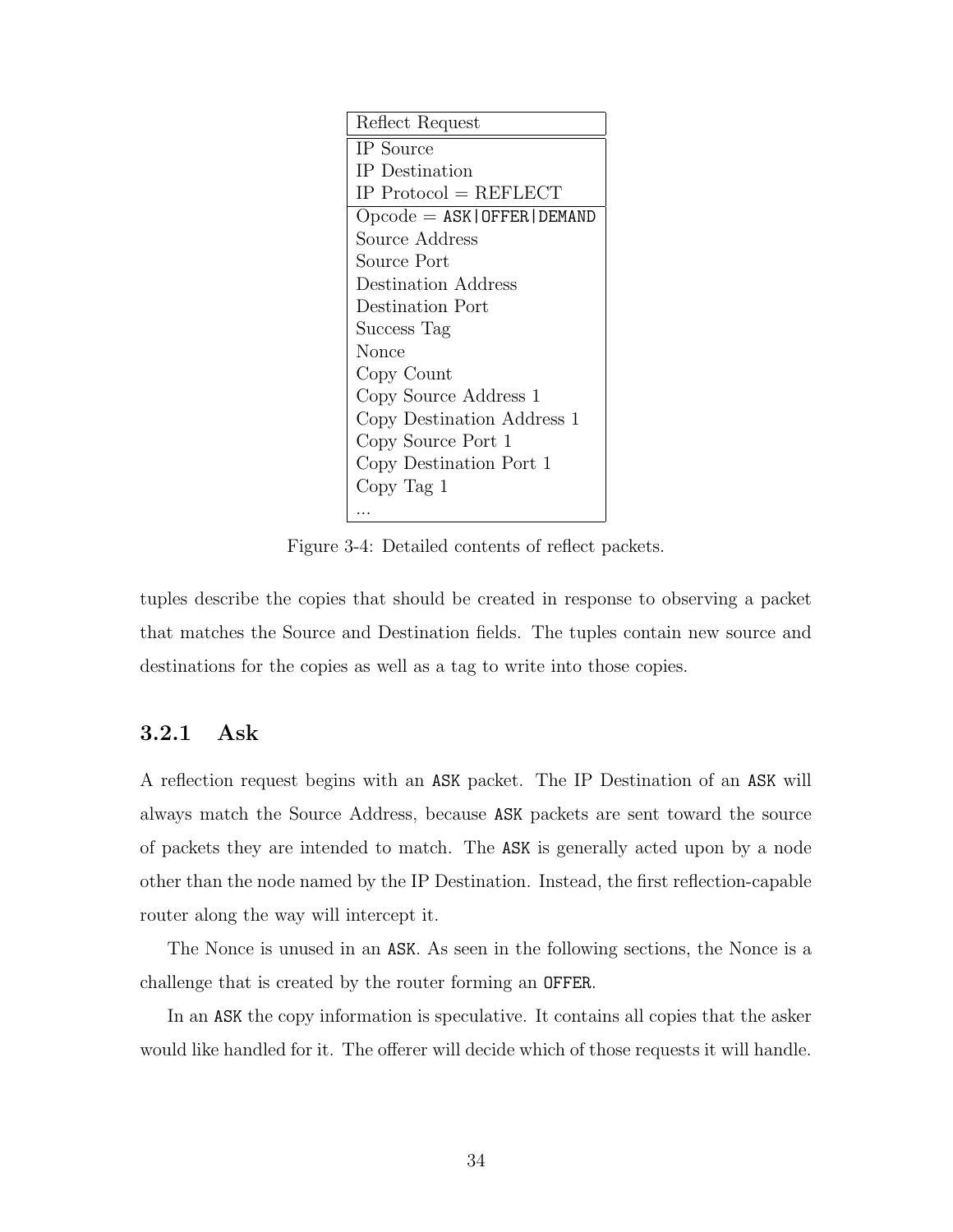| Reflect Request                    |
|------------------------------------|
| IP Source                          |
| IP Destination                     |
| $IP$ Protocol = REFLECT            |
| $O$ pcode = $ASK$   OFFER   DEMAND |
| Source Address                     |
| Source Port                        |
| Destination Address                |
| Destination Port                   |
| Success Tag                        |
| Nonce                              |
| Copy Count                         |
| Copy Source Address 1              |
| Copy Destination Address 1         |
| Copy Source Port 1                 |
| Copy Destination Port 1            |
| Copy Tag 1                         |
|                                    |

Figure 3-4: Detailed contents of reflect packets.

tuples describe the copies that should be created in response to observing a packet that matches the Source and Destination fields. The tuples contain new source and destinations for the copies as well as a tag to write into those copies.

#### 3.2.1 Ask

A reflection request begins with an ASK packet. The IP Destination of an ASK will always match the Source Address, because ASK packets are sent toward the source of packets they are intended to match. The ASK is generally acted upon by a node other than the node named by the IP Destination. Instead, the first reflection-capable router along the way will intercept it.

The Nonce is unused in an ASK. As seen in the following sections, the Nonce is a challenge that is created by the router forming an OFFER.

In an ASK the copy information is speculative. It contains all copies that the asker would like handled for it. The offerer will decide which of those requests it will handle.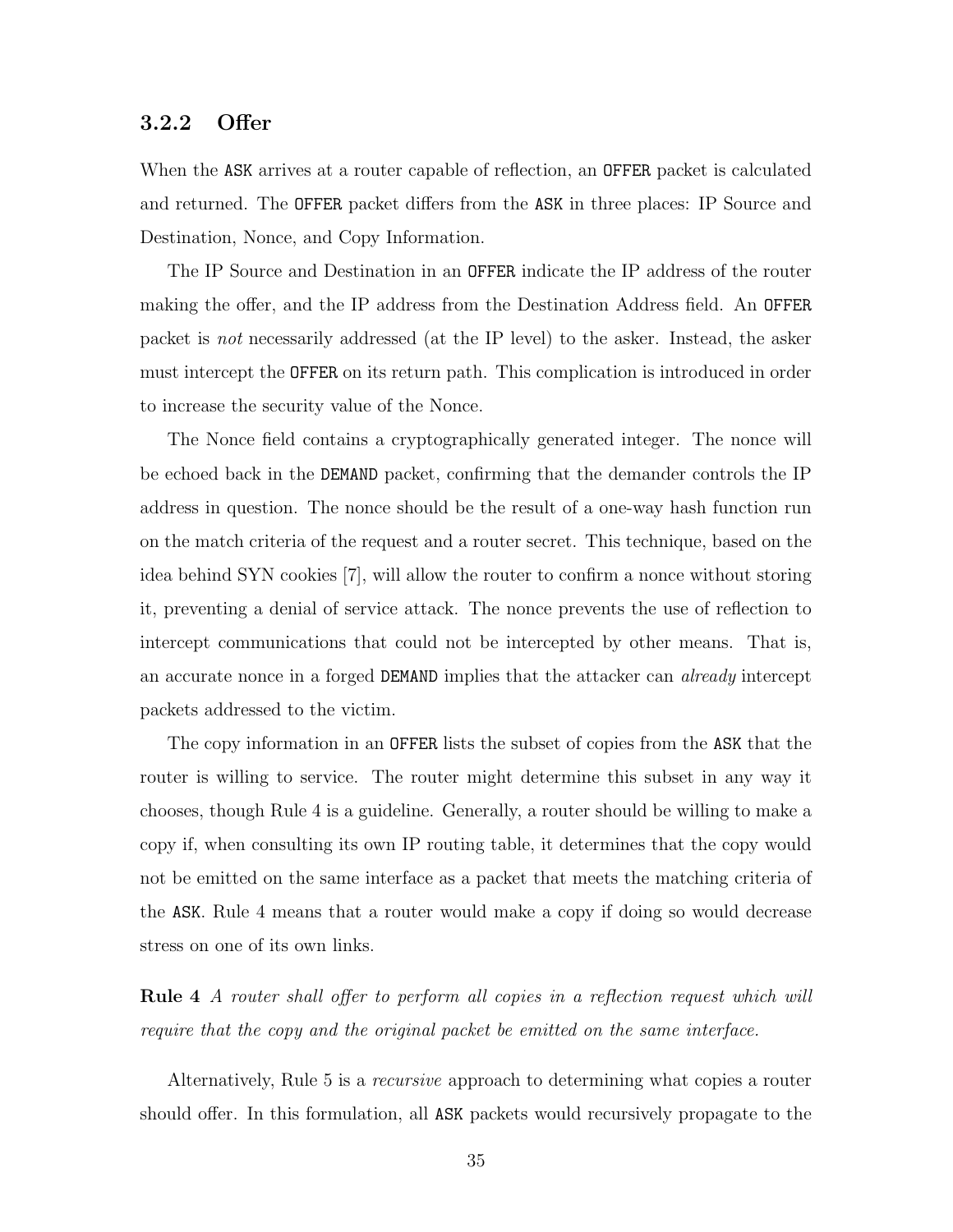#### 3.2.2 Offer

When the ASK arrives at a router capable of reflection, an OFFER packet is calculated and returned. The OFFER packet differs from the ASK in three places: IP Source and Destination, Nonce, and Copy Information.

The IP Source and Destination in an OFFER indicate the IP address of the router making the offer, and the IP address from the Destination Address field. An OFFER packet is not necessarily addressed (at the IP level) to the asker. Instead, the asker must intercept the OFFER on its return path. This complication is introduced in order to increase the security value of the Nonce.

The Nonce field contains a cryptographically generated integer. The nonce will be echoed back in the DEMAND packet, confirming that the demander controls the IP address in question. The nonce should be the result of a one-way hash function run on the match criteria of the request and a router secret. This technique, based on the idea behind SYN cookies [7], will allow the router to confirm a nonce without storing it, preventing a denial of service attack. The nonce prevents the use of reflection to intercept communications that could not be intercepted by other means. That is, an accurate nonce in a forged DEMAND implies that the attacker can already intercept packets addressed to the victim.

The copy information in an OFFER lists the subset of copies from the ASK that the router is willing to service. The router might determine this subset in any way it chooses, though Rule 4 is a guideline. Generally, a router should be willing to make a copy if, when consulting its own IP routing table, it determines that the copy would not be emitted on the same interface as a packet that meets the matching criteria of the ASK. Rule 4 means that a router would make a copy if doing so would decrease stress on one of its own links.

Rule 4 A router shall offer to perform all copies in a reflection request which will require that the copy and the original packet be emitted on the same interface.

Alternatively, Rule 5 is a recursive approach to determining what copies a router should offer. In this formulation, all ASK packets would recursively propagate to the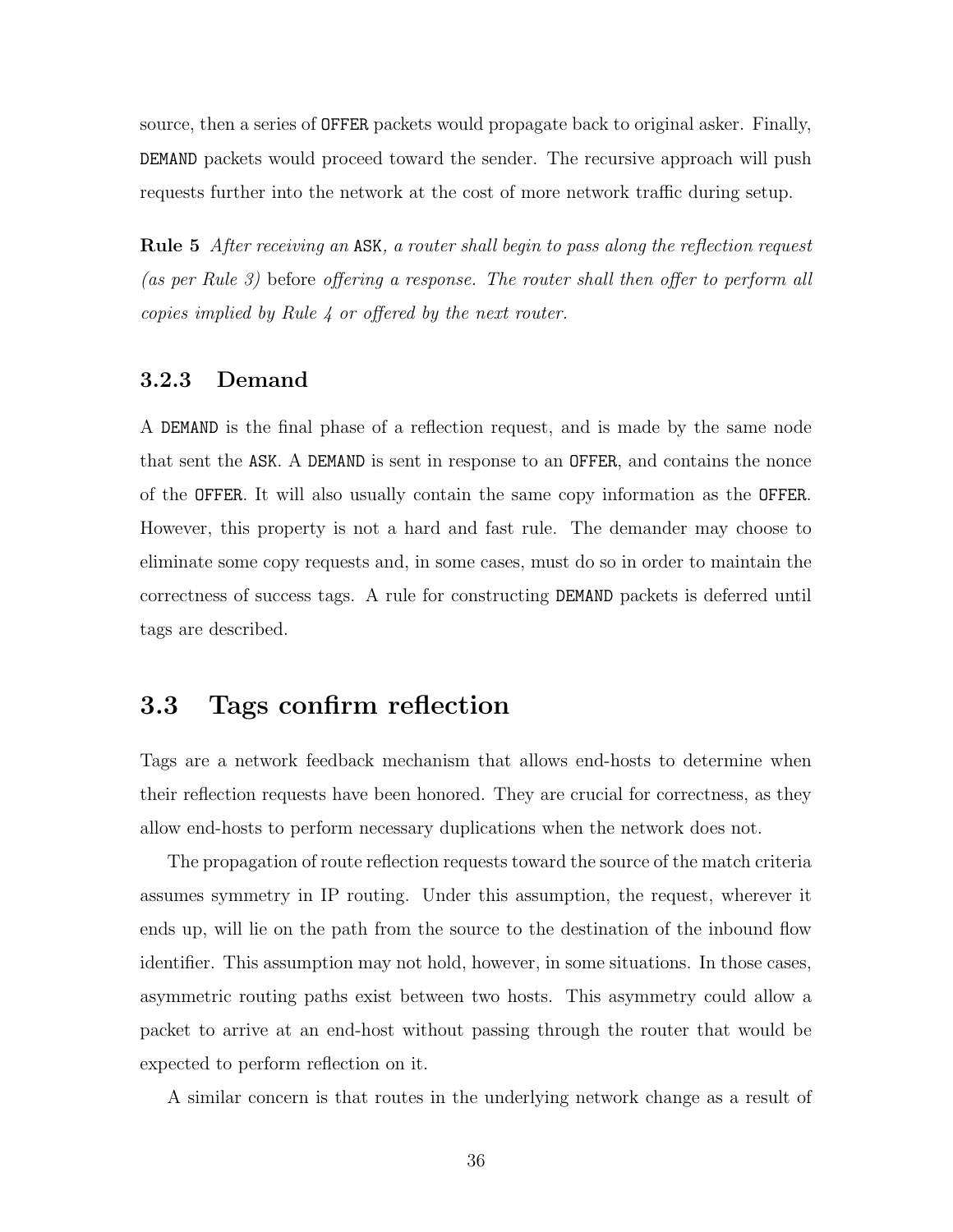source, then a series of OFFER packets would propagate back to original asker. Finally, DEMAND packets would proceed toward the sender. The recursive approach will push requests further into the network at the cost of more network traffic during setup.

Rule 5 After receiving an ASK, a router shall begin to pass along the reflection request (as per Rule 3) before offering a response. The router shall then offer to perform all copies implied by Rule 4 or offered by the next router.

#### 3.2.3 Demand

A DEMAND is the final phase of a reflection request, and is made by the same node that sent the ASK. A DEMAND is sent in response to an OFFER, and contains the nonce of the OFFER. It will also usually contain the same copy information as the OFFER. However, this property is not a hard and fast rule. The demander may choose to eliminate some copy requests and, in some cases, must do so in order to maintain the correctness of success tags. A rule for constructing DEMAND packets is deferred until tags are described.

## 3.3 Tags confirm reflection

Tags are a network feedback mechanism that allows end-hosts to determine when their reflection requests have been honored. They are crucial for correctness, as they allow end-hosts to perform necessary duplications when the network does not.

The propagation of route reflection requests toward the source of the match criteria assumes symmetry in IP routing. Under this assumption, the request, wherever it ends up, will lie on the path from the source to the destination of the inbound flow identifier. This assumption may not hold, however, in some situations. In those cases, asymmetric routing paths exist between two hosts. This asymmetry could allow a packet to arrive at an end-host without passing through the router that would be expected to perform reflection on it.

A similar concern is that routes in the underlying network change as a result of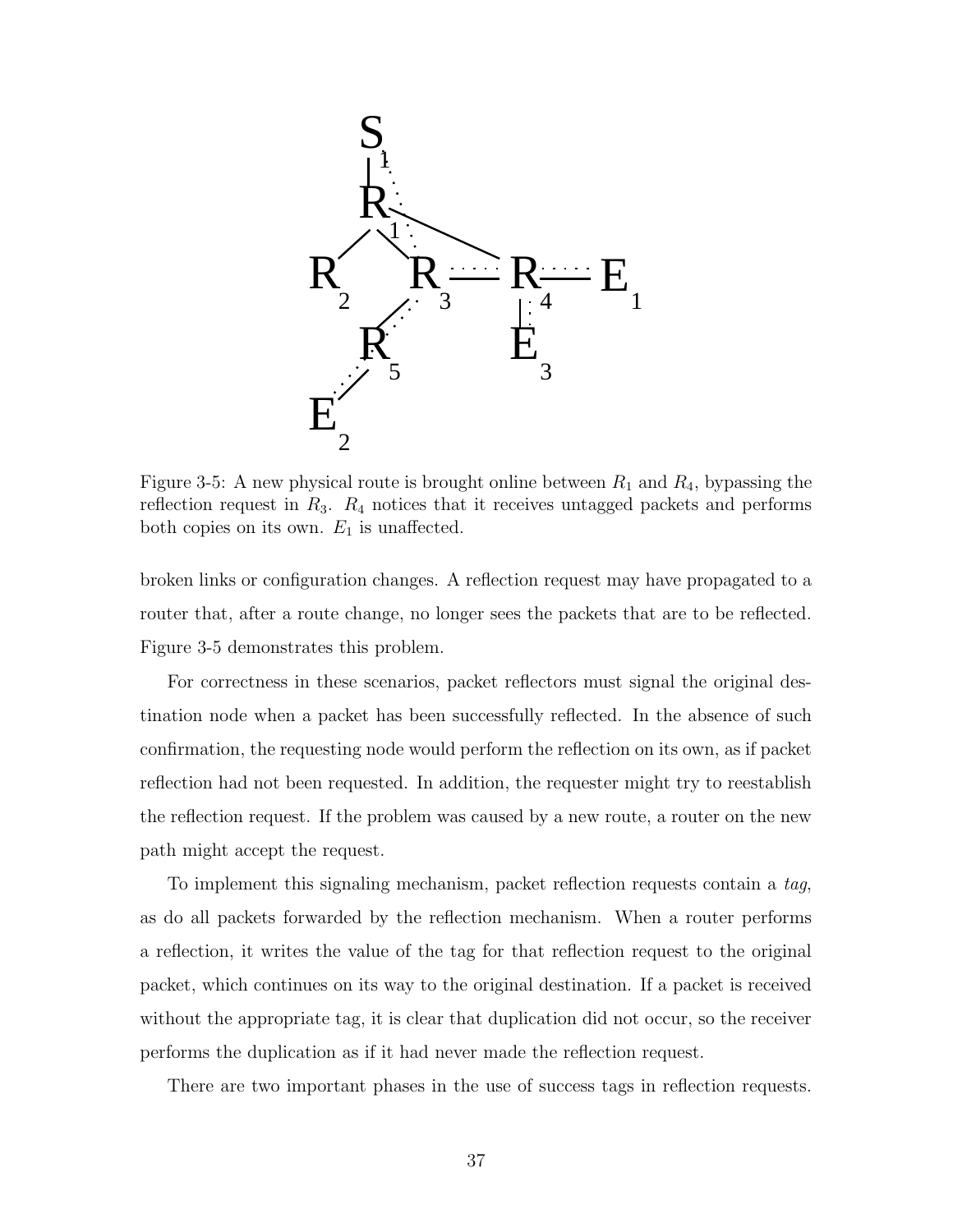

Figure 3-5: A new physical route is brought online between  $R_1$  and  $R_4$ , bypassing the reflection request in  $R_3$ .  $R_4$  notices that it receives untagged packets and performs both copies on its own.  $E_1$  is unaffected.

broken links or configuration changes. A reflection request may have propagated to a router that, after a route change, no longer sees the packets that are to be reflected. Figure 3-5 demonstrates this problem.

For correctness in these scenarios, packet reflectors must signal the original destination node when a packet has been successfully reflected. In the absence of such confirmation, the requesting node would perform the reflection on its own, as if packet reflection had not been requested. In addition, the requester might try to reestablish the reflection request. If the problem was caused by a new route, a router on the new path might accept the request.

To implement this signaling mechanism, packet reflection requests contain a tag, as do all packets forwarded by the reflection mechanism. When a router performs a reflection, it writes the value of the tag for that reflection request to the original packet, which continues on its way to the original destination. If a packet is received without the appropriate tag, it is clear that duplication did not occur, so the receiver performs the duplication as if it had never made the reflection request.

There are two important phases in the use of success tags in reflection requests.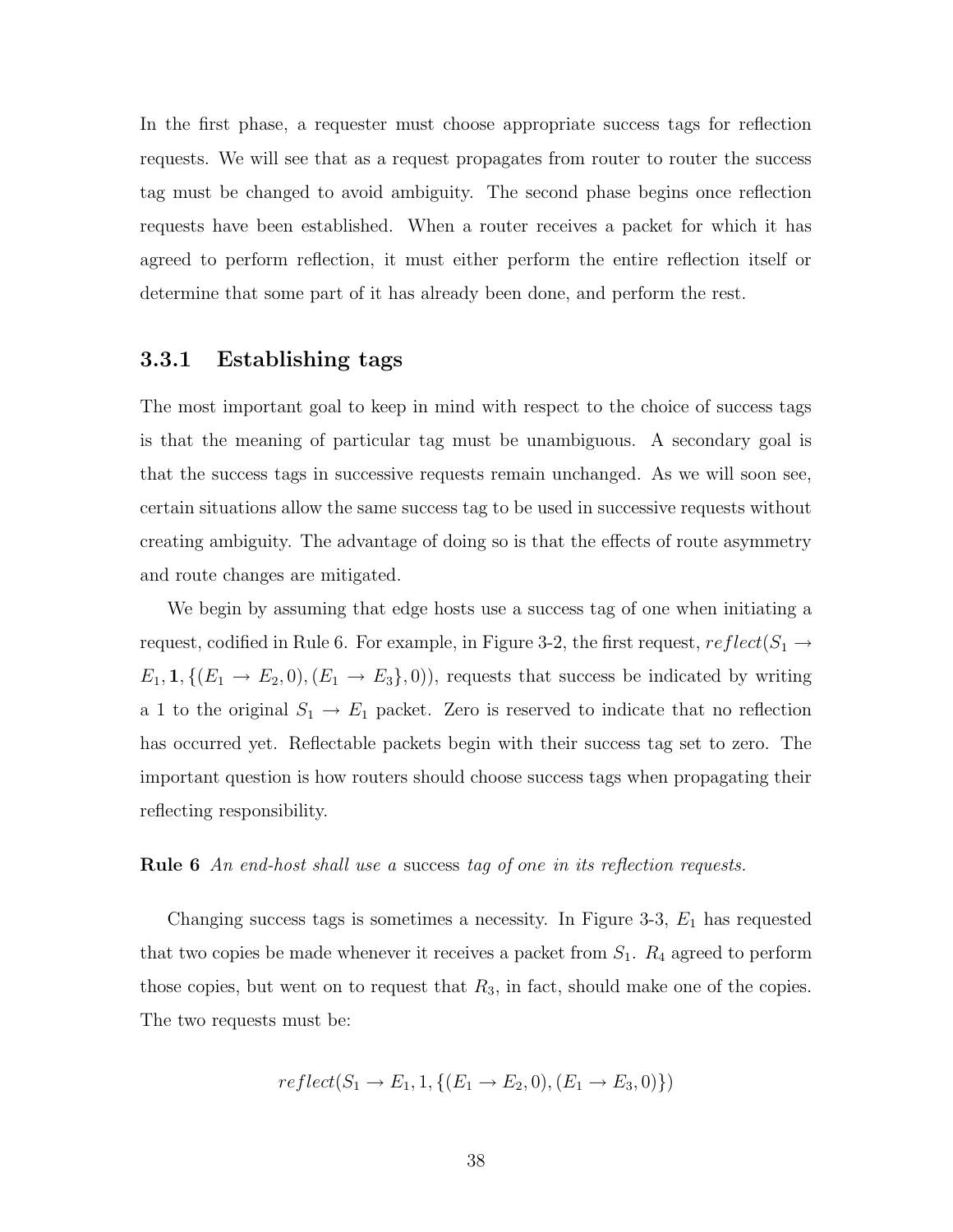In the first phase, a requester must choose appropriate success tags for reflection requests. We will see that as a request propagates from router to router the success tag must be changed to avoid ambiguity. The second phase begins once reflection requests have been established. When a router receives a packet for which it has agreed to perform reflection, it must either perform the entire reflection itself or determine that some part of it has already been done, and perform the rest.

### 3.3.1 Establishing tags

The most important goal to keep in mind with respect to the choice of success tags is that the meaning of particular tag must be unambiguous. A secondary goal is that the success tags in successive requests remain unchanged. As we will soon see, certain situations allow the same success tag to be used in successive requests without creating ambiguity. The advantage of doing so is that the effects of route asymmetry and route changes are mitigated.

We begin by assuming that edge hosts use a success tag of one when initiating a request, codified in Rule 6. For example, in Figure 3-2, the first request,  $reflect(S_1 \rightarrow$  $E_1$ , 1,  $\{(E_1 \rightarrow E_2, 0), (E_1 \rightarrow E_3), 0)\}$ , requests that success be indicated by writing a 1 to the original  $S_1 \rightarrow E_1$  packet. Zero is reserved to indicate that no reflection has occurred yet. Reflectable packets begin with their success tag set to zero. The important question is how routers should choose success tags when propagating their reflecting responsibility.

#### **Rule 6** An end-host shall use a success tag of one in its reflection requests.

Changing success tags is sometimes a necessity. In Figure 3-3,  $E_1$  has requested that two copies be made whenever it receives a packet from  $S_1$ .  $R_4$  agreed to perform those copies, but went on to request that  $R_3$ , in fact, should make one of the copies. The two requests must be:

$$
reflect(S_1 \to E_1, 1, \{(E_1 \to E_2, 0), (E_1 \to E_3, 0)\})
$$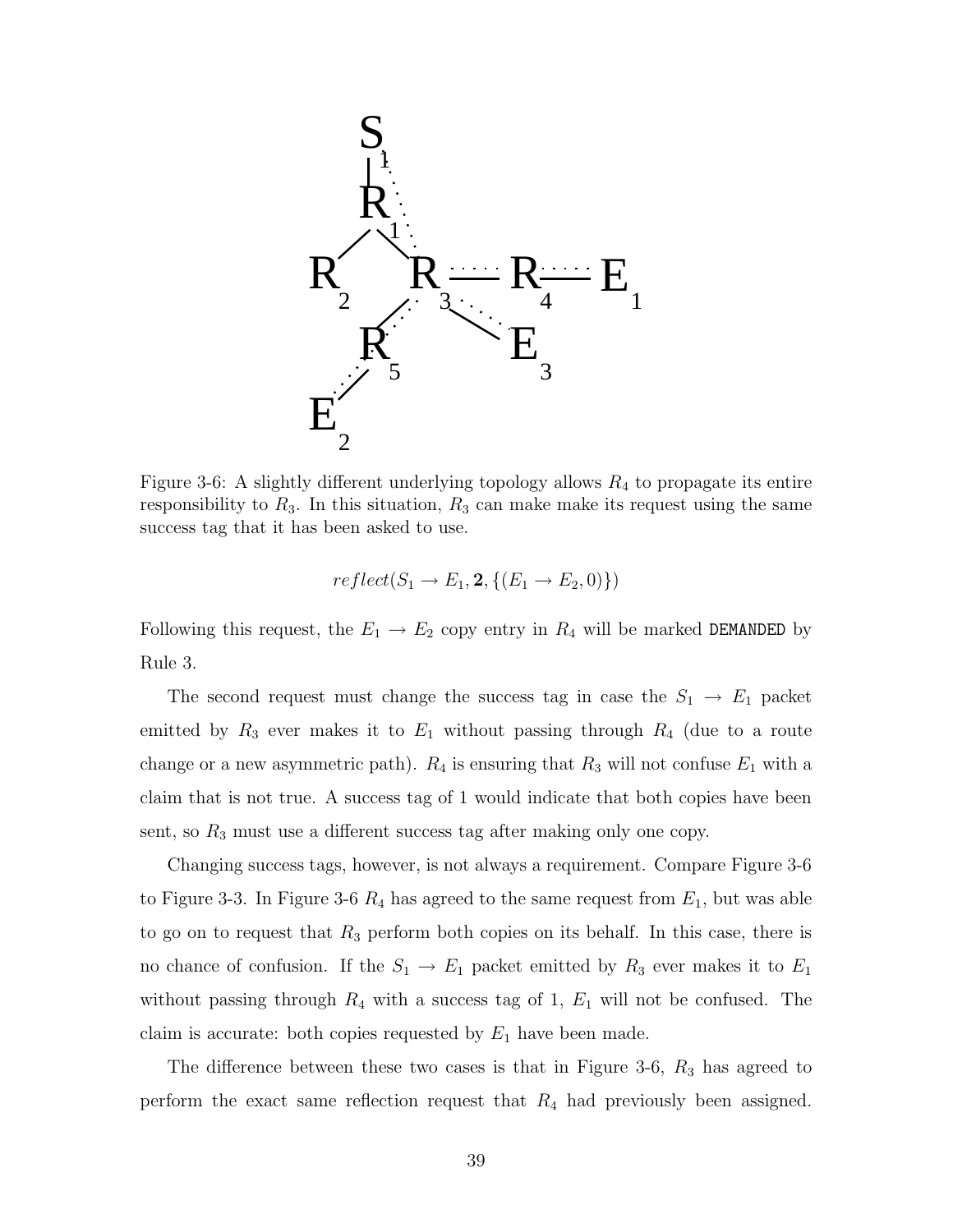

Figure 3-6: A slightly different underlying topology allows  $R_4$  to propagate its entire responsibility to  $R_3$ . In this situation,  $R_3$  can make make its request using the same success tag that it has been asked to use.

$$
reflect(S_1 \rightarrow E_1, \mathbf{2}, \{(E_1 \rightarrow E_2, 0)\})
$$

Following this request, the  $E_1 \rightarrow E_2$  copy entry in  $R_4$  will be marked DEMANDED by Rule 3.

The second request must change the success tag in case the  $S_1 \rightarrow E_1$  packet emitted by  $R_3$  ever makes it to  $E_1$  without passing through  $R_4$  (due to a route change or a new asymmetric path).  $R_4$  is ensuring that  $R_3$  will not confuse  $E_1$  with a claim that is not true. A success tag of 1 would indicate that both copies have been sent, so  $R_3$  must use a different success tag after making only one copy.

Changing success tags, however, is not always a requirement. Compare Figure 3-6 to Figure 3-3. In Figure 3-6  $R_4$  has agreed to the same request from  $E_1$ , but was able to go on to request that  $R_3$  perform both copies on its behalf. In this case, there is no chance of confusion. If the  $S_1 \rightarrow E_1$  packet emitted by  $R_3$  ever makes it to  $E_1$ without passing through  $R_4$  with a success tag of 1,  $E_1$  will not be confused. The claim is accurate: both copies requested by  $E_1$  have been made.

The difference between these two cases is that in Figure 3-6,  $R_3$  has agreed to perform the exact same reflection request that  $R_4$  had previously been assigned.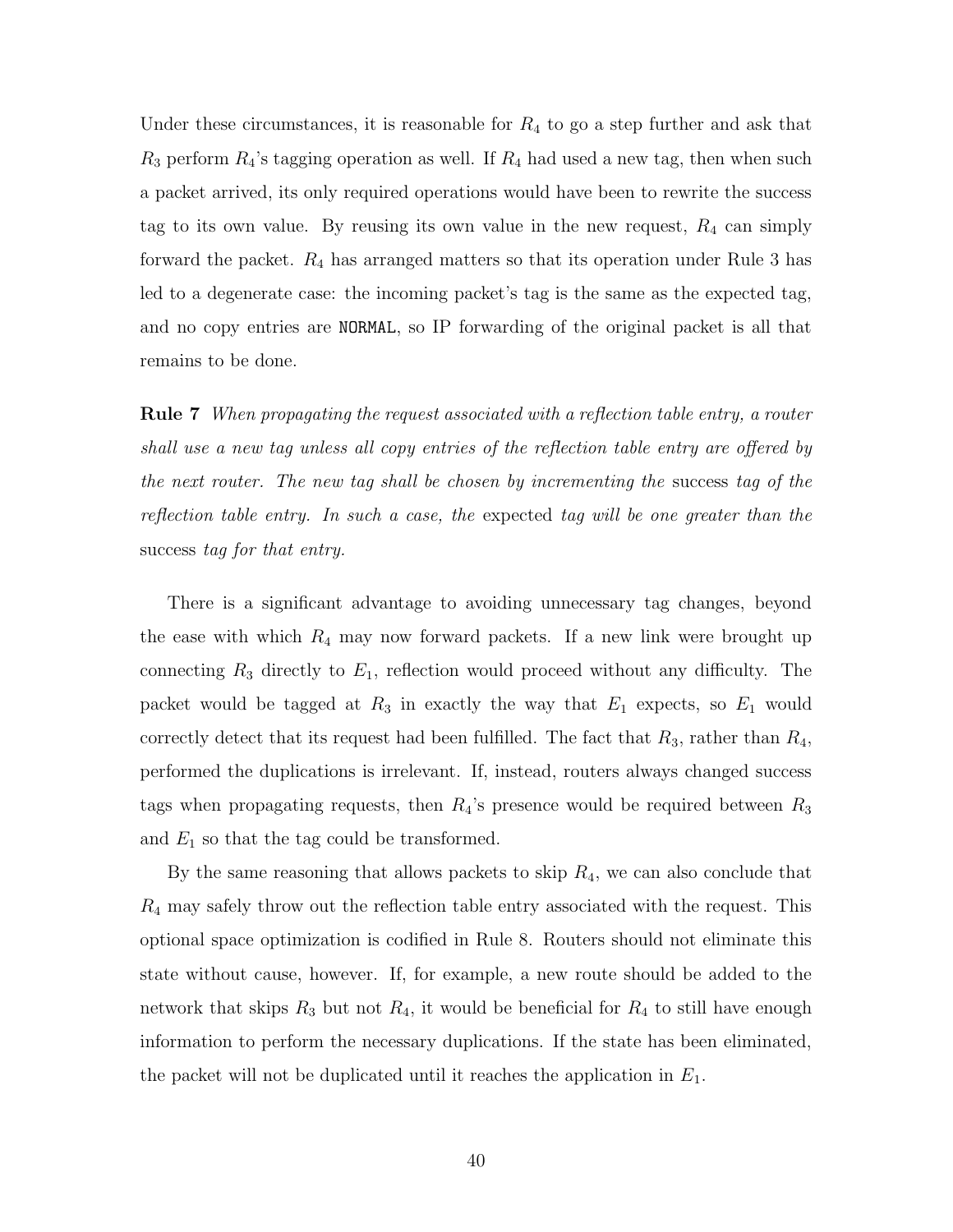Under these circumstances, it is reasonable for  $R_4$  to go a step further and ask that  $R_3$  perform  $R_4$ 's tagging operation as well. If  $R_4$  had used a new tag, then when such a packet arrived, its only required operations would have been to rewrite the success tag to its own value. By reusing its own value in the new request,  $R_4$  can simply forward the packet.  $R_4$  has arranged matters so that its operation under Rule 3 has led to a degenerate case: the incoming packet's tag is the same as the expected tag, and no copy entries are NORMAL, so IP forwarding of the original packet is all that remains to be done.

Rule 7 When propagating the request associated with a reflection table entry, a router shall use a new tag unless all copy entries of the reflection table entry are offered by the next router. The new tag shall be chosen by incrementing the success tag of the reflection table entry. In such a case, the expected tag will be one greater than the success tag for that entry.

There is a significant advantage to avoiding unnecessary tag changes, beyond the ease with which  $R_4$  may now forward packets. If a new link were brought up connecting  $R_3$  directly to  $E_1$ , reflection would proceed without any difficulty. The packet would be tagged at  $R_3$  in exactly the way that  $E_1$  expects, so  $E_1$  would correctly detect that its request had been fulfilled. The fact that  $R_3$ , rather than  $R_4$ , performed the duplications is irrelevant. If, instead, routers always changed success tags when propagating requests, then  $R_4$ 's presence would be required between  $R_3$ and  $E_1$  so that the tag could be transformed.

By the same reasoning that allows packets to skip  $R_4$ , we can also conclude that  $R_4$  may safely throw out the reflection table entry associated with the request. This optional space optimization is codified in Rule 8. Routers should not eliminate this state without cause, however. If, for example, a new route should be added to the network that skips  $R_3$  but not  $R_4$ , it would be beneficial for  $R_4$  to still have enough information to perform the necessary duplications. If the state has been eliminated, the packet will not be duplicated until it reaches the application in  $E_1$ .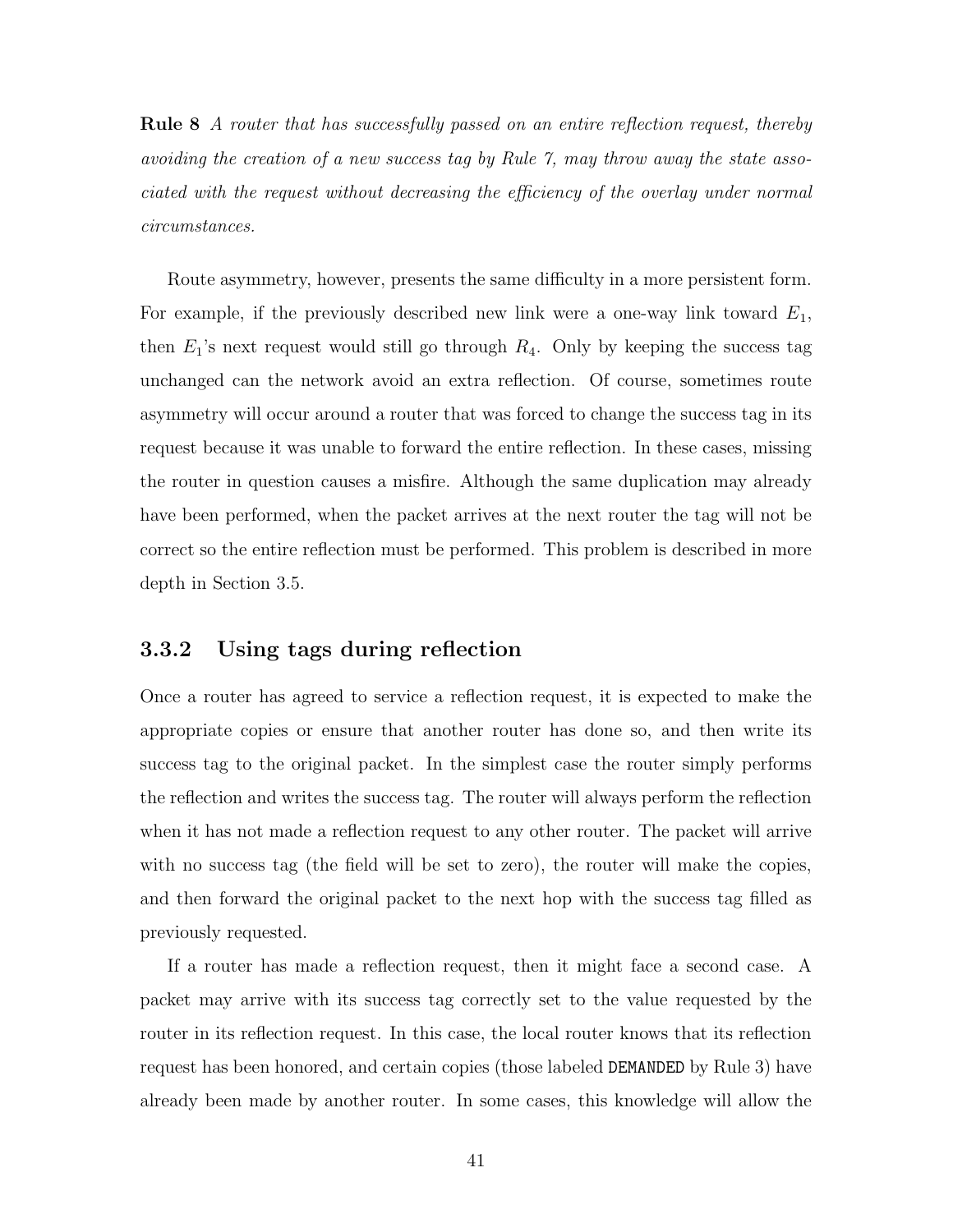Rule 8 A router that has successfully passed on an entire reflection request, thereby avoiding the creation of a new success tag by Rule 7, may throw away the state associated with the request without decreasing the efficiency of the overlay under normal circumstances.

Route asymmetry, however, presents the same difficulty in a more persistent form. For example, if the previously described new link were a one-way link toward  $E_1$ , then  $E_1$ 's next request would still go through  $R_4$ . Only by keeping the success tag unchanged can the network avoid an extra reflection. Of course, sometimes route asymmetry will occur around a router that was forced to change the success tag in its request because it was unable to forward the entire reflection. In these cases, missing the router in question causes a misfire. Although the same duplication may already have been performed, when the packet arrives at the next router the tag will not be correct so the entire reflection must be performed. This problem is described in more depth in Section 3.5.

### 3.3.2 Using tags during reflection

Once a router has agreed to service a reflection request, it is expected to make the appropriate copies or ensure that another router has done so, and then write its success tag to the original packet. In the simplest case the router simply performs the reflection and writes the success tag. The router will always perform the reflection when it has not made a reflection request to any other router. The packet will arrive with no success tag (the field will be set to zero), the router will make the copies, and then forward the original packet to the next hop with the success tag filled as previously requested.

If a router has made a reflection request, then it might face a second case. A packet may arrive with its success tag correctly set to the value requested by the router in its reflection request. In this case, the local router knows that its reflection request has been honored, and certain copies (those labeled DEMANDED by Rule 3) have already been made by another router. In some cases, this knowledge will allow the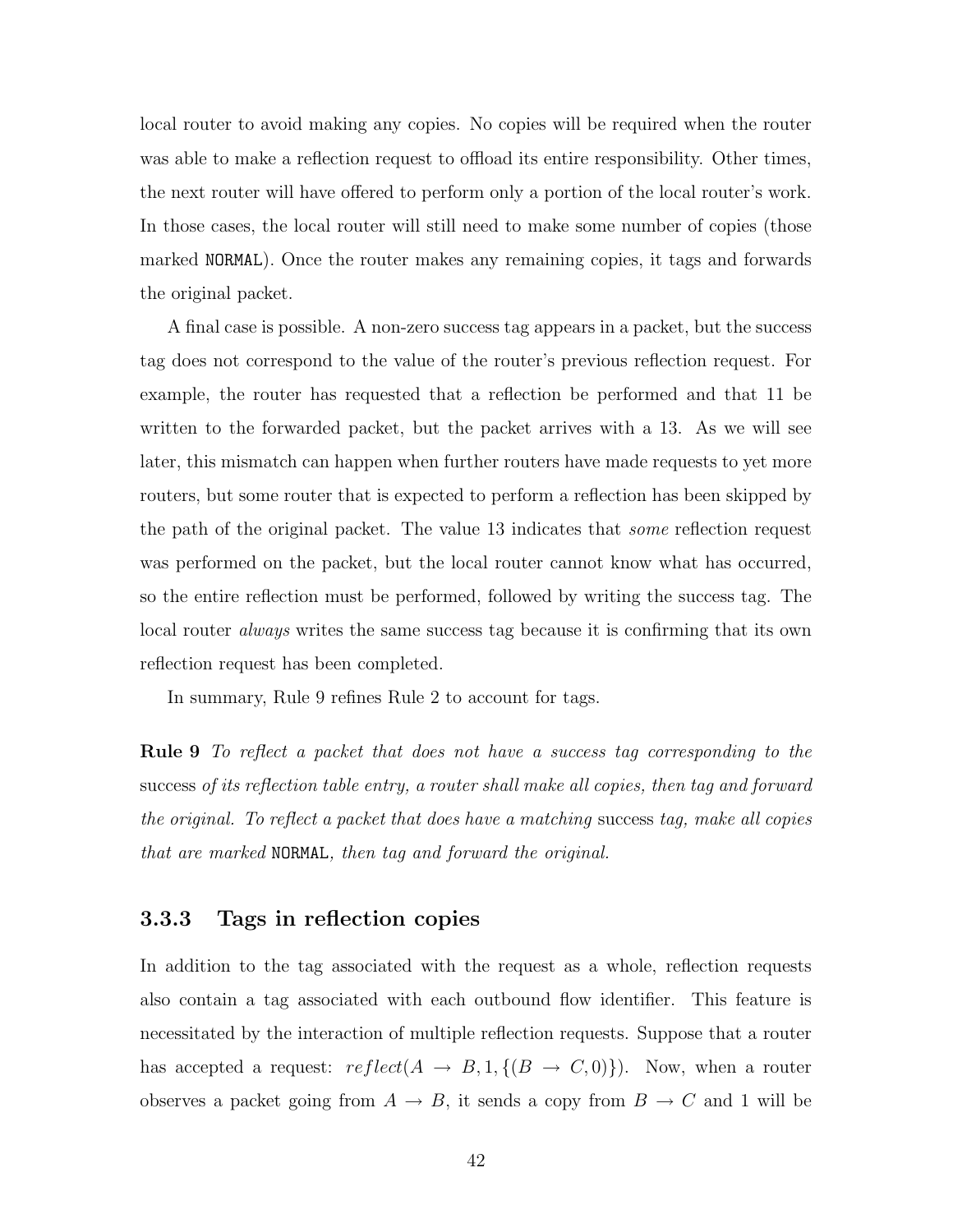local router to avoid making any copies. No copies will be required when the router was able to make a reflection request to offload its entire responsibility. Other times, the next router will have offered to perform only a portion of the local router's work. In those cases, the local router will still need to make some number of copies (those marked NORMAL). Once the router makes any remaining copies, it tags and forwards the original packet.

A final case is possible. A non-zero success tag appears in a packet, but the success tag does not correspond to the value of the router's previous reflection request. For example, the router has requested that a reflection be performed and that 11 be written to the forwarded packet, but the packet arrives with a 13. As we will see later, this mismatch can happen when further routers have made requests to yet more routers, but some router that is expected to perform a reflection has been skipped by the path of the original packet. The value 13 indicates that some reflection request was performed on the packet, but the local router cannot know what has occurred, so the entire reflection must be performed, followed by writing the success tag. The local router *always* writes the same success tag because it is confirming that its own reflection request has been completed.

In summary, Rule 9 refines Rule 2 to account for tags.

Rule 9 To reflect a packet that does not have a success tag corresponding to the success of its reflection table entry, a router shall make all copies, then tag and forward the original. To reflect a packet that does have a matching success tag, make all copies that are marked NORMAL, then tag and forward the original.

### 3.3.3 Tags in reflection copies

In addition to the tag associated with the request as a whole, reflection requests also contain a tag associated with each outbound flow identifier. This feature is necessitated by the interaction of multiple reflection requests. Suppose that a router has accepted a request:  $reflect(A \rightarrow B, 1, \{(B \rightarrow C, 0)\})$ . Now, when a router observes a packet going from  $A \to B$ , it sends a copy from  $B \to C$  and 1 will be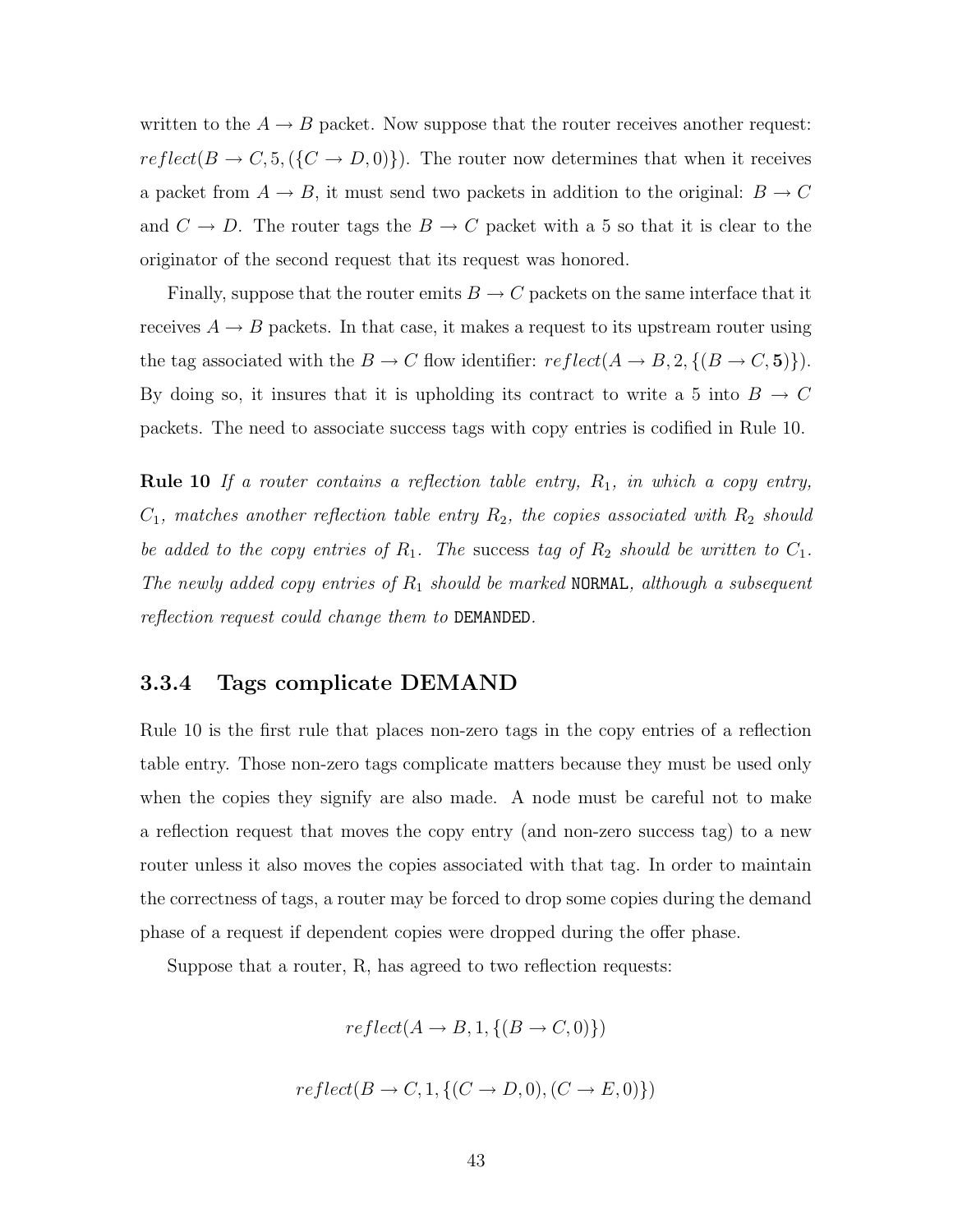written to the  $A \rightarrow B$  packet. Now suppose that the router receives another request:  $reflect(B \rightarrow C, 5, (\{C \rightarrow D, 0)\})$ . The router now determines that when it receives a packet from  $A \to B$ , it must send two packets in addition to the original:  $B \to C$ and  $C \to D$ . The router tags the  $B \to C$  packet with a 5 so that it is clear to the originator of the second request that its request was honored.

Finally, suppose that the router emits  $B \to C$  packets on the same interface that it receives  $A \rightarrow B$  packets. In that case, it makes a request to its upstream router using the tag associated with the  $B \to C$  flow identifier:  $reflect(A \to B, 2, \{(B \to C, 5)\})$ . By doing so, it insures that it is upholding its contract to write a 5 into  $B \to C$ packets. The need to associate success tags with copy entries is codified in Rule 10.

Rule 10 If a router contains a reflection table entry,  $R_1$ , in which a copy entry,  $C_1$ , matches another reflection table entry  $R_2$ , the copies associated with  $R_2$  should be added to the copy entries of  $R_1$ . The success tag of  $R_2$  should be written to  $C_1$ . The newly added copy entries of  $R_1$  should be marked NORMAL, although a subsequent reflection request could change them to DEMANDED.

### 3.3.4 Tags complicate DEMAND

Rule 10 is the first rule that places non-zero tags in the copy entries of a reflection table entry. Those non-zero tags complicate matters because they must be used only when the copies they signify are also made. A node must be careful not to make a reflection request that moves the copy entry (and non-zero success tag) to a new router unless it also moves the copies associated with that tag. In order to maintain the correctness of tags, a router may be forced to drop some copies during the demand phase of a request if dependent copies were dropped during the offer phase.

Suppose that a router, R, has agreed to two reflection requests:

$$
reflect(A \to B, 1, \{(B \to C, 0)\})
$$

$$
reflect(B \to C, 1, \{(C \to D, 0), (C \to E, 0)\})
$$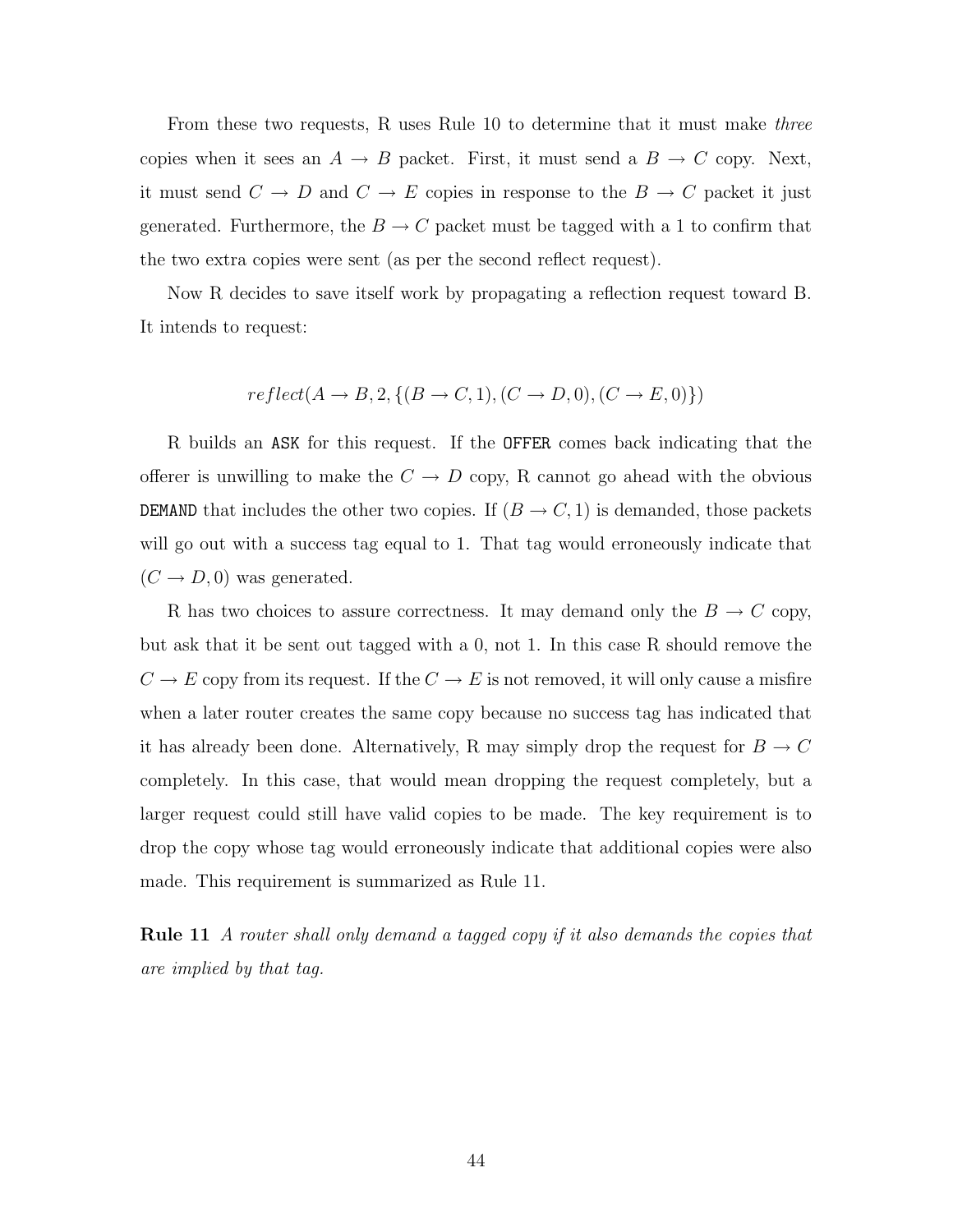From these two requests, R uses Rule 10 to determine that it must make *three* copies when it sees an  $A \to B$  packet. First, it must send a  $B \to C$  copy. Next, it must send  $C \to D$  and  $C \to E$  copies in response to the  $B \to C$  packet it just generated. Furthermore, the  $B\to C$  packet must be tagged with a 1 to confirm that the two extra copies were sent (as per the second reflect request).

Now R decides to save itself work by propagating a reflection request toward B. It intends to request:

$$
reflect(A \to B, 2, \{(B \to C, 1), (C \to D, 0), (C \to E, 0)\})
$$

R builds an ASK for this request. If the OFFER comes back indicating that the offerer is unwilling to make the  $C \to D$  copy, R cannot go ahead with the obvious DEMAND that includes the other two copies. If  $(B \to C, 1)$  is demanded, those packets will go out with a success tag equal to 1. That tag would erroneously indicate that  $(C \rightarrow D, 0)$  was generated.

R has two choices to assure correctness. It may demand only the  $B \to C$  copy, but ask that it be sent out tagged with a 0, not 1. In this case R should remove the  $C \to E$  copy from its request. If the  $C \to E$  is not removed, it will only cause a misfire when a later router creates the same copy because no success tag has indicated that it has already been done. Alternatively, R may simply drop the request for  $B \to C$ completely. In this case, that would mean dropping the request completely, but a larger request could still have valid copies to be made. The key requirement is to drop the copy whose tag would erroneously indicate that additional copies were also made. This requirement is summarized as Rule 11.

**Rule 11** A router shall only demand a tagged copy if it also demands the copies that are implied by that tag.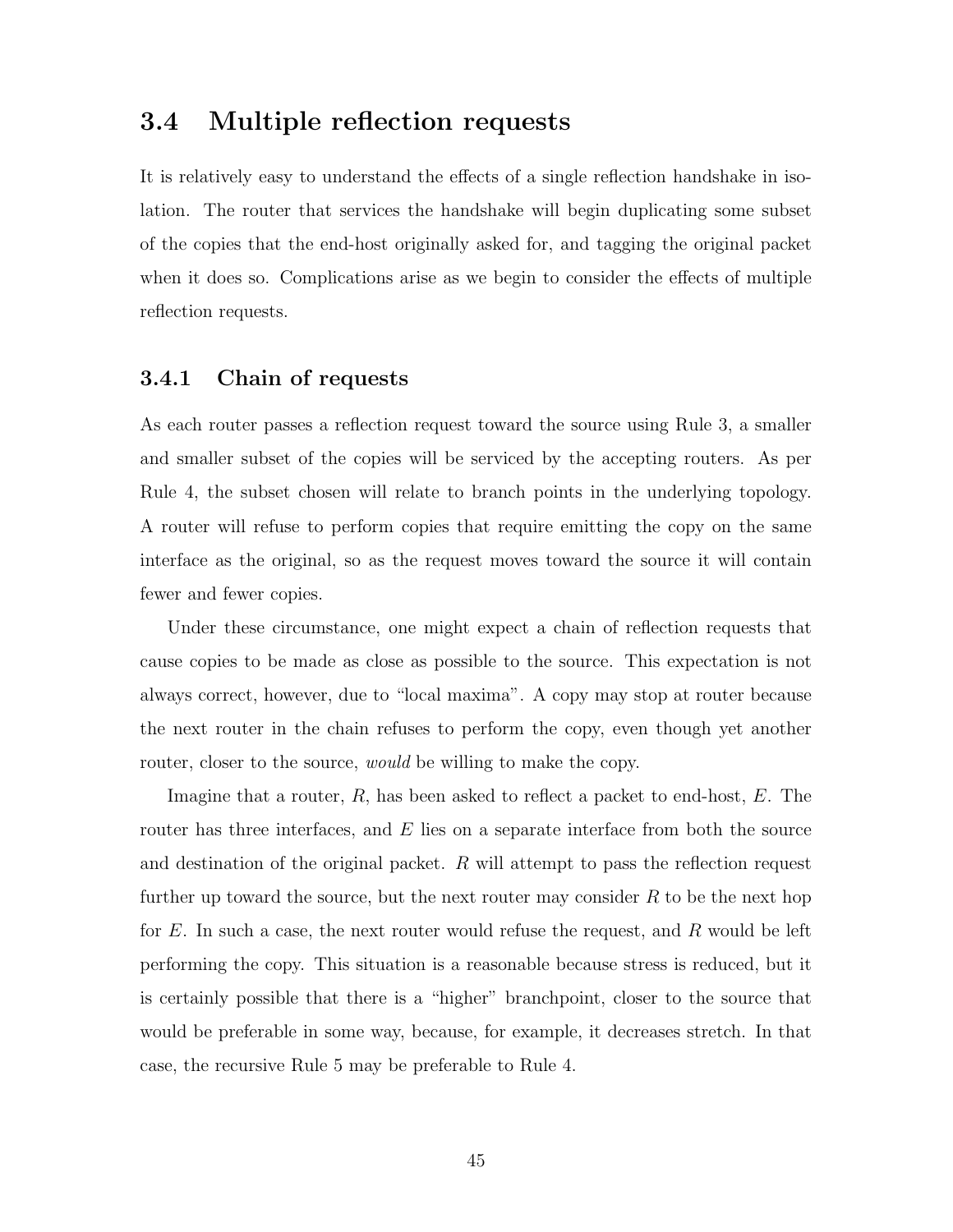## 3.4 Multiple reflection requests

It is relatively easy to understand the effects of a single reflection handshake in isolation. The router that services the handshake will begin duplicating some subset of the copies that the end-host originally asked for, and tagging the original packet when it does so. Complications arise as we begin to consider the effects of multiple reflection requests.

### 3.4.1 Chain of requests

As each router passes a reflection request toward the source using Rule 3, a smaller and smaller subset of the copies will be serviced by the accepting routers. As per Rule 4, the subset chosen will relate to branch points in the underlying topology. A router will refuse to perform copies that require emitting the copy on the same interface as the original, so as the request moves toward the source it will contain fewer and fewer copies.

Under these circumstance, one might expect a chain of reflection requests that cause copies to be made as close as possible to the source. This expectation is not always correct, however, due to "local maxima". A copy may stop at router because the next router in the chain refuses to perform the copy, even though yet another router, closer to the source, *would* be willing to make the copy.

Imagine that a router,  $R$ , has been asked to reflect a packet to end-host,  $E$ . The router has three interfaces, and E lies on a separate interface from both the source and destination of the original packet.  $R$  will attempt to pass the reflection request further up toward the source, but the next router may consider  $R$  to be the next hop for  $E$ . In such a case, the next router would refuse the request, and  $R$  would be left performing the copy. This situation is a reasonable because stress is reduced, but it is certainly possible that there is a "higher" branchpoint, closer to the source that would be preferable in some way, because, for example, it decreases stretch. In that case, the recursive Rule 5 may be preferable to Rule 4.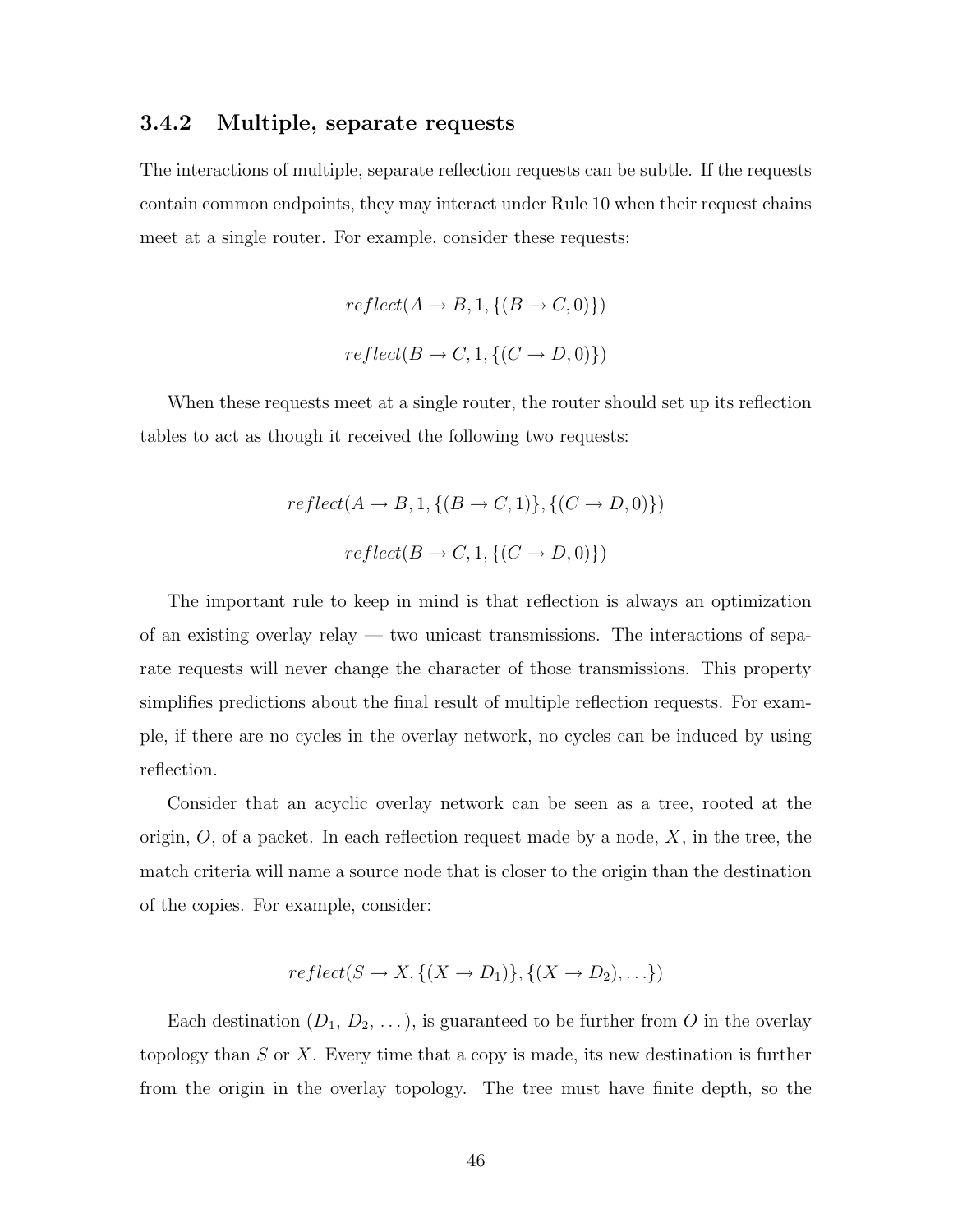### 3.4.2 Multiple, separate requests

The interactions of multiple, separate reflection requests can be subtle. If the requests contain common endpoints, they may interact under Rule 10 when their request chains meet at a single router. For example, consider these requests:

$$
reflect(A \to B, 1, \{(B \to C, 0)\})
$$

$$
reflect(B \to C, 1, \{(C \to D, 0)\})
$$

When these requests meet at a single router, the router should set up its reflection tables to act as though it received the following two requests:

$$
reflect(A \to B, 1, \{(B \to C, 1)\}, \{(C \to D, 0)\})
$$

$$
reflect(B \to C, 1, \{(C \to D, 0)\})
$$

The important rule to keep in mind is that reflection is always an optimization of an existing overlay relay — two unicast transmissions. The interactions of separate requests will never change the character of those transmissions. This property simplifies predictions about the final result of multiple reflection requests. For example, if there are no cycles in the overlay network, no cycles can be induced by using reflection.

Consider that an acyclic overlay network can be seen as a tree, rooted at the origin,  $O$ , of a packet. In each reflection request made by a node,  $X$ , in the tree, the match criteria will name a source node that is closer to the origin than the destination of the copies. For example, consider:

$$
reflect(S \to X, \{(X \to D_1)\}, \{(X \to D_2), \ldots\})
$$

Each destination  $(D_1, D_2, \ldots)$ , is guaranteed to be further from O in the overlay topology than  $S$  or  $X$ . Every time that a copy is made, its new destination is further from the origin in the overlay topology. The tree must have finite depth, so the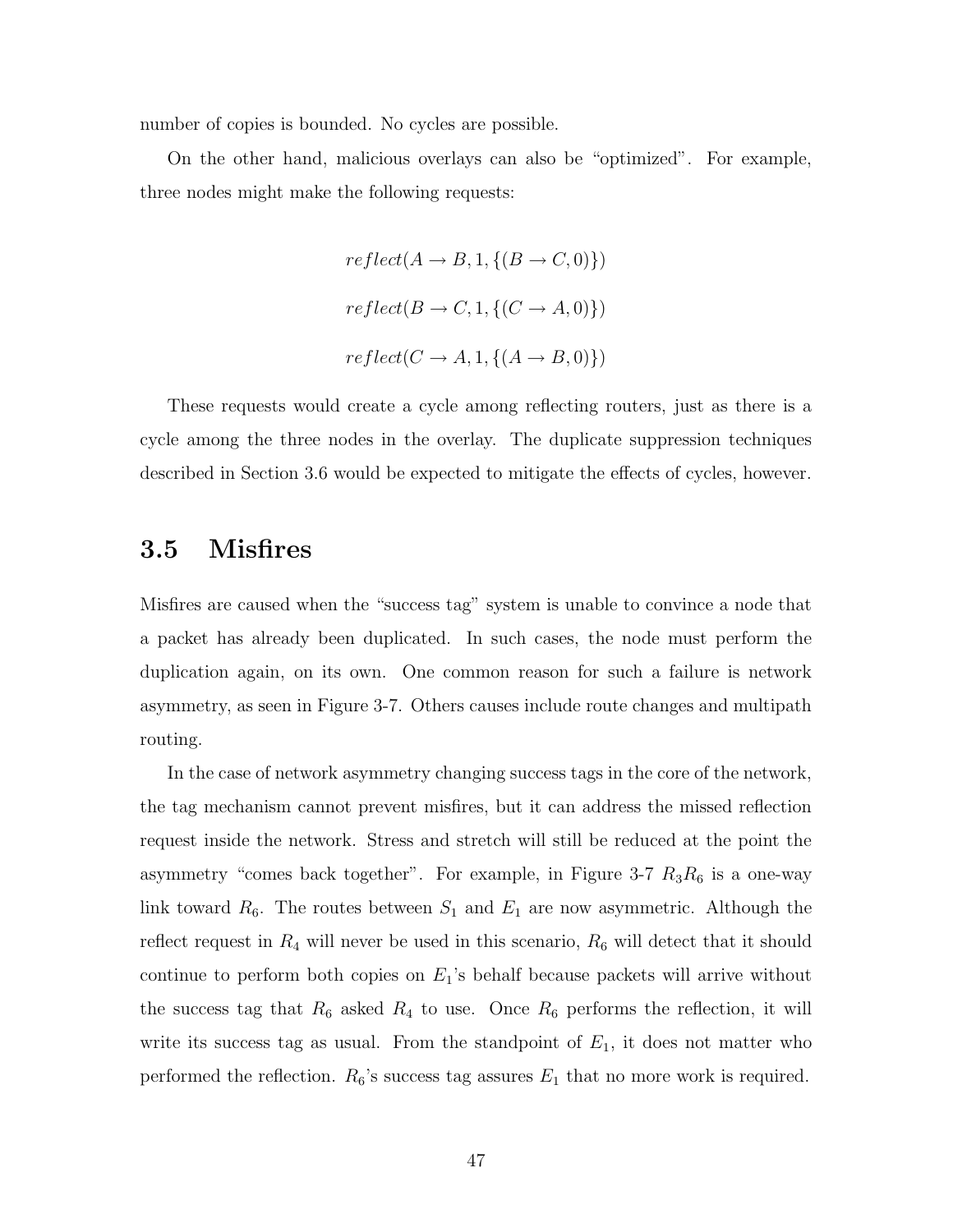number of copies is bounded. No cycles are possible.

On the other hand, malicious overlays can also be "optimized". For example, three nodes might make the following requests:

$$
reflect(A \to B, 1, \{(B \to C, 0)\})
$$
  

$$
reflect(B \to C, 1, \{(C \to A, 0)\})
$$
  

$$
reflect(C \to A, 1, \{(A \to B, 0)\})
$$

These requests would create a cycle among reflecting routers, just as there is a cycle among the three nodes in the overlay. The duplicate suppression techniques described in Section 3.6 would be expected to mitigate the effects of cycles, however.

## 3.5 Misfires

Misfires are caused when the "success tag" system is unable to convince a node that a packet has already been duplicated. In such cases, the node must perform the duplication again, on its own. One common reason for such a failure is network asymmetry, as seen in Figure 3-7. Others causes include route changes and multipath routing.

In the case of network asymmetry changing success tags in the core of the network, the tag mechanism cannot prevent misfires, but it can address the missed reflection request inside the network. Stress and stretch will still be reduced at the point the asymmetry "comes back together". For example, in Figure 3-7  $R_3R_6$  is a one-way link toward  $R_6$ . The routes between  $S_1$  and  $E_1$  are now asymmetric. Although the reflect request in  $R_4$  will never be used in this scenario,  $R_6$  will detect that it should continue to perform both copies on  $E_1$ 's behalf because packets will arrive without the success tag that  $R_6$  asked  $R_4$  to use. Once  $R_6$  performs the reflection, it will write its success tag as usual. From the standpoint of  $E_1$ , it does not matter who performed the reflection.  $R_6$ 's success tag assures  $E_1$  that no more work is required.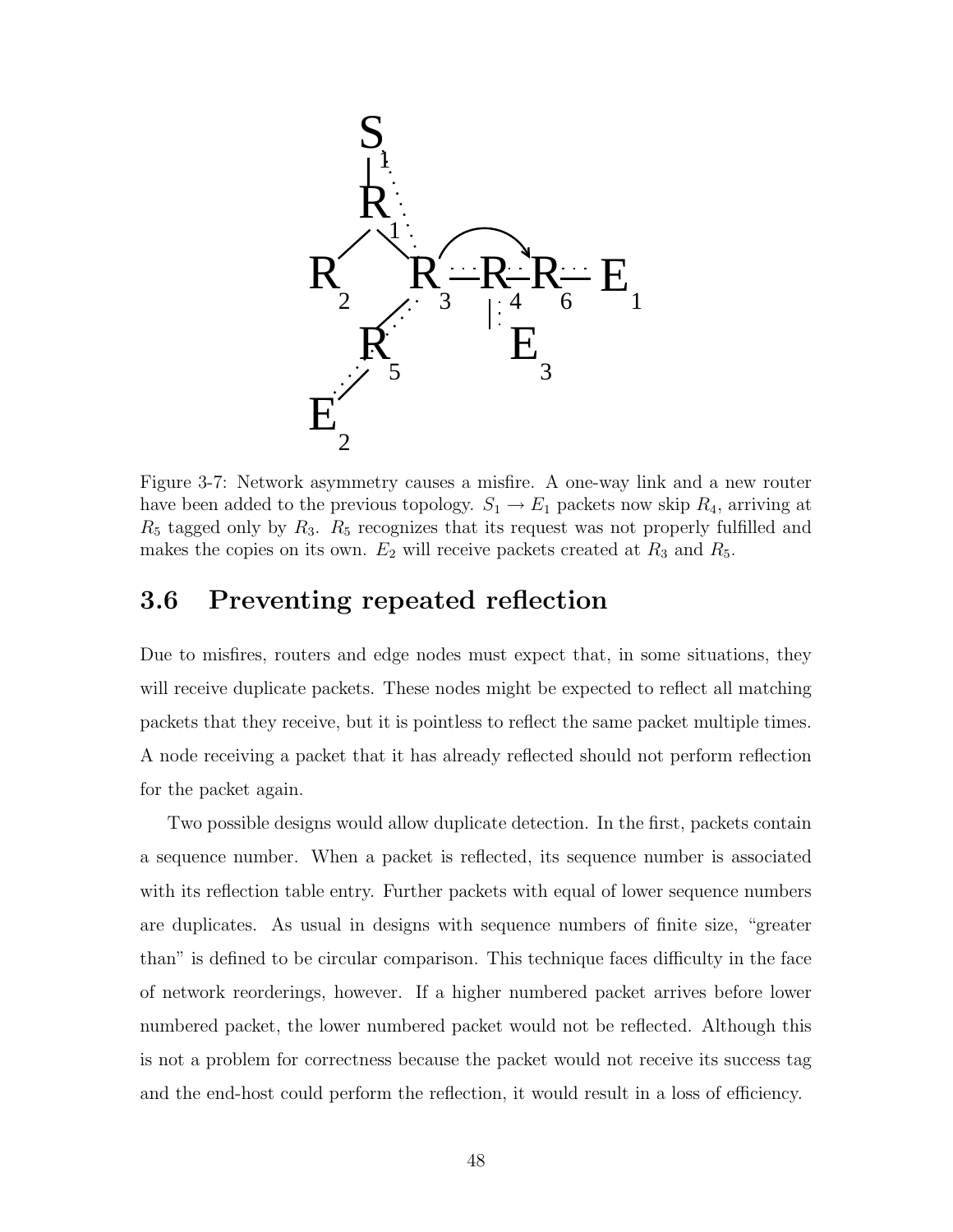

Figure 3-7: Network asymmetry causes a misfire. A one-way link and a new router have been added to the previous topology.  $S_1 \rightarrow E_1$  packets now skip  $R_4$ , arriving at  $R_5$  tagged only by  $R_3$ .  $R_5$  recognizes that its request was not properly fulfilled and makes the copies on its own.  $E_2$  will receive packets created at  $R_3$  and  $R_5$ .

## 3.6 Preventing repeated reflection

Due to misfires, routers and edge nodes must expect that, in some situations, they will receive duplicate packets. These nodes might be expected to reflect all matching packets that they receive, but it is pointless to reflect the same packet multiple times. A node receiving a packet that it has already reflected should not perform reflection for the packet again.

Two possible designs would allow duplicate detection. In the first, packets contain a sequence number. When a packet is reflected, its sequence number is associated with its reflection table entry. Further packets with equal of lower sequence numbers are duplicates. As usual in designs with sequence numbers of finite size, "greater than" is defined to be circular comparison. This technique faces difficulty in the face of network reorderings, however. If a higher numbered packet arrives before lower numbered packet, the lower numbered packet would not be reflected. Although this is not a problem for correctness because the packet would not receive its success tag and the end-host could perform the reflection, it would result in a loss of efficiency.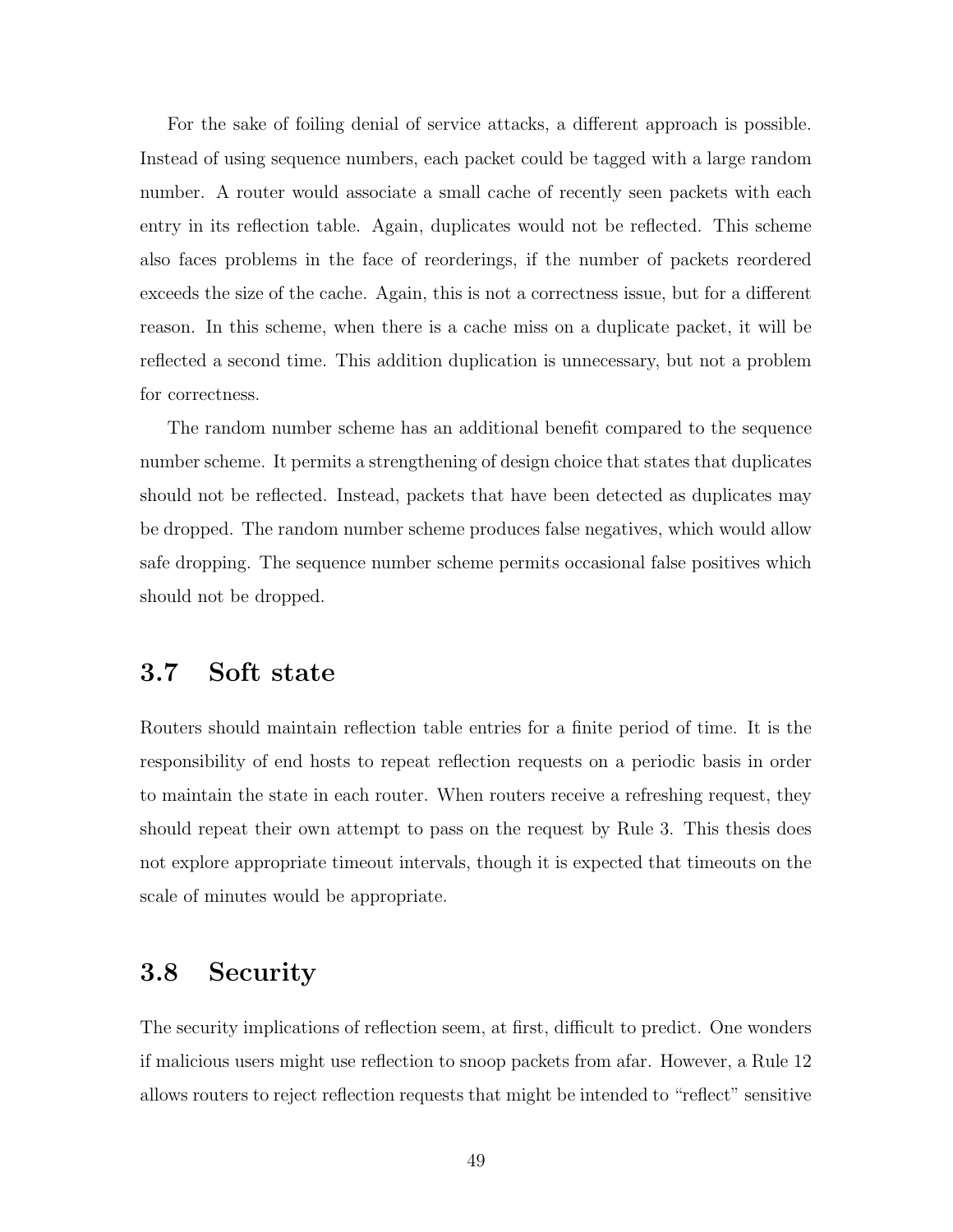For the sake of foiling denial of service attacks, a different approach is possible. Instead of using sequence numbers, each packet could be tagged with a large random number. A router would associate a small cache of recently seen packets with each entry in its reflection table. Again, duplicates would not be reflected. This scheme also faces problems in the face of reorderings, if the number of packets reordered exceeds the size of the cache. Again, this is not a correctness issue, but for a different reason. In this scheme, when there is a cache miss on a duplicate packet, it will be reflected a second time. This addition duplication is unnecessary, but not a problem for correctness.

The random number scheme has an additional benefit compared to the sequence number scheme. It permits a strengthening of design choice that states that duplicates should not be reflected. Instead, packets that have been detected as duplicates may be dropped. The random number scheme produces false negatives, which would allow safe dropping. The sequence number scheme permits occasional false positives which should not be dropped.

# 3.7 Soft state

Routers should maintain reflection table entries for a finite period of time. It is the responsibility of end hosts to repeat reflection requests on a periodic basis in order to maintain the state in each router. When routers receive a refreshing request, they should repeat their own attempt to pass on the request by Rule 3. This thesis does not explore appropriate timeout intervals, though it is expected that timeouts on the scale of minutes would be appropriate.

## 3.8 Security

The security implications of reflection seem, at first, difficult to predict. One wonders if malicious users might use reflection to snoop packets from afar. However, a Rule 12 allows routers to reject reflection requests that might be intended to "reflect" sensitive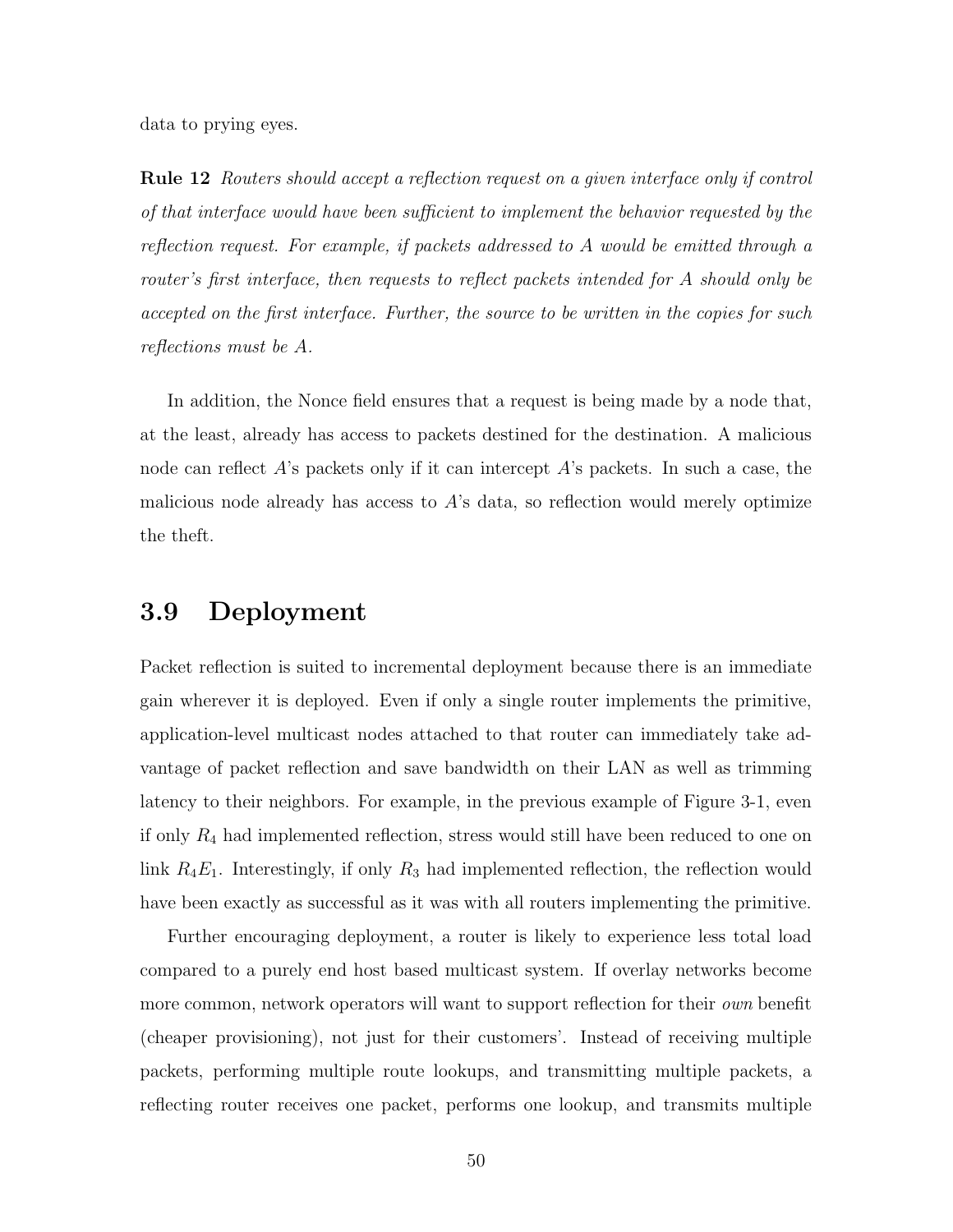data to prying eyes.

Rule 12 Routers should accept a reflection request on a given interface only if control of that interface would have been sufficient to implement the behavior requested by the reflection request. For example, if packets addressed to A would be emitted through a router's first interface, then requests to reflect packets intended for A should only be accepted on the first interface. Further, the source to be written in the copies for such reflections must be A.

In addition, the Nonce field ensures that a request is being made by a node that, at the least, already has access to packets destined for the destination. A malicious node can reflect  $A$ 's packets only if it can intercept  $A$ 's packets. In such a case, the malicious node already has access to  $A$ 's data, so reflection would merely optimize the theft.

### 3.9 Deployment

Packet reflection is suited to incremental deployment because there is an immediate gain wherever it is deployed. Even if only a single router implements the primitive, application-level multicast nodes attached to that router can immediately take advantage of packet reflection and save bandwidth on their LAN as well as trimming latency to their neighbors. For example, in the previous example of Figure 3-1, even if only  $R_4$  had implemented reflection, stress would still have been reduced to one on link  $R_4E_1$ . Interestingly, if only  $R_3$  had implemented reflection, the reflection would have been exactly as successful as it was with all routers implementing the primitive.

Further encouraging deployment, a router is likely to experience less total load compared to a purely end host based multicast system. If overlay networks become more common, network operators will want to support reflection for their *own* benefit (cheaper provisioning), not just for their customers'. Instead of receiving multiple packets, performing multiple route lookups, and transmitting multiple packets, a reflecting router receives one packet, performs one lookup, and transmits multiple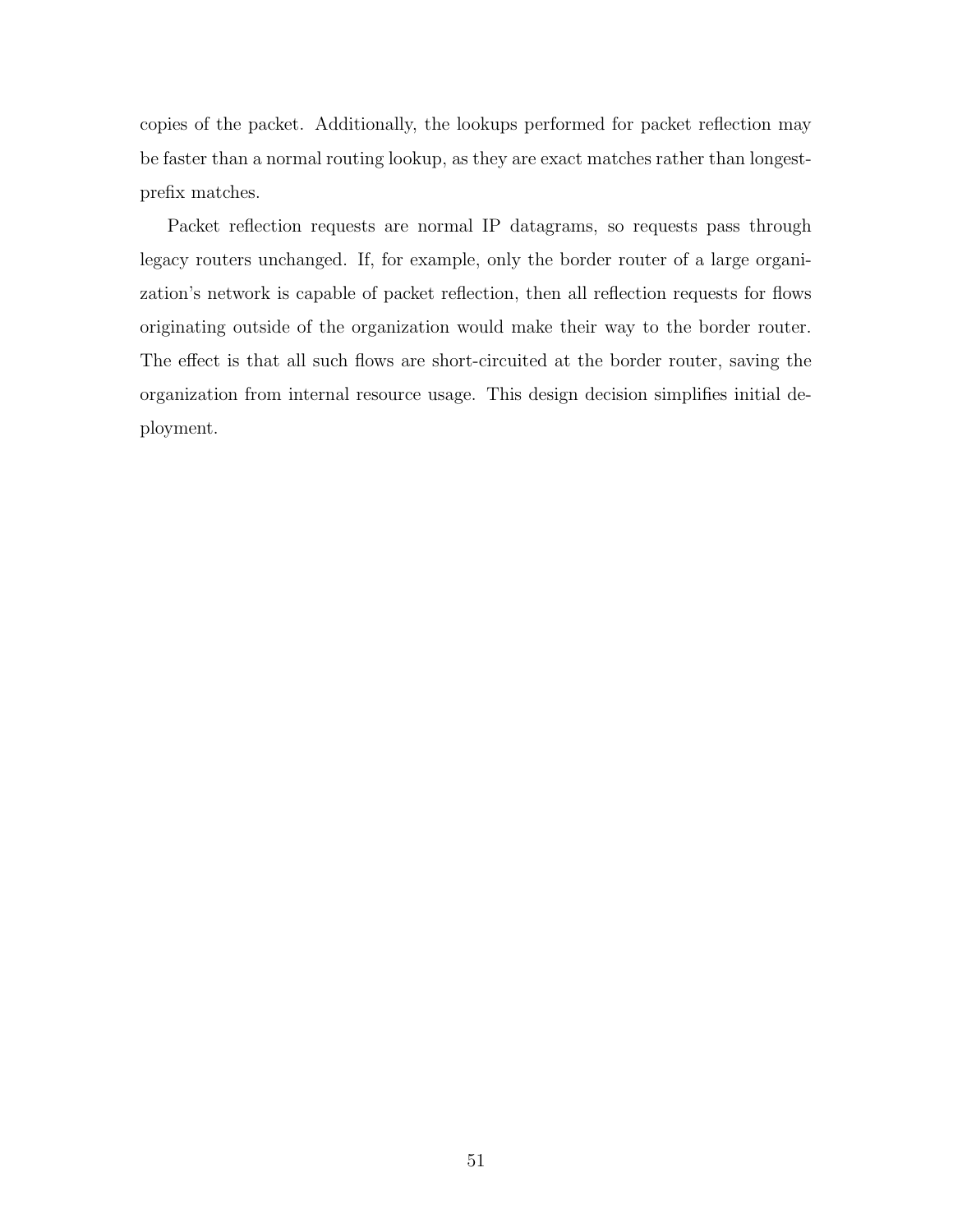copies of the packet. Additionally, the lookups performed for packet reflection may be faster than a normal routing lookup, as they are exact matches rather than longestprefix matches.

Packet reflection requests are normal IP datagrams, so requests pass through legacy routers unchanged. If, for example, only the border router of a large organization's network is capable of packet reflection, then all reflection requests for flows originating outside of the organization would make their way to the border router. The effect is that all such flows are short-circuited at the border router, saving the organization from internal resource usage. This design decision simplifies initial deployment.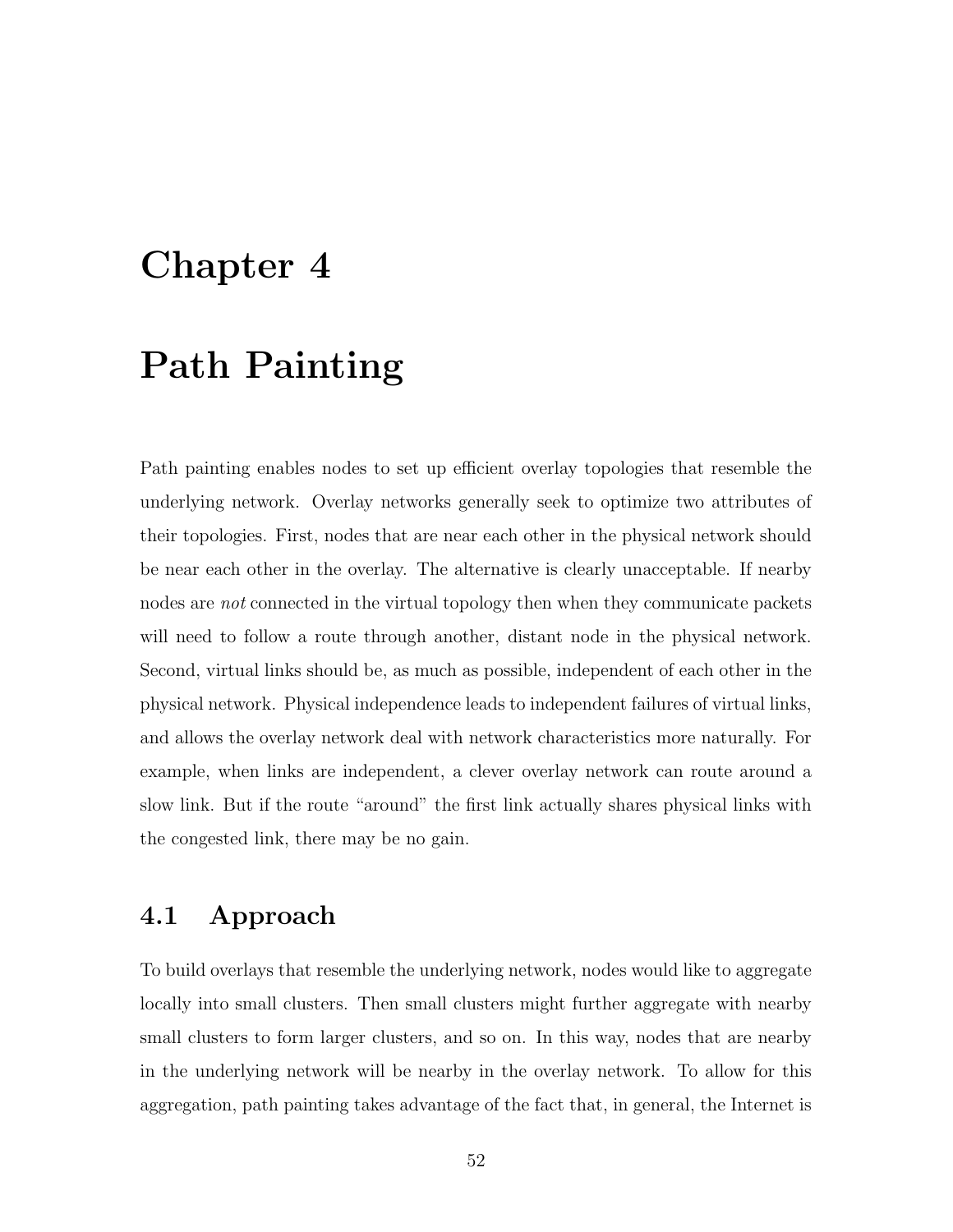# Chapter 4

# Path Painting

Path painting enables nodes to set up efficient overlay topologies that resemble the underlying network. Overlay networks generally seek to optimize two attributes of their topologies. First, nodes that are near each other in the physical network should be near each other in the overlay. The alternative is clearly unacceptable. If nearby nodes are *not* connected in the virtual topology then when they communicate packets will need to follow a route through another, distant node in the physical network. Second, virtual links should be, as much as possible, independent of each other in the physical network. Physical independence leads to independent failures of virtual links, and allows the overlay network deal with network characteristics more naturally. For example, when links are independent, a clever overlay network can route around a slow link. But if the route "around" the first link actually shares physical links with the congested link, there may be no gain.

## 4.1 Approach

To build overlays that resemble the underlying network, nodes would like to aggregate locally into small clusters. Then small clusters might further aggregate with nearby small clusters to form larger clusters, and so on. In this way, nodes that are nearby in the underlying network will be nearby in the overlay network. To allow for this aggregation, path painting takes advantage of the fact that, in general, the Internet is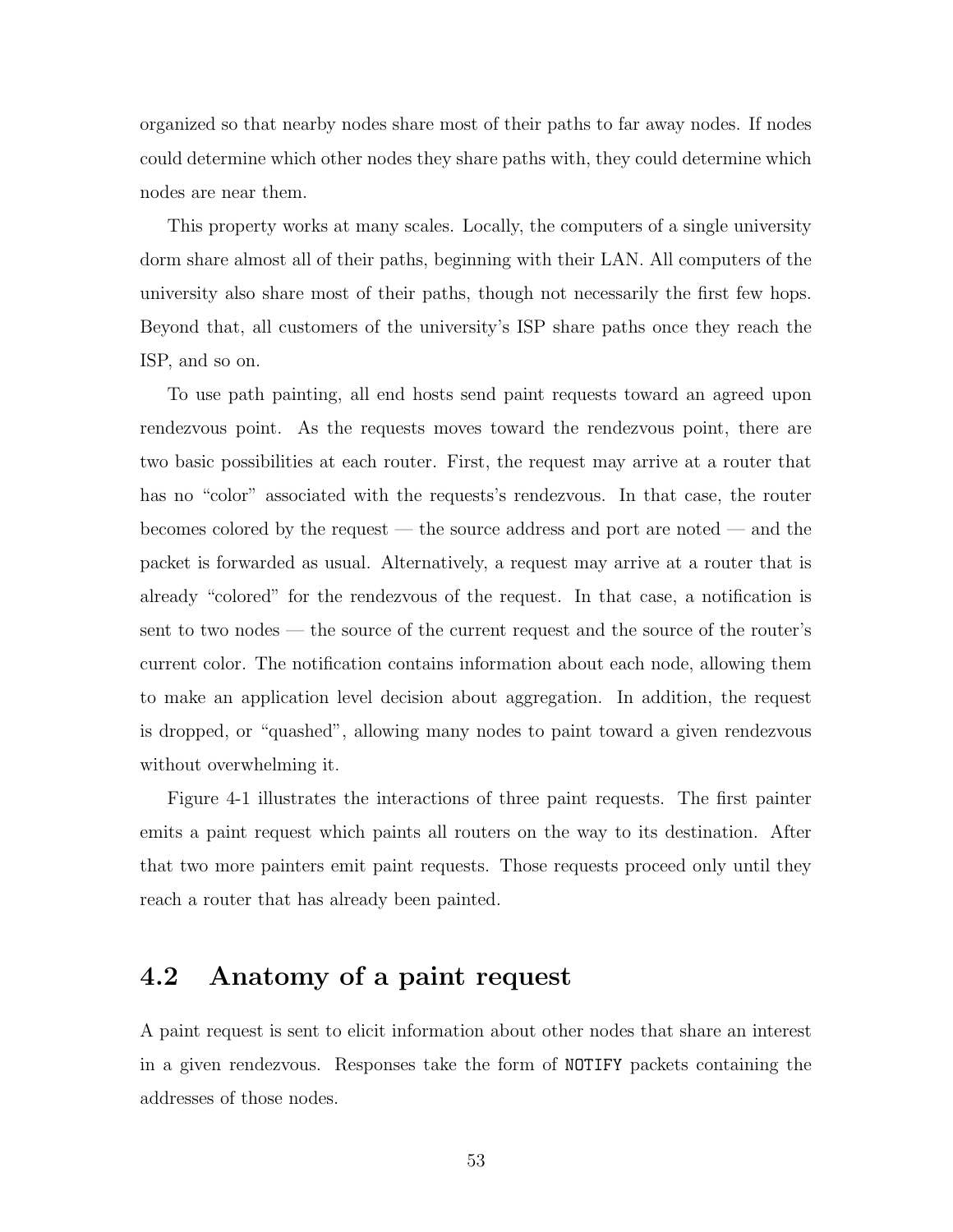organized so that nearby nodes share most of their paths to far away nodes. If nodes could determine which other nodes they share paths with, they could determine which nodes are near them.

This property works at many scales. Locally, the computers of a single university dorm share almost all of their paths, beginning with their LAN. All computers of the university also share most of their paths, though not necessarily the first few hops. Beyond that, all customers of the university's ISP share paths once they reach the ISP, and so on.

To use path painting, all end hosts send paint requests toward an agreed upon rendezvous point. As the requests moves toward the rendezvous point, there are two basic possibilities at each router. First, the request may arrive at a router that has no "color" associated with the requests's rendezvous. In that case, the router becomes colored by the request — the source address and port are noted — and the packet is forwarded as usual. Alternatively, a request may arrive at a router that is already "colored" for the rendezvous of the request. In that case, a notification is sent to two nodes — the source of the current request and the source of the router's current color. The notification contains information about each node, allowing them to make an application level decision about aggregation. In addition, the request is dropped, or "quashed", allowing many nodes to paint toward a given rendezvous without overwhelming it.

Figure 4-1 illustrates the interactions of three paint requests. The first painter emits a paint request which paints all routers on the way to its destination. After that two more painters emit paint requests. Those requests proceed only until they reach a router that has already been painted.

## 4.2 Anatomy of a paint request

A paint request is sent to elicit information about other nodes that share an interest in a given rendezvous. Responses take the form of NOTIFY packets containing the addresses of those nodes.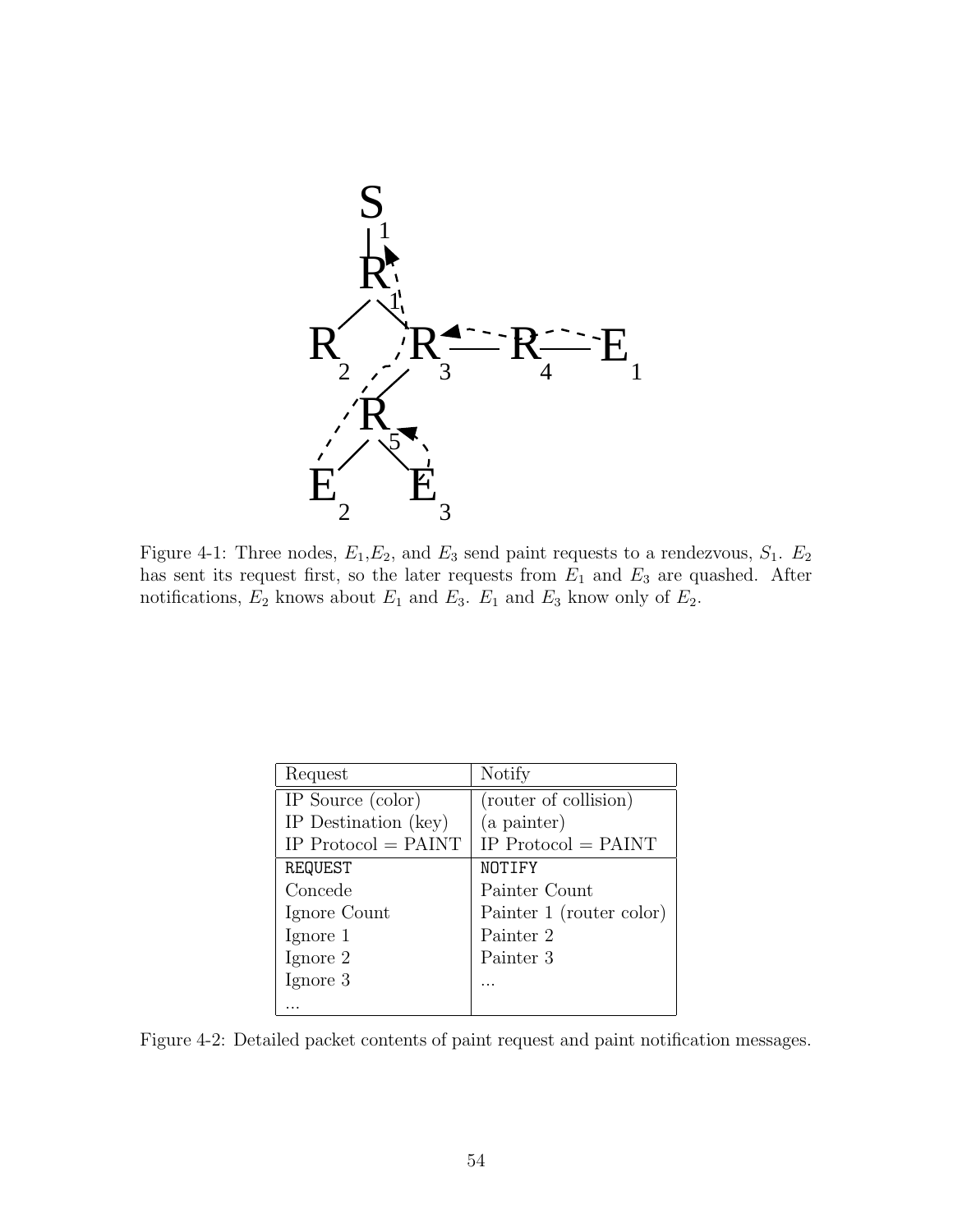

Figure 4-1: Three nodes,  $E_1, E_2$ , and  $E_3$  send paint requests to a rendezvous,  $S_1$ .  $E_2$ has sent its request first, so the later requests from  $E_1$  and  $E_3$  are quashed. After notifications,  $E_2$  knows about  $E_1$  and  $E_3$ .  $E_1$  and  $E_3$  know only of  $E_2$ .

| Request               | Notify                                    |
|-----------------------|-------------------------------------------|
| IP Source (color)     | $\overline{\text{(router of collision)}}$ |
| IP Destination (key)  | (a painter)                               |
| IP $Protocol = PAINT$ | IP $Protocol = PAINT$                     |
| REQUEST               | NOTIFY                                    |
| Concede               | Painter Count                             |
| Ignore Count          | Painter 1 (router color)                  |
| Ignore 1              | Painter 2                                 |
| Ignore 2              | Painter 3                                 |
| Ignore 3              |                                           |
|                       |                                           |

Figure 4-2: Detailed packet contents of paint request and paint notification messages.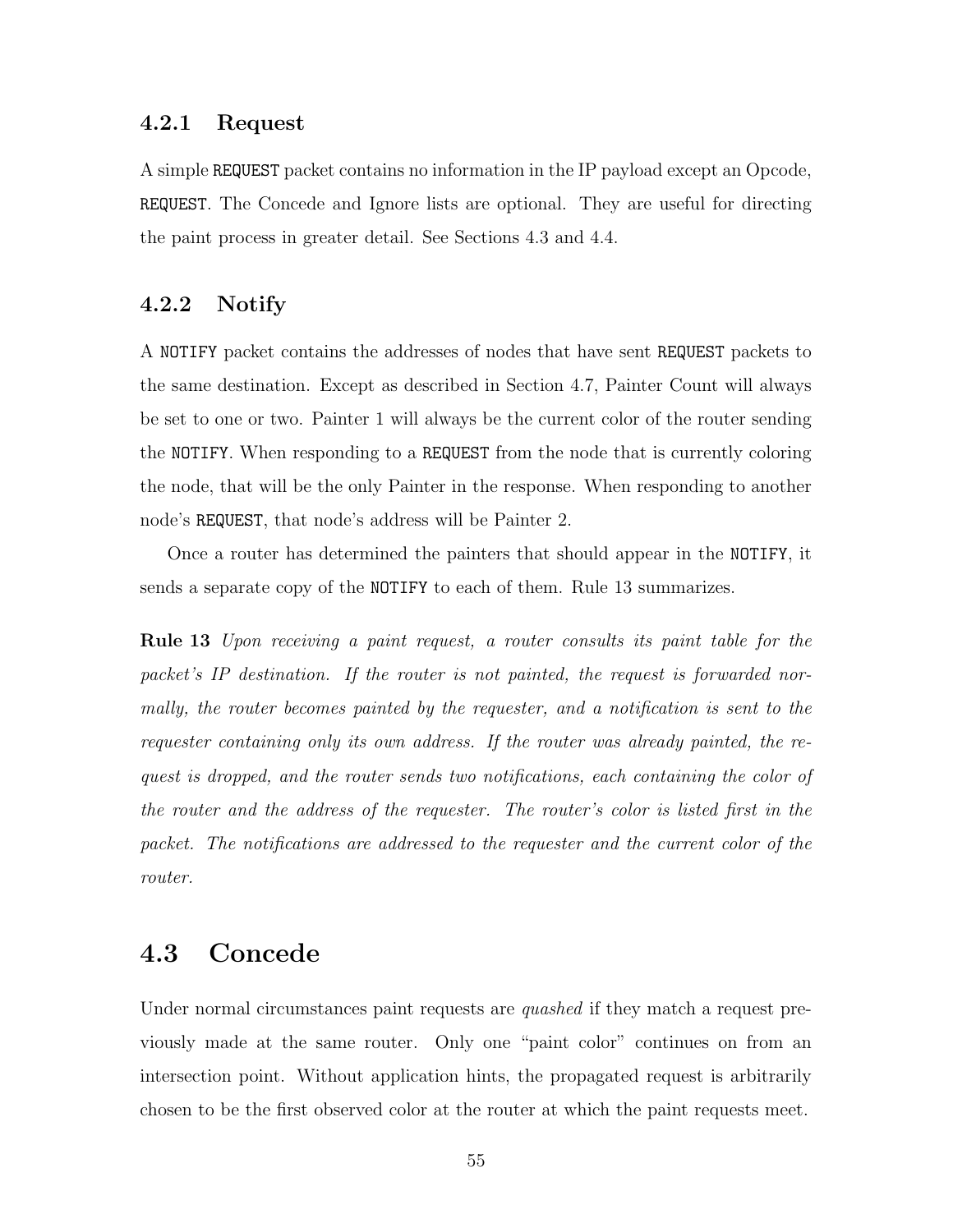#### 4.2.1 Request

A simple REQUEST packet contains no information in the IP payload except an Opcode, REQUEST. The Concede and Ignore lists are optional. They are useful for directing the paint process in greater detail. See Sections 4.3 and 4.4.

### 4.2.2 Notify

A NOTIFY packet contains the addresses of nodes that have sent REQUEST packets to the same destination. Except as described in Section 4.7, Painter Count will always be set to one or two. Painter 1 will always be the current color of the router sending the NOTIFY. When responding to a REQUEST from the node that is currently coloring the node, that will be the only Painter in the response. When responding to another node's REQUEST, that node's address will be Painter 2.

Once a router has determined the painters that should appear in the NOTIFY, it sends a separate copy of the NOTIFY to each of them. Rule 13 summarizes.

Rule 13 Upon receiving a paint request, a router consults its paint table for the packet's IP destination. If the router is not painted, the request is forwarded normally, the router becomes painted by the requester, and a notification is sent to the requester containing only its own address. If the router was already painted, the request is dropped, and the router sends two notifications, each containing the color of the router and the address of the requester. The router's color is listed first in the packet. The notifications are addressed to the requester and the current color of the router.

# 4.3 Concede

Under normal circumstances paint requests are *quashed* if they match a request previously made at the same router. Only one "paint color" continues on from an intersection point. Without application hints, the propagated request is arbitrarily chosen to be the first observed color at the router at which the paint requests meet.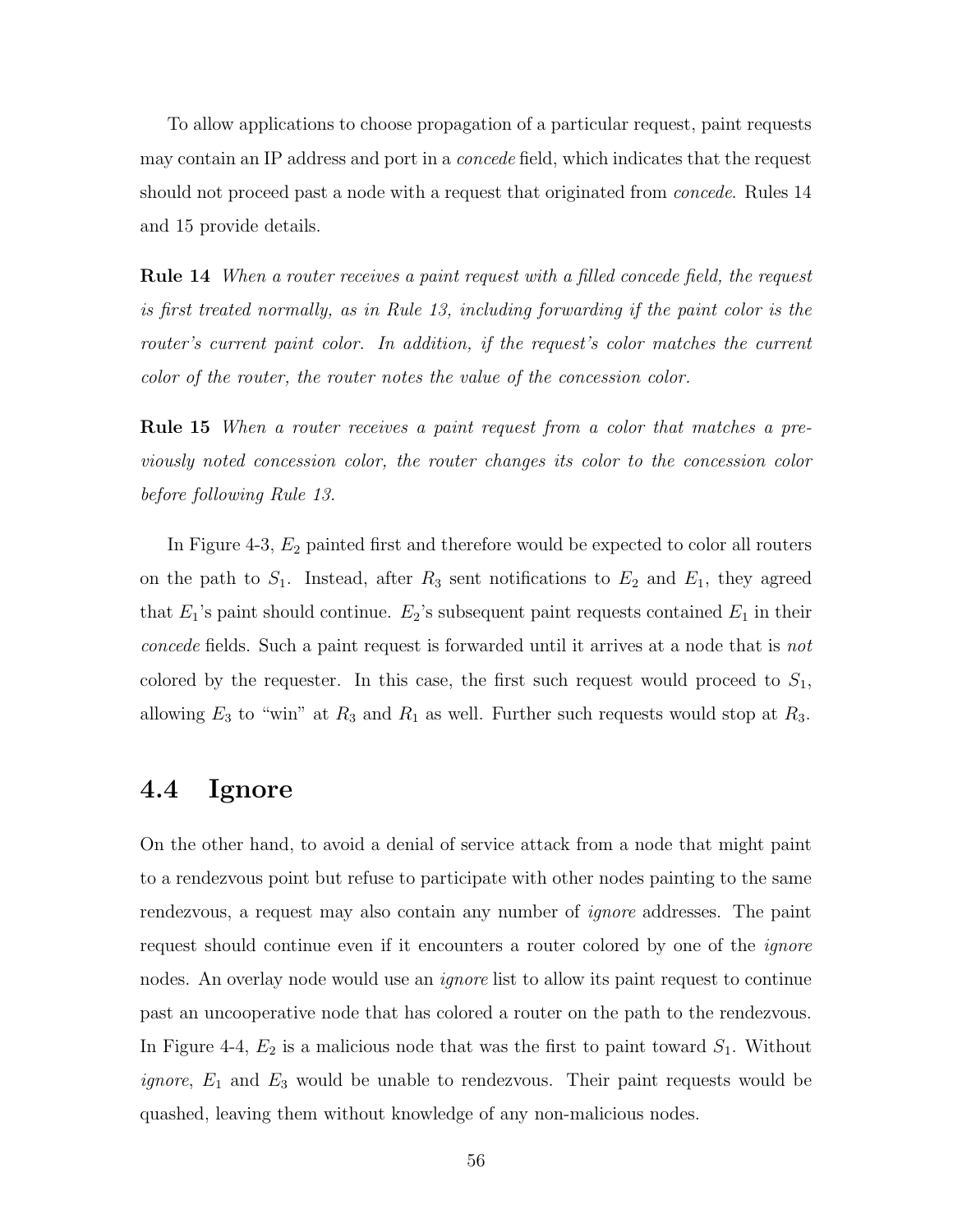To allow applications to choose propagation of a particular request, paint requests may contain an IP address and port in a concede field, which indicates that the request should not proceed past a node with a request that originated from *concede*. Rules 14 and 15 provide details.

**Rule 14** When a router receives a paint request with a filled concede field, the request is first treated normally, as in Rule 13, including forwarding if the paint color is the router's current paint color. In addition, if the request's color matches the current color of the router, the router notes the value of the concession color.

**Rule 15** When a router receives a paint request from a color that matches a previously noted concession color, the router changes its color to the concession color before following Rule 13.

In Figure 4-3,  $E_2$  painted first and therefore would be expected to color all routers on the path to  $S_1$ . Instead, after  $R_3$  sent notifications to  $E_2$  and  $E_1$ , they agreed that  $E_1$ 's paint should continue.  $E_2$ 's subsequent paint requests contained  $E_1$  in their concede fields. Such a paint request is forwarded until it arrives at a node that is not colored by the requester. In this case, the first such request would proceed to  $S_1$ , allowing  $E_3$  to "win" at  $R_3$  and  $R_1$  as well. Further such requests would stop at  $R_3$ .

### 4.4 Ignore

On the other hand, to avoid a denial of service attack from a node that might paint to a rendezvous point but refuse to participate with other nodes painting to the same rendezvous, a request may also contain any number of ignore addresses. The paint request should continue even if it encounters a router colored by one of the *ignore* nodes. An overlay node would use an *ignore* list to allow its paint request to continue past an uncooperative node that has colored a router on the path to the rendezvous. In Figure 4-4,  $E_2$  is a malicious node that was the first to paint toward  $S_1$ . Without *ignore*,  $E_1$  and  $E_3$  would be unable to rendezvous. Their paint requests would be quashed, leaving them without knowledge of any non-malicious nodes.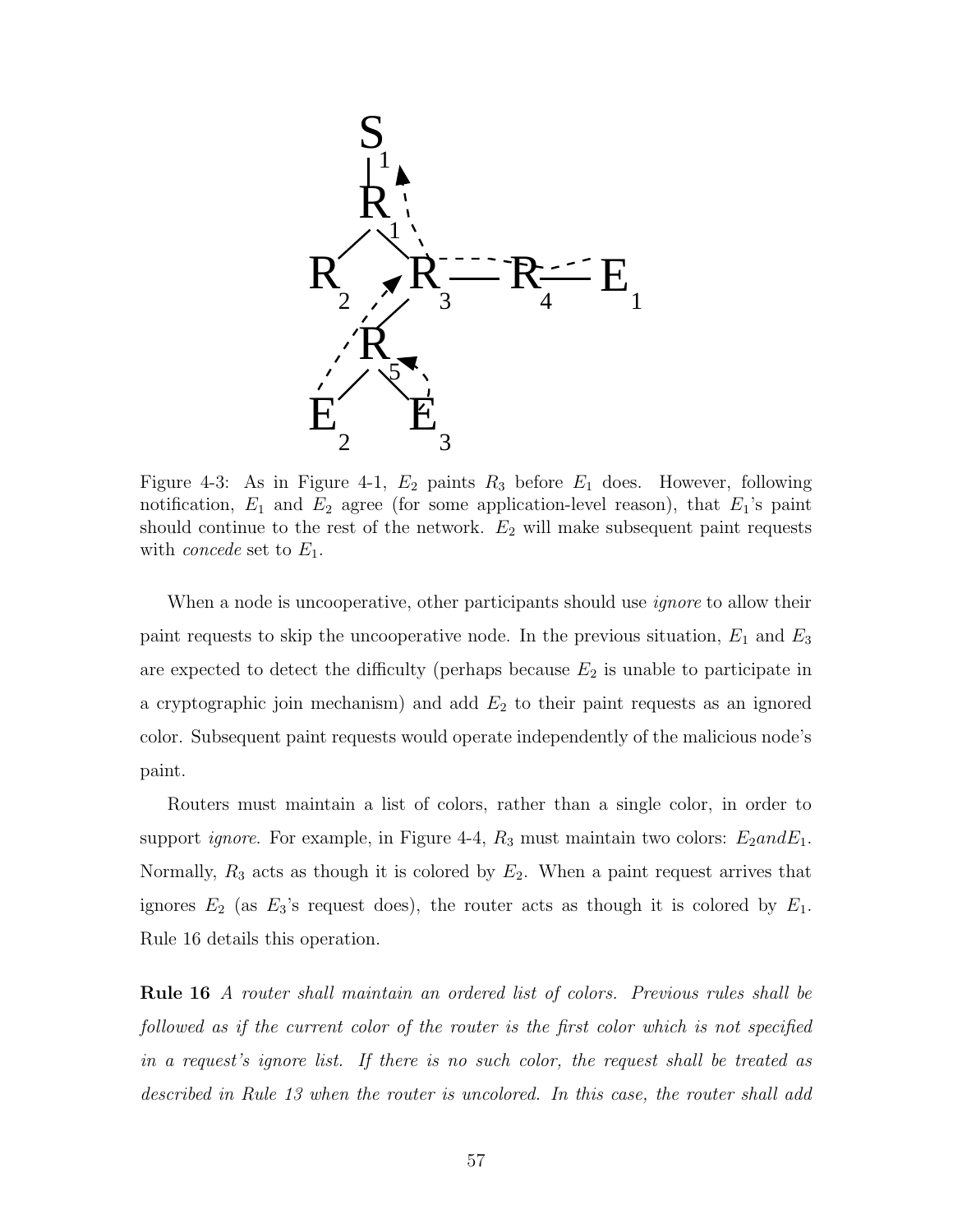

Figure 4-3: As in Figure 4-1,  $E_2$  paints  $R_3$  before  $E_1$  does. However, following notification,  $E_1$  and  $E_2$  agree (for some application-level reason), that  $E_1$ 's paint should continue to the rest of the network.  $E_2$  will make subsequent paint requests with *concede* set to  $E_1$ .

When a node is uncooperative, other participants should use *ignore* to allow their paint requests to skip the uncooperative node. In the previous situation,  $E_1$  and  $E_3$ are expected to detect the difficulty (perhaps because  $E_2$  is unable to participate in a cryptographic join mechanism) and add  $E_2$  to their paint requests as an ignored color. Subsequent paint requests would operate independently of the malicious node's paint.

Routers must maintain a list of colors, rather than a single color, in order to support *ignore*. For example, in Figure 4-4,  $R_3$  must maintain two colors:  $E_2$  and  $E_1$ . Normally,  $R_3$  acts as though it is colored by  $E_2$ . When a paint request arrives that ignores  $E_2$  (as  $E_3$ 's request does), the router acts as though it is colored by  $E_1$ . Rule 16 details this operation.

Rule 16 A router shall maintain an ordered list of colors. Previous rules shall be followed as if the current color of the router is the first color which is not specified in a request's ignore list. If there is no such color, the request shall be treated as described in Rule 13 when the router is uncolored. In this case, the router shall add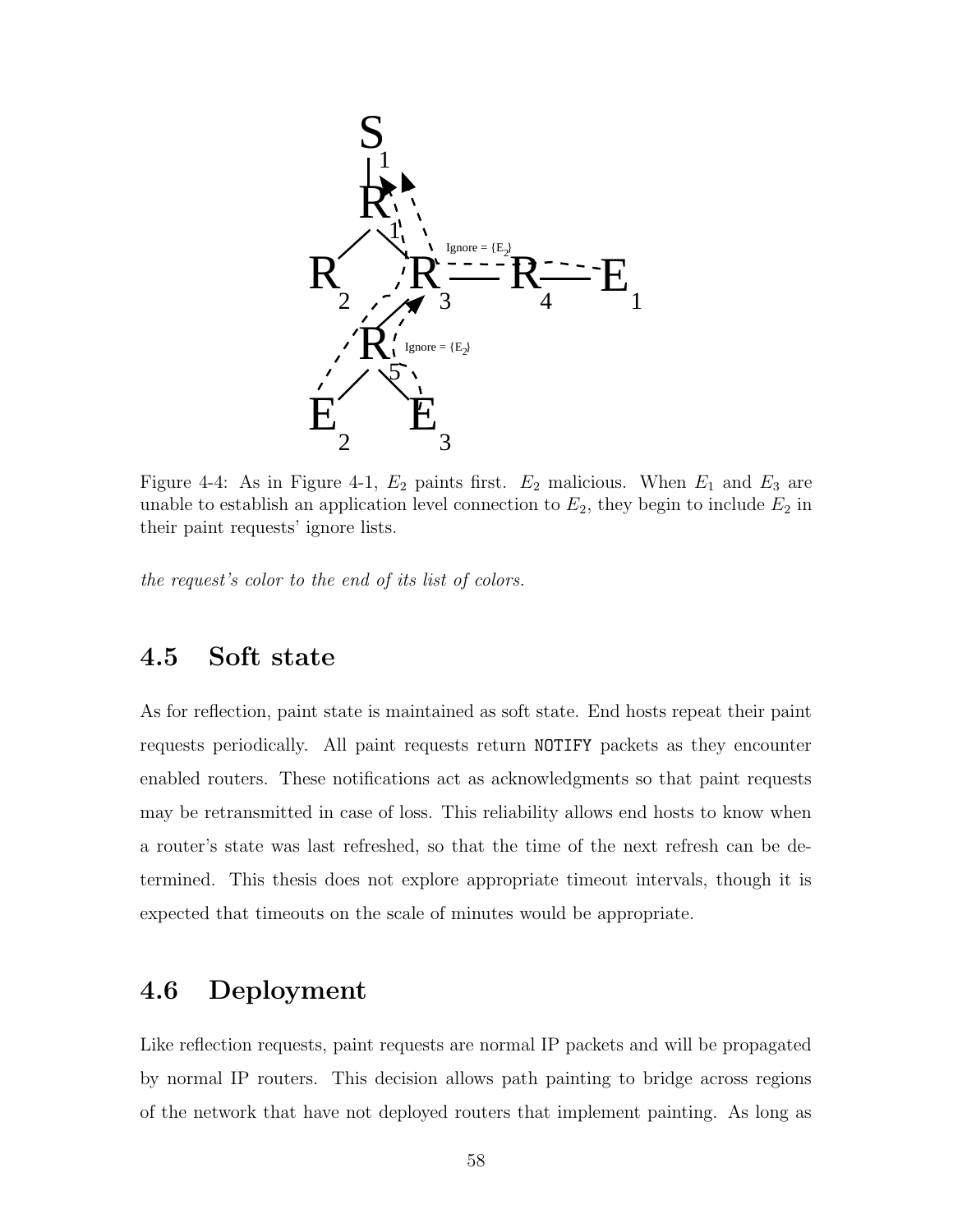

Figure 4-4: As in Figure 4-1,  $E_2$  paints first.  $E_2$  malicious. When  $E_1$  and  $E_3$  are unable to establish an application level connection to  $E_2$ , they begin to include  $E_2$  in their paint requests' ignore lists.

the request's color to the end of its list of colors.

# 4.5 Soft state

As for reflection, paint state is maintained as soft state. End hosts repeat their paint requests periodically. All paint requests return NOTIFY packets as they encounter enabled routers. These notifications act as acknowledgments so that paint requests may be retransmitted in case of loss. This reliability allows end hosts to know when a router's state was last refreshed, so that the time of the next refresh can be determined. This thesis does not explore appropriate timeout intervals, though it is expected that timeouts on the scale of minutes would be appropriate.

## 4.6 Deployment

Like reflection requests, paint requests are normal IP packets and will be propagated by normal IP routers. This decision allows path painting to bridge across regions of the network that have not deployed routers that implement painting. As long as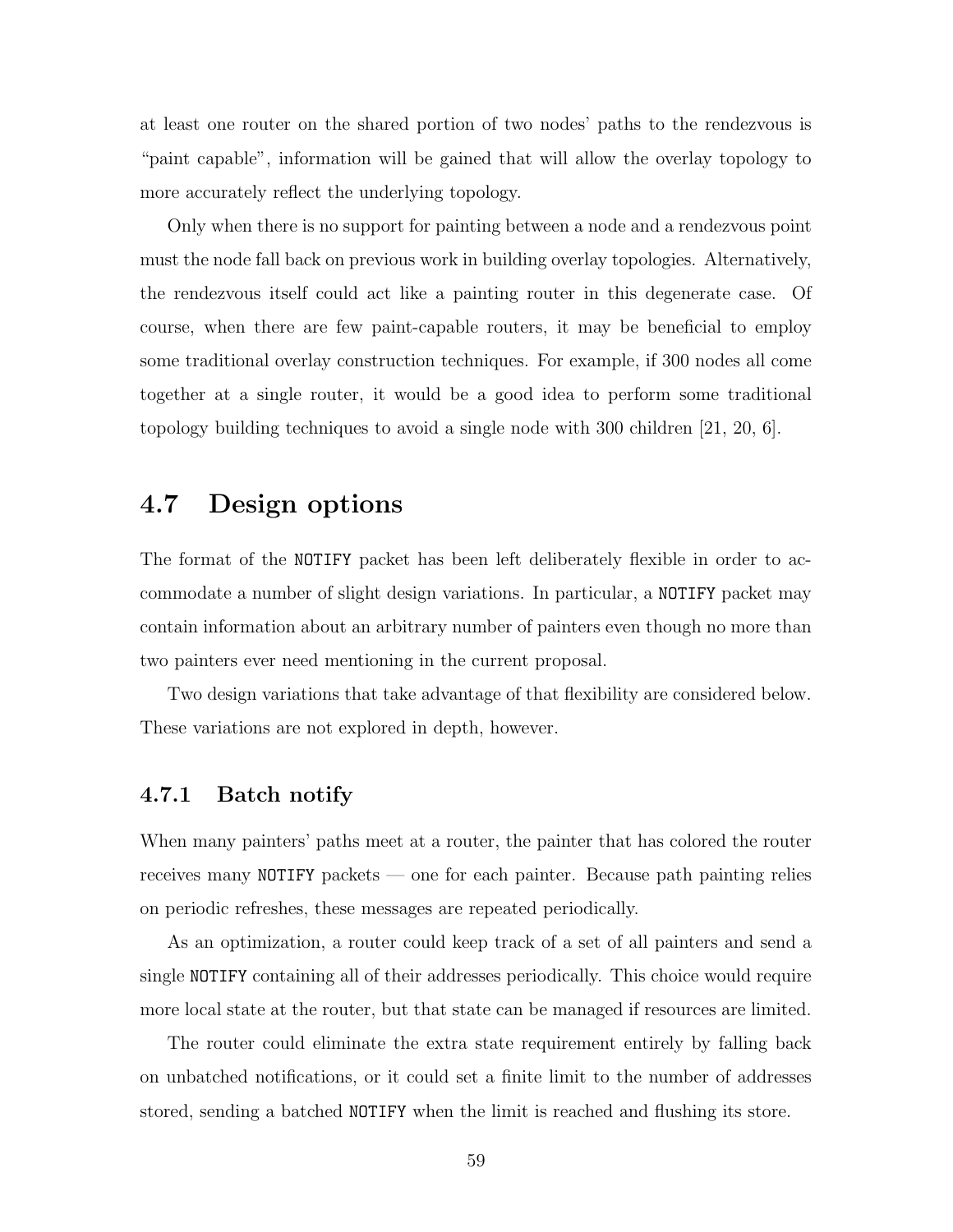at least one router on the shared portion of two nodes' paths to the rendezvous is "paint capable", information will be gained that will allow the overlay topology to more accurately reflect the underlying topology.

Only when there is no support for painting between a node and a rendezvous point must the node fall back on previous work in building overlay topologies. Alternatively, the rendezvous itself could act like a painting router in this degenerate case. Of course, when there are few paint-capable routers, it may be beneficial to employ some traditional overlay construction techniques. For example, if 300 nodes all come together at a single router, it would be a good idea to perform some traditional topology building techniques to avoid a single node with 300 children [21, 20, 6].

## 4.7 Design options

The format of the NOTIFY packet has been left deliberately flexible in order to accommodate a number of slight design variations. In particular, a NOTIFY packet may contain information about an arbitrary number of painters even though no more than two painters ever need mentioning in the current proposal.

Two design variations that take advantage of that flexibility are considered below. These variations are not explored in depth, however.

### 4.7.1 Batch notify

When many painters' paths meet at a router, the painter that has colored the router receives many NOTIFY packets — one for each painter. Because path painting relies on periodic refreshes, these messages are repeated periodically.

As an optimization, a router could keep track of a set of all painters and send a single NOTIFY containing all of their addresses periodically. This choice would require more local state at the router, but that state can be managed if resources are limited.

The router could eliminate the extra state requirement entirely by falling back on unbatched notifications, or it could set a finite limit to the number of addresses stored, sending a batched NOTIFY when the limit is reached and flushing its store.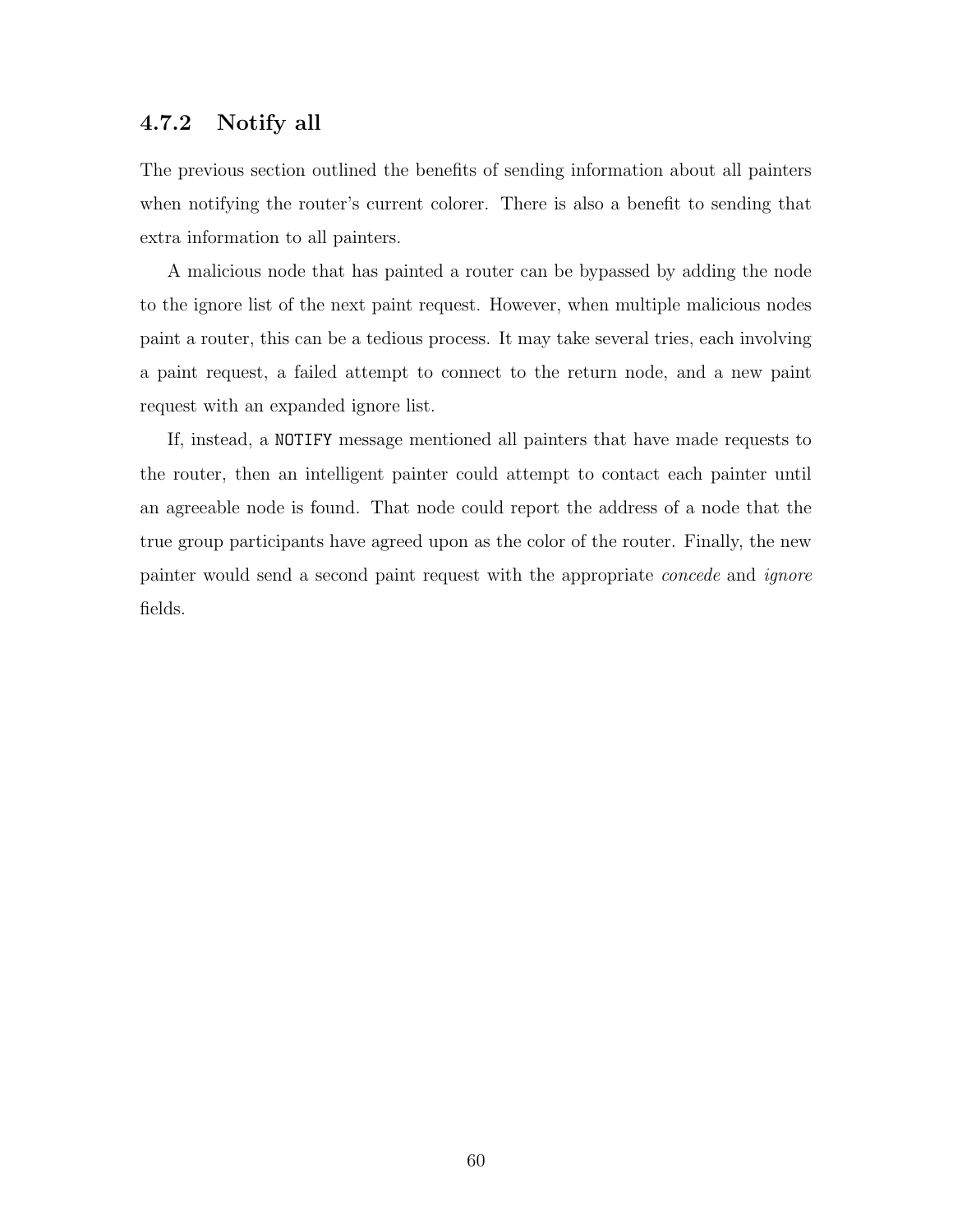### 4.7.2 Notify all

The previous section outlined the benefits of sending information about all painters when notifying the router's current colorer. There is also a benefit to sending that extra information to all painters.

A malicious node that has painted a router can be bypassed by adding the node to the ignore list of the next paint request. However, when multiple malicious nodes paint a router, this can be a tedious process. It may take several tries, each involving a paint request, a failed attempt to connect to the return node, and a new paint request with an expanded ignore list.

If, instead, a NOTIFY message mentioned all painters that have made requests to the router, then an intelligent painter could attempt to contact each painter until an agreeable node is found. That node could report the address of a node that the true group participants have agreed upon as the color of the router. Finally, the new painter would send a second paint request with the appropriate concede and ignore fields.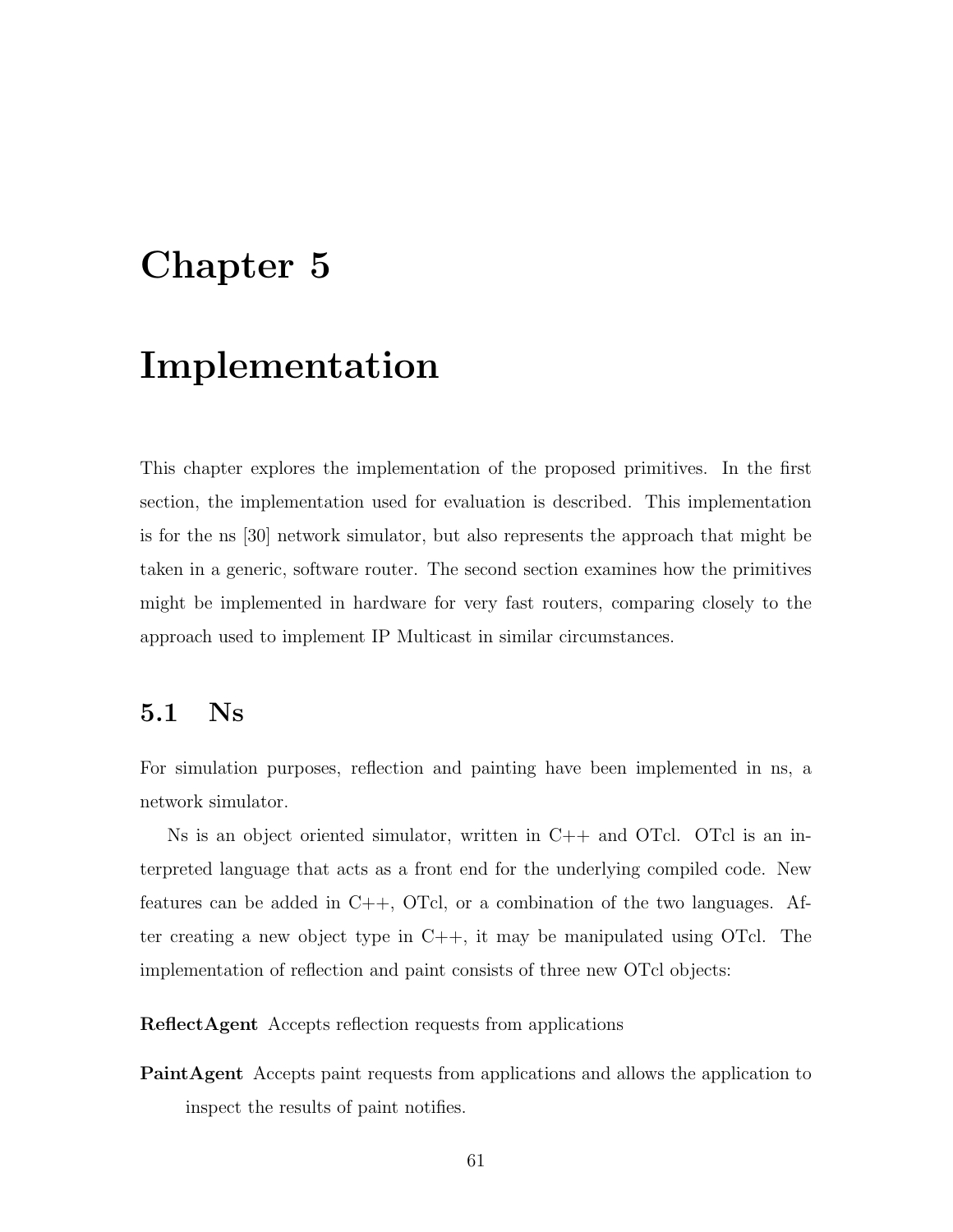# Chapter 5

# Implementation

This chapter explores the implementation of the proposed primitives. In the first section, the implementation used for evaluation is described. This implementation is for the ns [30] network simulator, but also represents the approach that might be taken in a generic, software router. The second section examines how the primitives might be implemented in hardware for very fast routers, comparing closely to the approach used to implement IP Multicast in similar circumstances.

# 5.1 Ns

For simulation purposes, reflection and painting have been implemented in ns, a network simulator.

Ns is an object oriented simulator, written in  $C++$  and OTcl. OTcl is an interpreted language that acts as a front end for the underlying compiled code. New features can be added in C++, OTcl, or a combination of the two languages. After creating a new object type in C++, it may be manipulated using OTcl. The implementation of reflection and paint consists of three new OTcl objects:

ReflectAgent Accepts reflection requests from applications

PaintAgent Accepts paint requests from applications and allows the application to inspect the results of paint notifies.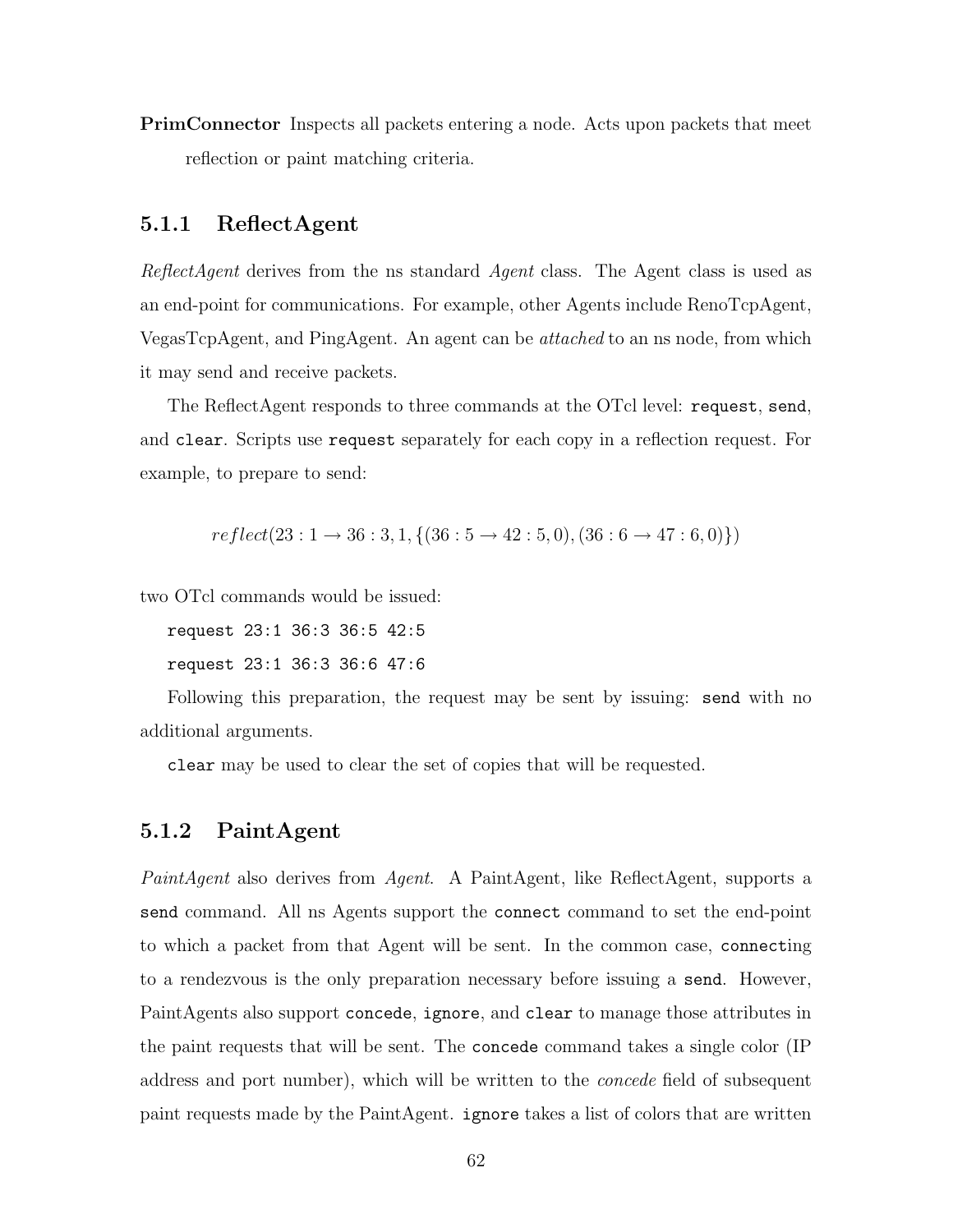PrimConnector Inspects all packets entering a node. Acts upon packets that meet reflection or paint matching criteria.

### 5.1.1 ReflectAgent

ReflectAgent derives from the ns standard Agent class. The Agent class is used as an end-point for communications. For example, other Agents include RenoTcpAgent, VegasTcpAgent, and PingAgent. An agent can be attached to an ns node, from which it may send and receive packets.

The ReflectAgent responds to three commands at the OTcl level: request, send, and clear. Scripts use request separately for each copy in a reflection request. For example, to prepare to send:

$$
reflect(23:1 \rightarrow 36:3,1, {(36:5 \rightarrow 42:5,0), (36:6 \rightarrow 47:6,0)})
$$

two OTcl commands would be issued:

request 23:1 36:3 36:5 42:5

request 23:1 36:3 36:6 47:6

Following this preparation, the request may be sent by issuing: send with no additional arguments.

clear may be used to clear the set of copies that will be requested.

### 5.1.2 PaintAgent

PaintAgent also derives from Agent. A PaintAgent, like ReflectAgent, supports a send command. All ns Agents support the connect command to set the end-point to which a packet from that Agent will be sent. In the common case, connecting to a rendezvous is the only preparation necessary before issuing a send. However, PaintAgents also support concede, ignore, and clear to manage those attributes in the paint requests that will be sent. The concede command takes a single color (IP address and port number), which will be written to the concede field of subsequent paint requests made by the PaintAgent. ignore takes a list of colors that are written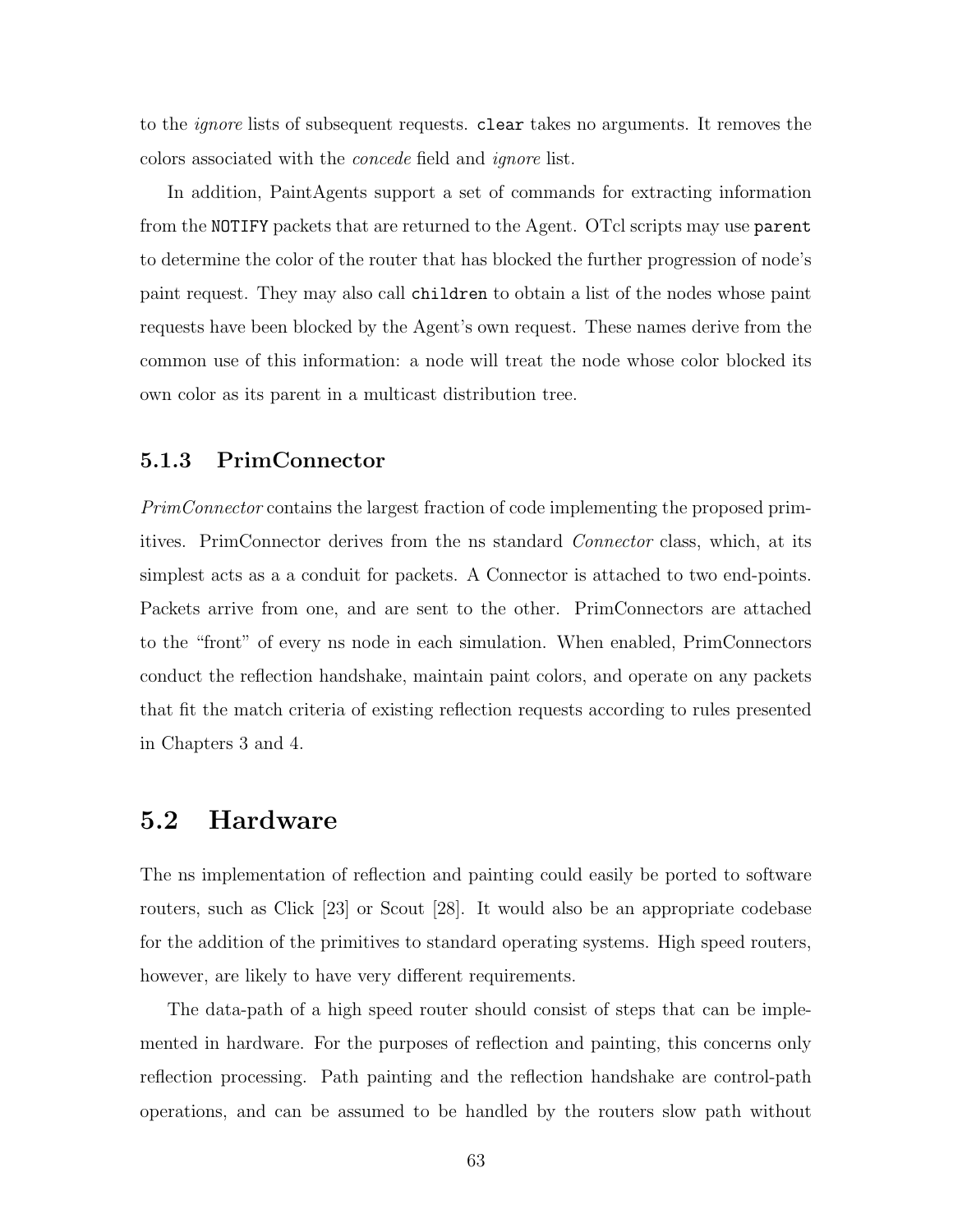to the ignore lists of subsequent requests. clear takes no arguments. It removes the colors associated with the concede field and ignore list.

In addition, PaintAgents support a set of commands for extracting information from the NOTIFY packets that are returned to the Agent. OTcl scripts may use parent to determine the color of the router that has blocked the further progression of node's paint request. They may also call children to obtain a list of the nodes whose paint requests have been blocked by the Agent's own request. These names derive from the common use of this information: a node will treat the node whose color blocked its own color as its parent in a multicast distribution tree.

### 5.1.3 PrimConnector

PrimConnector contains the largest fraction of code implementing the proposed primitives. PrimConnector derives from the ns standard Connector class, which, at its simplest acts as a a conduit for packets. A Connector is attached to two end-points. Packets arrive from one, and are sent to the other. PrimConnectors are attached to the "front" of every ns node in each simulation. When enabled, PrimConnectors conduct the reflection handshake, maintain paint colors, and operate on any packets that fit the match criteria of existing reflection requests according to rules presented in Chapters 3 and 4.

### 5.2 Hardware

The ns implementation of reflection and painting could easily be ported to software routers, such as Click [23] or Scout [28]. It would also be an appropriate codebase for the addition of the primitives to standard operating systems. High speed routers, however, are likely to have very different requirements.

The data-path of a high speed router should consist of steps that can be implemented in hardware. For the purposes of reflection and painting, this concerns only reflection processing. Path painting and the reflection handshake are control-path operations, and can be assumed to be handled by the routers slow path without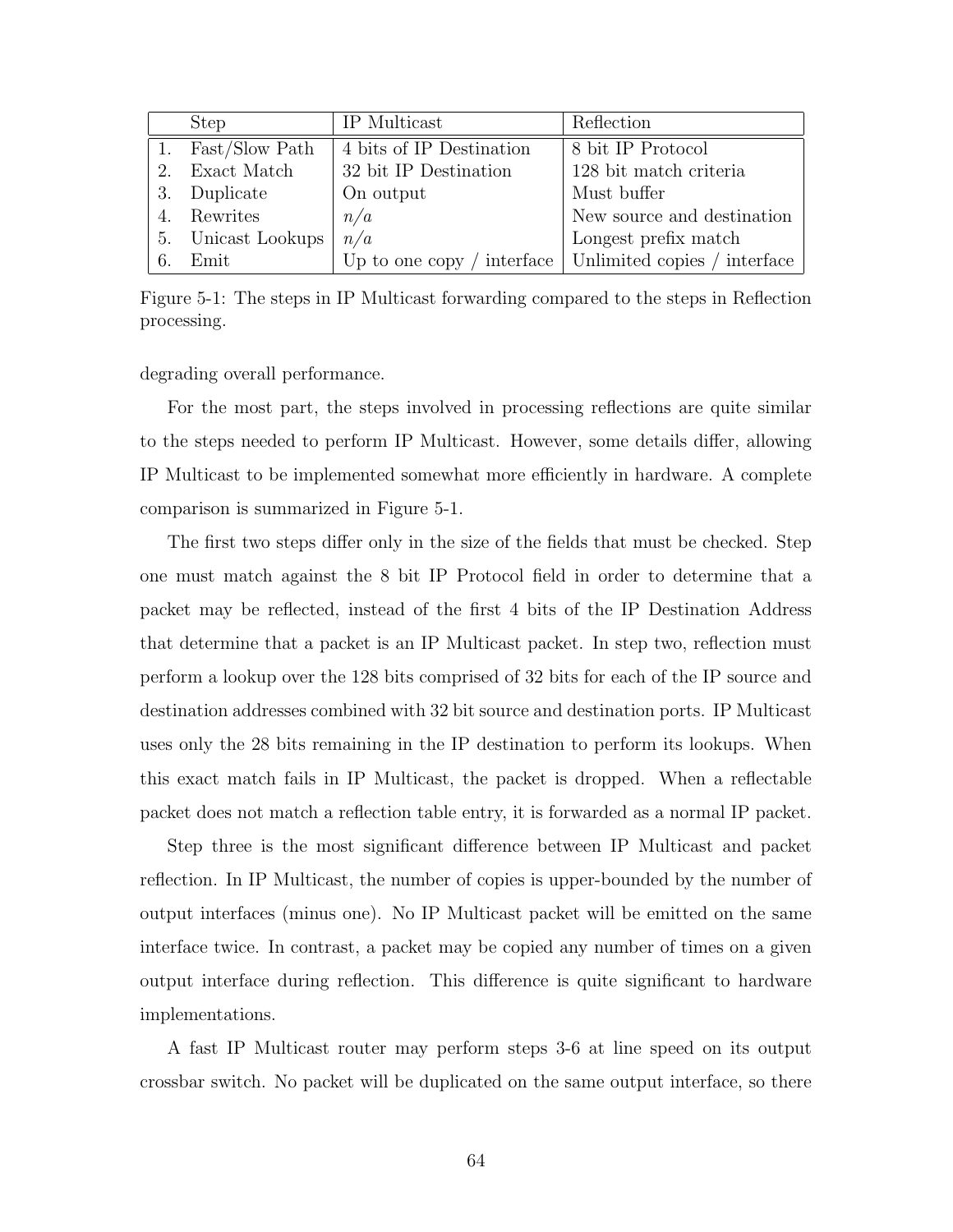|      | <b>Step</b>        | IP Multicast             | Reflection                                              |
|------|--------------------|--------------------------|---------------------------------------------------------|
|      | Fast/Slow Path     | 4 bits of IP Destination | 8 bit IP Protocol                                       |
|      | Exact Match        | 32 bit IP Destination    | 128 bit match criteria                                  |
|      | 3. Duplicate       | On output                | Must buffer                                             |
| 4.   | Rewrites           | n/a                      | New source and destination                              |
|      | 5. Unicast Lookups | n/a                      | Longest prefix match                                    |
| - 6. | Emit               |                          | Up to one copy / interface Unlimited copies / interface |

Figure 5-1: The steps in IP Multicast forwarding compared to the steps in Reflection processing.

degrading overall performance.

For the most part, the steps involved in processing reflections are quite similar to the steps needed to perform IP Multicast. However, some details differ, allowing IP Multicast to be implemented somewhat more efficiently in hardware. A complete comparison is summarized in Figure 5-1.

The first two steps differ only in the size of the fields that must be checked. Step one must match against the 8 bit IP Protocol field in order to determine that a packet may be reflected, instead of the first 4 bits of the IP Destination Address that determine that a packet is an IP Multicast packet. In step two, reflection must perform a lookup over the 128 bits comprised of 32 bits for each of the IP source and destination addresses combined with 32 bit source and destination ports. IP Multicast uses only the 28 bits remaining in the IP destination to perform its lookups. When this exact match fails in IP Multicast, the packet is dropped. When a reflectable packet does not match a reflection table entry, it is forwarded as a normal IP packet.

Step three is the most significant difference between IP Multicast and packet reflection. In IP Multicast, the number of copies is upper-bounded by the number of output interfaces (minus one). No IP Multicast packet will be emitted on the same interface twice. In contrast, a packet may be copied any number of times on a given output interface during reflection. This difference is quite significant to hardware implementations.

A fast IP Multicast router may perform steps 3-6 at line speed on its output crossbar switch. No packet will be duplicated on the same output interface, so there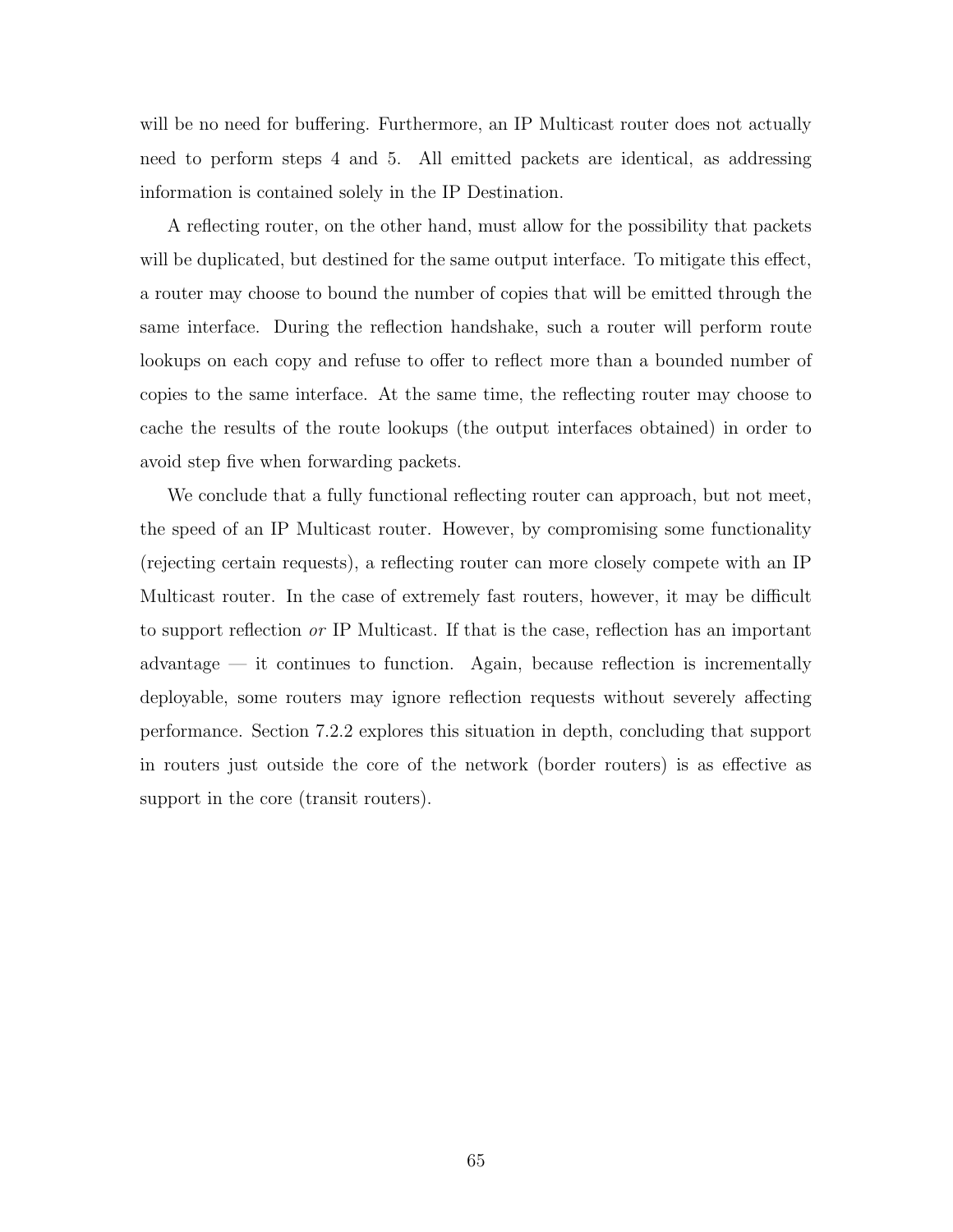will be no need for buffering. Furthermore, an IP Multicast router does not actually need to perform steps 4 and 5. All emitted packets are identical, as addressing information is contained solely in the IP Destination.

A reflecting router, on the other hand, must allow for the possibility that packets will be duplicated, but destined for the same output interface. To mitigate this effect, a router may choose to bound the number of copies that will be emitted through the same interface. During the reflection handshake, such a router will perform route lookups on each copy and refuse to offer to reflect more than a bounded number of copies to the same interface. At the same time, the reflecting router may choose to cache the results of the route lookups (the output interfaces obtained) in order to avoid step five when forwarding packets.

We conclude that a fully functional reflecting router can approach, but not meet, the speed of an IP Multicast router. However, by compromising some functionality (rejecting certain requests), a reflecting router can more closely compete with an IP Multicast router. In the case of extremely fast routers, however, it may be difficult to support reflection or IP Multicast. If that is the case, reflection has an important advantage — it continues to function. Again, because reflection is incrementally deployable, some routers may ignore reflection requests without severely affecting performance. Section 7.2.2 explores this situation in depth, concluding that support in routers just outside the core of the network (border routers) is as effective as support in the core (transit routers).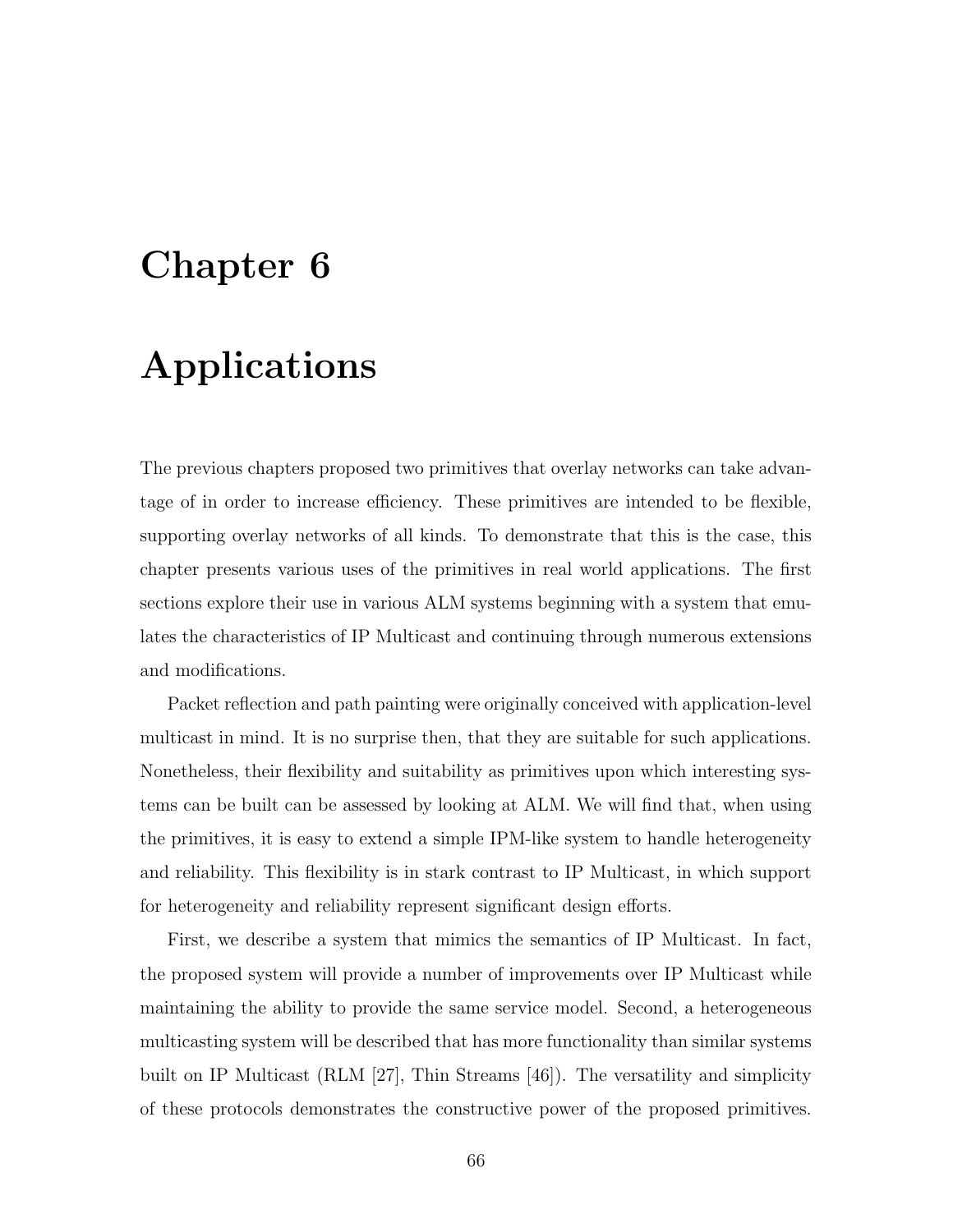# Chapter 6

# Applications

The previous chapters proposed two primitives that overlay networks can take advantage of in order to increase efficiency. These primitives are intended to be flexible, supporting overlay networks of all kinds. To demonstrate that this is the case, this chapter presents various uses of the primitives in real world applications. The first sections explore their use in various ALM systems beginning with a system that emulates the characteristics of IP Multicast and continuing through numerous extensions and modifications.

Packet reflection and path painting were originally conceived with application-level multicast in mind. It is no surprise then, that they are suitable for such applications. Nonetheless, their flexibility and suitability as primitives upon which interesting systems can be built can be assessed by looking at ALM. We will find that, when using the primitives, it is easy to extend a simple IPM-like system to handle heterogeneity and reliability. This flexibility is in stark contrast to IP Multicast, in which support for heterogeneity and reliability represent significant design efforts.

First, we describe a system that mimics the semantics of IP Multicast. In fact, the proposed system will provide a number of improvements over IP Multicast while maintaining the ability to provide the same service model. Second, a heterogeneous multicasting system will be described that has more functionality than similar systems built on IP Multicast (RLM [27], Thin Streams [46]). The versatility and simplicity of these protocols demonstrates the constructive power of the proposed primitives.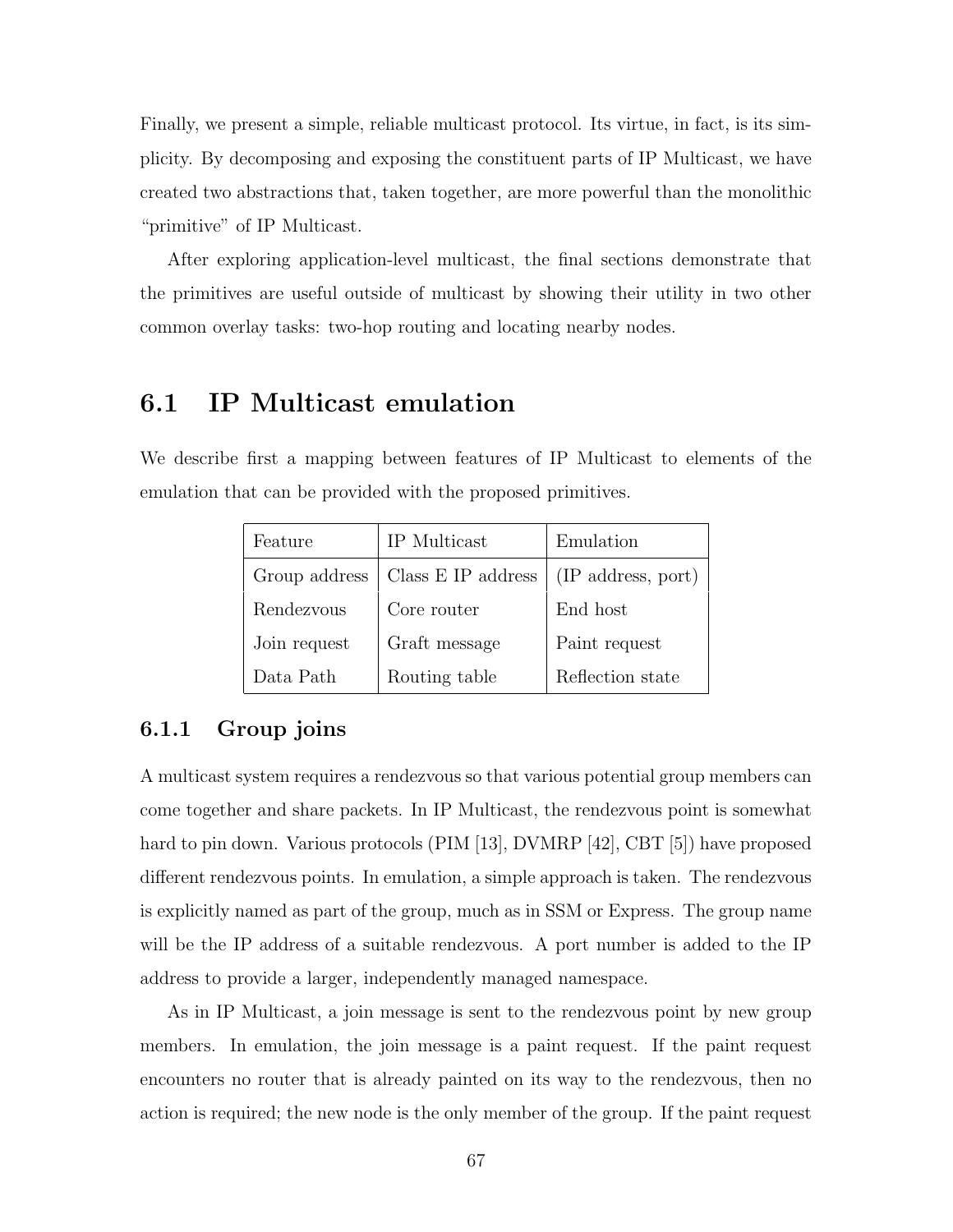Finally, we present a simple, reliable multicast protocol. Its virtue, in fact, is its simplicity. By decomposing and exposing the constituent parts of IP Multicast, we have created two abstractions that, taken together, are more powerful than the monolithic "primitive" of IP Multicast.

After exploring application-level multicast, the final sections demonstrate that the primitives are useful outside of multicast by showing their utility in two other common overlay tasks: two-hop routing and locating nearby nodes.

# 6.1 IP Multicast emulation

We describe first a mapping between features of IP Multicast to elements of the emulation that can be provided with the proposed primitives.

| Feature       | IP Multicast       | Emulation          |
|---------------|--------------------|--------------------|
| Group address | Class E IP address | (IP address, port) |
| Rendezvous    | Core router        | End host           |
| Join request  | Graft message      | Paint request      |
| Data Path     | Routing table      | Reflection state   |

### 6.1.1 Group joins

A multicast system requires a rendezvous so that various potential group members can come together and share packets. In IP Multicast, the rendezvous point is somewhat hard to pin down. Various protocols (PIM [13], DVMRP [42], CBT [5]) have proposed different rendezvous points. In emulation, a simple approach is taken. The rendezvous is explicitly named as part of the group, much as in SSM or Express. The group name will be the IP address of a suitable rendezvous. A port number is added to the IP address to provide a larger, independently managed namespace.

As in IP Multicast, a join message is sent to the rendezvous point by new group members. In emulation, the join message is a paint request. If the paint request encounters no router that is already painted on its way to the rendezvous, then no action is required; the new node is the only member of the group. If the paint request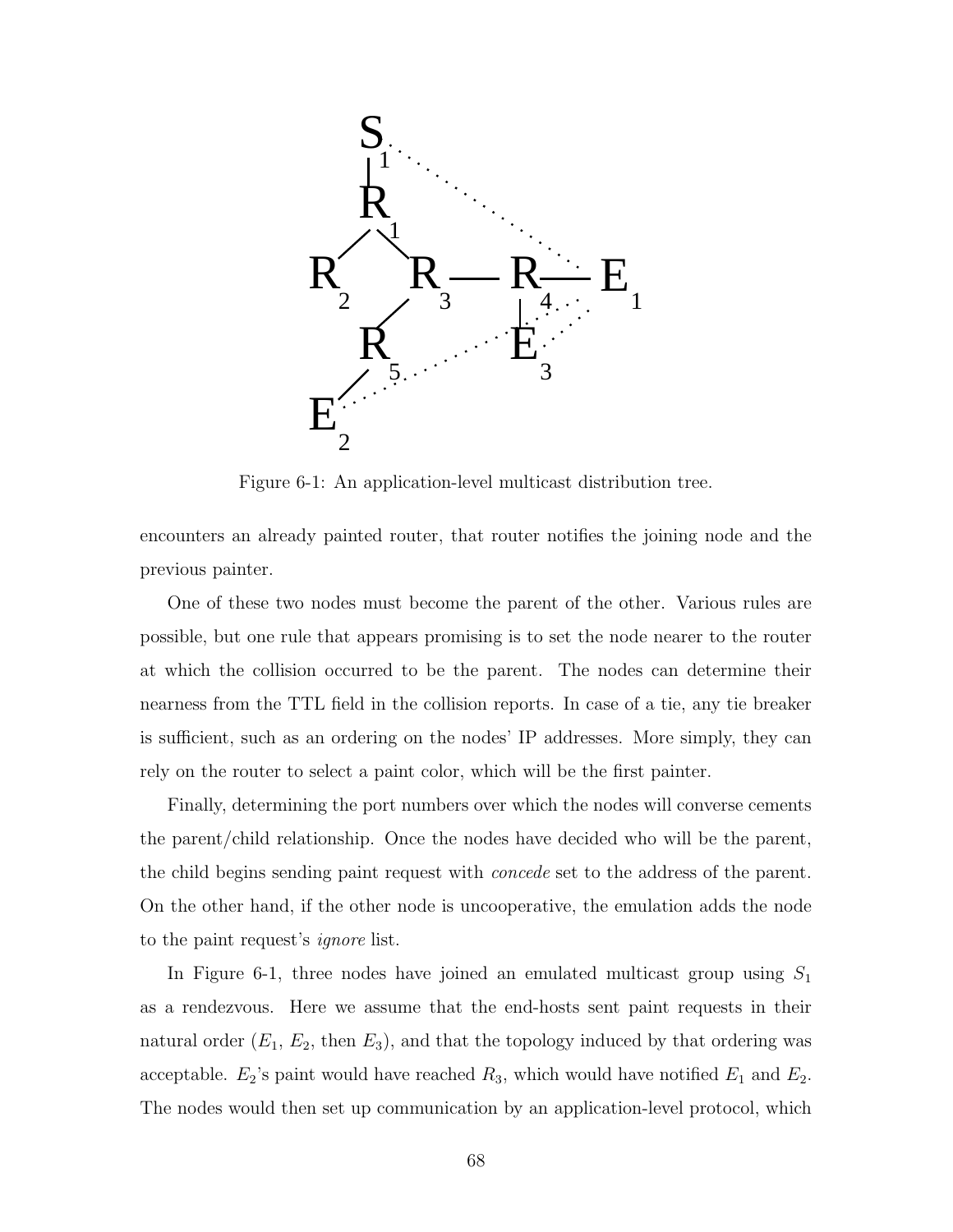

Figure 6-1: An application-level multicast distribution tree.

encounters an already painted router, that router notifies the joining node and the previous painter.

One of these two nodes must become the parent of the other. Various rules are possible, but one rule that appears promising is to set the node nearer to the router at which the collision occurred to be the parent. The nodes can determine their nearness from the TTL field in the collision reports. In case of a tie, any tie breaker is sufficient, such as an ordering on the nodes' IP addresses. More simply, they can rely on the router to select a paint color, which will be the first painter.

Finally, determining the port numbers over which the nodes will converse cements the parent/child relationship. Once the nodes have decided who will be the parent, the child begins sending paint request with *concede* set to the address of the parent. On the other hand, if the other node is uncooperative, the emulation adds the node to the paint request's ignore list.

In Figure 6-1, three nodes have joined an emulated multicast group using  $S_1$ as a rendezvous. Here we assume that the end-hosts sent paint requests in their natural order  $(E_1, E_2, \text{ then } E_3)$ , and that the topology induced by that ordering was acceptable.  $E_2$ 's paint would have reached  $R_3$ , which would have notified  $E_1$  and  $E_2$ . The nodes would then set up communication by an application-level protocol, which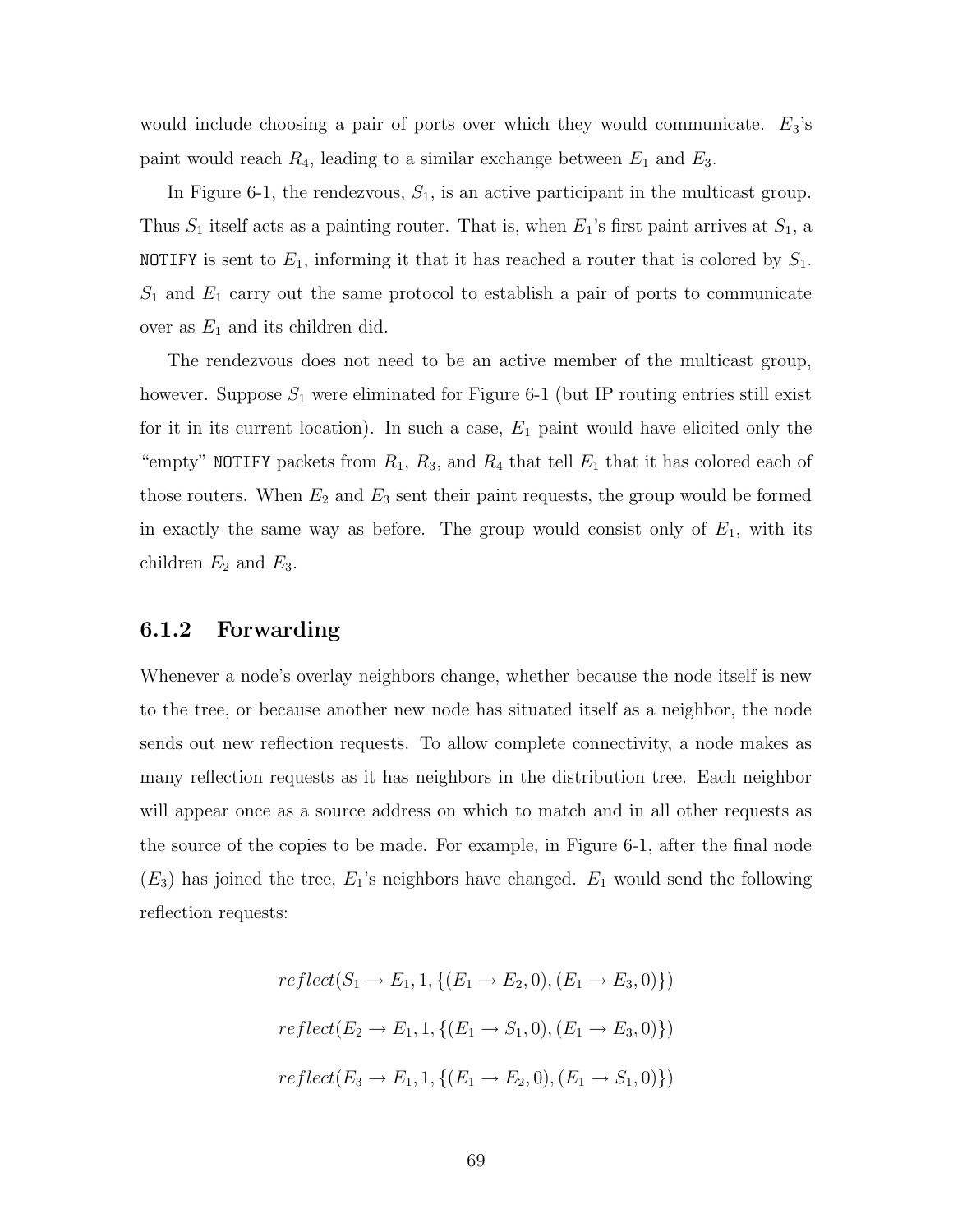would include choosing a pair of ports over which they would communicate.  $E_3$ 's paint would reach  $R_4$ , leading to a similar exchange between  $E_1$  and  $E_3$ .

In Figure 6-1, the rendezvous,  $S_1$ , is an active participant in the multicast group. Thus  $S_1$  itself acts as a painting router. That is, when  $E_1$ 's first paint arrives at  $S_1$ , a **NOTIFY** is sent to  $E_1$ , informing it that it has reached a router that is colored by  $S_1$ .  $S_1$  and  $E_1$  carry out the same protocol to establish a pair of ports to communicate over as  $E_1$  and its children did.

The rendezvous does not need to be an active member of the multicast group, however. Suppose  $S_1$  were eliminated for Figure 6-1 (but IP routing entries still exist for it in its current location). In such a case,  $E_1$  paint would have elicited only the "empty" NOTIFY packets from  $R_1$ ,  $R_3$ , and  $R_4$  that tell  $E_1$  that it has colored each of those routers. When  $E_2$  and  $E_3$  sent their paint requests, the group would be formed in exactly the same way as before. The group would consist only of  $E_1$ , with its children  $E_2$  and  $E_3$ .

#### 6.1.2 Forwarding

Whenever a node's overlay neighbors change, whether because the node itself is new to the tree, or because another new node has situated itself as a neighbor, the node sends out new reflection requests. To allow complete connectivity, a node makes as many reflection requests as it has neighbors in the distribution tree. Each neighbor will appear once as a source address on which to match and in all other requests as the source of the copies to be made. For example, in Figure 6-1, after the final node  $(E_3)$  has joined the tree,  $E_1$ 's neighbors have changed.  $E_1$  would send the following reflection requests:

$$
reflect(S_1 \to E_1, 1, \{(E_1 \to E_2, 0), (E_1 \to E_3, 0)\})
$$

$$
reflect(E_2 \to E_1, 1, \{(E_1 \to S_1, 0), (E_1 \to E_3, 0)\})
$$

$$
reflect(E_3 \to E_1, 1, \{(E_1 \to E_2, 0), (E_1 \to S_1, 0)\})
$$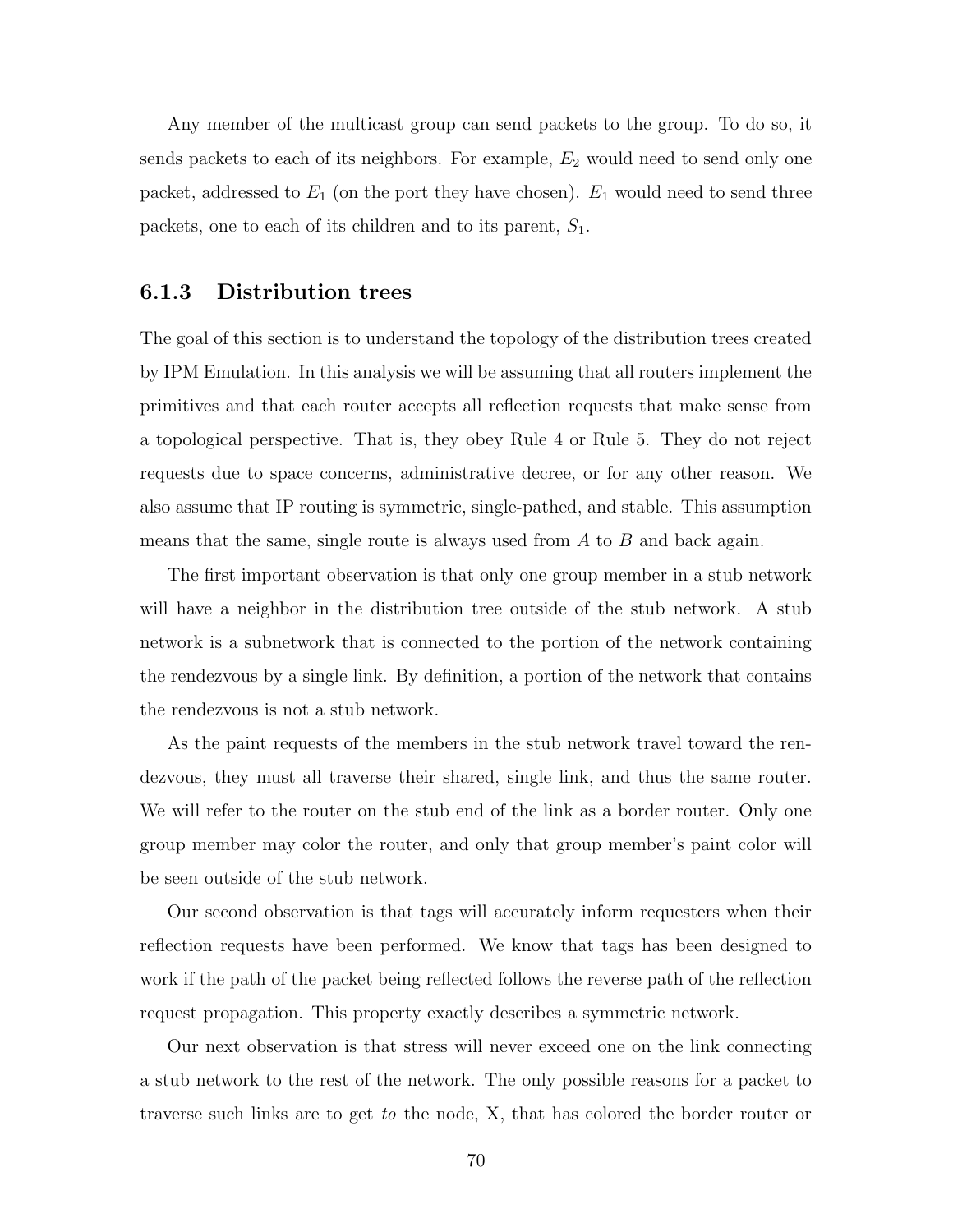Any member of the multicast group can send packets to the group. To do so, it sends packets to each of its neighbors. For example,  $E_2$  would need to send only one packet, addressed to  $E_1$  (on the port they have chosen).  $E_1$  would need to send three packets, one to each of its children and to its parent,  $S_1$ .

### 6.1.3 Distribution trees

The goal of this section is to understand the topology of the distribution trees created by IPM Emulation. In this analysis we will be assuming that all routers implement the primitives and that each router accepts all reflection requests that make sense from a topological perspective. That is, they obey Rule 4 or Rule 5. They do not reject requests due to space concerns, administrative decree, or for any other reason. We also assume that IP routing is symmetric, single-pathed, and stable. This assumption means that the same, single route is always used from  $A$  to  $B$  and back again.

The first important observation is that only one group member in a stub network will have a neighbor in the distribution tree outside of the stub network. A stub network is a subnetwork that is connected to the portion of the network containing the rendezvous by a single link. By definition, a portion of the network that contains the rendezvous is not a stub network.

As the paint requests of the members in the stub network travel toward the rendezvous, they must all traverse their shared, single link, and thus the same router. We will refer to the router on the stub end of the link as a border router. Only one group member may color the router, and only that group member's paint color will be seen outside of the stub network.

Our second observation is that tags will accurately inform requesters when their reflection requests have been performed. We know that tags has been designed to work if the path of the packet being reflected follows the reverse path of the reflection request propagation. This property exactly describes a symmetric network.

Our next observation is that stress will never exceed one on the link connecting a stub network to the rest of the network. The only possible reasons for a packet to traverse such links are to get to the node, X, that has colored the border router or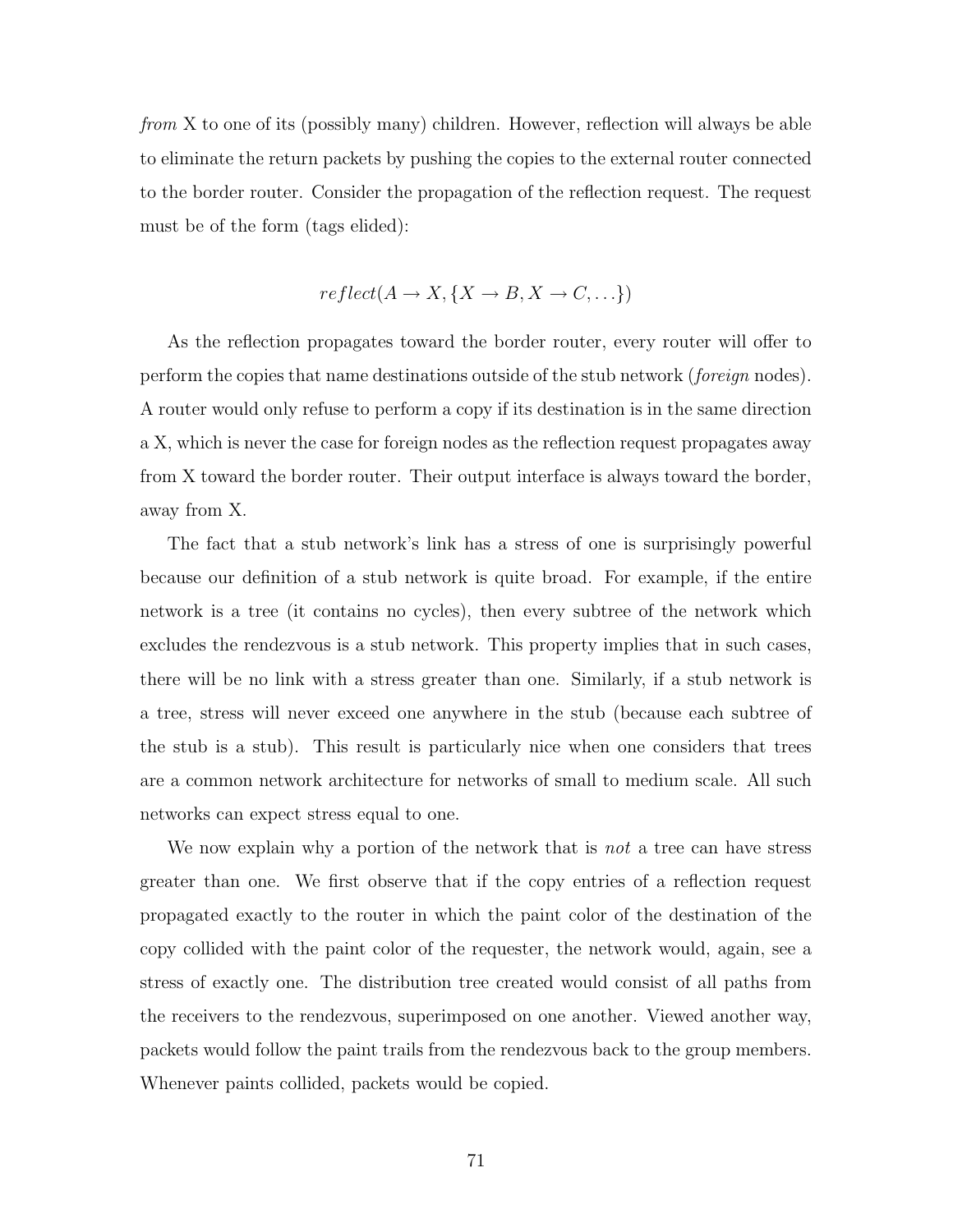from X to one of its (possibly many) children. However, reflection will always be able to eliminate the return packets by pushing the copies to the external router connected to the border router. Consider the propagation of the reflection request. The request must be of the form (tags elided):

$$
reflect(A \to X, \{X \to B, X \to C, \ldots\})
$$

As the reflection propagates toward the border router, every router will offer to perform the copies that name destinations outside of the stub network (*foreign* nodes). A router would only refuse to perform a copy if its destination is in the same direction a X, which is never the case for foreign nodes as the reflection request propagates away from X toward the border router. Their output interface is always toward the border, away from X.

The fact that a stub network's link has a stress of one is surprisingly powerful because our definition of a stub network is quite broad. For example, if the entire network is a tree (it contains no cycles), then every subtree of the network which excludes the rendezvous is a stub network. This property implies that in such cases, there will be no link with a stress greater than one. Similarly, if a stub network is a tree, stress will never exceed one anywhere in the stub (because each subtree of the stub is a stub). This result is particularly nice when one considers that trees are a common network architecture for networks of small to medium scale. All such networks can expect stress equal to one.

We now explain why a portion of the network that is *not* a tree can have stress greater than one. We first observe that if the copy entries of a reflection request propagated exactly to the router in which the paint color of the destination of the copy collided with the paint color of the requester, the network would, again, see a stress of exactly one. The distribution tree created would consist of all paths from the receivers to the rendezvous, superimposed on one another. Viewed another way, packets would follow the paint trails from the rendezvous back to the group members. Whenever paints collided, packets would be copied.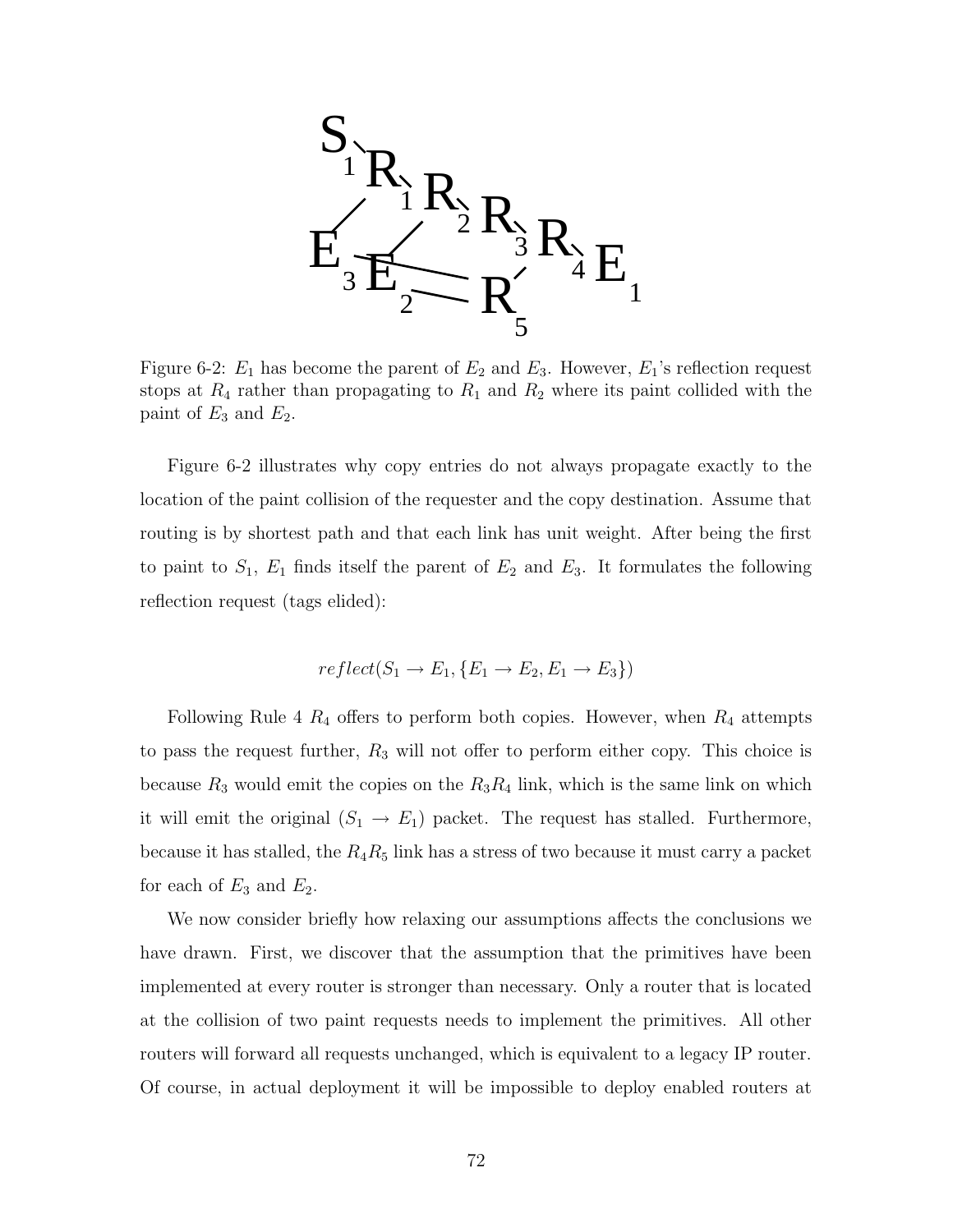

Figure 6-2:  $E_1$  has become the parent of  $E_2$  and  $E_3$ . However,  $E_1$ 's reflection request stops at  $R_4$  rather than propagating to  $R_1$  and  $R_2$  where its paint collided with the paint of  $E_3$  and  $E_2$ .

Figure 6-2 illustrates why copy entries do not always propagate exactly to the location of the paint collision of the requester and the copy destination. Assume that routing is by shortest path and that each link has unit weight. After being the first to paint to  $S_1$ ,  $E_1$  finds itself the parent of  $E_2$  and  $E_3$ . It formulates the following reflection request (tags elided):

$$
reflect(S_1 \rightarrow E_1, \{E_1 \rightarrow E_2, E_1 \rightarrow E_3\})
$$

Following Rule 4  $R_4$  offers to perform both copies. However, when  $R_4$  attempts to pass the request further,  $R_3$  will not offer to perform either copy. This choice is because  $R_3$  would emit the copies on the  $R_3R_4$  link, which is the same link on which it will emit the original  $(S_1 \rightarrow E_1)$  packet. The request has stalled. Furthermore, because it has stalled, the  $R_4R_5$  link has a stress of two because it must carry a packet for each of  $E_3$  and  $E_2$ .

We now consider briefly how relaxing our assumptions affects the conclusions we have drawn. First, we discover that the assumption that the primitives have been implemented at every router is stronger than necessary. Only a router that is located at the collision of two paint requests needs to implement the primitives. All other routers will forward all requests unchanged, which is equivalent to a legacy IP router. Of course, in actual deployment it will be impossible to deploy enabled routers at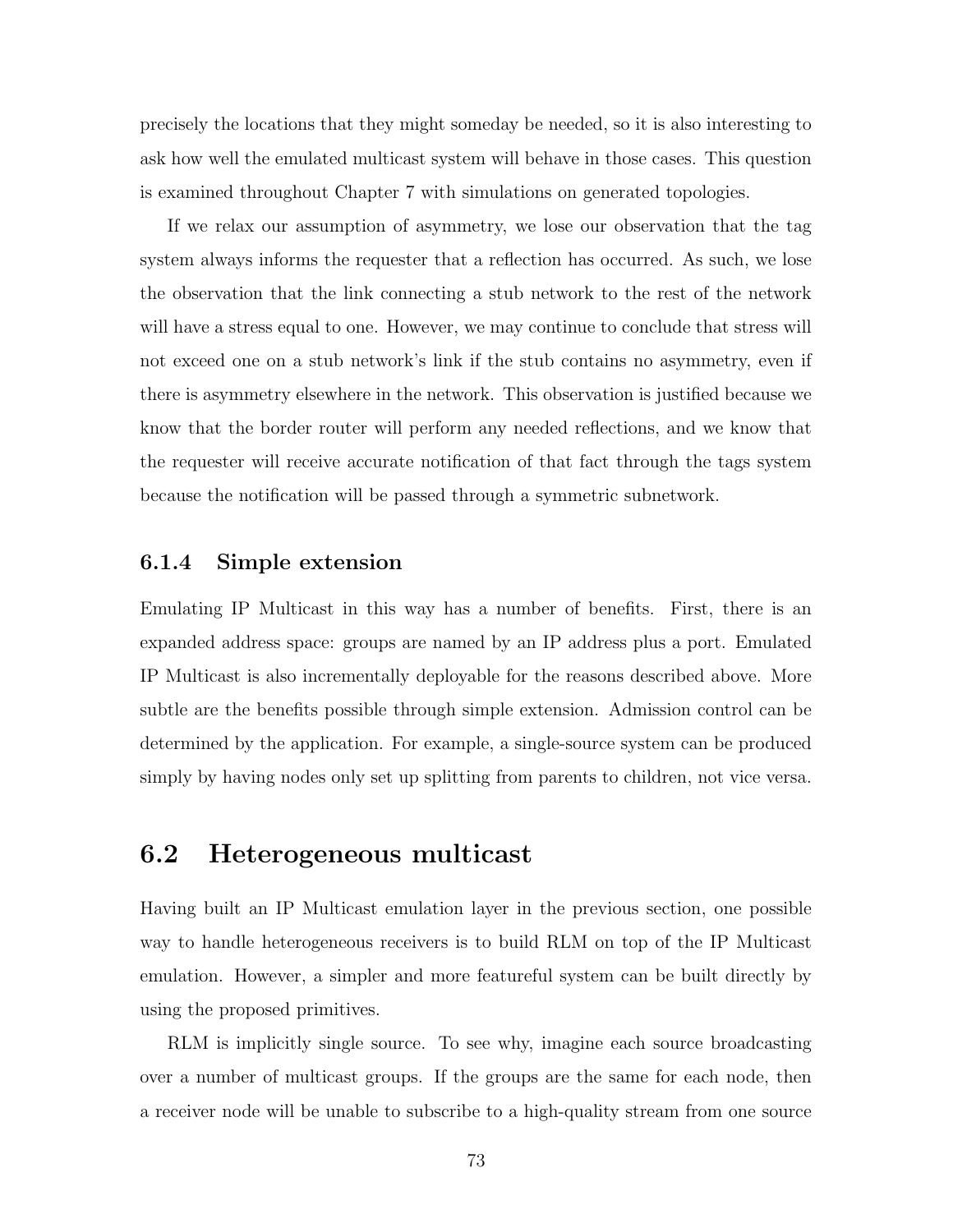precisely the locations that they might someday be needed, so it is also interesting to ask how well the emulated multicast system will behave in those cases. This question is examined throughout Chapter 7 with simulations on generated topologies.

If we relax our assumption of asymmetry, we lose our observation that the tag system always informs the requester that a reflection has occurred. As such, we lose the observation that the link connecting a stub network to the rest of the network will have a stress equal to one. However, we may continue to conclude that stress will not exceed one on a stub network's link if the stub contains no asymmetry, even if there is asymmetry elsewhere in the network. This observation is justified because we know that the border router will perform any needed reflections, and we know that the requester will receive accurate notification of that fact through the tags system because the notification will be passed through a symmetric subnetwork.

#### 6.1.4 Simple extension

Emulating IP Multicast in this way has a number of benefits. First, there is an expanded address space: groups are named by an IP address plus a port. Emulated IP Multicast is also incrementally deployable for the reasons described above. More subtle are the benefits possible through simple extension. Admission control can be determined by the application. For example, a single-source system can be produced simply by having nodes only set up splitting from parents to children, not vice versa.

# 6.2 Heterogeneous multicast

Having built an IP Multicast emulation layer in the previous section, one possible way to handle heterogeneous receivers is to build RLM on top of the IP Multicast emulation. However, a simpler and more featureful system can be built directly by using the proposed primitives.

RLM is implicitly single source. To see why, imagine each source broadcasting over a number of multicast groups. If the groups are the same for each node, then a receiver node will be unable to subscribe to a high-quality stream from one source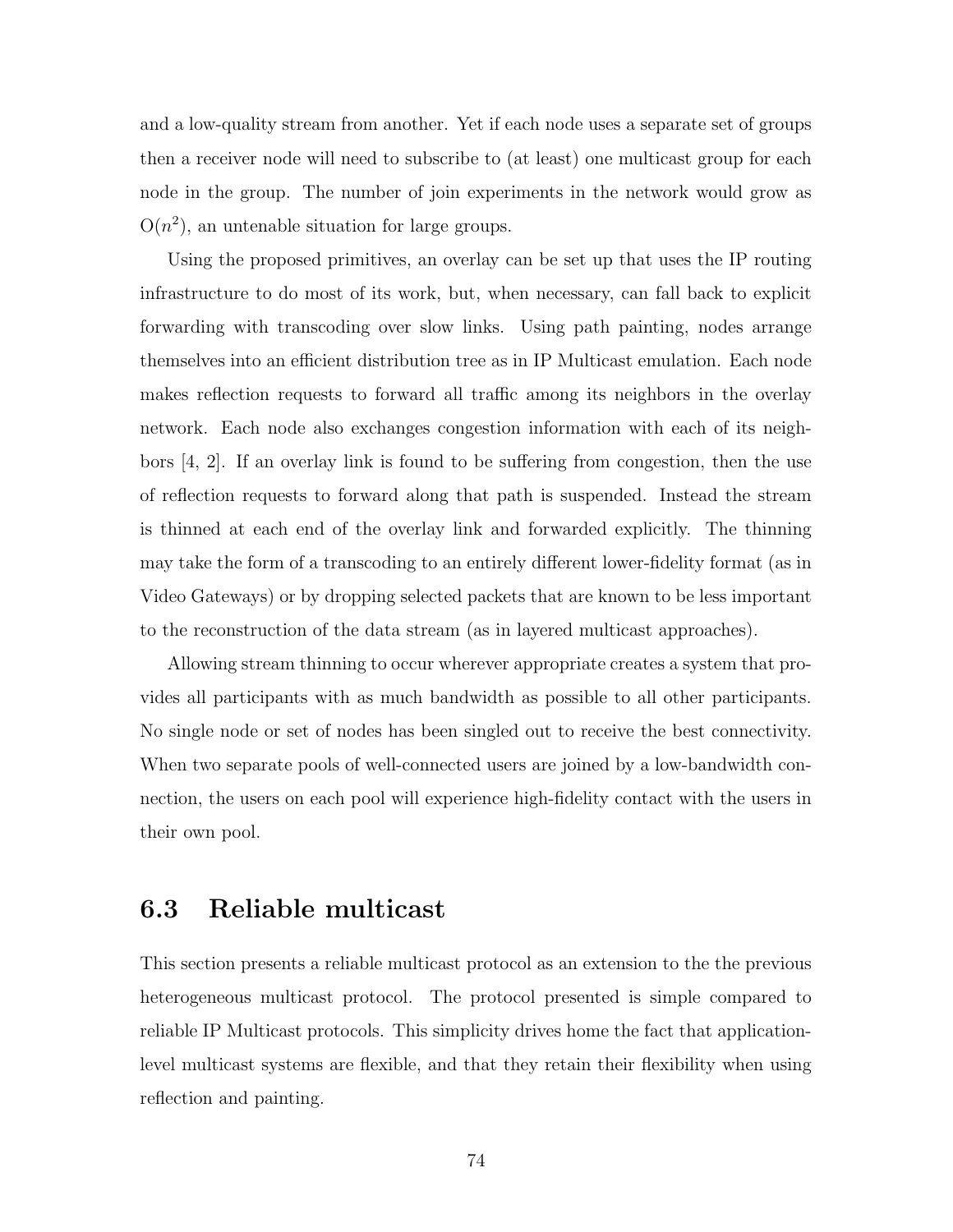and a low-quality stream from another. Yet if each node uses a separate set of groups then a receiver node will need to subscribe to (at least) one multicast group for each node in the group. The number of join experiments in the network would grow as  $O(n^2)$ , an untenable situation for large groups.

Using the proposed primitives, an overlay can be set up that uses the IP routing infrastructure to do most of its work, but, when necessary, can fall back to explicit forwarding with transcoding over slow links. Using path painting, nodes arrange themselves into an efficient distribution tree as in IP Multicast emulation. Each node makes reflection requests to forward all traffic among its neighbors in the overlay network. Each node also exchanges congestion information with each of its neighbors [4, 2]. If an overlay link is found to be suffering from congestion, then the use of reflection requests to forward along that path is suspended. Instead the stream is thinned at each end of the overlay link and forwarded explicitly. The thinning may take the form of a transcoding to an entirely different lower-fidelity format (as in Video Gateways) or by dropping selected packets that are known to be less important to the reconstruction of the data stream (as in layered multicast approaches).

Allowing stream thinning to occur wherever appropriate creates a system that provides all participants with as much bandwidth as possible to all other participants. No single node or set of nodes has been singled out to receive the best connectivity. When two separate pools of well-connected users are joined by a low-bandwidth connection, the users on each pool will experience high-fidelity contact with the users in their own pool.

### 6.3 Reliable multicast

This section presents a reliable multicast protocol as an extension to the the previous heterogeneous multicast protocol. The protocol presented is simple compared to reliable IP Multicast protocols. This simplicity drives home the fact that applicationlevel multicast systems are flexible, and that they retain their flexibility when using reflection and painting.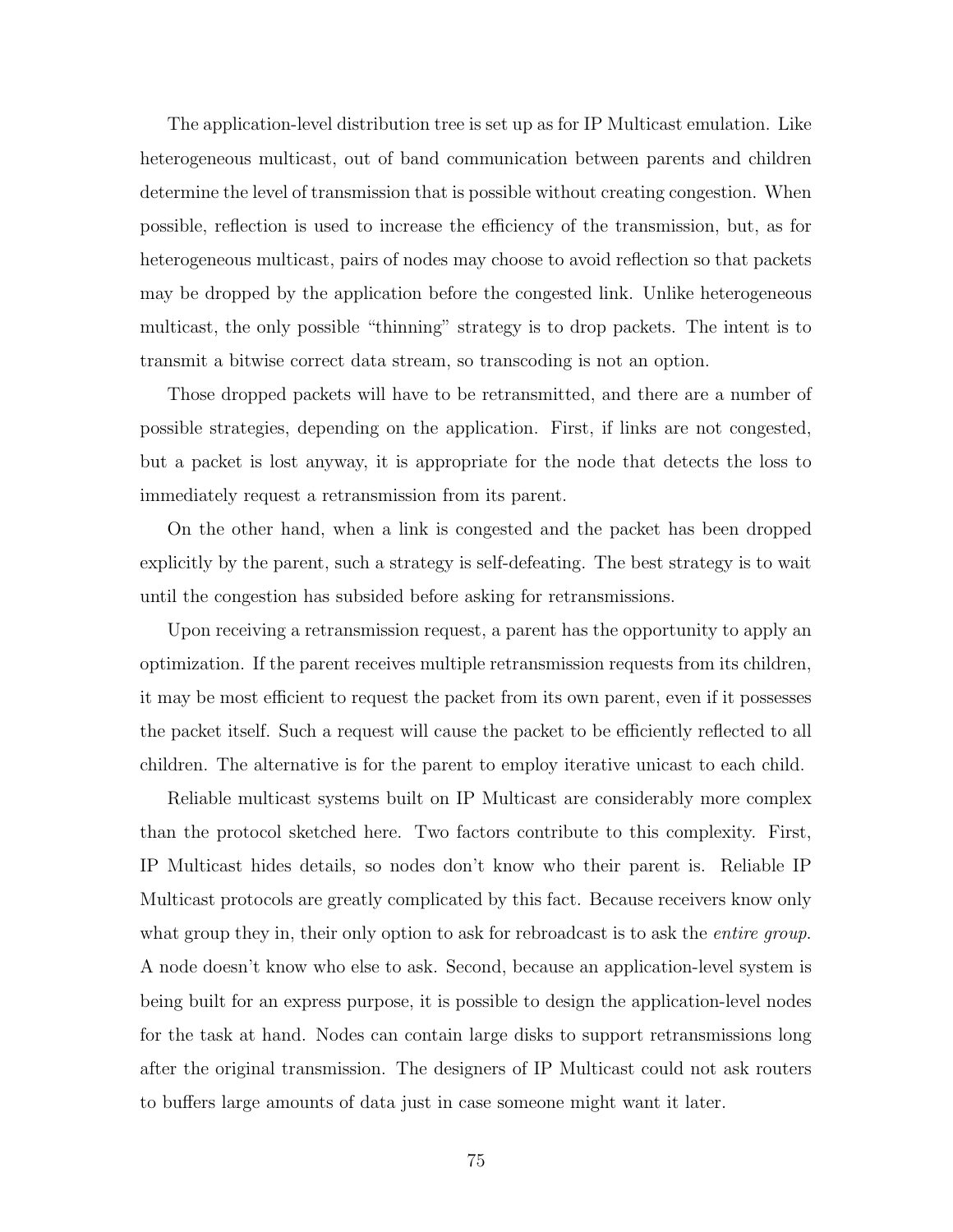The application-level distribution tree is set up as for IP Multicast emulation. Like heterogeneous multicast, out of band communication between parents and children determine the level of transmission that is possible without creating congestion. When possible, reflection is used to increase the efficiency of the transmission, but, as for heterogeneous multicast, pairs of nodes may choose to avoid reflection so that packets may be dropped by the application before the congested link. Unlike heterogeneous multicast, the only possible "thinning" strategy is to drop packets. The intent is to transmit a bitwise correct data stream, so transcoding is not an option.

Those dropped packets will have to be retransmitted, and there are a number of possible strategies, depending on the application. First, if links are not congested, but a packet is lost anyway, it is appropriate for the node that detects the loss to immediately request a retransmission from its parent.

On the other hand, when a link is congested and the packet has been dropped explicitly by the parent, such a strategy is self-defeating. The best strategy is to wait until the congestion has subsided before asking for retransmissions.

Upon receiving a retransmission request, a parent has the opportunity to apply an optimization. If the parent receives multiple retransmission requests from its children, it may be most efficient to request the packet from its own parent, even if it possesses the packet itself. Such a request will cause the packet to be efficiently reflected to all children. The alternative is for the parent to employ iterative unicast to each child.

Reliable multicast systems built on IP Multicast are considerably more complex than the protocol sketched here. Two factors contribute to this complexity. First, IP Multicast hides details, so nodes don't know who their parent is. Reliable IP Multicast protocols are greatly complicated by this fact. Because receivers know only what group they in, their only option to ask for rebroadcast is to ask the *entire group*. A node doesn't know who else to ask. Second, because an application-level system is being built for an express purpose, it is possible to design the application-level nodes for the task at hand. Nodes can contain large disks to support retransmissions long after the original transmission. The designers of IP Multicast could not ask routers to buffers large amounts of data just in case someone might want it later.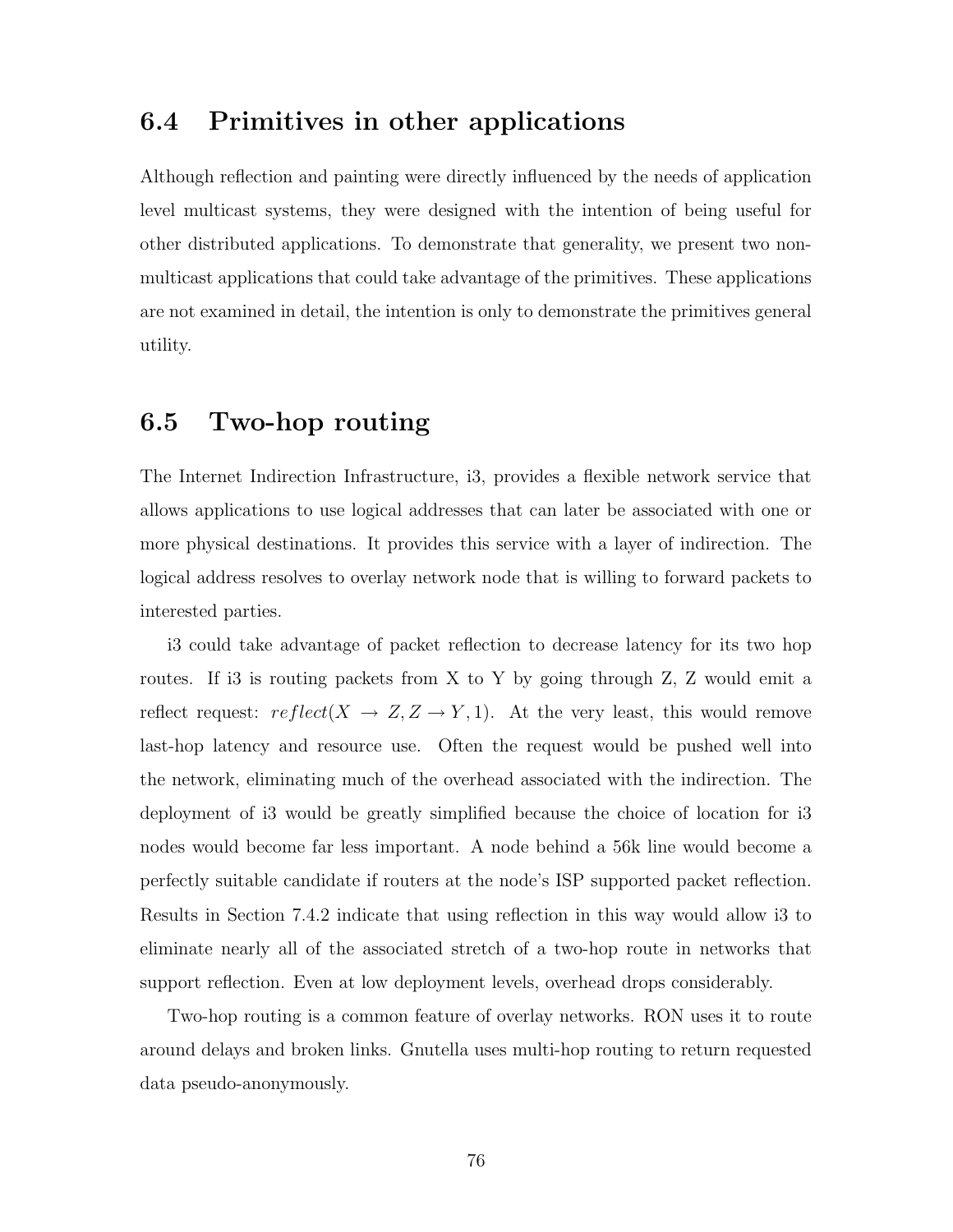# 6.4 Primitives in other applications

Although reflection and painting were directly influenced by the needs of application level multicast systems, they were designed with the intention of being useful for other distributed applications. To demonstrate that generality, we present two nonmulticast applications that could take advantage of the primitives. These applications are not examined in detail, the intention is only to demonstrate the primitives general utility.

### 6.5 Two-hop routing

The Internet Indirection Infrastructure, i3, provides a flexible network service that allows applications to use logical addresses that can later be associated with one or more physical destinations. It provides this service with a layer of indirection. The logical address resolves to overlay network node that is willing to forward packets to interested parties.

i3 could take advantage of packet reflection to decrease latency for its two hop routes. If i3 is routing packets from X to Y by going through Z, Z would emit a reflect request:  $reflect(X \rightarrow Z, Z \rightarrow Y, 1)$ . At the very least, this would remove last-hop latency and resource use. Often the request would be pushed well into the network, eliminating much of the overhead associated with the indirection. The deployment of i3 would be greatly simplified because the choice of location for i3 nodes would become far less important. A node behind a 56k line would become a perfectly suitable candidate if routers at the node's ISP supported packet reflection. Results in Section 7.4.2 indicate that using reflection in this way would allow i3 to eliminate nearly all of the associated stretch of a two-hop route in networks that support reflection. Even at low deployment levels, overhead drops considerably.

Two-hop routing is a common feature of overlay networks. RON uses it to route around delays and broken links. Gnutella uses multi-hop routing to return requested data pseudo-anonymously.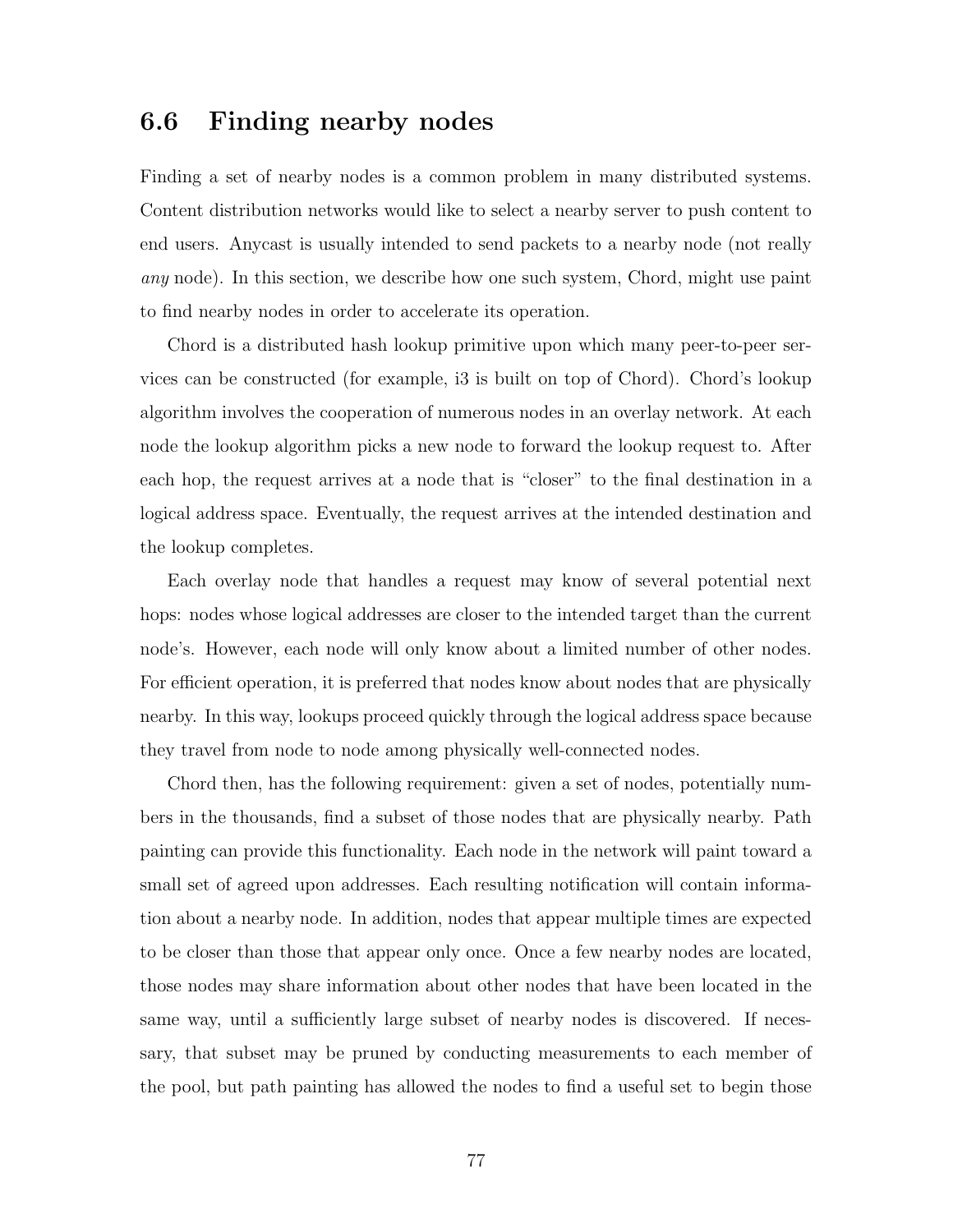### 6.6 Finding nearby nodes

Finding a set of nearby nodes is a common problem in many distributed systems. Content distribution networks would like to select a nearby server to push content to end users. Anycast is usually intended to send packets to a nearby node (not really any node). In this section, we describe how one such system, Chord, might use paint to find nearby nodes in order to accelerate its operation.

Chord is a distributed hash lookup primitive upon which many peer-to-peer services can be constructed (for example, i3 is built on top of Chord). Chord's lookup algorithm involves the cooperation of numerous nodes in an overlay network. At each node the lookup algorithm picks a new node to forward the lookup request to. After each hop, the request arrives at a node that is "closer" to the final destination in a logical address space. Eventually, the request arrives at the intended destination and the lookup completes.

Each overlay node that handles a request may know of several potential next hops: nodes whose logical addresses are closer to the intended target than the current node's. However, each node will only know about a limited number of other nodes. For efficient operation, it is preferred that nodes know about nodes that are physically nearby. In this way, lookups proceed quickly through the logical address space because they travel from node to node among physically well-connected nodes.

Chord then, has the following requirement: given a set of nodes, potentially numbers in the thousands, find a subset of those nodes that are physically nearby. Path painting can provide this functionality. Each node in the network will paint toward a small set of agreed upon addresses. Each resulting notification will contain information about a nearby node. In addition, nodes that appear multiple times are expected to be closer than those that appear only once. Once a few nearby nodes are located, those nodes may share information about other nodes that have been located in the same way, until a sufficiently large subset of nearby nodes is discovered. If necessary, that subset may be pruned by conducting measurements to each member of the pool, but path painting has allowed the nodes to find a useful set to begin those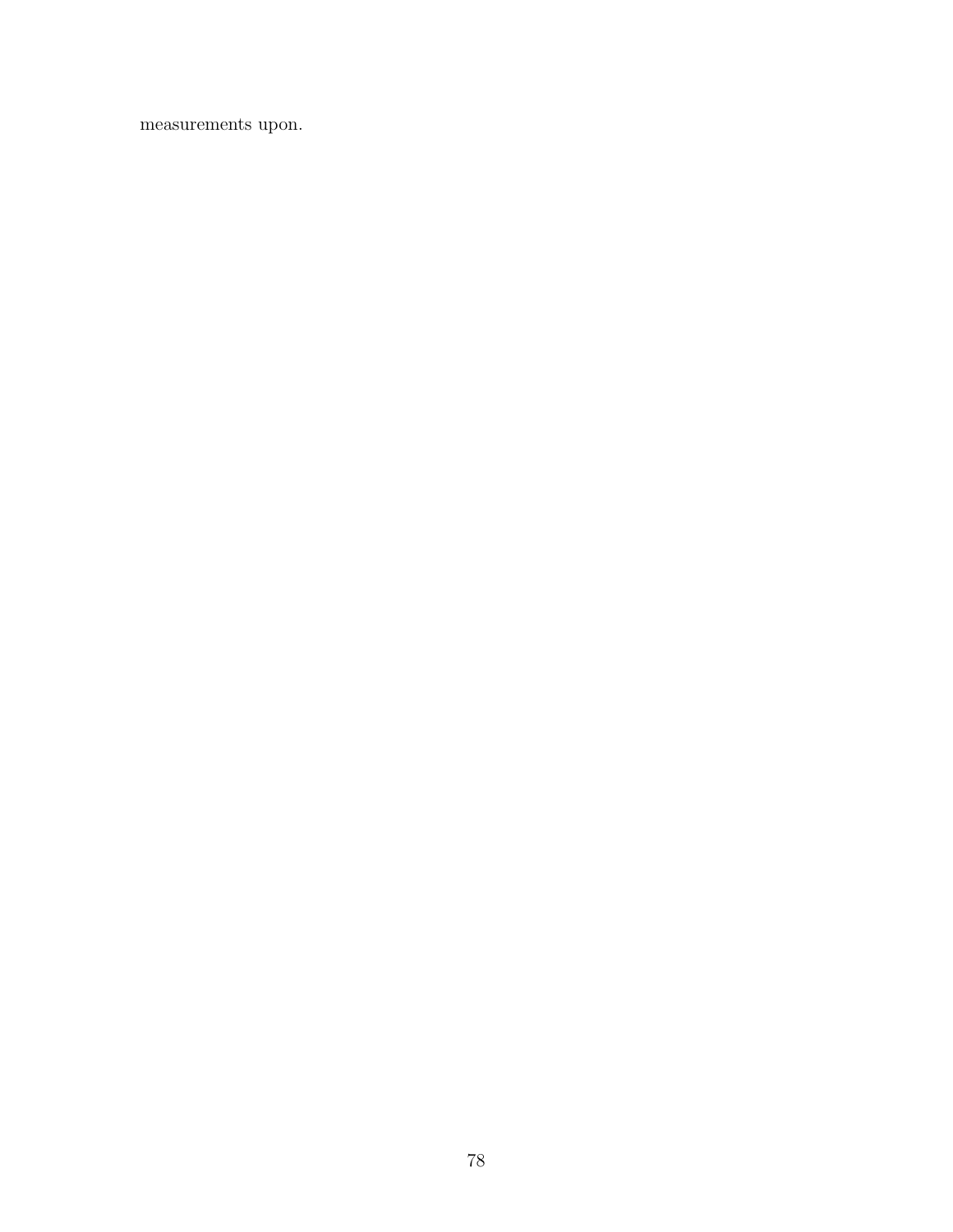measurements upon.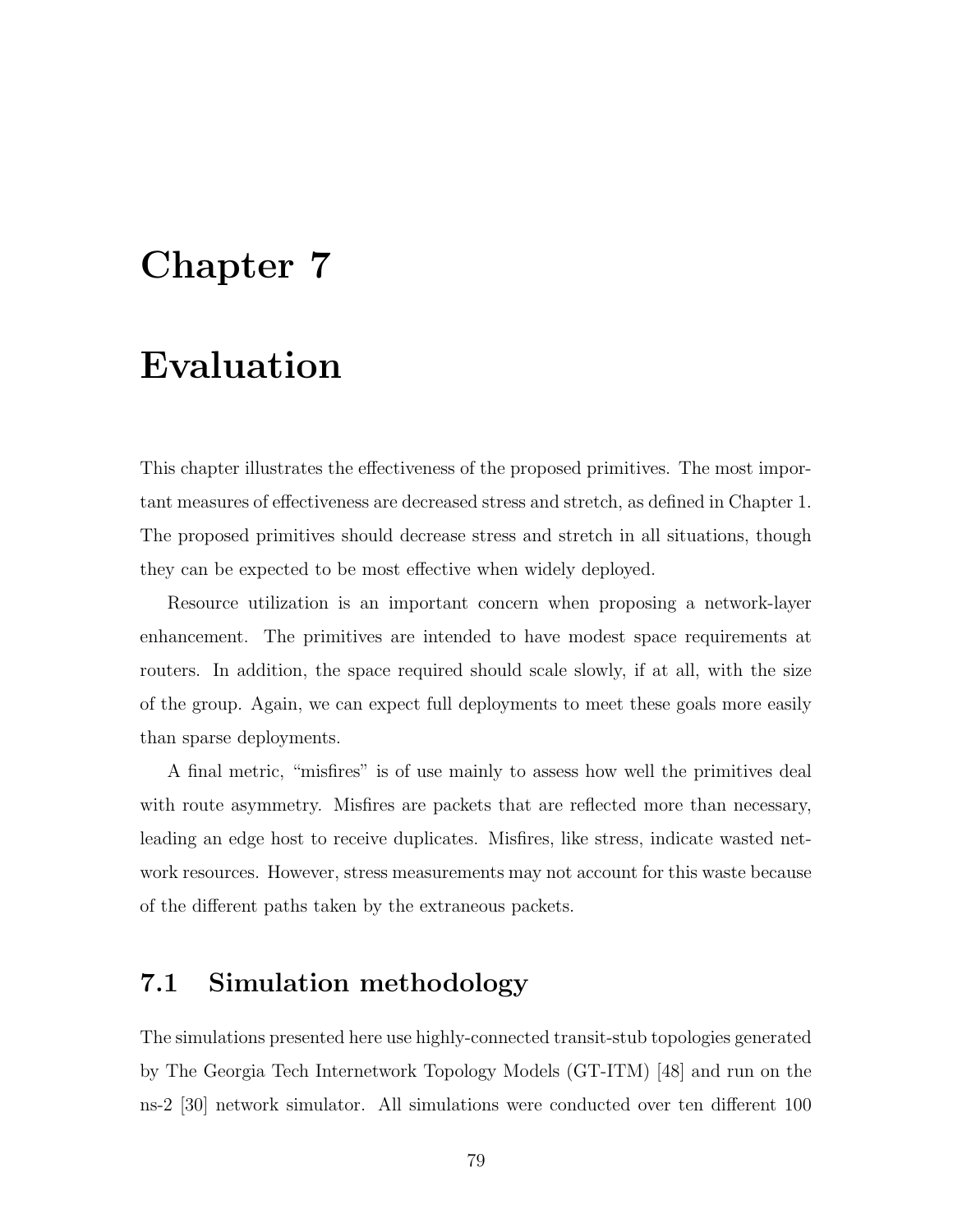# Chapter 7

# Evaluation

This chapter illustrates the effectiveness of the proposed primitives. The most important measures of effectiveness are decreased stress and stretch, as defined in Chapter 1. The proposed primitives should decrease stress and stretch in all situations, though they can be expected to be most effective when widely deployed.

Resource utilization is an important concern when proposing a network-layer enhancement. The primitives are intended to have modest space requirements at routers. In addition, the space required should scale slowly, if at all, with the size of the group. Again, we can expect full deployments to meet these goals more easily than sparse deployments.

A final metric, "misfires" is of use mainly to assess how well the primitives deal with route asymmetry. Misfires are packets that are reflected more than necessary, leading an edge host to receive duplicates. Misfires, like stress, indicate wasted network resources. However, stress measurements may not account for this waste because of the different paths taken by the extraneous packets.

## 7.1 Simulation methodology

The simulations presented here use highly-connected transit-stub topologies generated by The Georgia Tech Internetwork Topology Models (GT-ITM) [48] and run on the ns-2 [30] network simulator. All simulations were conducted over ten different 100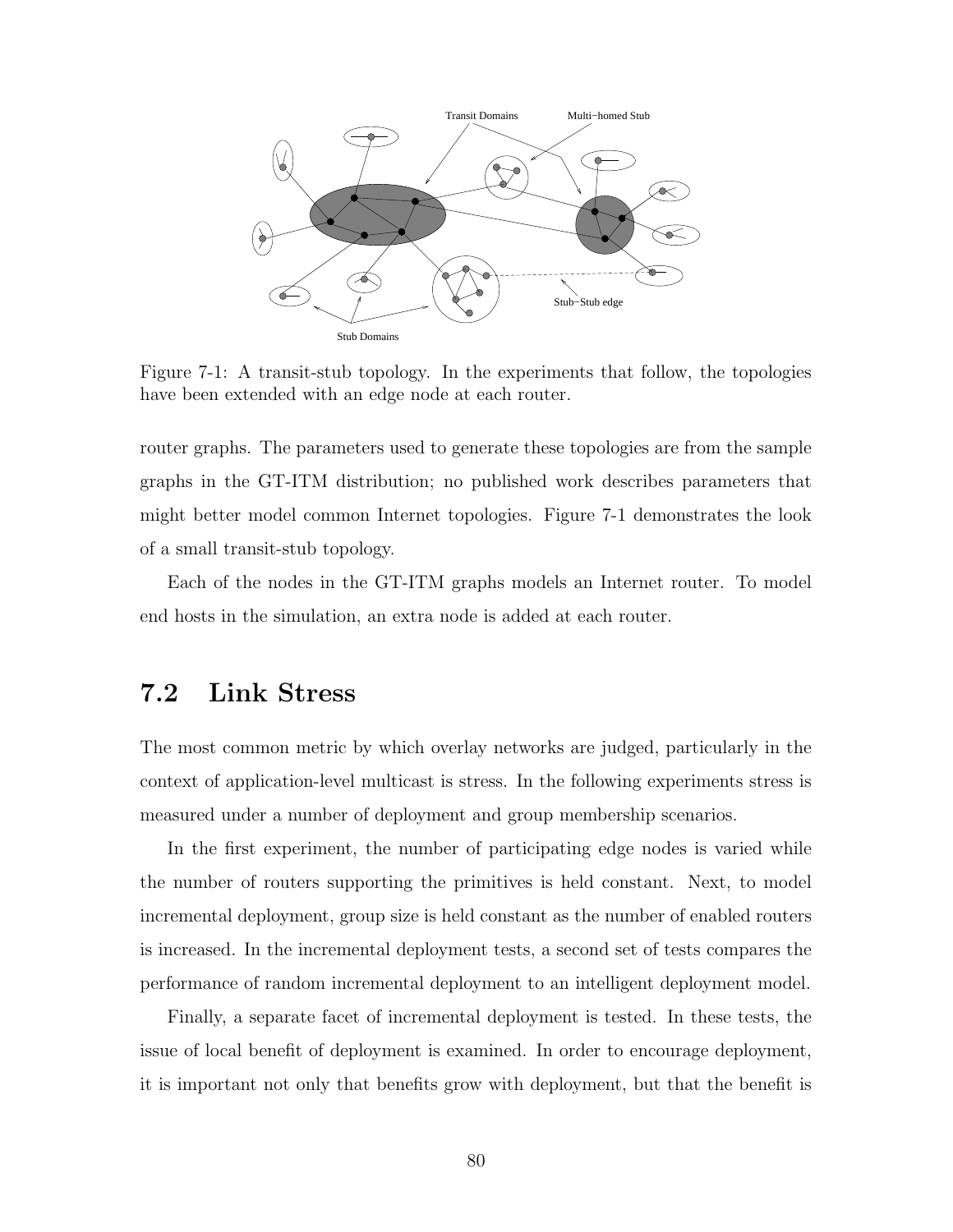

Figure 7-1: A transit-stub topology. In the experiments that follow, the topologies have been extended with an edge node at each router.

router graphs. The parameters used to generate these topologies are from the sample graphs in the GT-ITM distribution; no published work describes parameters that might better model common Internet topologies. Figure 7-1 demonstrates the look of a small transit-stub topology.

Each of the nodes in the GT-ITM graphs models an Internet router. To model end hosts in the simulation, an extra node is added at each router.

## 7.2 Link Stress

The most common metric by which overlay networks are judged, particularly in the context of application-level multicast is stress. In the following experiments stress is measured under a number of deployment and group membership scenarios.

In the first experiment, the number of participating edge nodes is varied while the number of routers supporting the primitives is held constant. Next, to model incremental deployment, group size is held constant as the number of enabled routers is increased. In the incremental deployment tests, a second set of tests compares the performance of random incremental deployment to an intelligent deployment model.

Finally, a separate facet of incremental deployment is tested. In these tests, the issue of local benefit of deployment is examined. In order to encourage deployment, it is important not only that benefits grow with deployment, but that the benefit is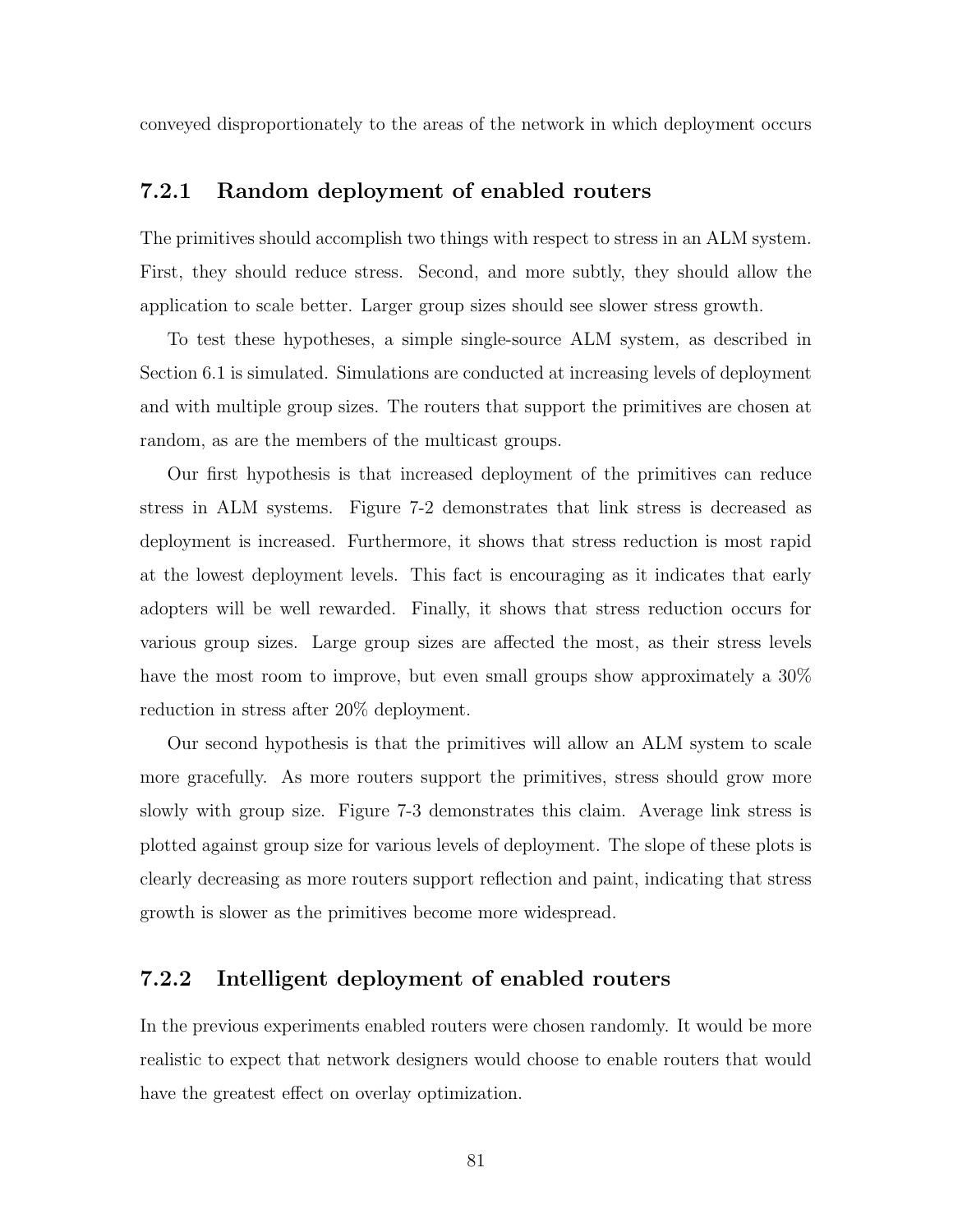conveyed disproportionately to the areas of the network in which deployment occurs

#### 7.2.1 Random deployment of enabled routers

The primitives should accomplish two things with respect to stress in an ALM system. First, they should reduce stress. Second, and more subtly, they should allow the application to scale better. Larger group sizes should see slower stress growth.

To test these hypotheses, a simple single-source ALM system, as described in Section 6.1 is simulated. Simulations are conducted at increasing levels of deployment and with multiple group sizes. The routers that support the primitives are chosen at random, as are the members of the multicast groups.

Our first hypothesis is that increased deployment of the primitives can reduce stress in ALM systems. Figure 7-2 demonstrates that link stress is decreased as deployment is increased. Furthermore, it shows that stress reduction is most rapid at the lowest deployment levels. This fact is encouraging as it indicates that early adopters will be well rewarded. Finally, it shows that stress reduction occurs for various group sizes. Large group sizes are affected the most, as their stress levels have the most room to improve, but even small groups show approximately a  $30\%$ reduction in stress after 20% deployment.

Our second hypothesis is that the primitives will allow an ALM system to scale more gracefully. As more routers support the primitives, stress should grow more slowly with group size. Figure 7-3 demonstrates this claim. Average link stress is plotted against group size for various levels of deployment. The slope of these plots is clearly decreasing as more routers support reflection and paint, indicating that stress growth is slower as the primitives become more widespread.

#### 7.2.2 Intelligent deployment of enabled routers

In the previous experiments enabled routers were chosen randomly. It would be more realistic to expect that network designers would choose to enable routers that would have the greatest effect on overlay optimization.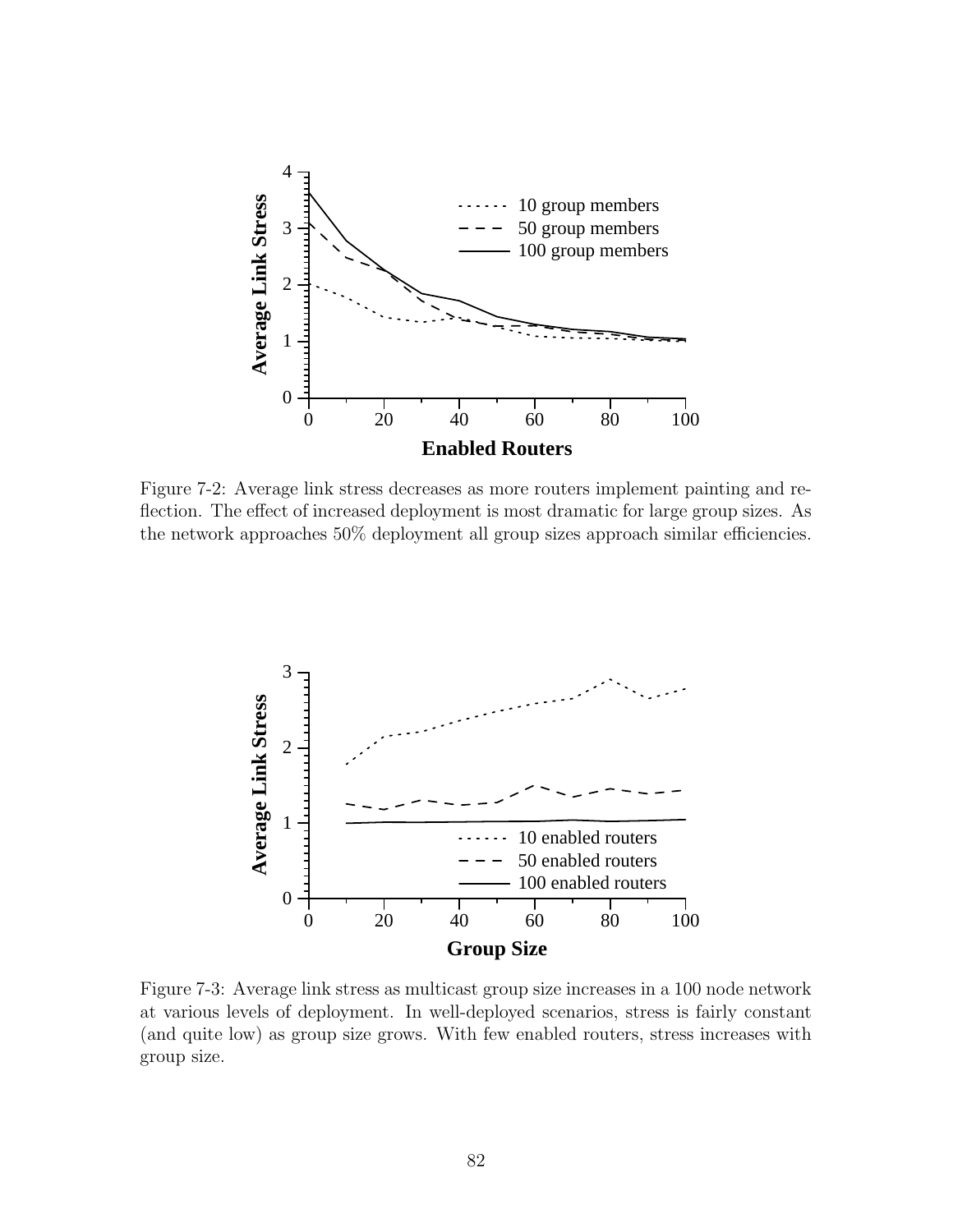

Figure 7-2: Average link stress decreases as more routers implement painting and reflection. The effect of increased deployment is most dramatic for large group sizes. As the network approaches 50% deployment all group sizes approach similar efficiencies.



Figure 7-3: Average link stress as multicast group size increases in a 100 node network at various levels of deployment. In well-deployed scenarios, stress is fairly constant (and quite low) as group size grows. With few enabled routers, stress increases with group size.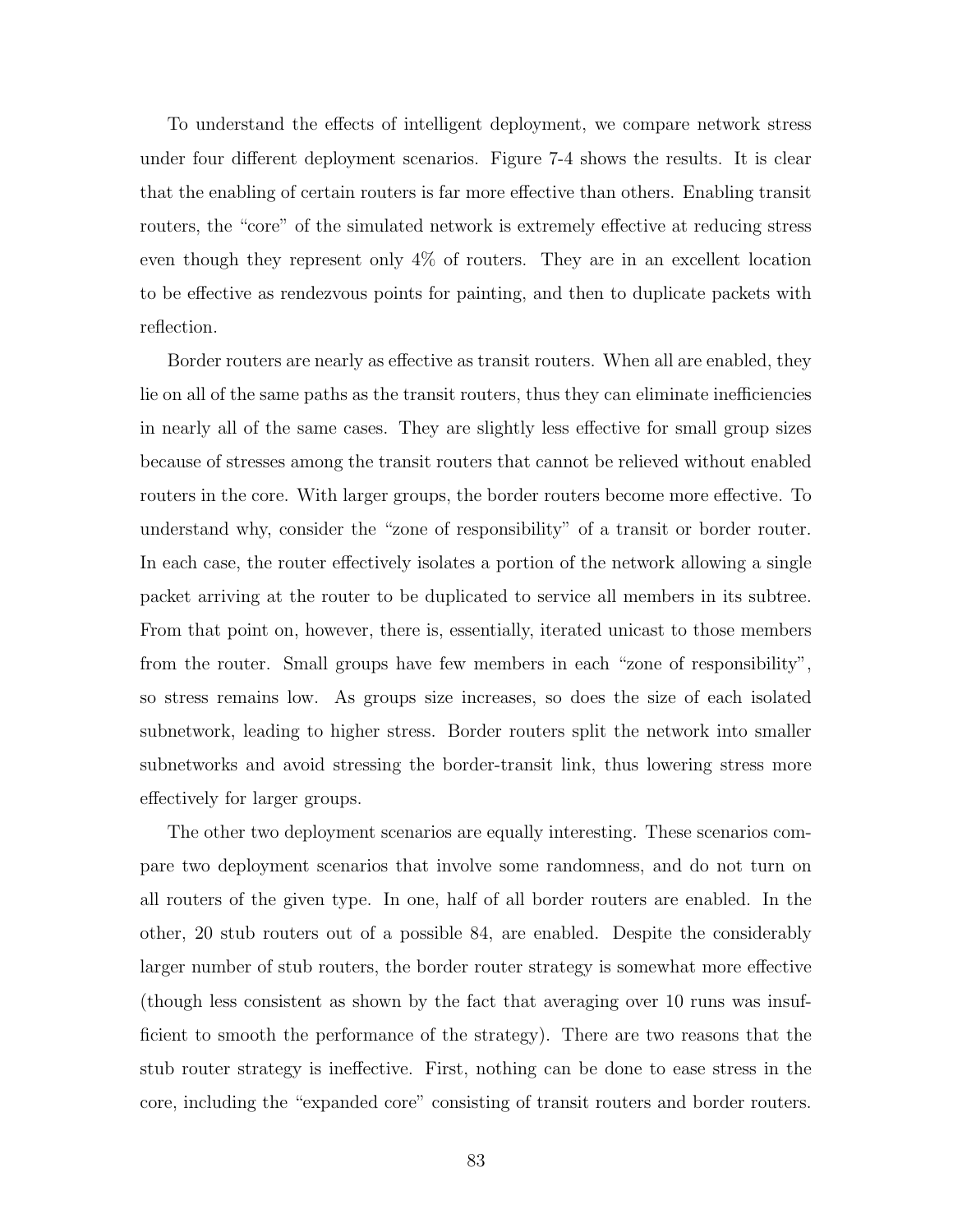To understand the effects of intelligent deployment, we compare network stress under four different deployment scenarios. Figure 7-4 shows the results. It is clear that the enabling of certain routers is far more effective than others. Enabling transit routers, the "core" of the simulated network is extremely effective at reducing stress even though they represent only 4% of routers. They are in an excellent location to be effective as rendezvous points for painting, and then to duplicate packets with reflection.

Border routers are nearly as effective as transit routers. When all are enabled, they lie on all of the same paths as the transit routers, thus they can eliminate inefficiencies in nearly all of the same cases. They are slightly less effective for small group sizes because of stresses among the transit routers that cannot be relieved without enabled routers in the core. With larger groups, the border routers become more effective. To understand why, consider the "zone of responsibility" of a transit or border router. In each case, the router effectively isolates a portion of the network allowing a single packet arriving at the router to be duplicated to service all members in its subtree. From that point on, however, there is, essentially, iterated unicast to those members from the router. Small groups have few members in each "zone of responsibility", so stress remains low. As groups size increases, so does the size of each isolated subnetwork, leading to higher stress. Border routers split the network into smaller subnetworks and avoid stressing the border-transit link, thus lowering stress more effectively for larger groups.

The other two deployment scenarios are equally interesting. These scenarios compare two deployment scenarios that involve some randomness, and do not turn on all routers of the given type. In one, half of all border routers are enabled. In the other, 20 stub routers out of a possible 84, are enabled. Despite the considerably larger number of stub routers, the border router strategy is somewhat more effective (though less consistent as shown by the fact that averaging over 10 runs was insufficient to smooth the performance of the strategy). There are two reasons that the stub router strategy is ineffective. First, nothing can be done to ease stress in the core, including the "expanded core" consisting of transit routers and border routers.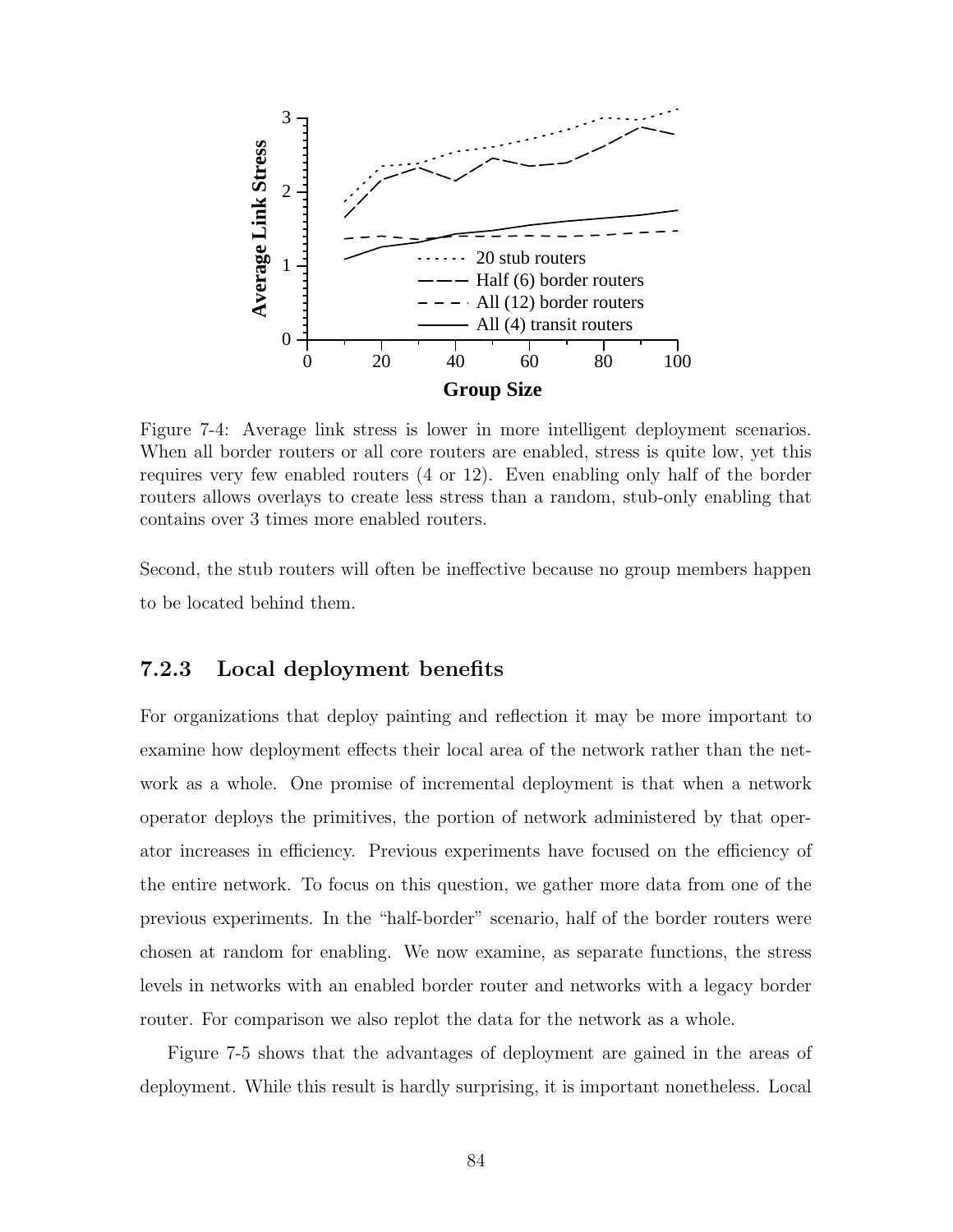

Figure 7-4: Average link stress is lower in more intelligent deployment scenarios. When all border routers or all core routers are enabled, stress is quite low, yet this requires very few enabled routers (4 or 12). Even enabling only half of the border routers allows overlays to create less stress than a random, stub-only enabling that contains over 3 times more enabled routers.

Second, the stub routers will often be ineffective because no group members happen to be located behind them.

#### 7.2.3 Local deployment benefits

For organizations that deploy painting and reflection it may be more important to examine how deployment effects their local area of the network rather than the network as a whole. One promise of incremental deployment is that when a network operator deploys the primitives, the portion of network administered by that operator increases in efficiency. Previous experiments have focused on the efficiency of the entire network. To focus on this question, we gather more data from one of the previous experiments. In the "half-border" scenario, half of the border routers were chosen at random for enabling. We now examine, as separate functions, the stress levels in networks with an enabled border router and networks with a legacy border router. For comparison we also replot the data for the network as a whole.

Figure 7-5 shows that the advantages of deployment are gained in the areas of deployment. While this result is hardly surprising, it is important nonetheless. Local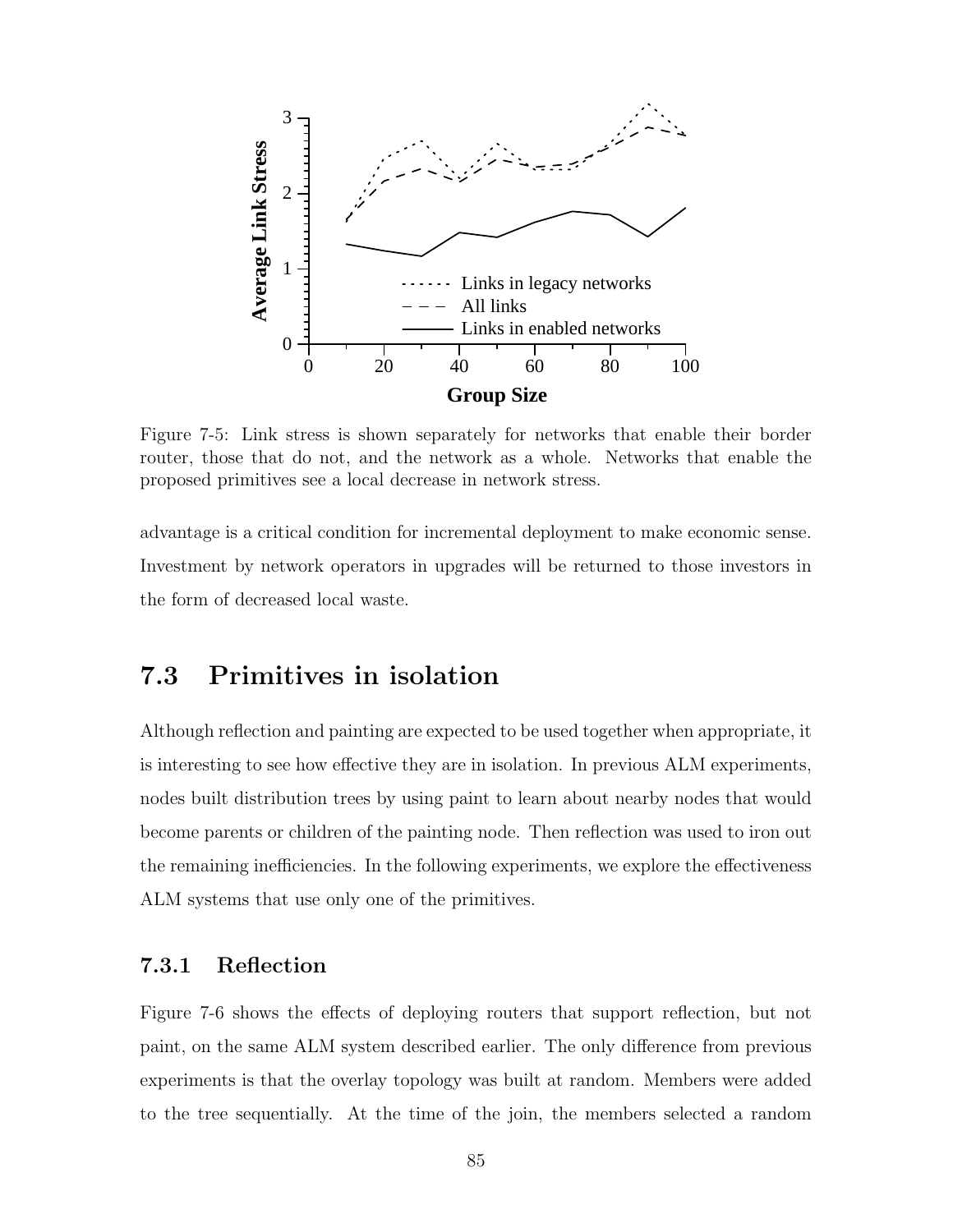

Figure 7-5: Link stress is shown separately for networks that enable their border router, those that do not, and the network as a whole. Networks that enable the proposed primitives see a local decrease in network stress.

advantage is a critical condition for incremental deployment to make economic sense. Investment by network operators in upgrades will be returned to those investors in the form of decreased local waste.

## 7.3 Primitives in isolation

Although reflection and painting are expected to be used together when appropriate, it is interesting to see how effective they are in isolation. In previous ALM experiments, nodes built distribution trees by using paint to learn about nearby nodes that would become parents or children of the painting node. Then reflection was used to iron out the remaining inefficiencies. In the following experiments, we explore the effectiveness ALM systems that use only one of the primitives.

#### 7.3.1 Reflection

Figure 7-6 shows the effects of deploying routers that support reflection, but not paint, on the same ALM system described earlier. The only difference from previous experiments is that the overlay topology was built at random. Members were added to the tree sequentially. At the time of the join, the members selected a random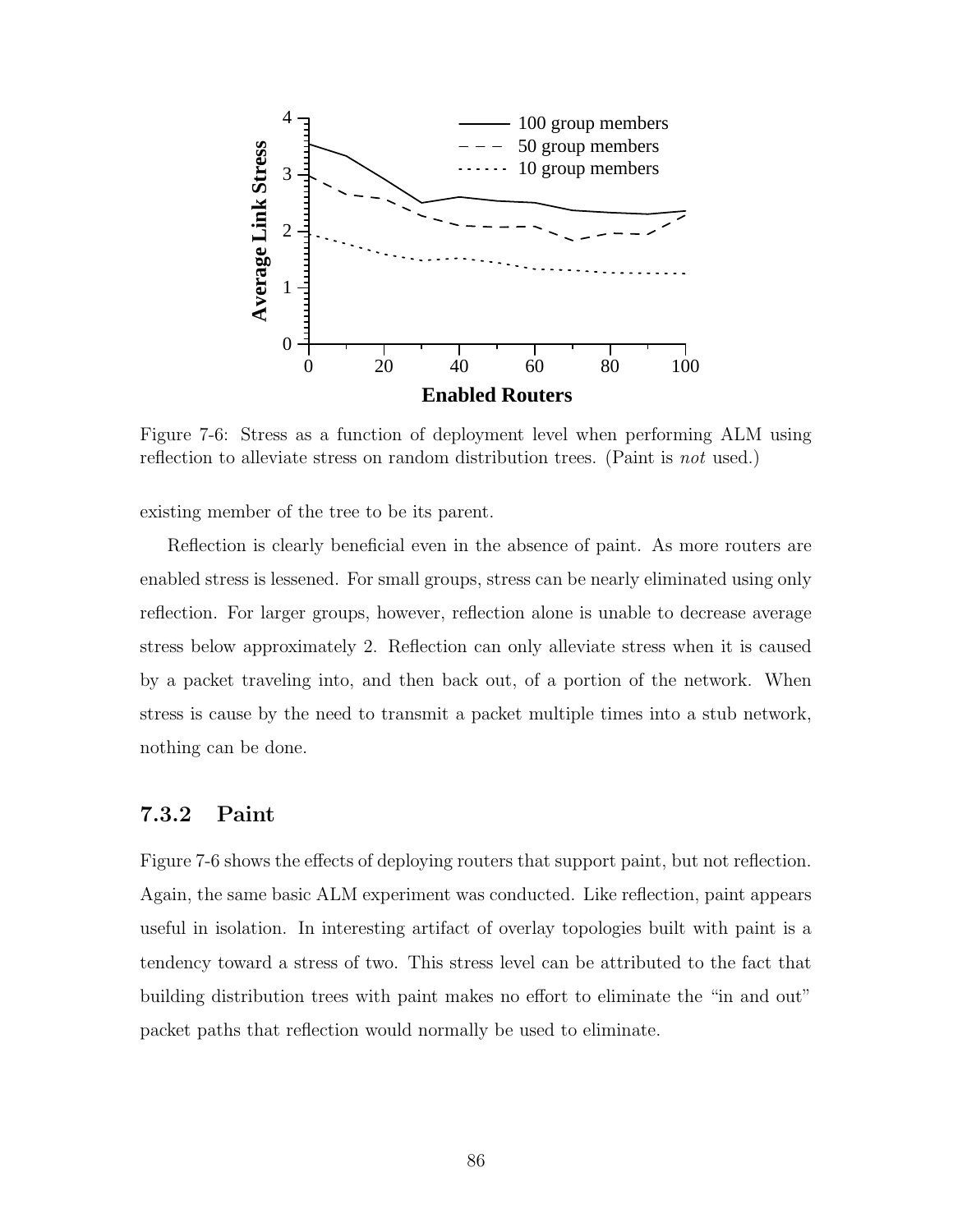

Figure 7-6: Stress as a function of deployment level when performing ALM using reflection to alleviate stress on random distribution trees. (Paint is *not* used.)

existing member of the tree to be its parent.

Reflection is clearly beneficial even in the absence of paint. As more routers are enabled stress is lessened. For small groups, stress can be nearly eliminated using only reflection. For larger groups, however, reflection alone is unable to decrease average stress below approximately 2. Reflection can only alleviate stress when it is caused by a packet traveling into, and then back out, of a portion of the network. When stress is cause by the need to transmit a packet multiple times into a stub network, nothing can be done.

#### 7.3.2 Paint

Figure 7-6 shows the effects of deploying routers that support paint, but not reflection. Again, the same basic ALM experiment was conducted. Like reflection, paint appears useful in isolation. In interesting artifact of overlay topologies built with paint is a tendency toward a stress of two. This stress level can be attributed to the fact that building distribution trees with paint makes no effort to eliminate the "in and out" packet paths that reflection would normally be used to eliminate.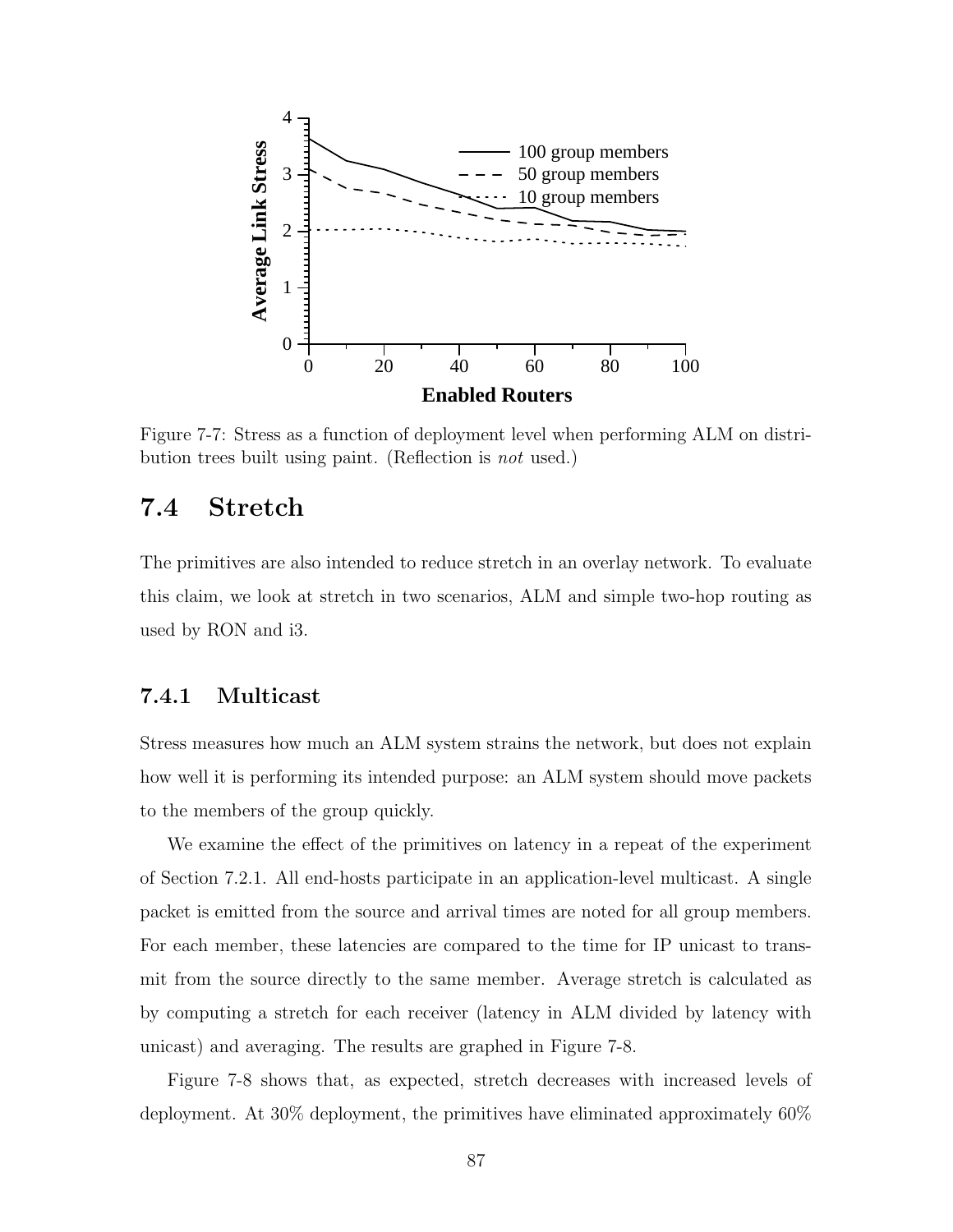

Figure 7-7: Stress as a function of deployment level when performing ALM on distribution trees built using paint. (Reflection is not used.)

# 7.4 Stretch

The primitives are also intended to reduce stretch in an overlay network. To evaluate this claim, we look at stretch in two scenarios, ALM and simple two-hop routing as used by RON and i3.

#### 7.4.1 Multicast

Stress measures how much an ALM system strains the network, but does not explain how well it is performing its intended purpose: an ALM system should move packets to the members of the group quickly.

We examine the effect of the primitives on latency in a repeat of the experiment of Section 7.2.1. All end-hosts participate in an application-level multicast. A single packet is emitted from the source and arrival times are noted for all group members. For each member, these latencies are compared to the time for IP unicast to transmit from the source directly to the same member. Average stretch is calculated as by computing a stretch for each receiver (latency in ALM divided by latency with unicast) and averaging. The results are graphed in Figure 7-8.

Figure 7-8 shows that, as expected, stretch decreases with increased levels of deployment. At 30% deployment, the primitives have eliminated approximately 60%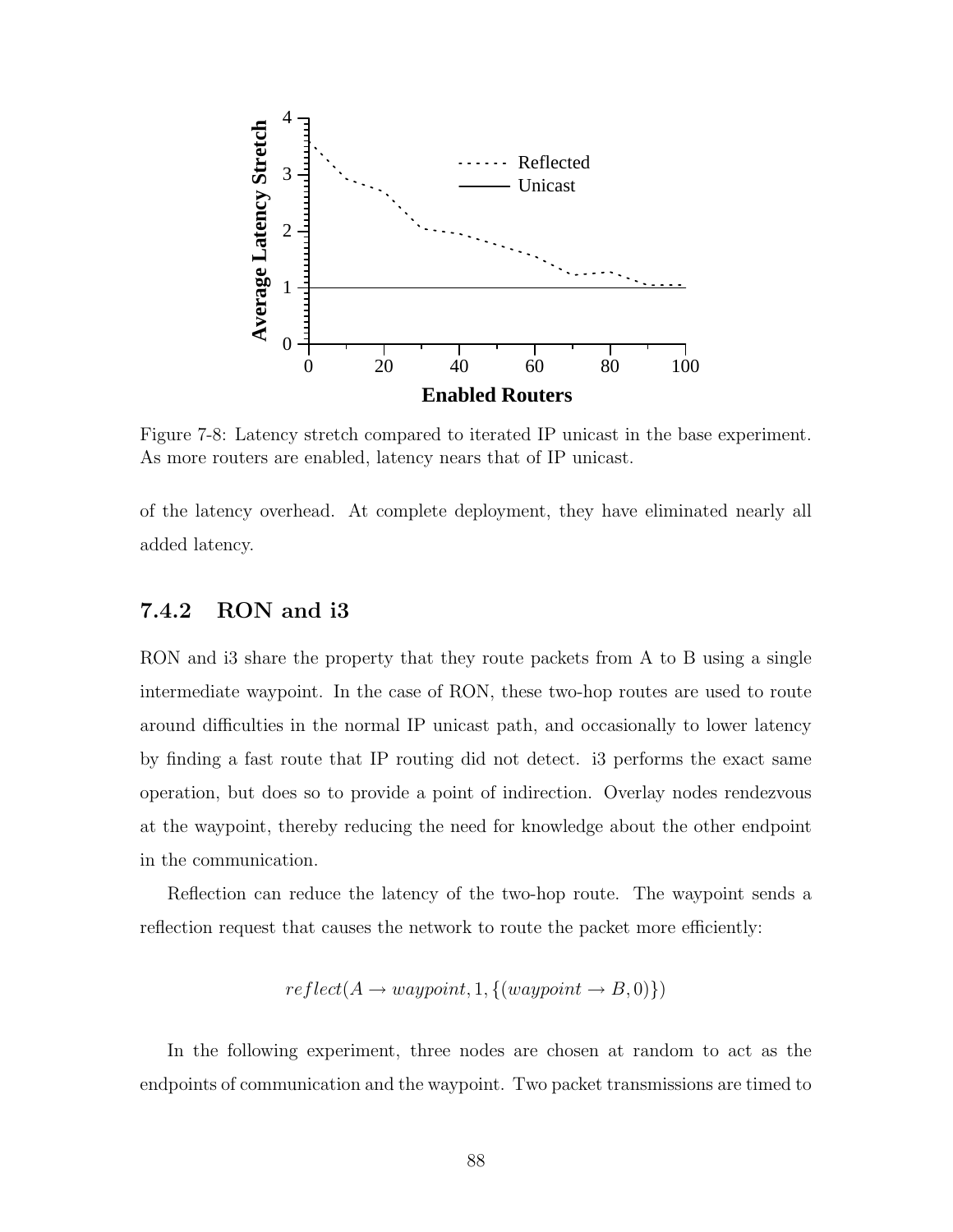

Figure 7-8: Latency stretch compared to iterated IP unicast in the base experiment. As more routers are enabled, latency nears that of IP unicast.

of the latency overhead. At complete deployment, they have eliminated nearly all added latency.

#### 7.4.2 RON and i3

RON and i3 share the property that they route packets from A to B using a single intermediate waypoint. In the case of RON, these two-hop routes are used to route around difficulties in the normal IP unicast path, and occasionally to lower latency by finding a fast route that IP routing did not detect. i3 performs the exact same operation, but does so to provide a point of indirection. Overlay nodes rendezvous at the waypoint, thereby reducing the need for knowledge about the other endpoint in the communication.

Reflection can reduce the latency of the two-hop route. The waypoint sends a reflection request that causes the network to route the packet more efficiently:

$$
reflect(A \rightarrow waypoint, 1, \{(waypoint \rightarrow B, 0)\})
$$

In the following experiment, three nodes are chosen at random to act as the endpoints of communication and the waypoint. Two packet transmissions are timed to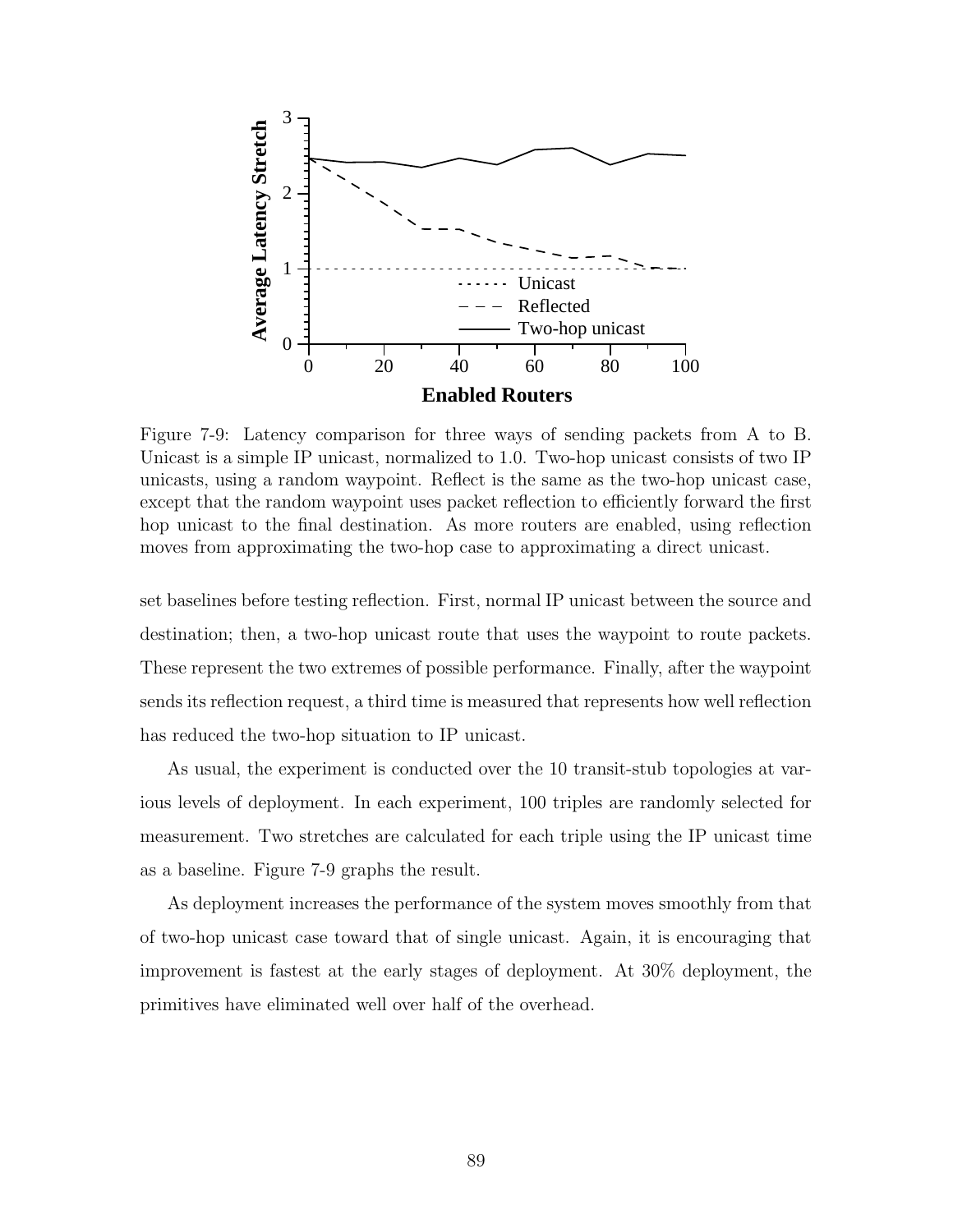

Figure 7-9: Latency comparison for three ways of sending packets from A to B. Unicast is a simple IP unicast, normalized to 1.0. Two-hop unicast consists of two IP unicasts, using a random waypoint. Reflect is the same as the two-hop unicast case, except that the random waypoint uses packet reflection to efficiently forward the first hop unicast to the final destination. As more routers are enabled, using reflection moves from approximating the two-hop case to approximating a direct unicast.

set baselines before testing reflection. First, normal IP unicast between the source and destination; then, a two-hop unicast route that uses the waypoint to route packets. These represent the two extremes of possible performance. Finally, after the waypoint sends its reflection request, a third time is measured that represents how well reflection has reduced the two-hop situation to IP unicast.

As usual, the experiment is conducted over the 10 transit-stub topologies at various levels of deployment. In each experiment, 100 triples are randomly selected for measurement. Two stretches are calculated for each triple using the IP unicast time as a baseline. Figure 7-9 graphs the result.

As deployment increases the performance of the system moves smoothly from that of two-hop unicast case toward that of single unicast. Again, it is encouraging that improvement is fastest at the early stages of deployment. At 30% deployment, the primitives have eliminated well over half of the overhead.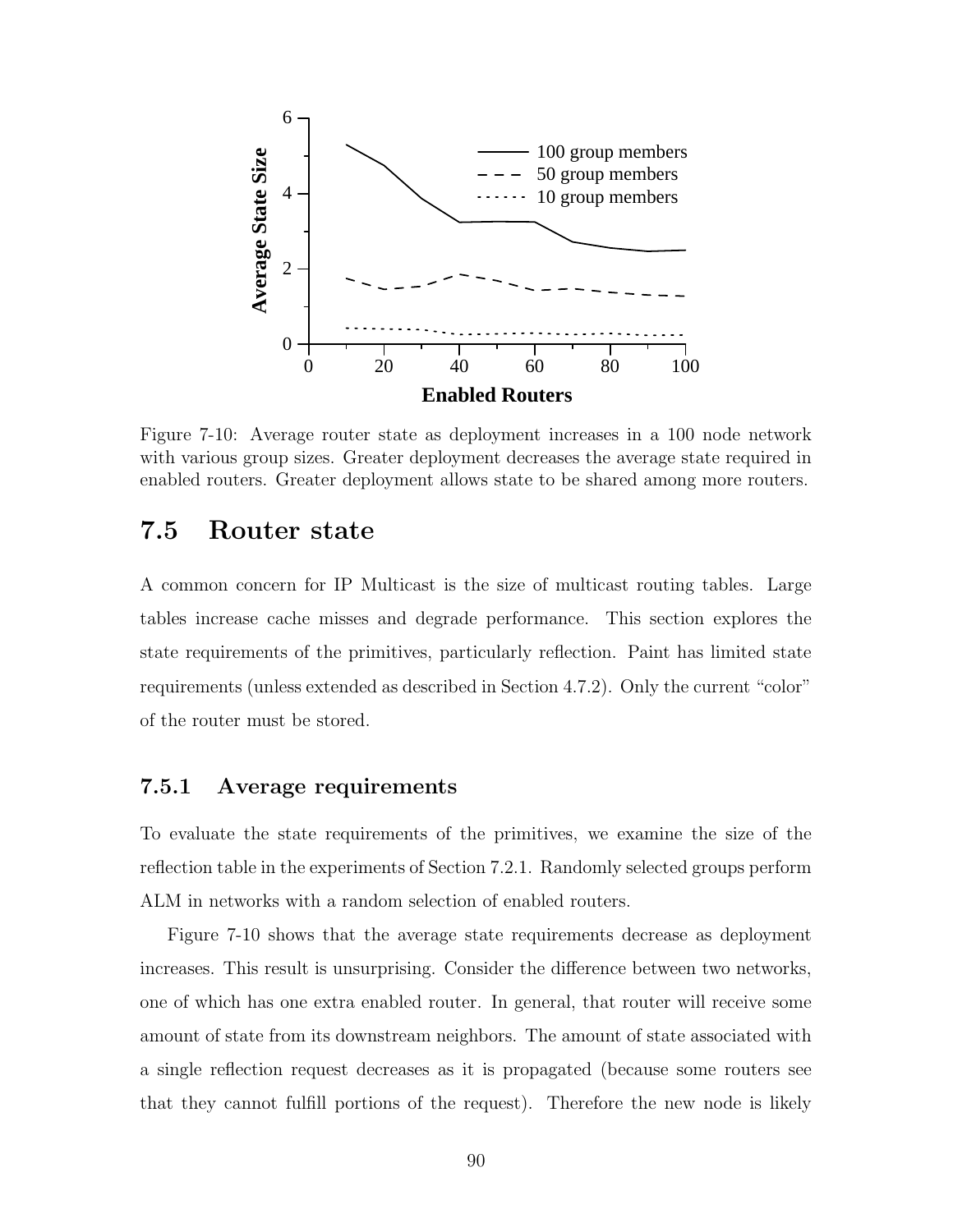

Figure 7-10: Average router state as deployment increases in a 100 node network with various group sizes. Greater deployment decreases the average state required in enabled routers. Greater deployment allows state to be shared among more routers.

### 7.5 Router state

A common concern for IP Multicast is the size of multicast routing tables. Large tables increase cache misses and degrade performance. This section explores the state requirements of the primitives, particularly reflection. Paint has limited state requirements (unless extended as described in Section 4.7.2). Only the current "color" of the router must be stored.

#### 7.5.1 Average requirements

To evaluate the state requirements of the primitives, we examine the size of the reflection table in the experiments of Section 7.2.1. Randomly selected groups perform ALM in networks with a random selection of enabled routers.

Figure 7-10 shows that the average state requirements decrease as deployment increases. This result is unsurprising. Consider the difference between two networks, one of which has one extra enabled router. In general, that router will receive some amount of state from its downstream neighbors. The amount of state associated with a single reflection request decreases as it is propagated (because some routers see that they cannot fulfill portions of the request). Therefore the new node is likely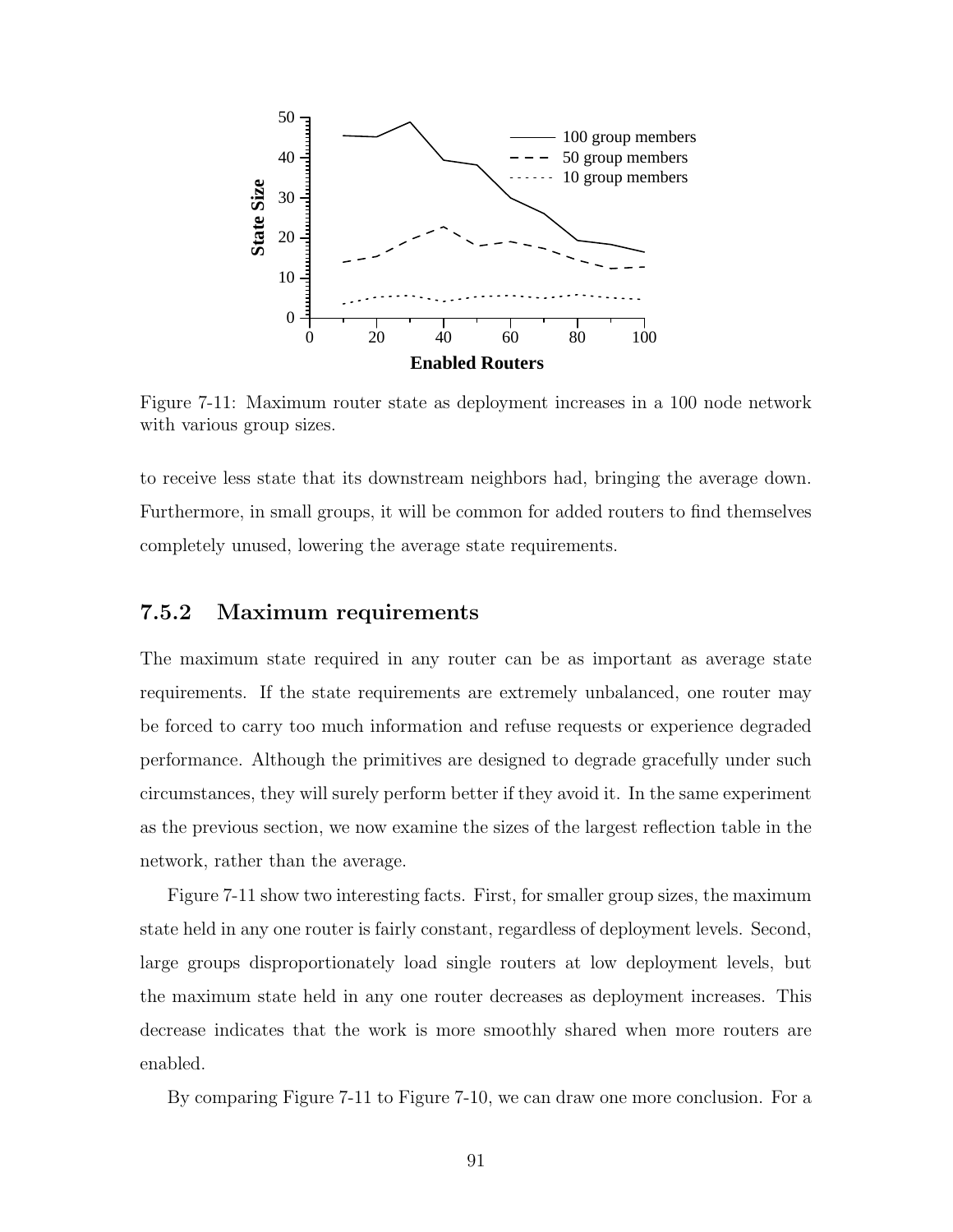

Figure 7-11: Maximum router state as deployment increases in a 100 node network with various group sizes.

to receive less state that its downstream neighbors had, bringing the average down. Furthermore, in small groups, it will be common for added routers to find themselves completely unused, lowering the average state requirements.

#### 7.5.2 Maximum requirements

The maximum state required in any router can be as important as average state requirements. If the state requirements are extremely unbalanced, one router may be forced to carry too much information and refuse requests or experience degraded performance. Although the primitives are designed to degrade gracefully under such circumstances, they will surely perform better if they avoid it. In the same experiment as the previous section, we now examine the sizes of the largest reflection table in the network, rather than the average.

Figure 7-11 show two interesting facts. First, for smaller group sizes, the maximum state held in any one router is fairly constant, regardless of deployment levels. Second, large groups disproportionately load single routers at low deployment levels, but the maximum state held in any one router decreases as deployment increases. This decrease indicates that the work is more smoothly shared when more routers are enabled.

By comparing Figure 7-11 to Figure 7-10, we can draw one more conclusion. For a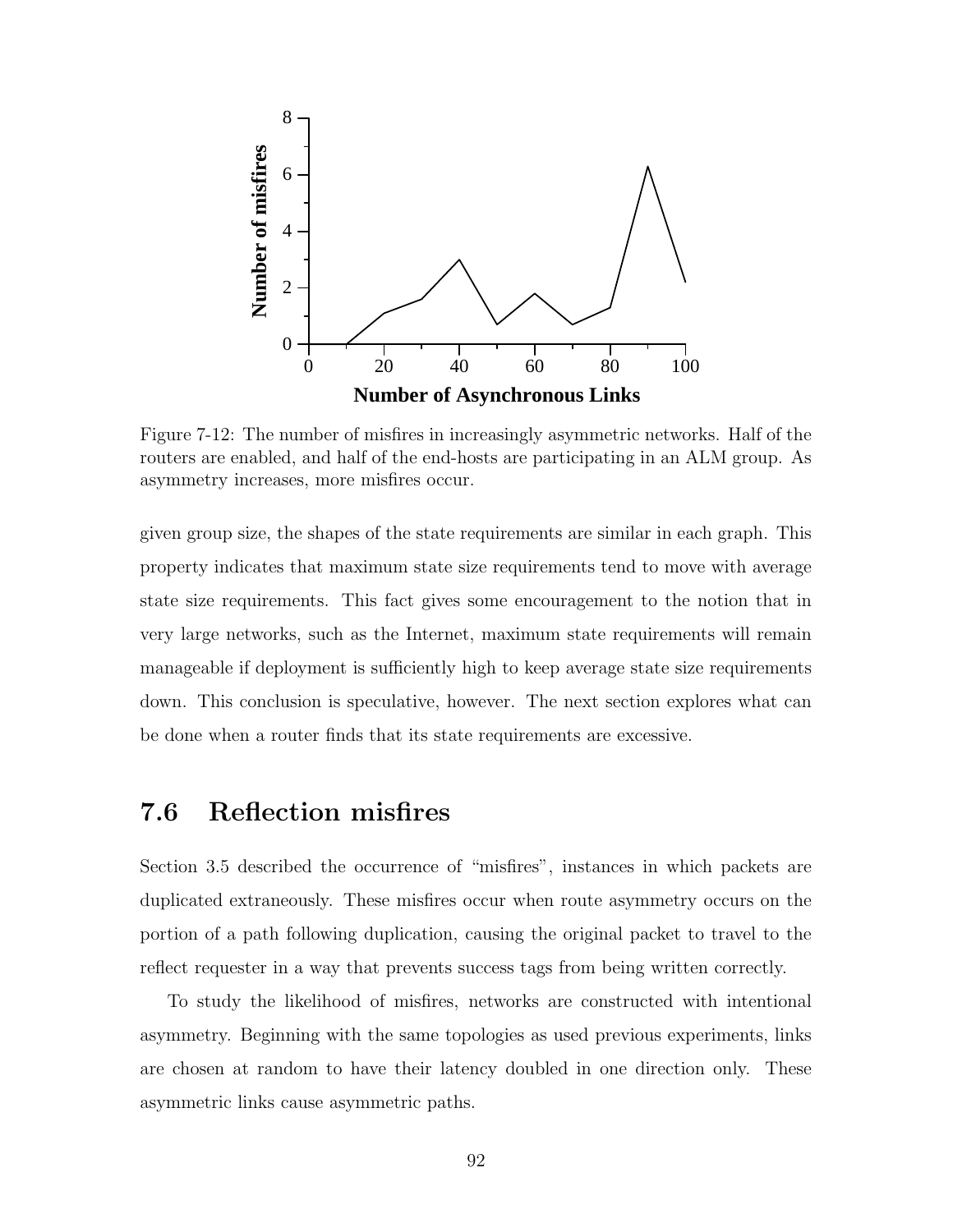

Figure 7-12: The number of misfires in increasingly asymmetric networks. Half of the routers are enabled, and half of the end-hosts are participating in an ALM group. As asymmetry increases, more misfires occur.

given group size, the shapes of the state requirements are similar in each graph. This property indicates that maximum state size requirements tend to move with average state size requirements. This fact gives some encouragement to the notion that in very large networks, such as the Internet, maximum state requirements will remain manageable if deployment is sufficiently high to keep average state size requirements down. This conclusion is speculative, however. The next section explores what can be done when a router finds that its state requirements are excessive.

## 7.6 Reflection misfires

Section 3.5 described the occurrence of "misfires", instances in which packets are duplicated extraneously. These misfires occur when route asymmetry occurs on the portion of a path following duplication, causing the original packet to travel to the reflect requester in a way that prevents success tags from being written correctly.

To study the likelihood of misfires, networks are constructed with intentional asymmetry. Beginning with the same topologies as used previous experiments, links are chosen at random to have their latency doubled in one direction only. These asymmetric links cause asymmetric paths.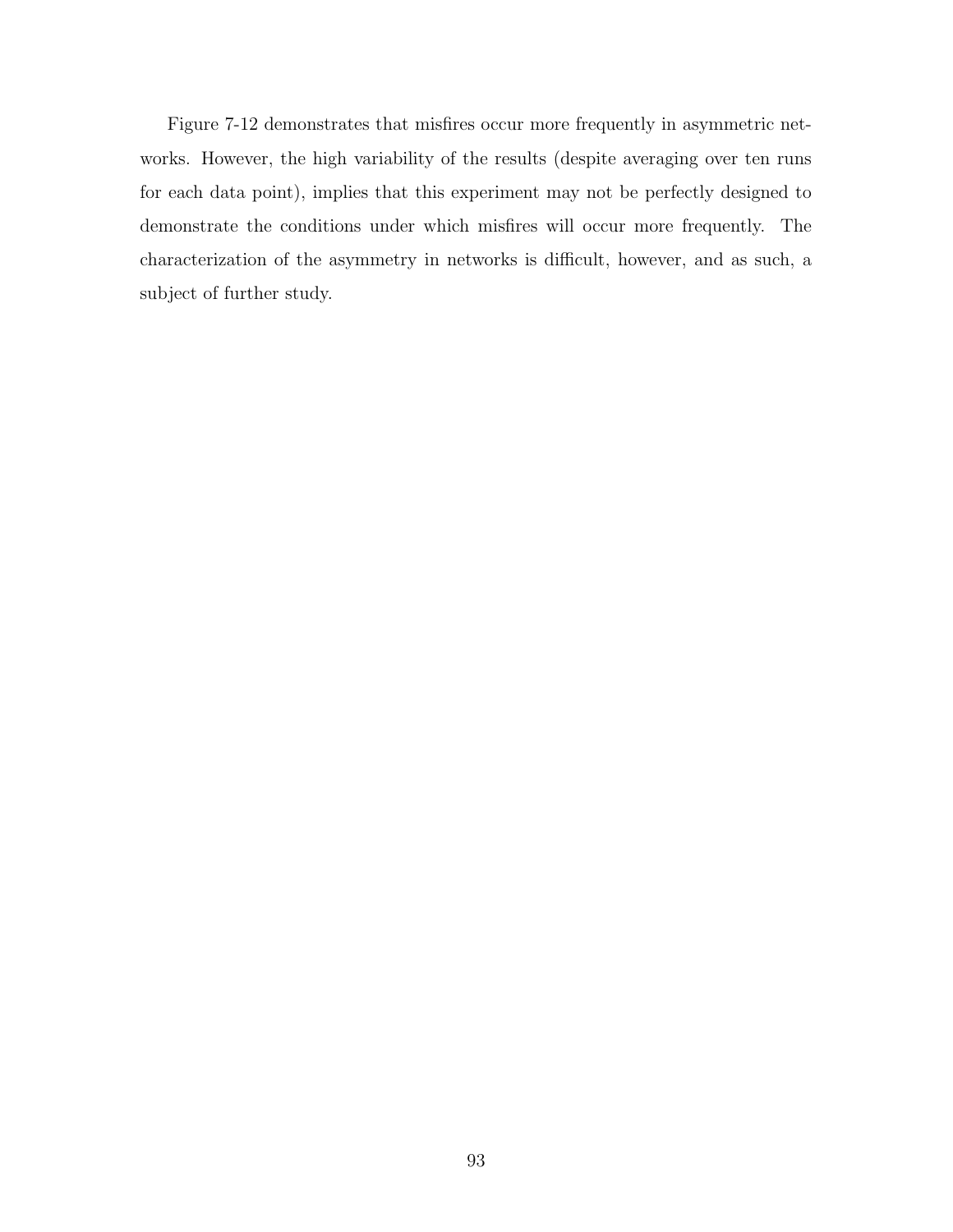Figure 7-12 demonstrates that misfires occur more frequently in asymmetric networks. However, the high variability of the results (despite averaging over ten runs for each data point), implies that this experiment may not be perfectly designed to demonstrate the conditions under which misfires will occur more frequently. The characterization of the asymmetry in networks is difficult, however, and as such, a subject of further study.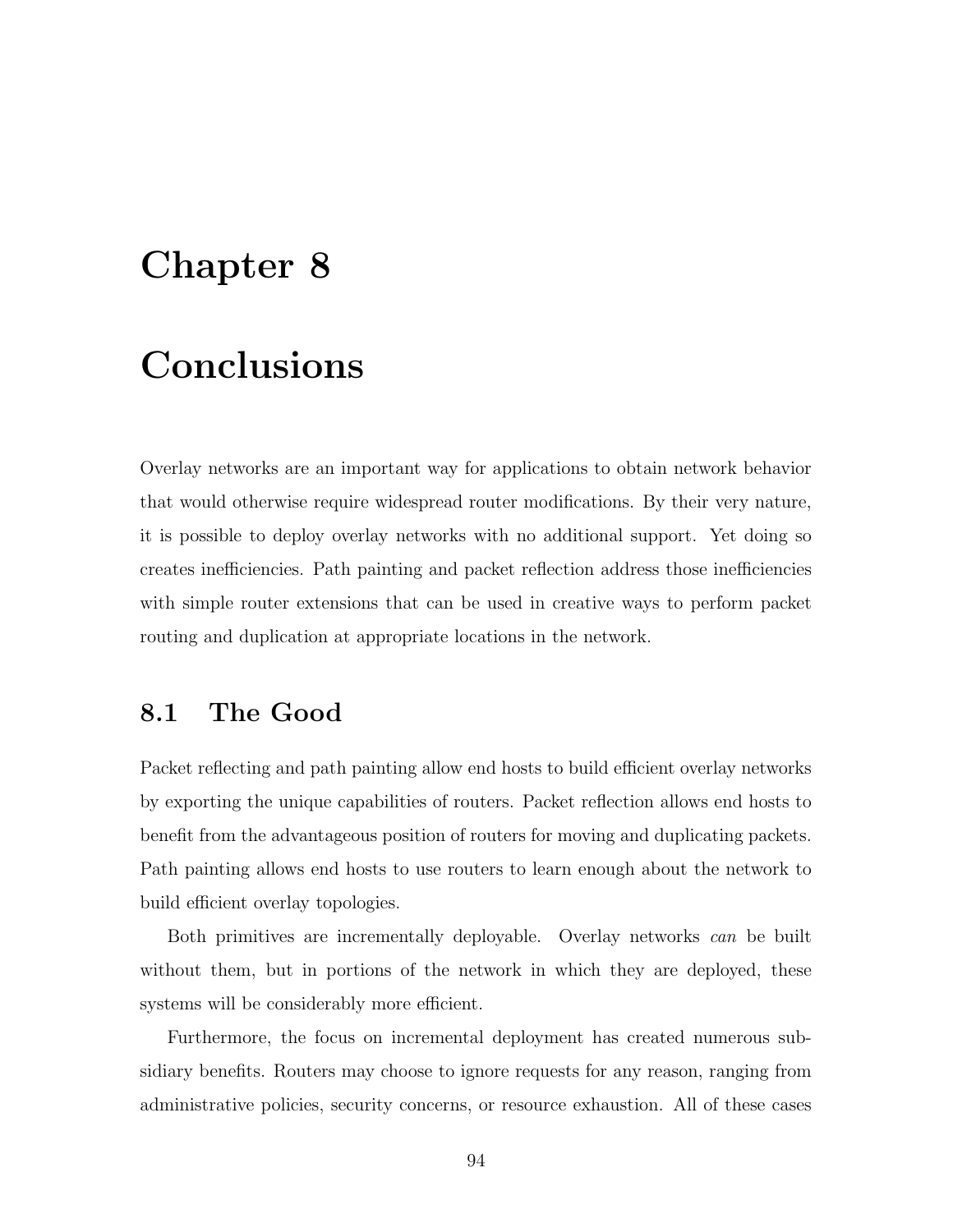# Chapter 8

# Conclusions

Overlay networks are an important way for applications to obtain network behavior that would otherwise require widespread router modifications. By their very nature, it is possible to deploy overlay networks with no additional support. Yet doing so creates inefficiencies. Path painting and packet reflection address those inefficiencies with simple router extensions that can be used in creative ways to perform packet routing and duplication at appropriate locations in the network.

## 8.1 The Good

Packet reflecting and path painting allow end hosts to build efficient overlay networks by exporting the unique capabilities of routers. Packet reflection allows end hosts to benefit from the advantageous position of routers for moving and duplicating packets. Path painting allows end hosts to use routers to learn enough about the network to build efficient overlay topologies.

Both primitives are incrementally deployable. Overlay networks can be built without them, but in portions of the network in which they are deployed, these systems will be considerably more efficient.

Furthermore, the focus on incremental deployment has created numerous subsidiary benefits. Routers may choose to ignore requests for any reason, ranging from administrative policies, security concerns, or resource exhaustion. All of these cases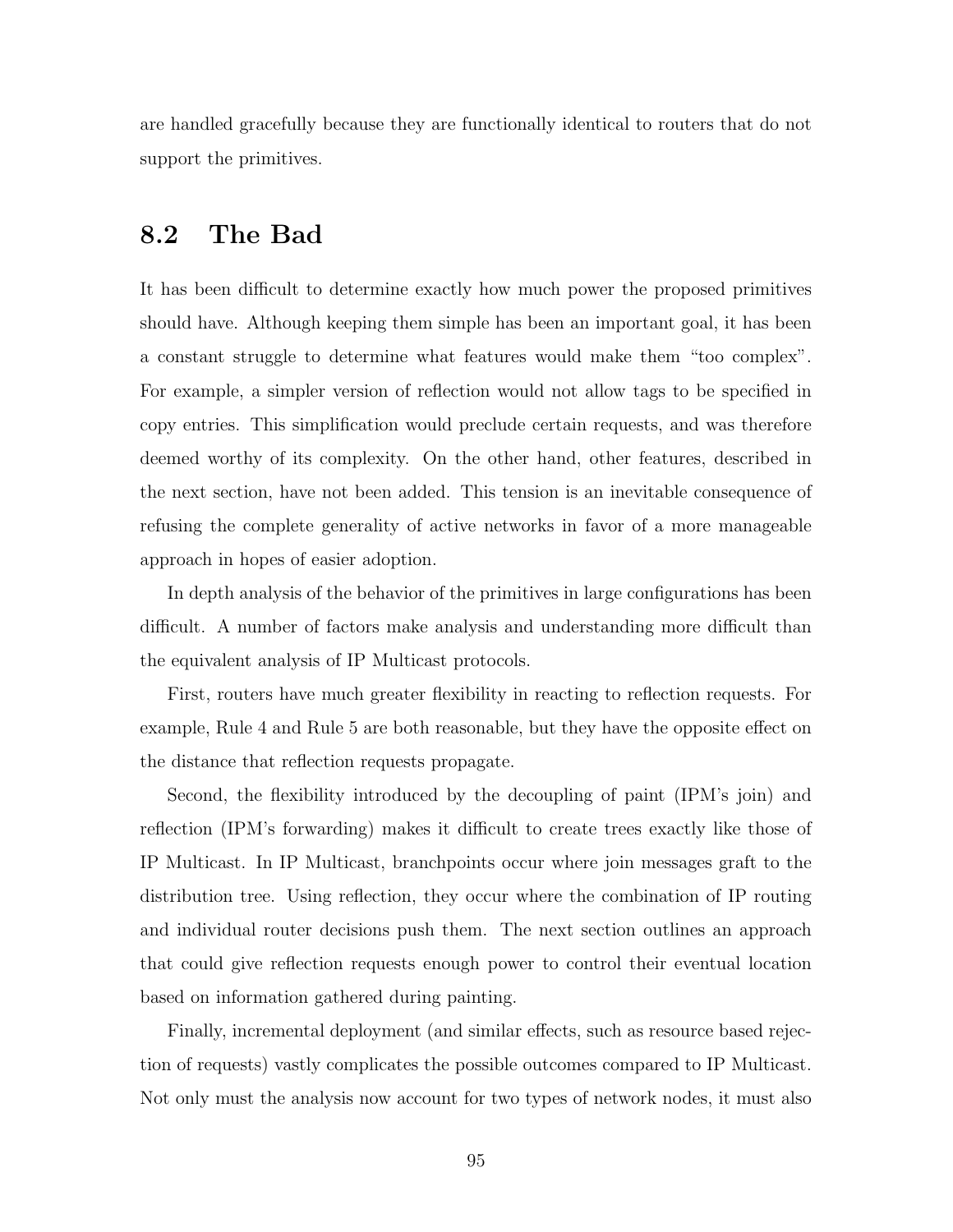are handled gracefully because they are functionally identical to routers that do not support the primitives.

## 8.2 The Bad

It has been difficult to determine exactly how much power the proposed primitives should have. Although keeping them simple has been an important goal, it has been a constant struggle to determine what features would make them "too complex". For example, a simpler version of reflection would not allow tags to be specified in copy entries. This simplification would preclude certain requests, and was therefore deemed worthy of its complexity. On the other hand, other features, described in the next section, have not been added. This tension is an inevitable consequence of refusing the complete generality of active networks in favor of a more manageable approach in hopes of easier adoption.

In depth analysis of the behavior of the primitives in large configurations has been difficult. A number of factors make analysis and understanding more difficult than the equivalent analysis of IP Multicast protocols.

First, routers have much greater flexibility in reacting to reflection requests. For example, Rule 4 and Rule 5 are both reasonable, but they have the opposite effect on the distance that reflection requests propagate.

Second, the flexibility introduced by the decoupling of paint (IPM's join) and reflection (IPM's forwarding) makes it difficult to create trees exactly like those of IP Multicast. In IP Multicast, branchpoints occur where join messages graft to the distribution tree. Using reflection, they occur where the combination of IP routing and individual router decisions push them. The next section outlines an approach that could give reflection requests enough power to control their eventual location based on information gathered during painting.

Finally, incremental deployment (and similar effects, such as resource based rejection of requests) vastly complicates the possible outcomes compared to IP Multicast. Not only must the analysis now account for two types of network nodes, it must also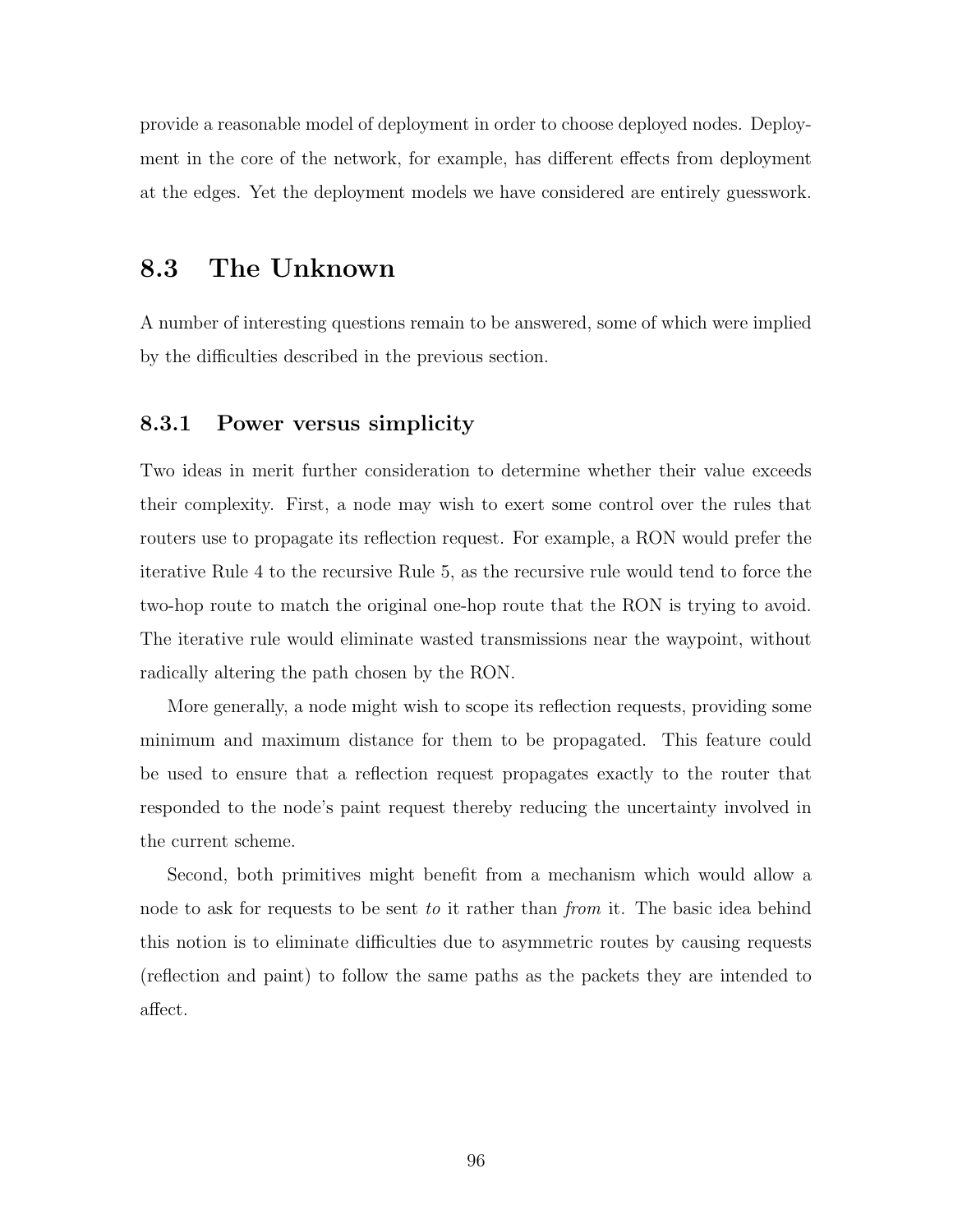provide a reasonable model of deployment in order to choose deployed nodes. Deployment in the core of the network, for example, has different effects from deployment at the edges. Yet the deployment models we have considered are entirely guesswork.

# 8.3 The Unknown

A number of interesting questions remain to be answered, some of which were implied by the difficulties described in the previous section.

#### 8.3.1 Power versus simplicity

Two ideas in merit further consideration to determine whether their value exceeds their complexity. First, a node may wish to exert some control over the rules that routers use to propagate its reflection request. For example, a RON would prefer the iterative Rule 4 to the recursive Rule 5, as the recursive rule would tend to force the two-hop route to match the original one-hop route that the RON is trying to avoid. The iterative rule would eliminate wasted transmissions near the waypoint, without radically altering the path chosen by the RON.

More generally, a node might wish to scope its reflection requests, providing some minimum and maximum distance for them to be propagated. This feature could be used to ensure that a reflection request propagates exactly to the router that responded to the node's paint request thereby reducing the uncertainty involved in the current scheme.

Second, both primitives might benefit from a mechanism which would allow a node to ask for requests to be sent to it rather than from it. The basic idea behind this notion is to eliminate difficulties due to asymmetric routes by causing requests (reflection and paint) to follow the same paths as the packets they are intended to affect.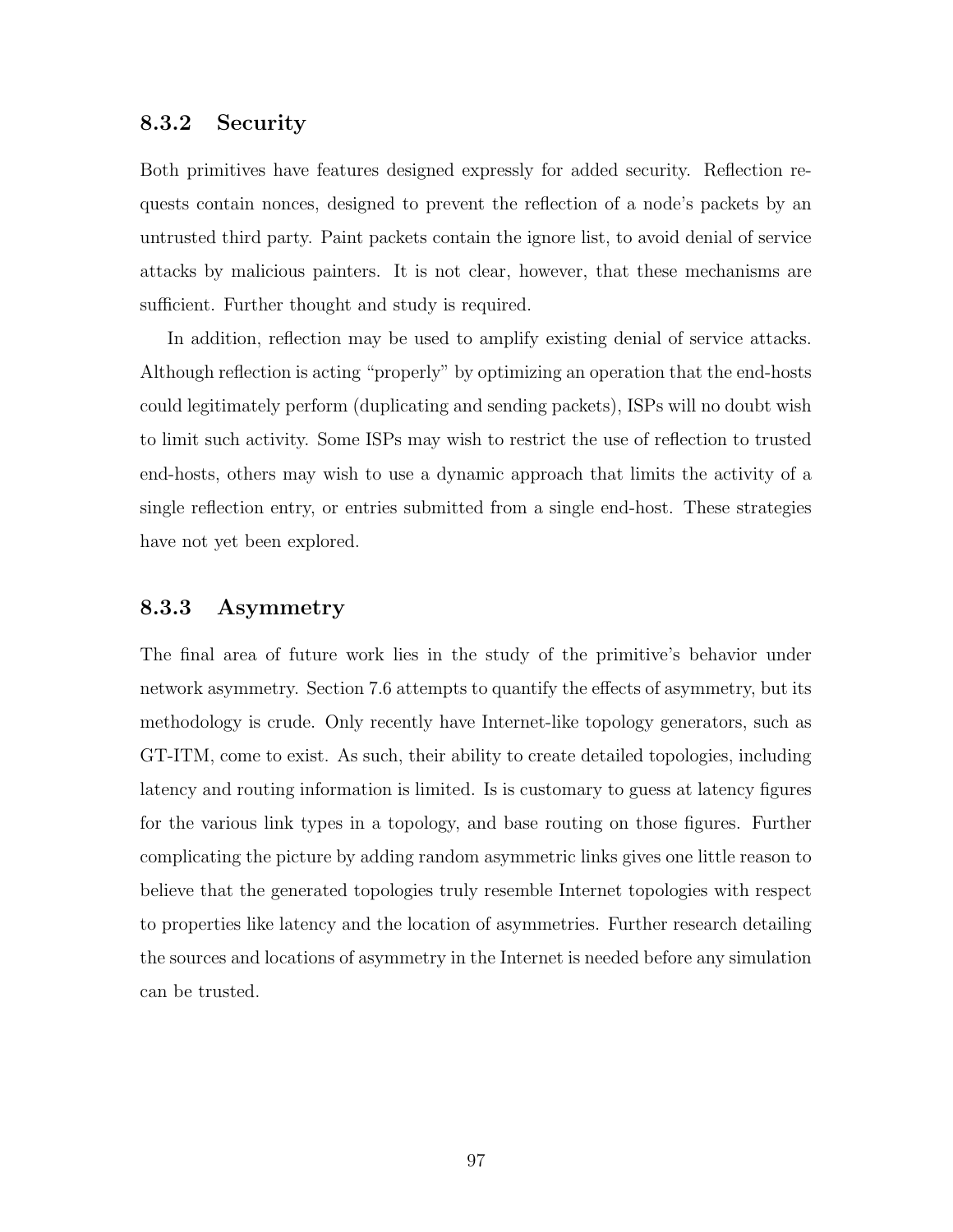#### 8.3.2 Security

Both primitives have features designed expressly for added security. Reflection requests contain nonces, designed to prevent the reflection of a node's packets by an untrusted third party. Paint packets contain the ignore list, to avoid denial of service attacks by malicious painters. It is not clear, however, that these mechanisms are sufficient. Further thought and study is required.

In addition, reflection may be used to amplify existing denial of service attacks. Although reflection is acting "properly" by optimizing an operation that the end-hosts could legitimately perform (duplicating and sending packets), ISPs will no doubt wish to limit such activity. Some ISPs may wish to restrict the use of reflection to trusted end-hosts, others may wish to use a dynamic approach that limits the activity of a single reflection entry, or entries submitted from a single end-host. These strategies have not yet been explored.

#### 8.3.3 Asymmetry

The final area of future work lies in the study of the primitive's behavior under network asymmetry. Section 7.6 attempts to quantify the effects of asymmetry, but its methodology is crude. Only recently have Internet-like topology generators, such as GT-ITM, come to exist. As such, their ability to create detailed topologies, including latency and routing information is limited. Is is customary to guess at latency figures for the various link types in a topology, and base routing on those figures. Further complicating the picture by adding random asymmetric links gives one little reason to believe that the generated topologies truly resemble Internet topologies with respect to properties like latency and the location of asymmetries. Further research detailing the sources and locations of asymmetry in the Internet is needed before any simulation can be trusted.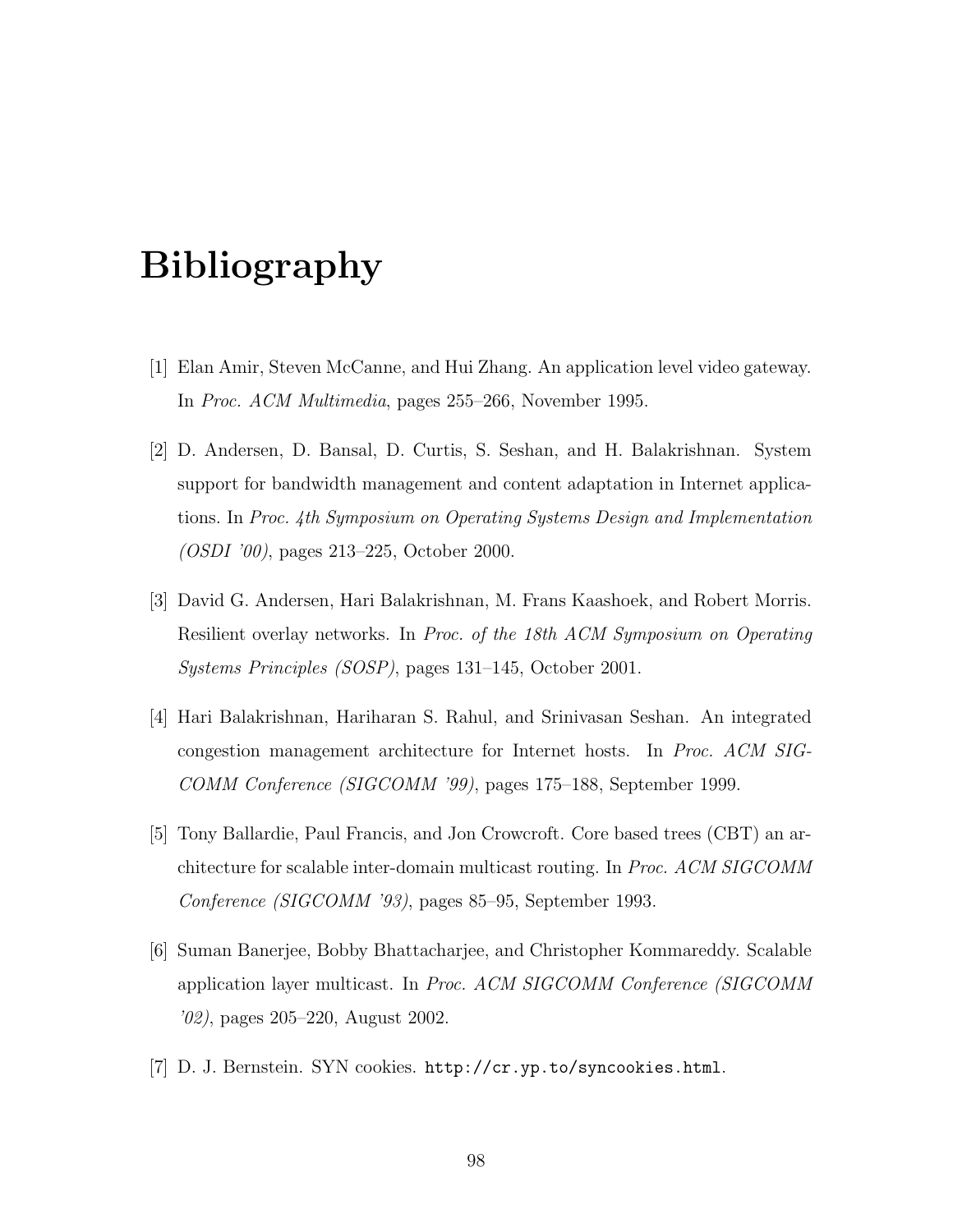# Bibliography

- [1] Elan Amir, Steven McCanne, and Hui Zhang. An application level video gateway. In Proc. ACM Multimedia, pages 255–266, November 1995.
- [2] D. Andersen, D. Bansal, D. Curtis, S. Seshan, and H. Balakrishnan. System support for bandwidth management and content adaptation in Internet applications. In Proc. 4th Symposium on Operating Systems Design and Implementation (OSDI '00), pages 213–225, October 2000.
- [3] David G. Andersen, Hari Balakrishnan, M. Frans Kaashoek, and Robert Morris. Resilient overlay networks. In Proc. of the 18th ACM Symposium on Operating Systems Principles (SOSP), pages 131–145, October 2001.
- [4] Hari Balakrishnan, Hariharan S. Rahul, and Srinivasan Seshan. An integrated congestion management architecture for Internet hosts. In Proc. ACM SIG-COMM Conference (SIGCOMM '99), pages 175–188, September 1999.
- [5] Tony Ballardie, Paul Francis, and Jon Crowcroft. Core based trees (CBT) an architecture for scalable inter-domain multicast routing. In Proc. ACM SIGCOMM Conference (SIGCOMM '93), pages 85–95, September 1993.
- [6] Suman Banerjee, Bobby Bhattacharjee, and Christopher Kommareddy. Scalable application layer multicast. In Proc. ACM SIGCOMM Conference (SIGCOMM '02), pages 205–220, August 2002.
- [7] D. J. Bernstein. SYN cookies. http://cr.yp.to/syncookies.html.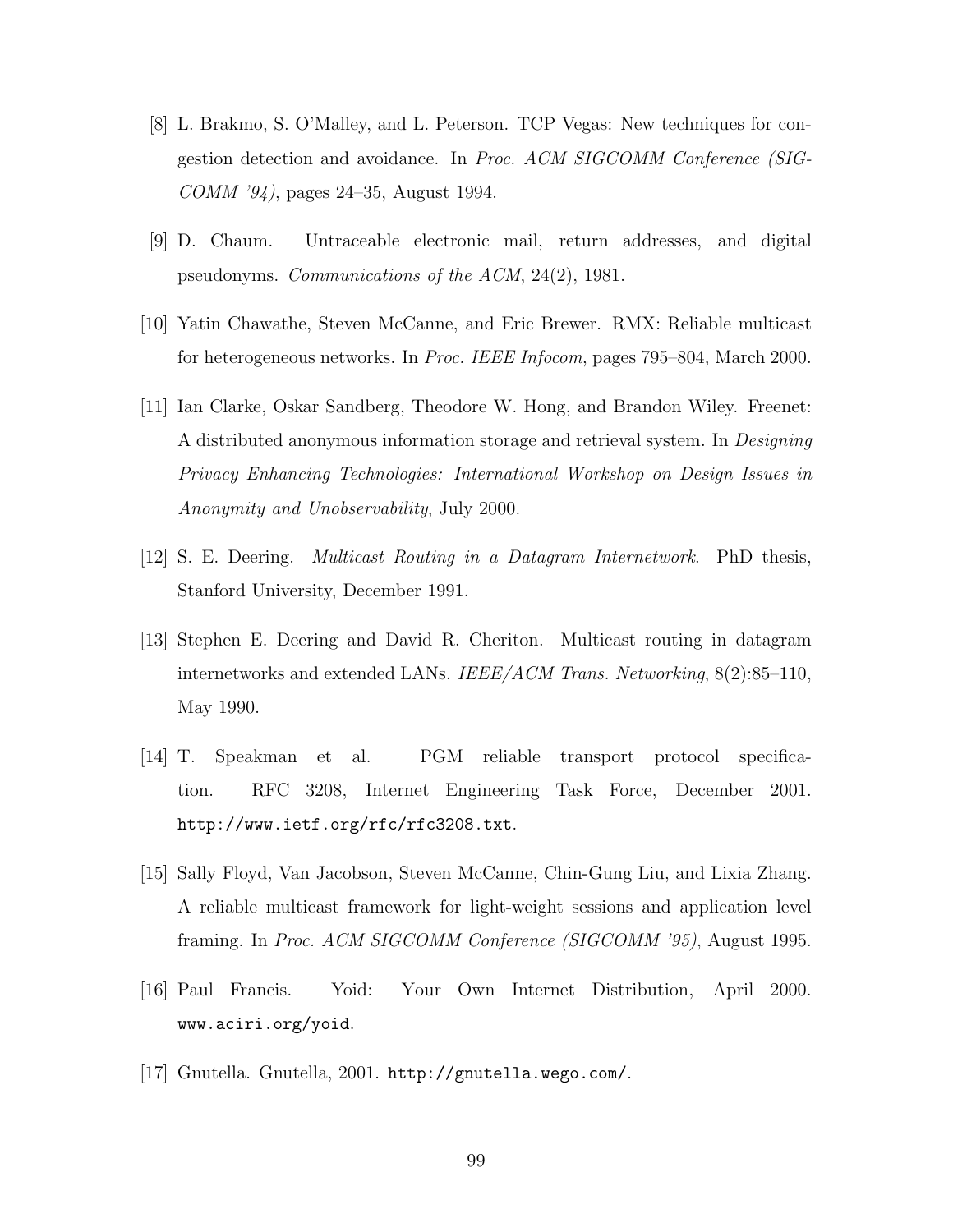- [8] L. Brakmo, S. O'Malley, and L. Peterson. TCP Vegas: New techniques for congestion detection and avoidance. In Proc. ACM SIGCOMM Conference (SIG-COMM '94), pages 24–35, August 1994.
- [9] D. Chaum. Untraceable electronic mail, return addresses, and digital pseudonyms. Communications of the ACM, 24(2), 1981.
- [10] Yatin Chawathe, Steven McCanne, and Eric Brewer. RMX: Reliable multicast for heterogeneous networks. In Proc. IEEE Infocom, pages 795–804, March 2000.
- [11] Ian Clarke, Oskar Sandberg, Theodore W. Hong, and Brandon Wiley. Freenet: A distributed anonymous information storage and retrieval system. In Designing Privacy Enhancing Technologies: International Workshop on Design Issues in Anonymity and Unobservability, July 2000.
- [12] S. E. Deering. Multicast Routing in a Datagram Internetwork. PhD thesis, Stanford University, December 1991.
- [13] Stephen E. Deering and David R. Cheriton. Multicast routing in datagram internetworks and extended LANs. IEEE/ACM Trans. Networking, 8(2):85–110, May 1990.
- [14] T. Speakman et al. PGM reliable transport protocol specification. RFC 3208, Internet Engineering Task Force, December 2001. http://www.ietf.org/rfc/rfc3208.txt.
- [15] Sally Floyd, Van Jacobson, Steven McCanne, Chin-Gung Liu, and Lixia Zhang. A reliable multicast framework for light-weight sessions and application level framing. In Proc. ACM SIGCOMM Conference (SIGCOMM '95), August 1995.
- [16] Paul Francis. Yoid: Your Own Internet Distribution, April 2000. www.aciri.org/yoid.
- [17] Gnutella. Gnutella, 2001. http://gnutella.wego.com/.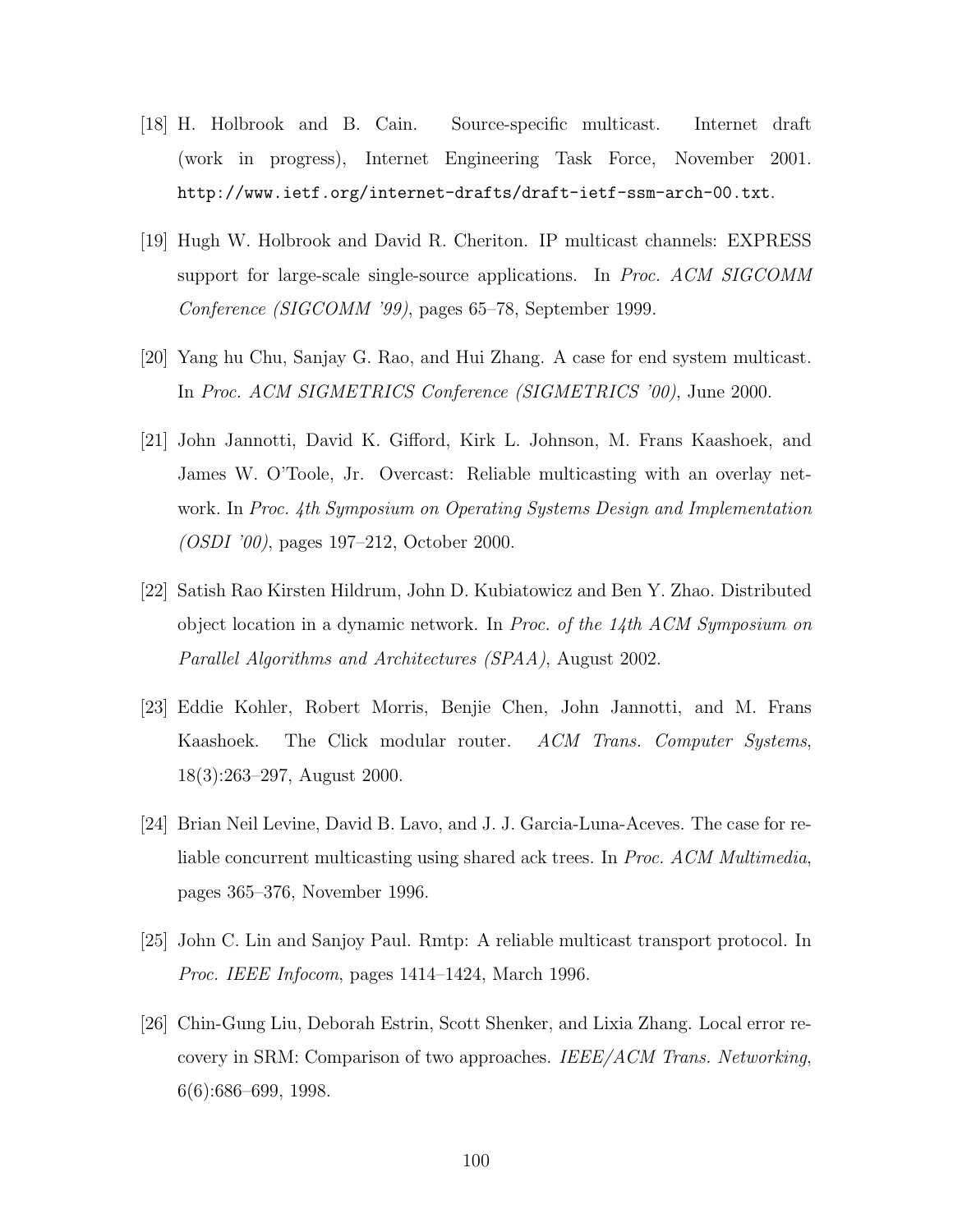- [18] H. Holbrook and B. Cain. Source-specific multicast. Internet draft (work in progress), Internet Engineering Task Force, November 2001. http://www.ietf.org/internet-drafts/draft-ietf-ssm-arch-00.txt.
- [19] Hugh W. Holbrook and David R. Cheriton. IP multicast channels: EXPRESS support for large-scale single-source applications. In Proc. ACM SIGCOMM Conference (SIGCOMM '99), pages 65–78, September 1999.
- [20] Yang hu Chu, Sanjay G. Rao, and Hui Zhang. A case for end system multicast. In Proc. ACM SIGMETRICS Conference (SIGMETRICS '00), June 2000.
- [21] John Jannotti, David K. Gifford, Kirk L. Johnson, M. Frans Kaashoek, and James W. O'Toole, Jr. Overcast: Reliable multicasting with an overlay network. In Proc. 4th Symposium on Operating Systems Design and Implementation (OSDI '00), pages 197–212, October 2000.
- [22] Satish Rao Kirsten Hildrum, John D. Kubiatowicz and Ben Y. Zhao. Distributed object location in a dynamic network. In *Proc. of the 14th ACM Symposium on* Parallel Algorithms and Architectures (SPAA), August 2002.
- [23] Eddie Kohler, Robert Morris, Benjie Chen, John Jannotti, and M. Frans Kaashoek. The Click modular router. ACM Trans. Computer Systems, 18(3):263–297, August 2000.
- [24] Brian Neil Levine, David B. Lavo, and J. J. Garcia-Luna-Aceves. The case for reliable concurrent multicasting using shared ack trees. In Proc. ACM Multimedia, pages 365–376, November 1996.
- [25] John C. Lin and Sanjoy Paul. Rmtp: A reliable multicast transport protocol. In Proc. IEEE Infocom, pages 1414–1424, March 1996.
- [26] Chin-Gung Liu, Deborah Estrin, Scott Shenker, and Lixia Zhang. Local error recovery in SRM: Comparison of two approaches. IEEE/ACM Trans. Networking, 6(6):686–699, 1998.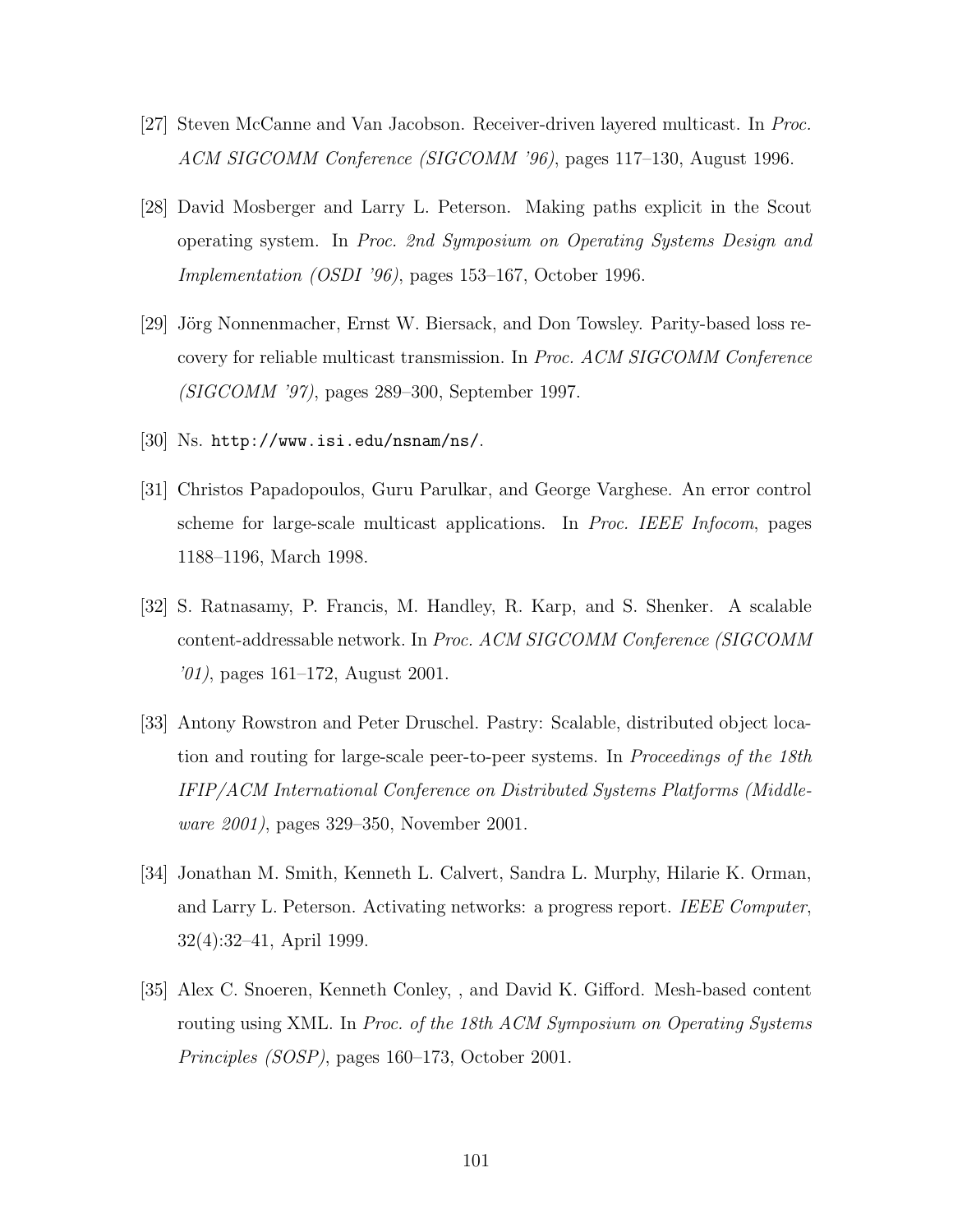- [27] Steven McCanne and Van Jacobson. Receiver-driven layered multicast. In Proc. ACM SIGCOMM Conference (SIGCOMM '96), pages 117–130, August 1996.
- [28] David Mosberger and Larry L. Peterson. Making paths explicit in the Scout operating system. In Proc. 2nd Symposium on Operating Systems Design and Implementation (OSDI '96), pages 153–167, October 1996.
- [29] Jörg Nonnenmacher, Ernst W. Biersack, and Don Towsley. Parity-based loss recovery for reliable multicast transmission. In Proc. ACM SIGCOMM Conference (SIGCOMM '97), pages 289–300, September 1997.
- [30] Ns. http://www.isi.edu/nsnam/ns/.
- [31] Christos Papadopoulos, Guru Parulkar, and George Varghese. An error control scheme for large-scale multicast applications. In Proc. IEEE Infocom, pages 1188–1196, March 1998.
- [32] S. Ratnasamy, P. Francis, M. Handley, R. Karp, and S. Shenker. A scalable content-addressable network. In Proc. ACM SIGCOMM Conference (SIGCOMM '01), pages 161–172, August 2001.
- [33] Antony Rowstron and Peter Druschel. Pastry: Scalable, distributed object location and routing for large-scale peer-to-peer systems. In Proceedings of the 18th IFIP/ACM International Conference on Distributed Systems Platforms (Middleware 2001), pages 329–350, November 2001.
- [34] Jonathan M. Smith, Kenneth L. Calvert, Sandra L. Murphy, Hilarie K. Orman, and Larry L. Peterson. Activating networks: a progress report. IEEE Computer, 32(4):32–41, April 1999.
- [35] Alex C. Snoeren, Kenneth Conley, , and David K. Gifford. Mesh-based content routing using XML. In Proc. of the 18th ACM Symposium on Operating Systems Principles (SOSP), pages 160–173, October 2001.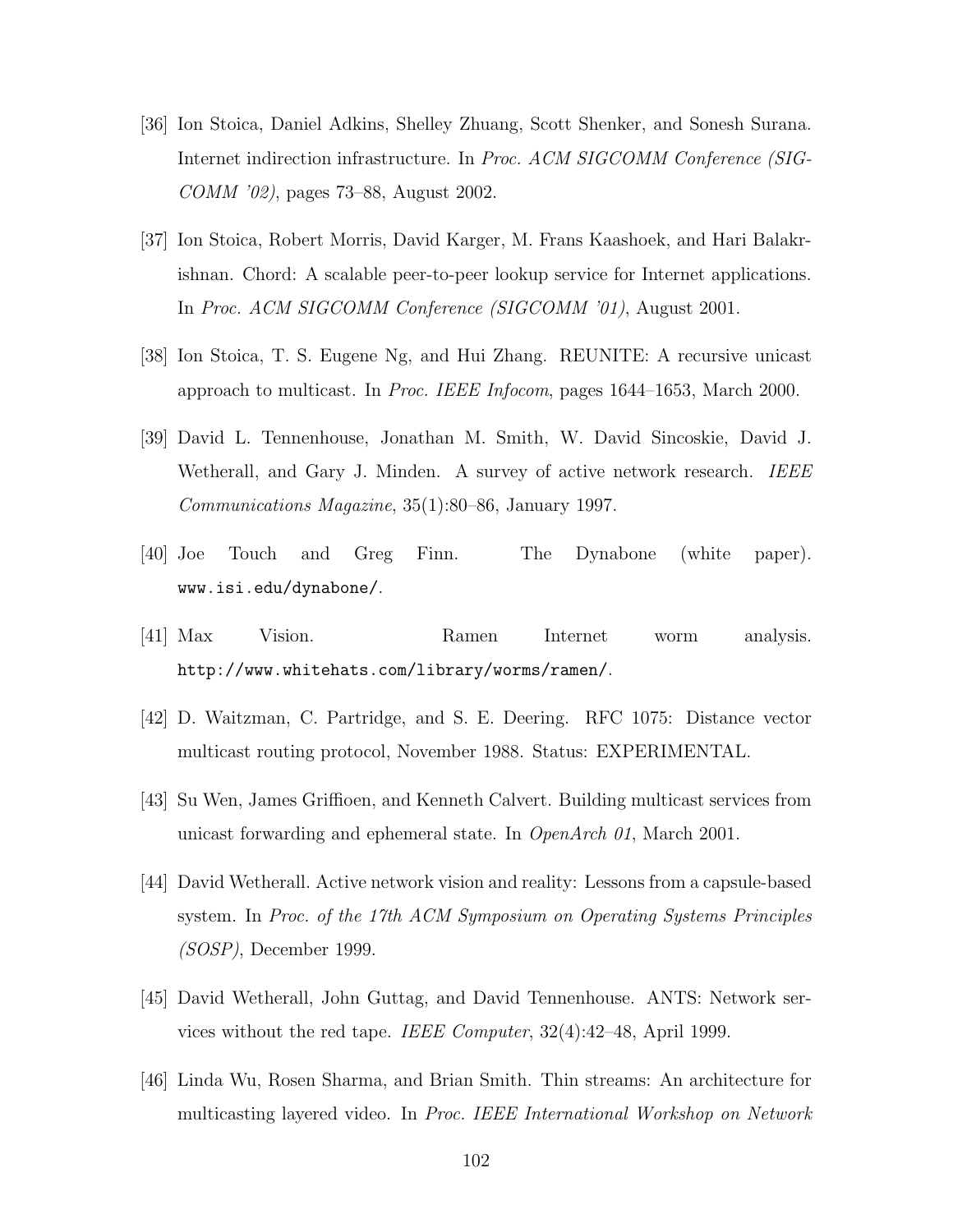- [36] Ion Stoica, Daniel Adkins, Shelley Zhuang, Scott Shenker, and Sonesh Surana. Internet indirection infrastructure. In Proc. ACM SIGCOMM Conference (SIG-COMM '02), pages 73–88, August 2002.
- [37] Ion Stoica, Robert Morris, David Karger, M. Frans Kaashoek, and Hari Balakrishnan. Chord: A scalable peer-to-peer lookup service for Internet applications. In Proc. ACM SIGCOMM Conference (SIGCOMM '01), August 2001.
- [38] Ion Stoica, T. S. Eugene Ng, and Hui Zhang. REUNITE: A recursive unicast approach to multicast. In Proc. IEEE Infocom, pages 1644–1653, March 2000.
- [39] David L. Tennenhouse, Jonathan M. Smith, W. David Sincoskie, David J. Wetherall, and Gary J. Minden. A survey of active network research. IEEE Communications Magazine, 35(1):80–86, January 1997.
- [40] Joe Touch and Greg Finn. The Dynabone (white paper). www.isi.edu/dynabone/.
- [41] Max Vision. Ramen Internet worm analysis. http://www.whitehats.com/library/worms/ramen/.
- [42] D. Waitzman, C. Partridge, and S. E. Deering. RFC 1075: Distance vector multicast routing protocol, November 1988. Status: EXPERIMENTAL.
- [43] Su Wen, James Griffioen, and Kenneth Calvert. Building multicast services from unicast forwarding and ephemeral state. In OpenArch 01, March 2001.
- [44] David Wetherall. Active network vision and reality: Lessons from a capsule-based system. In Proc. of the 17th ACM Symposium on Operating Systems Principles (SOSP), December 1999.
- [45] David Wetherall, John Guttag, and David Tennenhouse. ANTS: Network services without the red tape. IEEE Computer, 32(4):42–48, April 1999.
- [46] Linda Wu, Rosen Sharma, and Brian Smith. Thin streams: An architecture for multicasting layered video. In Proc. IEEE International Workshop on Network